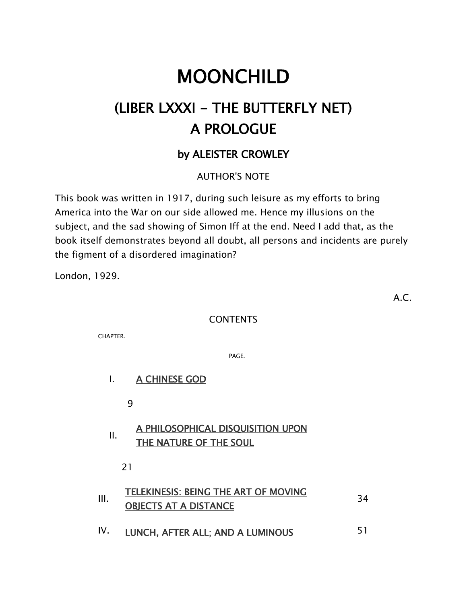# MOONCHILD

## (LIBER LXXXI - THE BUTTERFLY NET) A PROLOGUE

## by ALEISTER CROWLEY

## AUTHOR'S NOTE

This book was written in 1917, during such leisure as my efforts to bring America into the War on our side allowed me. Hence my illusions on the subject, and the sad showing of Simon Iff at the end. Need I add that, as the book itself demonstrates beyond all doubt, all persons and incidents are purely the figment of a disordered imagination?

London, 1929.

A.C.

## **CONTENTS**

CHAPTER.

PAGE.

I. [A CHINESE GOD](http://hermetic.com/crowley/moonchild/mc01.html)

9

- II. [A PHILOSOPHICAL DISQUISITION UPON](http://hermetic.com/crowley/moonchild/mc02.html)  [THE NATURE OF THE SOUL](http://hermetic.com/crowley/moonchild/mc02.html)
	- 21

#### III. [TELEKINESIS: BEING THE ART OF MOVING](http://hermetic.com/crowley/moonchild/mc03.html)  [OBJECTS AT A DISTANCE](http://hermetic.com/crowley/moonchild/mc03.html) 34

IV. [LUNCH, AFTER ALL; AND A LUMINOUS](http://hermetic.com/crowley/moonchild/mc04.html) 51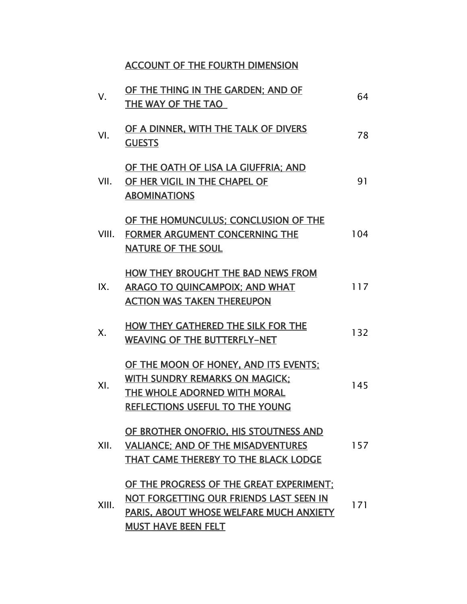## [ACCOUNT OF THE FOURTH DIMENSION](http://hermetic.com/crowley/moonchild/mc04.html)

| V.    | OF THE THING IN THE GARDEN; AND OF<br>THE WAY OF THE TAO                                                                                                     | 64  |
|-------|--------------------------------------------------------------------------------------------------------------------------------------------------------------|-----|
| VI.   | OF A DINNER, WITH THE TALK OF DIVERS<br><b>GUESTS</b>                                                                                                        | 78  |
| VII.  | OF THE OATH OF LISA LA GIUFFRIA; AND<br>OF HER VIGIL IN THE CHAPEL OF<br><b>ABOMINATIONS</b>                                                                 | 91  |
|       | OF THE HOMUNCULUS; CONCLUSION OF THE<br>VIII. FORMER ARGUMENT CONCERNING THE<br><b>NATURE OF THE SOUL</b>                                                    | 104 |
| IX.   | HOW THEY BROUGHT THE BAD NEWS FROM<br>ARAGO TO QUINCAMPOIX; AND WHAT<br><b>ACTION WAS TAKEN THEREUPON</b>                                                    | 117 |
| Χ.    | HOW THEY GATHERED THE SILK FOR THE<br><b>WEAVING OF THE BUTTERFLY-NET</b>                                                                                    | 132 |
| XI.   | OF THE MOON OF HONEY, AND ITS EVENTS;<br><b>WITH SUNDRY REMARKS ON MAGICK;</b><br>THE WHOLE ADORNED WITH MORAL<br><b>REFLECTIONS USEFUL TO THE YOUNG</b>     | 145 |
| XII.  | OF BROTHER ONOFRIO, HIS STOUTNESS AND<br><b>VALIANCE; AND OF THE MISADVENTURES</b><br>THAT CAME THEREBY TO THE BLACK LODGE                                   | 157 |
| XIII. | OF THE PROGRESS OF THE GREAT EXPERIMENT;<br>NOT FORGETTING OUR FRIENDS LAST SEEN IN<br>PARIS, ABOUT WHOSE WELFARE MUCH ANXIETY<br><b>MUST HAVE BEEN FELT</b> | 171 |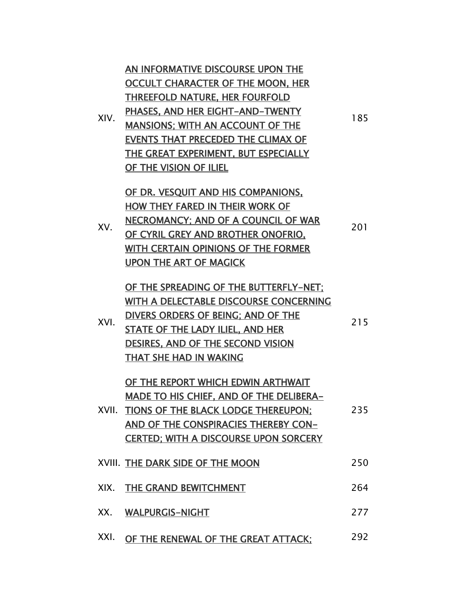| XIV. | AN INFORMATIVE DISCOURSE UPON THE<br>OCCULT CHARACTER OF THE MOON, HER<br><b>THREEFOLD NATURE, HER FOURFOLD</b><br>PHASES, AND HER EIGHT-AND-TWENTY<br><b>MANSIONS: WITH AN ACCOUNT OF THE</b><br>EVENTS THAT PRECEDED THE CLIMAX OF<br>THE GREAT EXPERIMENT, BUT ESPECIALLY<br>OF THE VISION OF ILIEL | 185 |
|------|--------------------------------------------------------------------------------------------------------------------------------------------------------------------------------------------------------------------------------------------------------------------------------------------------------|-----|
| XV.  | OF DR. VESQUIT AND HIS COMPANIONS,<br><b>HOW THEY FARED IN THEIR WORK OF</b><br>NECROMANCY; AND OF A COUNCIL OF WAR<br>OF CYRIL GREY AND BROTHER ONOFRIO.<br>WITH CERTAIN OPINIONS OF THE FORMER<br><b>UPON THE ART OF MAGICK</b>                                                                      | 201 |
| XVI. | OF THE SPREADING OF THE BUTTERFLY-NET;<br>WITH A DELECTABLE DISCOURSE CONCERNING<br>DIVERS ORDERS OF BEING; AND OF THE<br>STATE OF THE LADY ILIEL, AND HER<br>DESIRES, AND OF THE SECOND VISION<br><b>THAT SHE HAD IN WAKING</b>                                                                       | 215 |
|      | OF THE REPORT WHICH EDWIN ARTHWAIT<br><b>MADE TO HIS CHIEF, AND OF THE DELIBERA-</b><br>XVII. TIONS OF THE BLACK LODGE THEREUPON;<br>AND OF THE CONSPIRACIES THEREBY CON-<br><b>CERTED; WITH A DISCOURSE UPON SORCERY</b>                                                                              | 235 |
|      | XVIII. THE DARK SIDE OF THE MOON                                                                                                                                                                                                                                                                       | 250 |
| XIX. | THE GRAND BEWITCHMENT                                                                                                                                                                                                                                                                                  | 264 |
|      | XX. WALPURGIS-NIGHT                                                                                                                                                                                                                                                                                    | 277 |
| XXI. | OF THE RENEWAL OF THE GREAT ATTACK;                                                                                                                                                                                                                                                                    | 292 |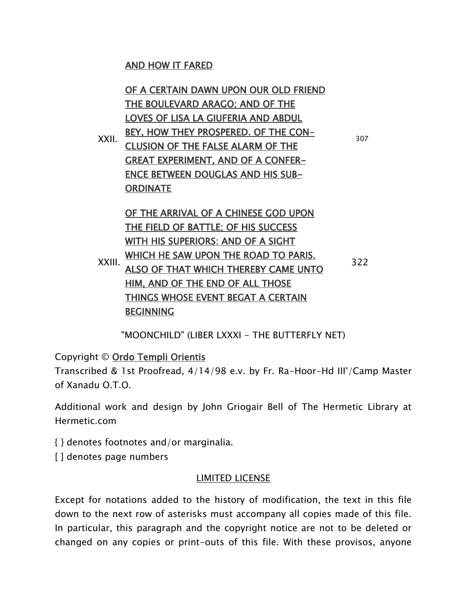## [AND HOW IT FARED](http://hermetic.com/crowley/moonchild/mc21.html)

| XXII.  | OF A CERTAIN DAWN UPON OUR OLD FRIEND       |     |
|--------|---------------------------------------------|-----|
|        | THE BOULEVARD ARAGO; AND OF THE             |     |
|        | LOVES OF LISA LA GIUFERIA AND ABDUL         |     |
|        | <u>BEY, HOW THEY PROSPERED. OF THE CON-</u> | 307 |
|        | <b>CLUSION OF THE FALSE ALARM OF THE</b>    |     |
|        | <b>GREAT EXPERIMENT, AND OF A CONFER-</b>   |     |
|        | <b>ENCE BETWEEN DOUGLAS AND HIS SUB-</b>    |     |
|        | <b>ORDINATE</b>                             |     |
|        |                                             |     |
| XXIII. | OF THE ARRIVAL OF A CHINESE GOD UPON        |     |
|        | <b>THE FIELD OF BATTLE; OF HIS SUCCESS</b>  |     |
|        | WITH HIS SUPERIORS: AND OF A SIGHT          |     |
|        | WHICH HE SAW UPON THE ROAD TO PARIS.        | 322 |
|        | ALSO OF THAT WHICH THEREBY CAME UNTO        |     |
|        | <u>HIM, AND OF THE END OF ALL THOSE</u>     |     |
|        | THINGS WHOSE EVENT BEGAT A CERTAIN          |     |
|        | <b>BEGINNING</b>                            |     |
|        |                                             |     |

"MOONCHILD" (LIBER LXXXI - THE BUTTERFLY NET)

Copyright © [Ordo Templi Orientis](http://otohq.org/oto/)

Transcribed & 1st Proofread, 4/14/98 e.v. by Fr. Ra-Hoor-Hd III°/Camp Master of Xanadu O.T.O.

Additional work and design by John Griogair Bell of The Hermetic Library at Hermetic.com

- { } denotes footnotes and/or marginalia.
- [ ] denotes page numbers

## LIMITED LICENSE

Except for notations added to the history of modification, the text in this file down to the next row of asterisks must accompany all copies made of this file. In particular, this paragraph and the copyright notice are not to be deleted or changed on any copies or print-outs of this file. With these provisos, anyone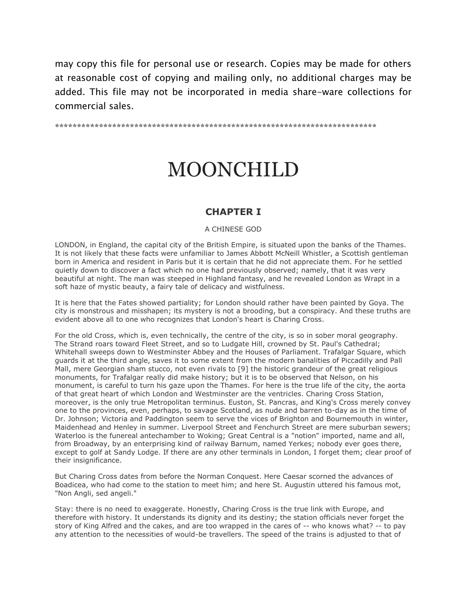may copy this file for personal use or research. Copies may be made for others at reasonable cost of copying and mailing only, no additional charges may be added. This file may not be incorporated in media share-ware collections for commercial sales.

\*\*\*\*\*\*\*\*\*\*\*\*\*\*\*\*\*\*\*\*\*\*\*\*\*\*\*\*\*\*\*\*\*\*\*\*\*\*\*\*\*\*\*\*\*\*\*\*\*\*\*\*\*\*\*\*\*\*\*\*\*\*\*\*\*\*\*\*\*\*\*\*\*

# MOONCHILD

## **CHAPTER I**

### A CHINESE GOD

LONDON, in England, the capital city of the British Empire, is situated upon the banks of the Thames. It is not likely that these facts were unfamiliar to James Abbott McNeill Whistler, a Scottish gentleman born in America and resident in Paris but it is certain that he did not appreciate them. For he settled quietly down to discover a fact which no one had previously observed; namely, that it was very beautiful at night. The man was steeped in Highland fantasy, and he revealed London as Wrapt in a soft haze of mystic beauty, a fairy tale of delicacy and wistfulness.

It is here that the Fates showed partiality; for London should rather have been painted by Goya. The city is monstrous and misshapen; its mystery is not a brooding, but a conspiracy. And these truths are evident above all to one who recognizes that London's heart is Charing Cross.

For the old Cross, which is, even technically, the centre of the city, is so in sober moral geography. The Strand roars toward Fleet Street, and so to Ludgate Hill, crowned by St. Paul's Cathedral; Whitehall sweeps down to Westminster Abbey and the Houses of Parliament. Trafalgar Square, which guards it at the third angle, saves it to some extent from the modern banalities of Piccadilly and Pall Mall, mere Georgian sham stucco, not even rivals to [9] the historic grandeur of the great religious monuments, for Trafalgar really did make history; but it is to be observed that Nelson, on his monument, is careful to turn his gaze upon the Thames. For here is the true life of the city, the aorta of that great heart of which London and Westminster are the ventricles. Charing Cross Station, moreover, is the only true Metropolitan terminus. Euston, St. Pancras, and King's Cross merely convey one to the provinces, even, perhaps, to savage Scotland, as nude and barren to-day as in the time of Dr. Johnson; Victoria and Paddington seem to serve the vices of Brighton and Bournemouth in winter, Maidenhead and Henley in summer. Liverpool Street and Fenchurch Street are mere suburban sewers; Waterloo is the funereal antechamber to Woking; Great Central is a "notion" imported, name and all, from Broadway, by an enterprising kind of railway Barnum, named Yerkes; nobody ever goes there, except to golf at Sandy Lodge. If there are any other terminals in London, I forget them; clear proof of their insignificance.

But Charing Cross dates from before the Norman Conquest. Here Caesar scorned the advances of Boadicea, who had come to the station to meet him; and here St. Augustin uttered his famous mot, "Non Angli, sed angeli."

Stay: there is no need to exaggerate. Honestly, Charing Cross is the true link with Europe, and therefore with history. It understands its dignity and its destiny; the station officials never forget the story of King Alfred and the cakes, and are too wrapped in the cares of -- who knows what? -- to pay any attention to the necessities of would-be travellers. The speed of the trains is adjusted to that of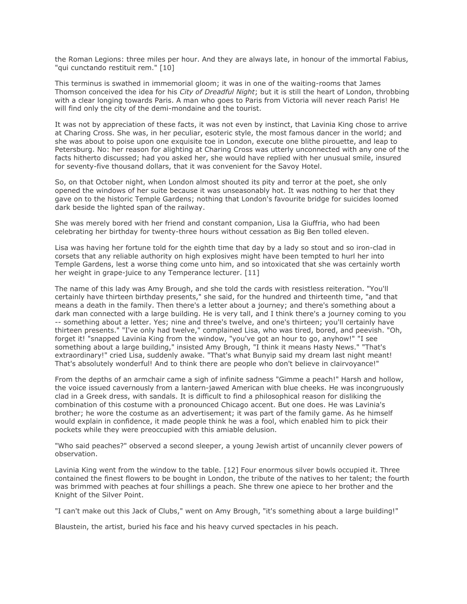the Roman Legions: three miles per hour. And they are always late, in honour of the immortal Fabius, "qui cunctando restituit rem." [10]

This terminus is swathed in immemorial gloom; it was in one of the waiting-rooms that James Thomson conceived the idea for his *City of Dreadful Night*; but it is still the heart of London, throbbing with a clear longing towards Paris. A man who goes to Paris from Victoria will never reach Paris! He will find only the city of the demi-mondaine and the tourist.

It was not by appreciation of these facts, it was not even by instinct, that Lavinia King chose to arrive at Charing Cross. She was, in her peculiar, esoteric style, the most famous dancer in the world; and she was about to poise upon one exquisite toe in London, execute one blithe pirouette, and leap to Petersburg. No: her reason for alighting at Charing Cross was utterly unconnected with any one of the facts hitherto discussed; had you asked her, she would have replied with her unusual smile, insured for seventy-five thousand dollars, that it was convenient for the Savoy Hotel.

So, on that October night, when London almost shouted its pity and terror at the poet, she only opened the windows of her suite because it was unseasonably hot. It was nothing to her that they gave on to the historic Temple Gardens; nothing that London's favourite bridge for suicides loomed dark beside the lighted span of the railway.

She was merely bored with her friend and constant companion, Lisa la Giuffria, who had been celebrating her birthday for twenty-three hours without cessation as Big Ben tolled eleven.

Lisa was having her fortune told for the eighth time that day by a lady so stout and so iron-clad in corsets that any reliable authority on high explosives might have been tempted to hurl her into Temple Gardens, lest a worse thing come unto him, and so intoxicated that she was certainly worth her weight in grape-juice to any Temperance lecturer. [11]

The name of this lady was Amy Brough, and she told the cards with resistless reiteration. "You'll certainly have thirteen birthday presents," she said, for the hundred and thirteenth time, "and that means a death in the family. Then there's a letter about a journey; and there's something about a dark man connected with a large building. He is very tall, and I think there's a journey coming to you -- something about a letter. Yes; nine and three's twelve, and one's thirteen; you'll certainly have thirteen presents." "I've only had twelve," complained Lisa, who was tired, bored, and peevish. "Oh, forget it! "snapped Lavinia King from the window, "you've got an hour to go, anyhow!" "I see something about a large building," insisted Amy Brough, "I think it means Hasty News." "That's extraordinary!" cried Lisa, suddenly awake. "That's what Bunyip said my dream last night meant! That's absolutely wonderful! And to think there are people who don't believe in clairvoyance!"

From the depths of an armchair came a sigh of infinite sadness "Gimme a peach!" Harsh and hollow, the voice issued cavernously from a lantern-jawed American with blue cheeks. He was incongruously clad in a Greek dress, with sandals. It is difficult to find a philosophical reason for disliking the combination of this costume with a pronounced Chicago accent. But one does. He was Lavinia's brother; he wore the costume as an advertisement; it was part of the family game. As he himself would explain in confidence, it made people think he was a fool, which enabled him to pick their pockets while they were preoccupied with this amiable delusion.

"Who said peaches?" observed a second sleeper, a young Jewish artist of uncannily clever powers of observation.

Lavinia King went from the window to the table. [12] Four enormous silver bowls occupied it. Three contained the finest flowers to be bought in London, the tribute of the natives to her talent; the fourth was brimmed with peaches at four shillings a peach. She threw one apiece to her brother and the Knight of the Silver Point.

"I can't make out this Jack of Clubs," went on Amy Brough, "it's something about a large building!"

Blaustein, the artist, buried his face and his heavy curved spectacles in his peach.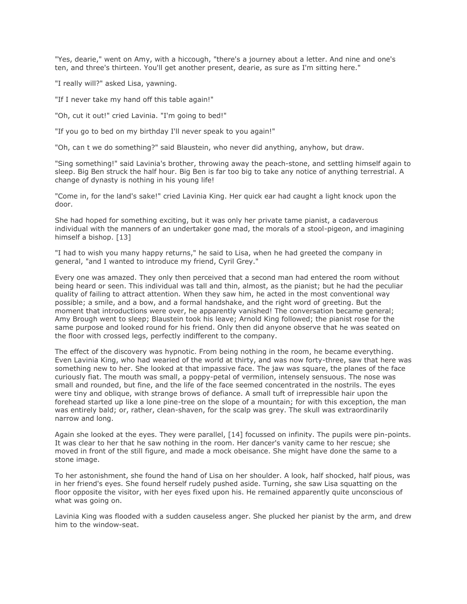"Yes, dearie," went on Amy, with a hiccough, "there's a journey about a letter. And nine and one's ten, and three's thirteen. You'll get another present, dearie, as sure as I'm sitting here."

"I really will?" asked Lisa, yawning.

"If I never take my hand off this table again!"

"Oh, cut it out!" cried Lavinia. "I'm going to bed!"

"If you go to bed on my birthday I'll never speak to you again!"

"Oh, can t we do something?" said Blaustein, who never did anything, anyhow, but draw.

"Sing something!" said Lavinia's brother, throwing away the peach-stone, and settling himself again to sleep. Big Ben struck the half hour. Big Ben is far too big to take any notice of anything terrestrial. A change of dynasty is nothing in his young life!

"Come in, for the land's sake!" cried Lavinia King. Her quick ear had caught a light knock upon the door.

She had hoped for something exciting, but it was only her private tame pianist, a cadaverous individual with the manners of an undertaker gone mad, the morals of a stool-pigeon, and imagining himself a bishop. [13]

"I had to wish you many happy returns," he said to Lisa, when he had greeted the company in general, "and I wanted to introduce my friend, Cyril Grey."

Every one was amazed. They only then perceived that a second man had entered the room without being heard or seen. This individual was tall and thin, almost, as the pianist; but he had the peculiar quality of failing to attract attention. When they saw him, he acted in the most conventional way possible; a smile, and a bow, and a formal handshake, and the right word of greeting. But the moment that introductions were over, he apparently vanished! The conversation became general; Amy Brough went to sleep; Blaustein took his leave; Arnold King followed; the pianist rose for the same purpose and looked round for his friend. Only then did anyone observe that he was seated on the floor with crossed legs, perfectly indifferent to the company.

The effect of the discovery was hypnotic. From being nothing in the room, he became everything. Even Lavinia King, who had wearied of the world at thirty, and was now forty-three, saw that here was something new to her. She looked at that impassive face. The jaw was square, the planes of the face curiously fiat. The mouth was small, a poppy-petal of vermilion, intensely sensuous. The nose was small and rounded, but fine, and the life of the face seemed concentrated in the nostrils. The eyes were tiny and oblique, with strange brows of defiance. A small tuft of irrepressible hair upon the forehead started up like a lone pine-tree on the slope of a mountain; for with this exception, the man was entirely bald; or, rather, clean-shaven, for the scalp was grey. The skull was extraordinarily narrow and long.

Again she looked at the eyes. They were parallel, [14] focussed on infinity. The pupils were pin-points. It was clear to her that he saw nothing in the room. Her dancer's vanity came to her rescue; she moved in front of the still figure, and made a mock obeisance. She might have done the same to a stone image.

To her astonishment, she found the hand of Lisa on her shoulder. A look, half shocked, half pious, was in her friend's eyes. She found herself rudely pushed aside. Turning, she saw Lisa squatting on the floor opposite the visitor, with her eyes fixed upon his. He remained apparently quite unconscious of what was going on.

Lavinia King was flooded with a sudden causeless anger. She plucked her pianist by the arm, and drew him to the window-seat.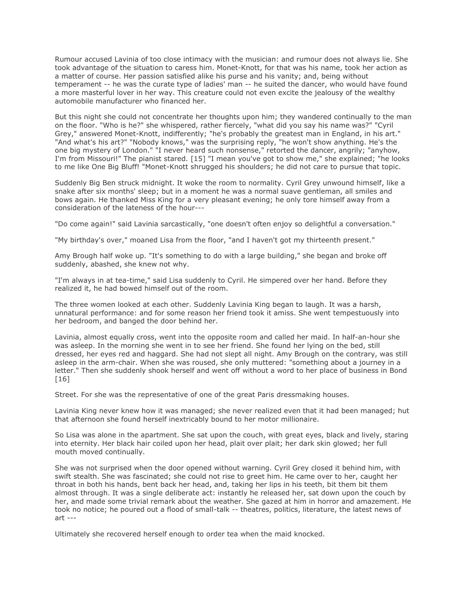Rumour accused Lavinia of too close intimacy with the musician: and rumour does not always lie. She took advantage of the situation to caress him. Monet-Knott, for that was his name, took her action as a matter of course. Her passion satisfied alike his purse and his vanity; and, being without temperament -- he was the curate type of ladies' man -- he suited the dancer, who would have found a more masterful lover in her way. This creature could not even excite the jealousy of the wealthy automobile manufacturer who financed her.

But this night she could not concentrate her thoughts upon him; they wandered continually to the man on the floor. "Who is he?" she whispered, rather fiercely, "what did you say his name was?" "Cyril Grey," answered Monet-Knott, indifferently; "he's probably the greatest man in England, in his art." "And what's his art?" "Nobody knows," was the surprising reply, "he won't show anything. He's the one big mystery of London." "I never heard such nonsense," retorted the dancer, angrily; "anyhow, I'm from Missouri!" The pianist stared. [15] "I mean you've got to show me," she explained; "he looks to me like One Big Bluff! "Monet-Knott shrugged his shoulders; he did not care to pursue that topic.

Suddenly Big Ben struck midnight. It woke the room to normality. Cyril Grey unwound himself, like a snake after six months' sleep; but in a moment he was a normal suave gentleman, all smiles and bows again. He thanked Miss King for a very pleasant evening; he only tore himself away from a consideration of the lateness of the hour---

"Do come again!" said Lavinia sarcastically, "one doesn't often enjoy so delightful a conversation."

"My birthday's over," moaned Lisa from the floor, "and I haven't got my thirteenth present."

Amy Brough half woke up. "It's something to do with a large building," she began and broke off suddenly, abashed, she knew not why.

"I'm always in at tea-time," said Lisa suddenly to Cyril. He simpered over her hand. Before they realized it, he had bowed himself out of the room.

The three women looked at each other. Suddenly Lavinia King began to laugh. It was a harsh, unnatural performance: and for some reason her friend took it amiss. She went tempestuously into her bedroom, and banged the door behind her.

Lavinia, almost equally cross, went into the opposite room and called her maid. In half-an-hour she was asleep. In the morning she went in to see her friend. She found her lying on the bed, still dressed, her eyes red and haggard. She had not slept all night. Amy Brough on the contrary, was still asleep in the arm-chair. When she was roused, she only muttered: "something about a journey in a letter." Then she suddenly shook herself and went off without a word to her place of business in Bond [16]

Street. For she was the representative of one of the great Paris dressmaking houses.

Lavinia King never knew how it was managed; she never realized even that it had been managed; hut that afternoon she found herself inextricably bound to her motor millionaire.

So Lisa was alone in the apartment. She sat upon the couch, with great eyes, black and lively, staring into eternity. Her black hair coiled upon her head, plait over plait; her dark skin glowed; her full mouth moved continually.

She was not surprised when the door opened without warning. Cyril Grey closed it behind him, with swift stealth. She was fascinated; she could not rise to greet him. He came over to her, caught her throat in both his hands, bent back her head, and, taking her lips in his teeth, bit them bit them almost through. It was a single deliberate act: instantly he released her, sat down upon the couch by her, and made some trivial remark about the weather. She gazed at him in horror and amazement. He took no notice; he poured out a flood of small-talk -- theatres, politics, literature, the latest news of art ---

Ultimately she recovered herself enough to order tea when the maid knocked.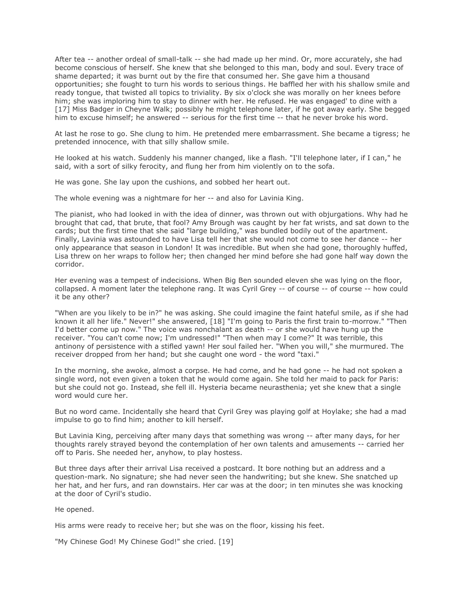After tea -- another ordeal of small-talk -- she had made up her mind. Or, more accurately, she had become conscious of herself. She knew that she belonged to this man, body and soul. Every trace of shame departed; it was burnt out by the fire that consumed her. She gave him a thousand opportunities; she fought to turn his words to serious things. He baffled her with his shallow smile and ready tongue, that twisted all topics to triviality. By six o'clock she was morally on her knees before him; she was imploring him to stay to dinner with her. He refused. He was engaged' to dine with a [17] Miss Badger in Cheyne Walk; possibly he might telephone later, if he got away early. She begged him to excuse himself; he answered -- serious for the first time -- that he never broke his word.

At last he rose to go. She clung to him. He pretended mere embarrassment. She became a tigress; he pretended innocence, with that silly shallow smile.

He looked at his watch. Suddenly his manner changed, like a flash. "I'll telephone later, if I can," he said, with a sort of silky ferocity, and flung her from him violently on to the sofa.

He was gone. She lay upon the cushions, and sobbed her heart out.

The whole evening was a nightmare for her -- and also for Lavinia King.

The pianist, who had looked in with the idea of dinner, was thrown out with objurgations. Why had he brought that cad, that brute, that fool? Amy Brough was caught by her fat wrists, and sat down to the cards; but the first time that she said "large building," was bundled bodily out of the apartment. Finally, Lavinia was astounded to have Lisa tell her that she would not come to see her dance -- her only appearance that season in London! It was incredible. But when she had gone, thoroughly huffed, Lisa threw on her wraps to follow her; then changed her mind before she had gone half way down the corridor.

Her evening was a tempest of indecisions. When Big Ben sounded eleven she was lying on the floor, collapsed. A moment later the telephone rang. It was Cyril Grey -- of course -- of course -- how could it be any other?

"When are you likely to be in?" he was asking. She could imagine the faint hateful smile, as if she had known it all her life." Never!" she answered, [18] "I'm going to Paris the first train to-morrow." "Then I'd better come up now." The voice was nonchalant as death -- or she would have hung up the receiver. "You can't come now; I'm undressed!" "Then when may I come?" It was terrible, this antinony of persistence with a stifled yawn! Her soul failed her. "When you will," she murmured. The receiver dropped from her hand; but she caught one word - the word "taxi."

In the morning, she awoke, almost a corpse. He had come, and he had gone -- he had not spoken a single word, not even given a token that he would come again. She told her maid to pack for Paris: but she could not go. Instead, she fell ill. Hysteria became neurasthenia; yet she knew that a single word would cure her.

But no word came. Incidentally she heard that Cyril Grey was playing golf at Hoylake; she had a mad impulse to go to find him; another to kill herself.

But Lavinia King, perceiving after many days that something was wrong -- after many days, for her thoughts rarely strayed beyond the contemplation of her own talents and amusements -- carried her off to Paris. She needed her, anyhow, to play hostess.

But three days after their arrival Lisa received a postcard. It bore nothing but an address and a question-mark. No signature; she had never seen the handwriting; but she knew. She snatched up her hat, and her furs, and ran downstairs. Her car was at the door; in ten minutes she was knocking at the door of Cyril's studio.

He opened.

His arms were ready to receive her; but she was on the floor, kissing his feet.

"My Chinese God! My Chinese God!" she cried. [19]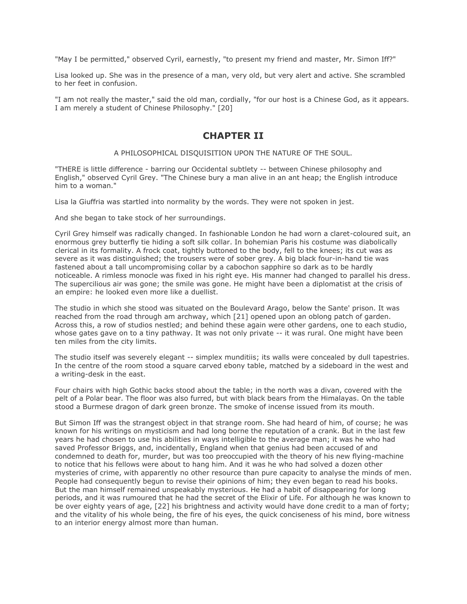"May I be permitted," observed Cyril, earnestly, "to present my friend and master, Mr. Simon Iff?"

Lisa looked up. She was in the presence of a man, very old, but very alert and active. She scrambled to her feet in confusion.

"I am not really the master," said the old man, cordially, "for our host is a Chinese God, as it appears. I am merely a student of Chinese Philosophy." [20]

## **CHAPTER II**

#### A PHILOSOPHICAL DISQUISITION UPON THE NATURE OF THE SOUL.

"THERE is little difference - barring our Occidental subtlety -- between Chinese philosophy and English," observed Cyril Grey. "The Chinese bury a man alive in an ant heap; the English introduce him to a woman."

Lisa la Giuffria was startled into normality by the words. They were not spoken in jest.

And she began to take stock of her surroundings.

Cyril Grey himself was radically changed. In fashionable London he had worn a claret-coloured suit, an enormous grey butterfly tie hiding a soft silk collar. In bohemian Paris his costume was diabolically clerical in its formality. A frock coat, tightly buttoned to the body, fell to the knees; its cut was as severe as it was distinguished; the trousers were of sober grey. A big black four-in-hand tie was fastened about a tall uncompromising collar by a cabochon sapphire so dark as to be hardly noticeable. A rimless monocle was fixed in his right eye. His manner had changed to parallel his dress. The supercilious air was gone; the smile was gone. He might have been a diplomatist at the crisis of an empire: he looked even more like a duellist.

The studio in which she stood was situated on the Boulevard Arago, below the Sante' prison. It was reached from the road through am archway, which [21] opened upon an oblong patch of garden. Across this, a row of studios nestled; and behind these again were other gardens, one to each studio, whose gates gave on to a tiny pathway. It was not only private -- it was rural. One might have been ten miles from the city limits.

The studio itself was severely elegant -- simplex munditiis; its walls were concealed by dull tapestries. In the centre of the room stood a square carved ebony table, matched by a sideboard in the west and a writing-desk in the east.

Four chairs with high Gothic backs stood about the table; in the north was a divan, covered with the pelt of a Polar bear. The floor was also furred, but with black bears from the Himalayas. On the table stood a Burmese dragon of dark green bronze. The smoke of incense issued from its mouth.

But Simon Iff was the strangest object in that strange room. She had heard of him, of course; he was known for his writings on mysticism and had long borne the reputation of a crank. But in the last few years he had chosen to use his abilities in ways intelligible to the average man; it was he who had saved Professor Briggs, and, incidentally, England when that genius had been accused of and condemned to death for, murder, but was too preoccupied with the theory of his new flying-machine to notice that his fellows were about to hang him. And it was he who had solved a dozen other mysteries of crime, with apparently no other resource than pure capacity to analyse the minds of men. People had consequently begun to revise their opinions of him; they even began to read his books. But the man himself remained unspeakably mysterious. He had a habit of disappearing for long periods, and it was rumoured that he had the secret of the Elixir of Life. For although he was known to be over eighty years of age, [22] his brightness and activity would have done credit to a man of forty; and the vitality of his whole being, the fire of his eyes, the quick conciseness of his mind, bore witness to an interior energy almost more than human.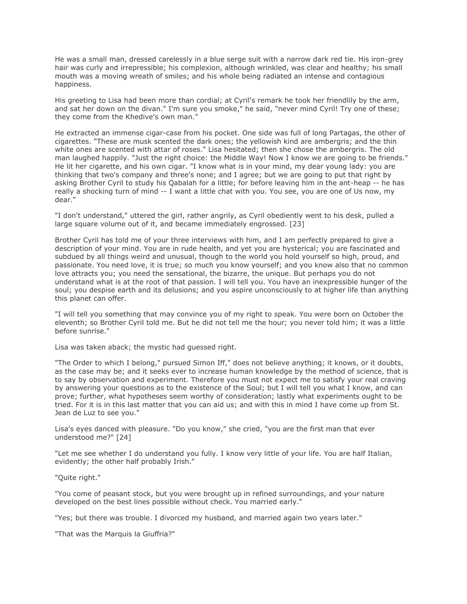He was a small man, dressed carelessly in a blue serge suit with a narrow dark red tie. His iron-grey hair was curly and irrepressible; his complexion, although wrinkled, was clear and healthy; his small mouth was a moving wreath of smiles; and his whole being radiated an intense and contagious happiness.

His greeting to Lisa had been more than cordial; at Cyril's remark he took her friendlily by the arm, and sat her down on the divan." I'm sure you smoke," he said, "never mind Cyril! Try one of these; they come from the Khedive's own man."

He extracted an immense cigar-case from his pocket. One side was full of long Partagas, the other of cigarettes. "These are musk scented the dark ones; the yellowish kind are ambergris; and the thin white ones are scented with attar of roses." Lisa hesitated; then she chose the ambergris. The old man laughed happily. "Just the right choice: the Middle Way! Now I know we are going to be friends." He lit her cigarette, and his own cigar. "I know what is in your mind, my dear young lady: you are thinking that two's company and three's none; and I agree; but we are going to put that right by asking Brother Cyril to study his Qabalah for a little; for before leaving him in the ant-heap -- he has really a shocking turn of mind -- I want a little chat with you. You see, you are one of Us now, my dear."

"I don't understand," uttered the girl, rather angrily, as Cyril obediently went to his desk, pulled a large square volume out of it, and became immediately engrossed. [23]

Brother Cyril has told me of your three interviews with him, and I am perfectly prepared to give a description of your mind. You are in rude health, and yet you are hysterical; you are fascinated and subdued by all things weird and unusual, though to the world you hold yourself so high, proud, and passionate. You need love, it is true; so much you know yourself; and you know also that no common love attracts you; you need the sensational, the bizarre, the unique. But perhaps you do not understand what is at the root of that passion. I will tell you. You have an inexpressible hunger of the soul; you despise earth and its delusions; and you aspire unconsciously to at higher life than anything this planet can offer.

"I will tell you something that may convince you of my right to speak. You were born on October the eleventh; so Brother Cyril told me. But he did not tell me the hour; you never told him; it was a little before sunrise."

Lisa was taken aback; the mystic had guessed right.

"The Order to which I belong," pursued Simon Iff," does not believe anything; it knows, or it doubts, as the case may be; and it seeks ever to increase human knowledge by the method of science, that is to say by observation and experiment. Therefore you must not expect me to satisfy your real craving by answering your questions as to the existence of the Soul; but I will tell you what I know, and can prove; further, what hypotheses seem worthy of consideration; lastly what experiments ought to be tried. For it is in this last matter that you can aid us; and with this in mind I have come up from St. Jean de Luz to see you."

Lisa's eyes danced with pleasure. "Do you know," she cried, "you are the first man that ever understood me?" [24]

"Let me see whether I do understand you fully. I know very little of your life. You are half Italian, evidently; the other half probably Irish."

"Quite right."

"You come of peasant stock, but you were brought up in refined surroundings, and your nature developed on the best lines possible without check. You married early."

"Yes; but there was trouble. I divorced my husband, and married again two years later."

"That was the Marquis la Giuffria?"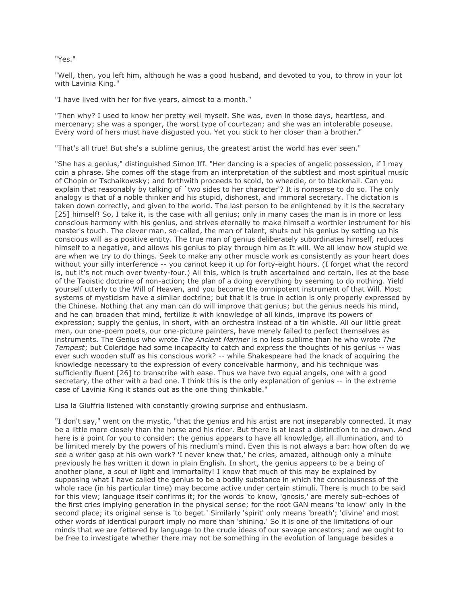"Yes."

"Well, then, you left him, although he was a good husband, and devoted to you, to throw in your lot with Lavinia King."

"I have lived with her for five years, almost to a month."

"Then why? I used to know her pretty well myself. She was, even in those days, heartless, and mercenary; she was a sponger, the worst type of courtezan; and she was an intolerable poseuse. Every word of hers must have disgusted you. Yet you stick to her closer than a brother."

"That's all true! But she's a sublime genius, the greatest artist the world has ever seen."

"She has a genius," distinguished Simon Iff. "Her dancing is a species of angelic possession, if I may coin a phrase. She comes off the stage from an interpretation of the subtlest and most spiritual music of Chopin or Tschaikowsky; and forthwith proceeds to scold, to wheedle, or to blackmail. Can you explain that reasonably by talking of `two sides to her character'? It is nonsense to do so. The only analogy is that of a noble thinker and his stupid, dishonest, and immoral secretary. The dictation is taken down correctly, and given to the world. The last person to be enlightened by it is the secretary [25] himself! So, I take it, is the case with all genius; only in many cases the man is in more or less conscious harmony with his genius, and strives eternally to make himself a worthier instrument for his master's touch. The clever man, so-called, the man of talent, shuts out his genius by setting up his conscious will as a positive entity. The true man of genius deliberately subordinates himself, reduces himself to a negative, and allows his genius to play through him as It will. We all know how stupid we are when we try to do things. Seek to make any other muscle work as consistently as your heart does without your silly interference -- you cannot keep it up for forty-eight hours. (I forget what the record is, but it's not much over twenty-four.) All this, which is truth ascertained and certain, lies at the base of the Taoistic doctrine of non-action; the plan of a doing everything by seeming to do nothing. Yield yourself utterly to the Will of Heaven, and you become the omnipotent instrument of that Will. Most systems of mysticism have a similar doctrine; but that it is true in action is only properly expressed by the Chinese. Nothing that any man can do will improve that genius; but the genius needs his mind, and he can broaden that mind, fertilize it with knowledge of all kinds, improve its powers of expression; supply the genius, in short, with an orchestra instead of a tin whistle. All our little great men, our one-poem poets, our one-picture painters, have merely failed to perfect themselves as instruments. The Genius who wrote *The Ancient Mariner* is no less sublime than he who wrote *The Tempest*; but Coleridge had some incapacity to catch and express the thoughts of his genius -- was ever such wooden stuff as his conscious work? -- while Shakespeare had the knack of acquiring the knowledge necessary to the expression of every conceivable harmony, and his technique was sufficiently fluent [26] to transcribe with ease. Thus we have two equal angels, one with a good secretary, the other with a bad one. I think this is the only explanation of genius -- in the extreme case of Lavinia King it stands out as the one thing thinkable."

Lisa la Giuffria listened with constantly growing surprise and enthusiasm.

"I don't say," went on the mystic, "that the genius and his artist are not inseparably connected. It may be a little more closely than the horse and his rider. But there is at least a distinction to be drawn. And here is a point for you to consider: the genius appears to have all knowledge, all illumination, and to be limited merely by the powers of his medium's mind. Even this is not always a bar: how often do we see a writer gasp at his own work? 'I never knew that,' he cries, amazed, although only a minute previously he has written it down in plain English. In short, the genius appears to be a being of another plane, a soul of light and immortality! I know that much of this may be explained by supposing what I have called the genius to be a bodily substance in which the consciousness of the whole race (in his particular time) may become active under certain stimuli. There is much to be said for this view; language itself confirms it; for the words 'to know, 'gnosis,' are merely sub-echoes of the first cries implying generation in the physical sense; for the root GAN means 'to know' only in the second place; its original sense is 'to beget.' Similarly 'spirit' only means 'breath'; 'divine' and most other words of identical purport imply no more than 'shining.' So it is one of the limitations of our minds that we are fettered by language to the crude ideas of our savage ancestors; and we ought to be free to investigate whether there may not be something in the evolution of language besides a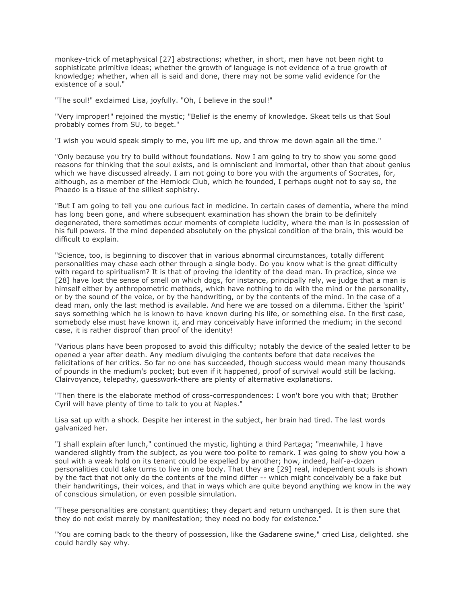monkey-trick of metaphysical [27] abstractions; whether, in short, men have not been right to sophisticate primitive ideas; whether the growth of language is not evidence of a true growth of knowledge; whether, when all is said and done, there may not be some valid evidence for the existence of a soul."

"The soul!" exclaimed Lisa, joyfully. "Oh, I believe in the soul!"

"Very improper!" rejoined the mystic; "Belief is the enemy of knowledge. Skeat tells us that Soul probably comes from SU, to beget."

"I wish you would speak simply to me, you lift me up, and throw me down again all the time."

"Only because you try to build without foundations. Now I am going to try to show you some good reasons for thinking that the soul exists, and is omniscient and immortal, other than that about genius which we have discussed already. I am not going to bore you with the arguments of Socrates, for, although, as a member of the Hemlock Club, which he founded, I perhaps ought not to say so, the Phaedo is a tissue of the silliest sophistry.

"But I am going to tell you one curious fact in medicine. In certain cases of dementia, where the mind has long been gone, and where subsequent examination has shown the brain to be definitely degenerated, there sometimes occur moments of complete lucidity, where the man is in possession of his full powers. If the mind depended absolutely on the physical condition of the brain, this would be difficult to explain.

"Science, too, is beginning to discover that in various abnormal circumstances, totally different personalities may chase each other through a single body. Do you know what is the great difficulty with regard to spiritualism? It is that of proving the identity of the dead man. In practice, since we [28] have lost the sense of smell on which dogs, for instance, principally rely, we judge that a man is himself either by anthropometric methods, which have nothing to do with the mind or the personality, or by the sound of the voice, or by the handwriting, or by the contents of the mind. In the case of a dead man, only the last method is available. And here we are tossed on a dilemma. Either the 'spirit' says something which he is known to have known during his life, or something else. In the first case, somebody else must have known it, and may conceivably have informed the medium; in the second case, it is rather disproof than proof of the identity!

"Various plans have been proposed to avoid this difficulty; notably the device of the sealed letter to be opened a year after death. Any medium divulging the contents before that date receives the felicitations of her critics. So far no one has succeeded, though success would mean many thousands of pounds in the medium's pocket; but even if it happened, proof of survival would still be lacking. Clairvoyance, telepathy, guesswork-there are plenty of alternative explanations.

"Then there is the elaborate method of cross-correspondences: I won't bore you with that; Brother Cyril will have plenty of time to talk to you at Naples."

Lisa sat up with a shock. Despite her interest in the subject, her brain had tired. The last words galvanized her.

"I shall explain after lunch," continued the mystic, lighting a third Partaga; "meanwhile, I have wandered slightly from the subject, as you were too polite to remark. I was going to show you how a soul with a weak hold on its tenant could be expelled by another; how, indeed, half-a-dozen personalities could take turns to live in one body. That they are [29] real, independent souls is shown by the fact that not only do the contents of the mind differ -- which might conceivably be a fake but their handwritings, their voices, and that in ways which are quite beyond anything we know in the way of conscious simulation, or even possible simulation.

"These personalities are constant quantities; they depart and return unchanged. It is then sure that they do not exist merely by manifestation; they need no body for existence."

"You are coming back to the theory of possession, like the Gadarene swine," cried Lisa, delighted. she could hardly say why.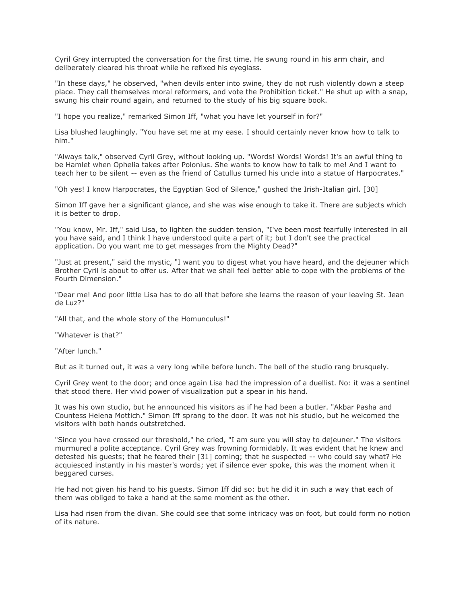Cyril Grey interrupted the conversation for the first time. He swung round in his arm chair, and deliberately cleared his throat while he refixed his eyeglass.

"In these days," he observed, "when devils enter into swine, they do not rush violently down a steep place. They call themselves moral reformers, and vote the Prohibition ticket." He shut up with a snap, swung his chair round again, and returned to the study of his big square book.

"I hope you realize," remarked Simon Iff, "what you have let yourself in for?"

Lisa blushed laughingly. "You have set me at my ease. I should certainly never know how to talk to him."

"Always talk," observed Cyril Grey, without looking up. "Words! Words! Words! It's an awful thing to be Hamlet when Ophelia takes after Polonius. She wants to know how to talk to me! And I want to teach her to be silent -- even as the friend of Catullus turned his uncle into a statue of Harpocrates."

"Oh yes! I know Harpocrates, the Egyptian God of Silence," gushed the Irish-Italian girl. [30]

Simon Iff gave her a significant glance, and she was wise enough to take it. There are subjects which it is better to drop.

"You know, Mr. Iff," said Lisa, to lighten the sudden tension, "I've been most fearfully interested in all you have said, and I think I have understood quite a part of it; but I don't see the practical application. Do you want me to get messages from the Mighty Dead?"

"Just at present," said the mystic, "I want you to digest what you have heard, and the dejeuner which Brother Cyril is about to offer us. After that we shall feel better able to cope with the problems of the Fourth Dimension."

"Dear me! And poor little Lisa has to do all that before she learns the reason of your leaving St. Jean de Luz?"

"All that, and the whole story of the Homunculus!"

"Whatever is that?"

"After lunch."

But as it turned out, it was a very long while before lunch. The bell of the studio rang brusquely.

Cyril Grey went to the door; and once again Lisa had the impression of a duellist. No: it was a sentinel that stood there. Her vivid power of visualization put a spear in his hand.

It was his own studio, but he announced his visitors as if he had been a butler. "Akbar Pasha and Countess Helena Mottich." Simon Iff sprang to the door. It was not his studio, but he welcomed the visitors with both hands outstretched.

"Since you have crossed our threshold," he cried, "I am sure you will stay to dejeuner." The visitors murmured a polite acceptance. Cyril Grey was frowning formidably. It was evident that he knew and detested his guests; that he feared their [31] coming; that he suspected -- who could say what? He acquiesced instantly in his master's words; yet if silence ever spoke, this was the moment when it beggared curses.

He had not given his hand to his guests. Simon Iff did so: but he did it in such a way that each of them was obliged to take a hand at the same moment as the other.

Lisa had risen from the divan. She could see that some intricacy was on foot, but could form no notion of its nature.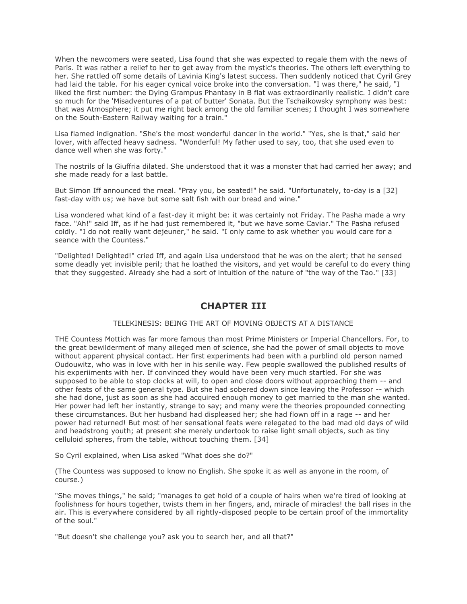When the newcomers were seated, Lisa found that she was expected to regale them with the news of Paris. It was rather a relief to her to get away from the mystic's theories. The others left everything to her. She rattled off some details of Lavinia King's latest success. Then suddenly noticed that Cyril Grey had laid the table. For his eager cynical voice broke into the conversation. "I was there," he said, "I liked the first number: the Dying Grampus Phantasy in B flat was extraordinarily realistic. I didn't care so much for the 'Misadventures of a pat of butter' Sonata. But the Tschaikowsky symphony was best: that was Atmosphere; it put me right back among the old familiar scenes; I thought I was somewhere on the South-Eastern Railway waiting for a train."

Lisa flamed indignation. "She's the most wonderful dancer in the world." "Yes, she is that," said her lover, with affected heavy sadness. "Wonderful! My father used to say, too, that she used even to dance well when she was forty."

The nostrils of la Giuffria dilated. She understood that it was a monster that had carried her away; and she made ready for a last battle.

But Simon Iff announced the meal. "Pray you, be seated!" he said. "Unfortunately, to-day is a [32] fast-day with us; we have but some salt fish with our bread and wine."

Lisa wondered what kind of a fast-day it might be: it was certainly not Friday. The Pasha made a wry face. "Ah!" said Iff, as if he had just remembered it, "but we have some Caviar." The Pasha refused coldly. "I do not really want dejeuner," he said. "I only came to ask whether you would care for a seance with the Countess."

"Delighted! Delighted!" cried Iff, and again Lisa understood that he was on the alert; that he sensed some deadly yet invisible peril; that he loathed the visitors, and yet would be careful to do every thing that they suggested. Already she had a sort of intuition of the nature of "the way of the Tao." [33]

## **CHAPTER III**

#### TELEKINESIS: BEING THE ART OF MOVING OBJECTS AT A DISTANCE

THE Countess Mottich was far more famous than most Prime Ministers or Imperial Chancellors. For, to the great bewilderment of many alleged men of science, she had the power of small objects to move without apparent physical contact. Her first experiments had been with a purblind old person named Oudouwitz, who was in love with her in his senile way. Few people swallowed the published results of his experiiments with her. If convinced they would have been very much startled. For she was supposed to be able to stop clocks at will, to open and close doors without approaching them -- and other feats of the same general type. But she had sobered down since leaving the Professor -- which she had done, just as soon as she had acquired enough money to get married to the man she wanted. Her power had left her instantly, strange to say; and many were the theories propounded connecting these circumstances. But her husband had displeased her; she had flown off in a rage -- and her power had returned! But most of her sensational feats were relegated to the bad mad old days of wild and headstrong youth; at present she merely undertook to raise light small objects, such as tiny celluloid spheres, from the table, without touching them. [34]

So Cyril explained, when Lisa asked "What does she do?"

(The Countess was supposed to know no English. She spoke it as well as anyone in the room, of course.)

"She moves things," he said; "manages to get hold of a couple of hairs when we're tired of looking at foolishness for hours together, twists them in her fingers, and, miracle of miracles! the ball rises in the air. This is everywhere considered by all rightly-disposed people to be certain proof of the immortality of the soul."

"But doesn't she challenge you? ask you to search her, and all that?"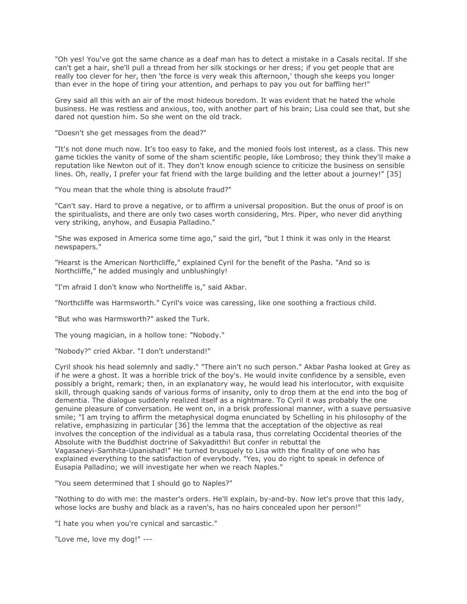"Oh yes! You've got the same chance as a deaf man has to detect a mistake in a Casals recital. If she can't get a hair, she'll pull a thread from her silk stockings or her dress; if you get people that are really too clever for her, then 'the force is very weak this afternoon,' though she keeps you longer than ever in the hope of tiring your attention, and perhaps to pay you out for baffling her!"

Grey said all this with an air of the most hideous boredom. It was evident that he hated the whole business. He was restless and anxious, too, with another part of his brain; Lisa could see that, but she dared not question him. So she went on the old track.

"Doesn't she get messages from the dead?"

"It's not done much now. It's too easy to fake, and the monied fools lost interest, as a class. This new game tickles the vanity of some of the sham scientific people, like Lombroso; they think they'll make a reputation like Newton out of it. They don't know enough science to criticize the business on sensible lines. Oh, really, I prefer your fat friend with the large building and the letter about a journey!" [35]

"You mean that the whole thing is absolute fraud?"

"Can't say. Hard to prove a negative, or to affirm a universal proposition. But the onus of proof is on the spiritualists, and there are only two cases worth considering, Mrs. Piper, who never did anything very striking, anyhow, and Eusapia Palladino."

"She was exposed in America some time ago," said the girl, "but I think it was only in the Hearst newspapers."

"Hearst is the American Northcliffe," explained Cyril for the benefit of the Pasha. "And so is Northcliffe," he added musingly and unblushingly!

"I'm afraid I don't know who Northeliffe is," said Akbar.

"Northcliffe was Harmsworth." Cyril's voice was caressing, like one soothing a fractious child.

"But who was Harmsworth?" asked the Turk.

The young magician, in a hollow tone: "Nobody."

"Nobody?" cried Akbar. "I don't understand!"

Cyril shook his head solemnly and sadly." "There ain't no such person." Akbar Pasha looked at Grey as if he were a ghost. It was a horrible trick of the boy's. He would invite confidence by a sensible, even possibly a bright, remark; then, in an explanatory way, he would lead his interlocutor, with exquisite skill, through quaking sands of various forms of insanity, only to drop them at the end into the bog of dementia. The dialogue suddenly realized itself as a nightmare. To Cyril it was probably the one genuine pleasure of conversation. He went on, in a brisk professional manner, with a suave persuasive smile; "I am trying to affirm the metaphysical dogma enunciated by Schelling in his philosophy of the relative, emphasizing in particular [36] the lemma that the acceptation of the objective as real involves the conception of the individual as a tabula rasa, thus correlating Occidental theories of the Absolute with the Buddhist doctrine of Sakyaditthi! But confer in rebuttal the Vagasaneyi-Samhita-Upanishad!" He turned brusquely to Lisa with the finality of one who has explained everything to the satisfaction of everybody. "Yes, you do right to speak in defence of Eusapia Palladino; we will investigate her when we reach Naples."

"You seem determined that I should go to Naples?"

"Nothing to do with me: the master's orders. He'll explain, by-and-by. Now let's prove that this lady, whose locks are bushy and black as a raven's, has no hairs concealed upon her person!"

"I hate you when you're cynical and sarcastic."

"Love me, love my dog!" ---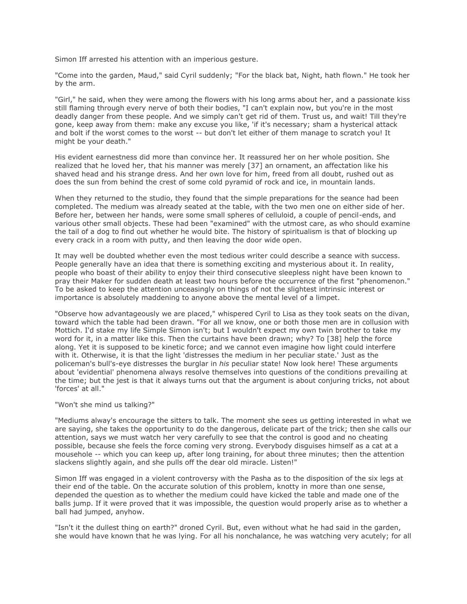Simon Iff arrested his attention with an imperious gesture.

"Come into the garden, Maud," said Cyril suddenly; "For the black bat, Night, hath flown." He took her by the arm.

"Girl," he said, when they were among the flowers with his long arms about her, and a passionate kiss still flaming through every nerve of both their bodies, "I can't explain now, but you're in the most deadly danger from these people. And we simply can't get rid of them. Trust us, and wait! Till they're gone, keep away from them: make any excuse you like, 'if it's necessary; sham a hysterical attack and bolt if the worst comes to the worst -- but don't let either of them manage to scratch you! It might be your death."

His evident earnestness did more than convince her. It reassured her on her whole position. She realized that he loved her, that his manner was merely [37] an ornament, an affectation like his shaved head and his strange dress. And her own love for him, freed from all doubt, rushed out as does the sun from behind the crest of some cold pyramid of rock and ice, in mountain lands.

When they returned to the studio, they found that the simple preparations for the seance had been completed. The medium was already seated at the table, with the two men one on either side of her. Before her, between her hands, were some small spheres of celluloid, a couple of pencil-ends, and various other small objects. These had been "examined" with the utmost care, as who should examine the tail of a dog to find out whether he would bite. The history of spiritualism is that of blocking up every crack in a room with putty, and then leaving the door wide open.

It may well be doubted whether even the most tedious writer could describe a seance with success. People generally have an idea that there is something exciting and mysterious about it. In reality, people who boast of their ability to enjoy their third consecutive sleepless night have been known to pray their Maker for sudden death at least two hours before the occurrence of the first "phenomenon." To be asked to keep the attention unceasingly on things of not the slightest intrinsic interest or importance is absolutely maddening to anyone above the mental level of a limpet.

"Observe how advantageously we are placed," whispered Cyril to Lisa as they took seats on the divan, toward which the table had been drawn. "For all we know, one or both those men are in collusion with Mottich. I'd stake my life Simple Simon isn't; but I wouldn't expect my own twin brother to take my word for it, in a matter like this. Then the curtains have been drawn; why? To [38] help the force along. Yet it is supposed to be kinetic force; and we cannot even imagine how light could interfere with it. Otherwise, it is that the light 'distresses the medium in her peculiar state.' Just as the policeman's bull's-eye distresses the burglar in *his* peculiar state! Now look here! These arguments about 'evidential' phenomena always resolve themselves into questions of the conditions prevailing at the time; but the jest is that it always turns out that the argument is about conjuring tricks, not about 'forces' at all."

#### "Won't she mind us talking?"

"Mediums alway's encourage the sitters to talk. The moment she sees us getting interested in what we are saying, she takes the opportunity to do the dangerous, delicate part of the trick; then she calls our attention, says we must watch her very carefully to see that the control is good and no cheating possible, because she feels the force coming very strong. Everybody disguises himself as a cat at a mousehole -- which you can keep up, after long training, for about three minutes; then the attention slackens slightly again, and she pulls off the dear old miracle. Listen!"

Simon Iff was engaged in a violent controversy with the Pasha as to the disposition of the six legs at their end of the table. On the accurate solution of this problem, knotty in more than one sense, depended the question as to whether the medium could have kicked the table and made one of the balls jump. If it were proved that it was impossible, the question would properly arise as to whether a ball had jumped, anyhow.

"Isn't it the dullest thing on earth?" droned Cyril. But, even without what he had said in the garden, she would have known that he was lying. For all his nonchalance, he was watching very acutely; for all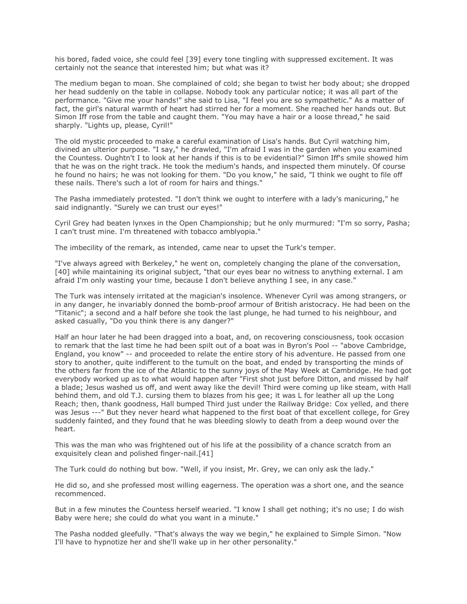his bored, faded voice, she could feel [39] every tone tingling with suppressed excitement. It was certainly not the seance that interested him; but what was it?

The medium began to moan. She complained of cold; she began to twist her body about; she dropped her head suddenly on the table in collapse. Nobody took any particular notice; it was all part of the performance. "Give me your hands!" she said to Lisa, "I feel you are so sympathetic." As a matter of fact, the girl's natural warmth of heart had stirred her for a moment. She reached her hands out. But Simon Iff rose from the table and caught them. "You may have a hair or a loose thread," he said sharply. "Lights up, please, Cyril!"

The old mystic proceeded to make a careful examination of Lisa's hands. But Cyril watching him, divined an ulterior purpose. "I say," he drawled, "I'm afraid I was in the garden when you examined the Countess. Oughtn't I to look at her hands if this is to be evidential?" Simon Iff's smile showed him that he was on the right track. He took the medium's hands, and inspected them minutely. Of course he found no hairs; he was not looking for them. "Do you know," he said, "I think we ought to file off these nails. There's such a lot of room for hairs and things."

The Pasha immediately protested. "I don't think we ought to interfere with a lady's manicuring," he said indignantly. "Surely we can trust our eyes!"

Cyril Grey had beaten lynxes in the Open Championship; but he only murmured: "I'm so sorry, Pasha; I can't trust mine. I'm threatened with tobacco amblyopia."

The imbecility of the remark, as intended, came near to upset the Turk's temper.

"I've always agreed with Berkeley," he went on, completely changing the plane of the conversation, [40] while maintaining its original subject, "that our eyes bear no witness to anything external. I am afraid I'm only wasting your time, because I don't believe anything I see, in any case."

The Turk was intensely irritated at the magician's insolence. Whenever Cyril was among strangers, or in any danger, he invariably donned the bomb-proof armour of British aristocracy. He had been on the "Titanic"; a second and a half before she took the last plunge, he had turned to his neighbour, and asked casually, "Do you think there is any danger?"

Half an hour later he had been dragged into a boat, and, on recovering consciousness, took occasion to remark that the last time he had been spilt out of a boat was in Byron's Pool -- "above Cambridge, England, you know" -- and proceeded to relate the entire story of his adventure. He passed from one story to another, quite indifferent to the tumult on the boat, and ended by transporting the minds of the others far from the ice of the Atlantic to the sunny joys of the May Week at Cambridge. He had got everybody worked up as to what would happen after "First shot just before Ditton, and missed by half a blade; Jesus washed us off, and went away like the devil! Third were coming up like steam, with Hall behind them, and old T.J. cursing them to blazes from his gee; it was L for leather all up the Long Reach; then, thank goodness, Hall bumped Third just under the Railway Bridge: Cox yelled, and there was Jesus ---" But they never heard what happened to the first boat of that excellent college, for Grey suddenly fainted, and they found that he was bleeding slowly to death from a deep wound over the heart.

This was the man who was frightened out of his life at the possibility of a chance scratch from an exquisitely clean and polished finger-nail.[41]

The Turk could do nothing but bow. "Well, if you insist, Mr. Grey, we can only ask the lady."

He did so, and she professed most willing eagerness. The operation was a short one, and the seance recommenced.

But in a few minutes the Countess herself wearied. "I know I shall get nothing; it's no use; I do wish Baby were here; she could do what you want in a minute."

The Pasha nodded gleefully. "That's always the way we begin," he explained to Simple Simon. "Now I'll have to hypnotize her and she'll wake up in her other personality."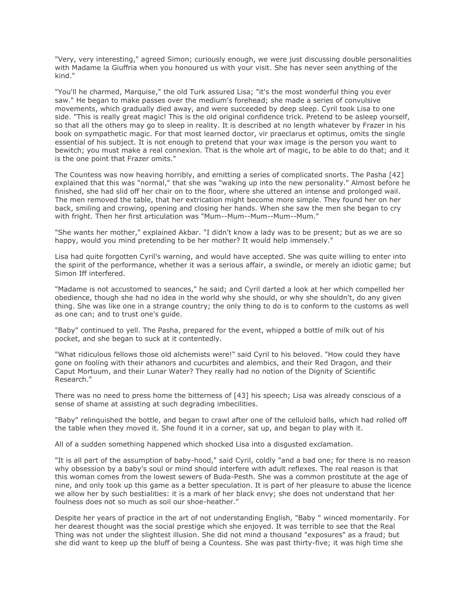"Very, very interesting," agreed Simon; curiously enough, we were just discussing double personalities with Madame la Giuffria when you honoured us with your visit. She has never seen anything of the kind."

"You'll he charmed, Marquise," the old Turk assured Lisa; "it's the most wonderful thing you ever saw." He began to make passes over the medium's forehead; she made a series of convulsive movements, which gradually died away, and were succeeded by deep sleep. Cyril took Lisa to one side. "This is really great magic! This is the old original confidence trick. Pretend to be asleep yourself, so that all the others may go to sleep in reality. It is described at no length whatever by Frazer in his book on sympathetic magic. For that most learned doctor, vir praeclarus et optimus, omits the single essential of his subject. It is not enough to pretend that your wax image is the person you want to bewitch; you must make a real connexion. That is the whole art of magic, to be able to do that; and it is the one point that Frazer omits."

The Countess was now heaving horribly, and emitting a series of complicated snorts. The Pasha [42] explained that this was "normal," that she was "waking up into the new personality." Almost before he finished, she had slid off her chair on to the floor, where she uttered an intense and prolonged wail. The men removed the table, that her extrication might become more simple. They found her on her back, smiling and crowing, opening and closing her hands. When she saw the men she began to cry with fright. Then her first articulation was "Mum--Mum--Mum--Mum--Mum."

"She wants her mother," explained Akbar. "I didn't know a lady was to be present; but as we are so happy, would you mind pretending to be her mother? It would help immensely."

Lisa had quite forgotten Cyril's warning, and would have accepted. She was quite willing to enter into the spirit of the performance, whether it was a serious affair, a swindle, or merely an idiotic game; but Simon Iff interfered.

"Madame is not accustomed to seances," he said; and Cyril darted a look at her which compelled her obedience, though she had no idea in the world why she should, or why she shouldn't, do any given thing. She was like one in a strange country; the only thing to do is to conform to the customs as well as one can; and to trust one's guide.

"Baby" continued to yell. The Pasha, prepared for the event, whipped a bottle of milk out of his pocket, and she began to suck at it contentedly.

"What ridiculous fellows those old alchemists were!" said Cyril to his beloved. "How could they have gone on fooling with their athanors and cucurbites and alembics, and their Red Dragon, and their Caput Mortuum, and their Lunar Water? They really had no notion of the Dignity of Scientific Research."

There was no need to press home the bitterness of [43] his speech; Lisa was already conscious of a sense of shame at assisting at such degrading imbecilities.

"Baby" relinquished the bottle, and began to crawl after one of the celluloid balls, which had rolled off the table when they moved it. She found it in a corner, sat up, and began to play with it.

All of a sudden something happened which shocked Lisa into a disgusted exclamation.

"It is all part of the assumption of baby-hood," said Cyril, coldly "and a bad one; for there is no reason why obsession by a baby's soul or mind should interfere with adult reflexes. The real reason is that this woman comes from the lowest sewers of Buda-Pesth. She was a common prostitute at the age of nine, and only took up this game as a better speculation. It is part of her pleasure to abuse the licence we allow her by such bestialities: it is a mark of her black envy; she does not understand that her foulness does not so much as soil our shoe-heather."

Despite her years of practice in the art of not understanding English, "Baby " winced momentarily. For her dearest thought was the social prestige which she enjoyed. It was terrible to see that the Real Thing was not under the slightest illusion. She did not mind a thousand "exposures" as a fraud; but she did want to keep up the bluff of being a Countess. She was past thirty-five; it was high time she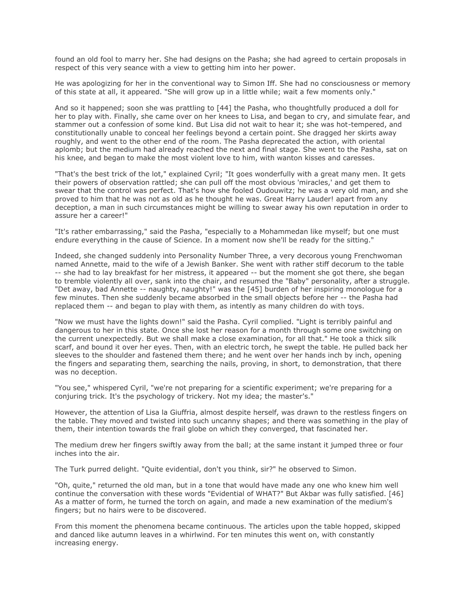found an old fool to marry her. She had designs on the Pasha; she had agreed to certain proposals in respect of this very seance with a view to getting him into her power.

He was apologizing for her in the conventional way to Simon Iff. She had no consciousness or memory of this state at all, it appeared. "She will grow up in a little while; wait a few moments only."

And so it happened; soon she was prattling to [44] the Pasha, who thoughtfully produced a doll for her to play with. Finally, she came over on her knees to Lisa, and began to cry, and simulate fear, and stammer out a confession of some kind. But Lisa did not wait to hear it; she was hot-tempered, and constitutionally unable to conceal her feelings beyond a certain point. She dragged her skirts away roughly, and went to the other end of the room. The Pasha deprecated the action, with oriental aplomb; but the medium had already reached the next and final stage. She went to the Pasha, sat on his knee, and began to make the most violent love to him, with wanton kisses and caresses.

"That's the best trick of the lot," explained Cyril; "It goes wonderfully with a great many men. It gets their powers of observation rattled; she can pull off the most obvious 'miracles,' and get them to swear that the control was perfect. That's how she fooled Oudouwitz; he was a very old man, and she proved to him that he was not as old as he thought he was. Great Harry Lauder! apart from any deception, a man in such circumstances might be willing to swear away his own reputation in order to assure her a career!"

"It's rather embarrassing," said the Pasha, "especially to a Mohammedan like myself; but one must endure everything in the cause of Science. In a moment now she'll be ready for the sitting."

Indeed, she changed suddenly into Personality Number Three, a very decorous young Frenchwoman named Annette, maid to the wife of a Jewish Banker. She went with rather stiff decorum to the table -- she had to lay breakfast for her mistress, it appeared -- but the moment she got there, she began to tremble violently all over, sank into the chair, and resumed the "Baby" personality, after a struggle. "Det away, bad Annette -- naughty, naughty!" was the [45] burden of her inspiring monologue for a few minutes. Then she suddenly became absorbed in the small objects before her -- the Pasha had replaced them -- and began to play with them, as intently as many children do with toys.

"Now we must have the lights down!" said the Pasha. Cyril complied. "Light is terribly painful and dangerous to her in this state. Once she lost her reason for a month through some one switching on the current unexpectedly. But we shall make a close examination, for all that." He took a thick silk scarf, and bound it over her eyes. Then, with an electric torch, he swept the table. He pulled back her sleeves to the shoulder and fastened them there; and he went over her hands inch by inch, opening the fingers and separating them, searching the nails, proving, in short, to demonstration, that there was no deception.

"You see," whispered Cyril, "we're not preparing for a scientific experiment; we're preparing for a conjuring trick. It's the psychology of trickery. Not my idea; the master's."

However, the attention of Lisa la Giuffria, almost despite herself, was drawn to the restless fingers on the table. They moved and twisted into such uncanny shapes; and there was something in the play of them, their intention towards the frail globe on which they converged, that fascinated her.

The medium drew her fingers swiftly away from the ball; at the same instant it jumped three or four inches into the air.

The Turk purred delight. "Quite evidential, don't you think, sir?" he observed to Simon.

"Oh, quite," returned the old man, but in a tone that would have made any one who knew him well continue the conversation with these words "Evidential of WHAT?" But Akbar was fully satisfied. [46] As a matter of form, he turned the torch on again, and made a new examination of the medium's fingers; but no hairs were to be discovered.

From this moment the phenomena became continuous. The articles upon the table hopped, skipped and danced like autumn leaves in a whirlwind. For ten minutes this went on, with constantly increasing energy.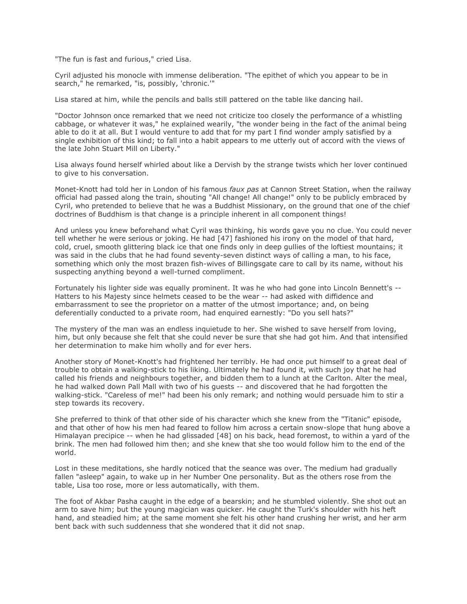"The fun is fast and furious," cried Lisa.

Cyril adjusted his monocle with immense deliberation. "The epithet of which you appear to be in search," he remarked, "is, possibly, 'chronic.'"

Lisa stared at him, while the pencils and balls still pattered on the table like dancing hail.

"Doctor Johnson once remarked that we need not criticize too closely the performance of a whistling cabbage, or whatever it was," he explained wearily, "the wonder being in the fact of the animal being able to do it at all. But I would venture to add that for my part I find wonder amply satisfied by a single exhibition of this kind; to fall into a habit appears to me utterly out of accord with the views of the late John Stuart Mill on Liberty."

Lisa always found herself whirled about like a Dervish by the strange twists which her lover continued to give to his conversation.

Monet-Knott had told her in London of his famous *faux pas* at Cannon Street Station, when the railway official had passed along the train, shouting "All change! All change!" only to be publicly embraced by Cyril, who pretended to believe that he was a Buddhist Missionary, on the ground that one of the chief doctrines of Buddhism is that change is a principle inherent in all component things!

And unless you knew beforehand what Cyril was thinking, his words gave you no clue. You could never tell whether he were serious or joking. He had [47] fashioned his irony on the model of that hard, cold, cruel, smooth glittering black ice that one finds only in deep gullies of the loftiest mountains; it was said in the clubs that he had found seventy-seven distinct ways of calling a man, to his face, something which only the most brazen fish-wives of Billingsgate care to call by its name, without his suspecting anything beyond a well-turned compliment.

Fortunately his lighter side was equally prominent. It was he who had gone into Lincoln Bennett's -- Hatters to his Majesty since helmets ceased to be the wear -- had asked with diffidence and embarrassment to see the proprietor on a matter of the utmost importance; and, on being deferentially conducted to a private room, had enquired earnestly: "Do you sell hats?"

The mystery of the man was an endless inquietude to her. She wished to save herself from loving, him, but only because she felt that she could never be sure that she had got him. And that intensified her determination to make him wholly and for ever hers.

Another story of Monet-Knott's had frightened her terribly. He had once put himself to a great deal of trouble to obtain a walking-stick to his liking. Ultimately he had found it, with such joy that he had called his friends and neighbours together, and bidden them to a lunch at the Carlton. Alter the meal, he had walked down Pall Mall with two of his guests -- and discovered that he had forgotten the walking-stick. "Careless of me!" had been his only remark; and nothing would persuade him to stir a step towards its recovery.

She preferred to think of that other side of his character which she knew from the "Titanic" episode, and that other of how his men had feared to follow him across a certain snow-slope that hung above a Himalayan precipice -- when he had glissaded [48] on his back, head foremost, to within a yard of the brink. The men had followed him then; and she knew that she too would follow him to the end of the world.

Lost in these meditations, she hardly noticed that the seance was over. The medium had gradually fallen "asleep" again, to wake up in her Number One personality. But as the others rose from the table, Lisa too rose, more or less automatically, with them.

The foot of Akbar Pasha caught in the edge of a bearskin; and he stumbled violently. She shot out an arm to save him; but the young magician was quicker. He caught the Turk's shoulder with his heft hand, and steadied him; at the same moment she felt his other hand crushing her wrist, and her arm bent back with such suddenness that she wondered that it did not snap.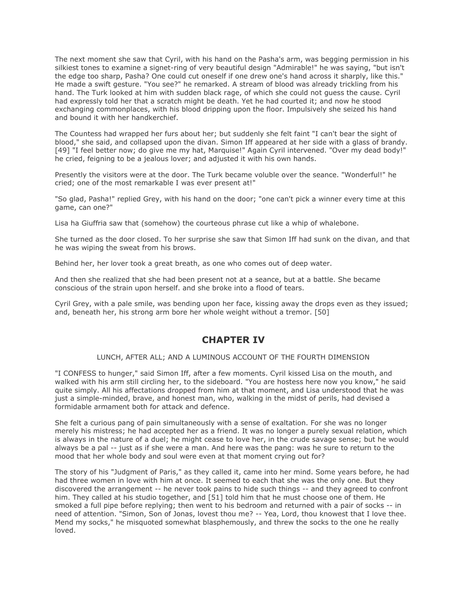The next moment she saw that Cyril, with his hand on the Pasha's arm, was begging permission in his silkiest tones to examine a signet-ring of very beautiful design "Admirable!" he was saying, "but isn't the edge too sharp, Pasha? One could cut oneself if one drew one's hand across it sharply, like this." He made a swift gesture. "You see?" he remarked. A stream of blood was already trickling from his hand. The Turk looked at him with sudden black rage, of which she could not guess the cause. Cyril had expressly told her that a scratch might be death. Yet he had courted it; and now he stood exchanging commonplaces, with his blood dripping upon the floor. Impulsively she seized his hand and bound it with her handkerchief.

The Countess had wrapped her furs about her; but suddenly she felt faint "I can't bear the sight of blood," she said, and collapsed upon the divan. Simon Iff appeared at her side with a glass of brandy. [49] "I feel better now; do give me my hat, Marquise!" Again Cyril intervened. "Over my dead body!" he cried, feigning to be a jealous lover; and adjusted it with his own hands.

Presently the visitors were at the door. The Turk became voluble over the seance. "Wonderful!" he cried; one of the most remarkable I was ever present at!"

"So glad, Pasha!" replied Grey, with his hand on the door; "one can't pick a winner every time at this game, can one?"

Lisa ha Giuffria saw that (somehow) the courteous phrase cut like a whip of whalebone.

She turned as the door closed. To her surprise she saw that Simon Iff had sunk on the divan, and that he was wiping the sweat from his brows.

Behind her, her lover took a great breath, as one who comes out of deep water.

And then she realized that she had been present not at a seance, but at a battle. She became conscious of the strain upon herself. and she broke into a flood of tears.

Cyril Grey, with a pale smile, was bending upon her face, kissing away the drops even as they issued; and, beneath her, his strong arm bore her whole weight without a tremor. [50]

## **CHAPTER IV**

#### LUNCH, AFTER ALL; AND A LUMINOUS ACCOUNT OF THE FOURTH DIMENSION

"I CONFESS to hunger," said Simon Iff, after a few moments. Cyril kissed Lisa on the mouth, and walked with his arm still circling her, to the sideboard. "You are hostess here now you know," he said quite simply. All his affectations dropped from him at that moment, and Lisa understood that he was just a simple-minded, brave, and honest man, who, walking in the midst of perils, had devised a formidable armament both for attack and defence.

She felt a curious pang of pain simultaneously with a sense of exaltation. For she was no longer merely his mistress; he had accepted her as a friend. It was no longer a purely sexual relation, which is always in the nature of a duel; he might cease to love her, in the crude savage sense; but he would always be a pal -- just as if she were a man. And here was the pang: was he sure to return to the mood that her whole body and soul were even at that moment crying out for?

The story of his "Judgment of Paris," as they called it, came into her mind. Some years before, he had had three women in love with him at once. It seemed to each that she was the only one. But they discovered the arrangement -- he never took pains to hide such things -- and they agreed to confront him. They called at his studio together, and [51] told him that he must choose one of them. He smoked a full pipe before replying; then went to his bedroom and returned with a pair of socks -- in need of attention. "Simon, Son of Jonas, lovest thou me? -- Yea, Lord, thou knowest that I love thee. Mend my socks," he misquoted somewhat blasphemously, and threw the socks to the one he really loved.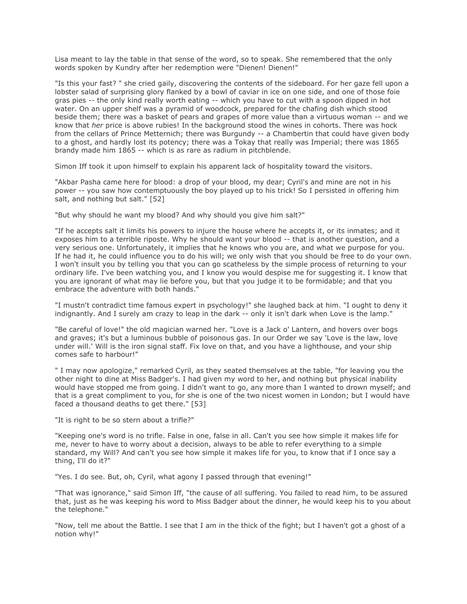Lisa meant to lay the table in that sense of the word, so to speak. She remembered that the only words spoken by Kundry after her redemption were "Dienen! Dienen!"

"Is this your fast? " she cried gaily, discovering the contents of the sideboard. For her gaze fell upon a lobster salad of surprising glory flanked by a bowl of caviar in ice on one side, and one of those foie gras pies -- the only kind really worth eating -- which you have to cut with a spoon dipped in hot water. On an upper shelf was a pyramid of woodcock, prepared for the chafing dish which stood beside them; there was a basket of pears and grapes of more value than a virtuous woman -- and we know that *her* price is above rubies! In the background stood the wines in cohorts. There was hock from the cellars of Prince Metternich; there was Burgundy -- a Chambertin that could have given body to a ghost, and hardly lost its potency; there was a Tokay that really was Imperial; there was 1865 brandy made him 1865 -- which is as rare as radium in pitchblende.

Simon Iff took it upon himself to explain his apparent lack of hospitality toward the visitors.

"Akbar Pasha came here for blood: a drop of your blood, my dear; Cyril's and mine are not in his power -- you saw how contemptuously the boy played up to his trick! So I persisted in offering him salt, and nothing but salt." [52]

"But why should he want my blood? And why should you give him salt?"

"If he accepts salt it limits his powers to injure the house where he accepts it, or its inmates; and it exposes him to a terrible riposte. Why he should want your blood -- that is another question, and a very serious one. Unfortunately, it implies that he knows who you are, and what we purpose for you. If he had it, he could influence you to do his will; we only wish that you should be free to do your own. I won't insult you by telling you that you can go scatheless by the simple process of returning to your ordinary life. I've been watching you, and I know you would despise me for suggesting it. I know that you are ignorant of what may lie before you, but that you judge it to be formidable; and that you embrace the adventure with both hands."

"I mustn't contradict time famous expert in psychology!" she laughed back at him. "I ought to deny it indignantly. And I surely am crazy to leap in the dark -- only it isn't dark when Love is the lamp."

"Be careful of love!" the old magician warned her. "Love is a Jack o' Lantern, and hovers over bogs and graves; it's but a luminous bubble of poisonous gas. In our Order we say 'Love is the law, love under will.' Will is the iron signal staff. Fix love on that, and you have a lighthouse, and your ship comes safe to harbour!"

" I may now apologize," remarked Cyril, as they seated themselves at the table, "for leaving you the other night to dine at Miss Badger's. I had given my word to her, and nothing but physical inability would have stopped me from going. I didn't want to go, any more than I wanted to drown myself; and that is a great compliment to you, for she is one of the two nicest women in London; but I would have faced a thousand deaths to get there." [53]

"It is right to be so stern about a trifle?"

"Keeping one's word is no trifle. False in one, false in all. Can't you see how simple it makes life for me, never to have to worry about a decision, always to be able to refer everything to a simple standard, my Will? And can't you see how simple it makes life for you, to know that if I once say a thing, I'll do it?"

"Yes. I do see. But, oh, Cyril, what agony I passed through that evening!"

"That was ignorance," said Simon Iff, "the cause of all suffering. You failed to read him, to be assured that, just as he was keeping his word to Miss Badger about the dinner, he would keep his to you about the telephone."

"Now, tell me about the Battle. I see that I am in the thick of the fight; but I haven't got a ghost of a notion why!"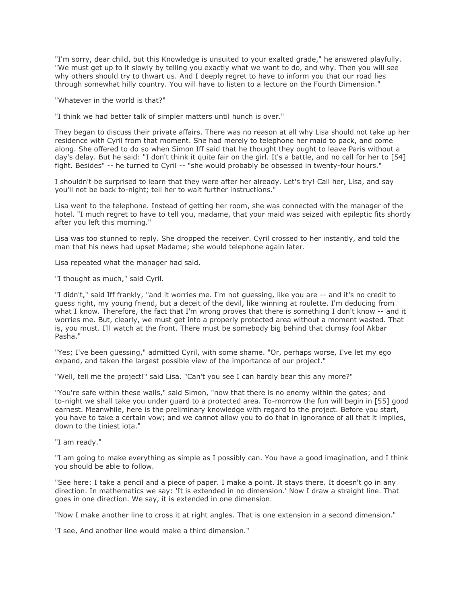"I'm sorry, dear child, but this Knowledge is unsuited to your exalted grade," he answered playfully. "We must get up to it slowly by telling you exactly what we want to do, and why. Then you will see why others should try to thwart us. And I deeply regret to have to inform you that our road lies through somewhat hilly country. You will have to listen to a lecture on the Fourth Dimension."

"Whatever in the world is that?"

"I think we had better talk of simpler matters until hunch is over."

They began to discuss their private affairs. There was no reason at all why Lisa should not take up her residence with Cyril from that moment. She had merely to telephone her maid to pack, and come along. She offered to do so when Simon Iff said that he thought they ought to leave Paris without a day's delay. But he said: "I don't think it quite fair on the girl. It's a battle, and no call for her to [54] fight. Besides" -- he turned to Cyril -- "she would probably be obsessed in twenty-four hours."

I shouldn't be surprised to learn that they were after her already. Let's try! Call her, Lisa, and say you'll not be back to-night; tell her to wait further instructions."

Lisa went to the telephone. Instead of getting her room, she was connected with the manager of the hotel. "I much regret to have to tell you, madame, that your maid was seized with epileptic fits shortly after you left this morning."

Lisa was too stunned to reply. She dropped the receiver. Cyril crossed to her instantly, and told the man that his news had upset Madame; she would telephone again later.

Lisa repeated what the manager had said.

"I thought as much," said Cyril.

"I didn't," said Iff frankly, "and it worries me. I'm not guessing, like you are -- and it's no credit to guess right, my young friend, but a deceit of the devil, like winning at roulette. I'm deducing from what I know. Therefore, the fact that I'm wrong proves that there is something I don't know -- and it worries me. But, clearly, we must get into a properly protected area without a moment wasted. That is, you must. I'll watch at the front. There must be somebody big behind that clumsy fool Akbar Pasha."

"Yes; I've been guessing," admitted Cyril, with some shame. "Or, perhaps worse, I've let my ego expand, and taken the largest possible view of the importance of our project."

"Well, tell me the project!" said Lisa. "Can't you see I can hardly bear this any more?"

"You're safe within these walls," said Simon, "now that there is no enemy within the gates; and to-night we shall take you under guard to a protected area. To-morrow the fun will begin in [55] good earnest. Meanwhile, here is the preliminary knowledge with regard to the project. Before you start, you have to take a certain vow; and we cannot allow you to do that in ignorance of all that it implies, down to the tiniest iota."

"I am ready."

"I am going to make everything as simple as I possibly can. You have a good imagination, and I think you should be able to follow.

"See here: I take a pencil and a piece of paper. I make a point. It stays there. It doesn't go in any direction. In mathematics we say: 'It is extended in no dimension.' Now I draw a straight line. That goes in one direction. We say, it is extended in one dimension.

"Now I make another line to cross it at right angles. That is one extension in a second dimension."

"I see, And another line would make a third dimension."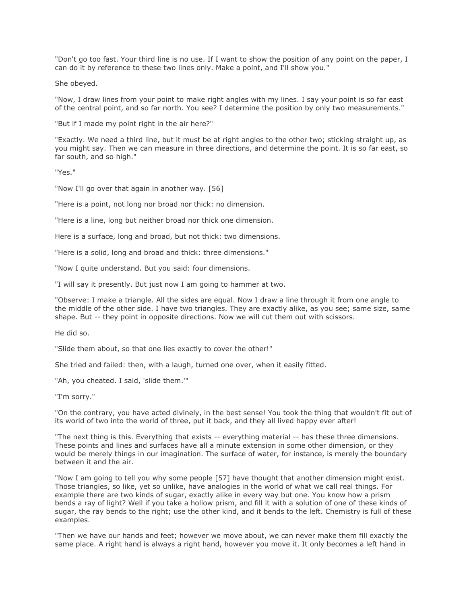"Don't go too fast. Your third line is no use. If I want to show the position of any point on the paper, I can do it by reference to these two lines only. Make a point, and I'll show you."

She obeyed.

"Now, I draw lines from your point to make right angles with my lines. I say your point is so far east of the central point, and so far north. You see? I determine the position by only two measurements."

"But if I made my point right in the air here?"

"Exactly. We need a third line, but it must be at right angles to the other two; sticking straight up, as you might say. Then we can measure in three directions, and determine the point. It is so far east, so far south, and so high."

"Yes."

"Now I'll go over that again in another way. [56]

"Here is a point, not long nor broad nor thick: no dimension.

"Here is a line, long but neither broad nor thick one dimension.

Here is a surface, long and broad, but not thick: two dimensions.

"Here is a solid, long and broad and thick: three dimensions."

"Now I quite understand. But you said: four dimensions.

"I will say it presently. But just now I am going to hammer at two.

"Observe: I make a triangle. All the sides are equal. Now I draw a line through it from one angle to the middle of the other side. I have two triangles. They are exactly alike, as you see; same size, same shape. But -- they point in opposite directions. Now we will cut them out with scissors.

He did so.

"Slide them about, so that one lies exactly to cover the other!"

She tried and failed: then, with a laugh, turned one over, when it easily fitted.

"Ah, you cheated. I said, 'slide them.'"

"I'm sorry."

"On the contrary, you have acted divinely, in the best sense! You took the thing that wouldn't fit out of its world of two into the world of three, put it back, and they all lived happy ever after!

"The next thing is this. Everything that exists -- everything material -- has these three dimensions. These points and lines and surfaces have all a minute extension in some other dimension, or they would be merely things in our imagination. The surface of water, for instance, is merely the boundary between it and the air.

"Now I am going to tell you why some people [57] have thought that another dimension might exist. Those triangles, so like, yet so unlike, have analogies in the world of what we call real things. For example there are two kinds of sugar, exactly alike in every way but one. You know how a prism bends a ray of light? Well if you take a hollow prism, and fill it with a solution of one of these kinds of sugar, the ray bends to the right; use the other kind, and it bends to the left. Chemistry is full of these examples.

"Then we have our hands and feet; however we move about, we can never make them fill exactly the same place. A right hand is always a right hand, however you move it. It only becomes a left hand in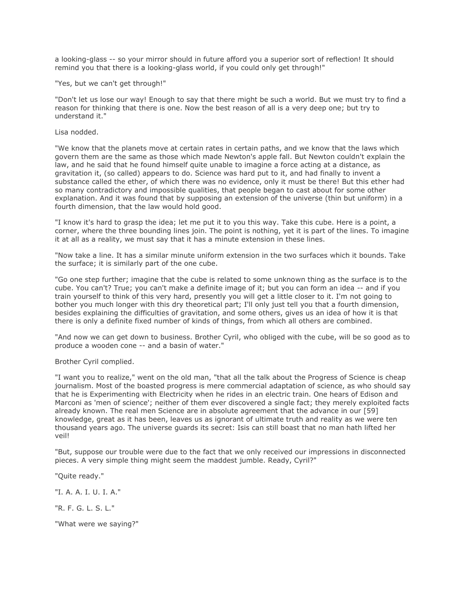a looking-glass -- so your mirror should in future afford you a superior sort of reflection! It should remind you that there is a looking-glass world, if you could only get through!"

#### "Yes, but we can't get through!"

"Don't let us lose our way! Enough to say that there might be such a world. But we must try to find a reason for thinking that there is one. Now the best reason of all is a very deep one; but try to understand it."

#### Lisa nodded.

"We know that the planets move at certain rates in certain paths, and we know that the laws which govern them are the same as those which made Newton's apple fall. But Newton couldn't explain the law, and he said that he found himself quite unable to imagine a force acting at a distance, as gravitation it, (so called) appears to do. Science was hard put to it, and had finally to invent a substance called the ether, of which there was no evidence, only it must be there! But this ether had so many contradictory and impossible qualities, that people began to cast about for some other explanation. And it was found that by supposing an extension of the universe (thin but uniform) in a fourth dimension, that the law would hold good.

"I know it's hard to grasp the idea; let me put it to you this way. Take this cube. Here is a point, a corner, where the three bounding lines join. The point is nothing, yet it is part of the lines. To imagine it at all as a reality, we must say that it has a minute extension in these lines.

"Now take a line. It has a similar minute uniform extension in the two surfaces which it bounds. Take the surface; it is similarly part of the one cube.

"Go one step further; imagine that the cube is related to some unknown thing as the surface is to the cube. You can't? True; you can't make a definite image of it; but you can form an idea -- and if you train yourself to think of this very hard, presently you will get a little closer to it. I'm not going to bother you much longer with this dry theoretical part; I'll only just tell you that a fourth dimension, besides explaining the difficulties of gravitation, and some others, gives us an idea of how it is that there is only a definite fixed number of kinds of things, from which all others are combined.

"And now we can get down to business. Brother Cyril, who obliged with the cube, will be so good as to produce a wooden cone -- and a basin of water."

#### Brother Cyril complied.

"I want you to realize," went on the old man, "that all the talk about the Progress of Science is cheap journalism. Most of the boasted progress is mere commercial adaptation of science, as who should say that he is Experimenting with Electricity when he rides in an electric train. One hears of Edison and Marconi as 'men of science'; neither of them ever discovered a single fact; they merely exploited facts already known. The real men Science are in absolute agreement that the advance in our [59] knowledge, great as it has been, leaves us as ignorant of ultimate truth and reality as we were ten thousand years ago. The universe guards its secret: Isis can still boast that no man hath lifted her veil!

"But, suppose our trouble were due to the fact that we only received our impressions in disconnected pieces. A very simple thing might seem the maddest jumble. Ready, Cyril?"

"Quite ready."

"I. A. A. I. U. I. A."

"R. F. G. L. S. L."

"What were we saying?"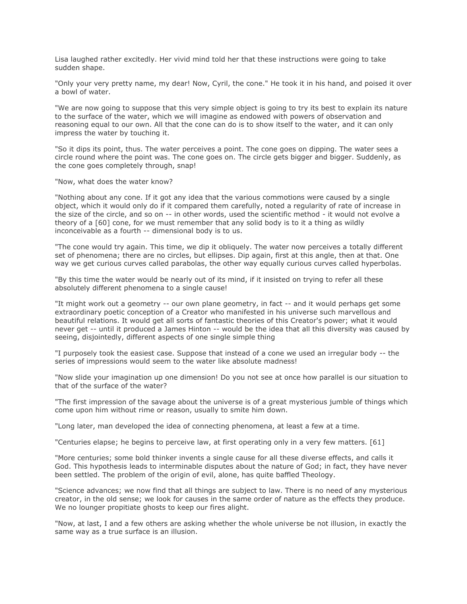Lisa laughed rather excitedly. Her vivid mind told her that these instructions were going to take sudden shape.

"Only your very pretty name, my dear! Now, Cyril, the cone." He took it in his hand, and poised it over a bowl of water.

"We are now going to suppose that this very simple object is going to try its best to explain its nature to the surface of the water, which we will imagine as endowed with powers of observation and reasoning equal to our own. All that the cone can do is to show itself to the water, and it can only impress the water by touching it.

"So it dips its point, thus. The water perceives a point. The cone goes on dipping. The water sees a circle round where the point was. The cone goes on. The circle gets bigger and bigger. Suddenly, as the cone goes completely through, snap!

"Now, what does the water know?

"Nothing about any cone. If it got any idea that the various commotions were caused by a single object, which it would only do if it compared them carefully, noted a regularity of rate of increase in the size of the circle, and so on -- in other words, used the scientific method - it would not evolve a theory of a [60] cone, for we must remember that any solid body is to it a thing as wildly inconceivable as a fourth -- dimensional body is to us.

"The cone would try again. This time, we dip it obliquely. The water now perceives a totally different set of phenomena; there are no circles, but ellipses. Dip again, first at this angle, then at that. One way we get curious curves called parabolas, the other way equally curious curves called hyperbolas.

"By this time the water would be nearly out of its mind, if it insisted on trying to refer all these absolutely different phenomena to a single cause!

"It might work out a geometry -- our own plane geometry, in fact -- and it would perhaps get some extraordinary poetic conception of a Creator who manifested in his universe such marvellous and beautiful relations. It would get all sorts of fantastic theories of this Creator's power; what it would never get -- until it produced a James Hinton -- would be the idea that all this diversity was caused by seeing, disjointedly, different aspects of one single simple thing

"I purposely took the easiest case. Suppose that instead of a cone we used an irregular body -- the series of impressions would seem to the water like absolute madness!

"Now slide your imagination up one dimension! Do you not see at once how parallel is our situation to that of the surface of the water?

"The first impression of the savage about the universe is of a great mysterious jumble of things which come upon him without rime or reason, usually to smite him down.

"Long later, man developed the idea of connecting phenomena, at least a few at a time.

"Centuries elapse; he begins to perceive law, at first operating only in a very few matters. [61]

"More centuries; some bold thinker invents a single cause for all these diverse effects, and calls it God. This hypothesis leads to interminable disputes about the nature of God; in fact, they have never been settled. The problem of the origin of evil, alone, has quite baffled Theology.

"Science advances; we now find that all things are subject to law. There is no need of any mysterious creator, in the old sense; we look for causes in the same order of nature as the effects they produce. We no lounger propitiate ghosts to keep our fires alight.

"Now, at last, I and a few others are asking whether the whole universe be not illusion, in exactly the same way as a true surface is an illusion.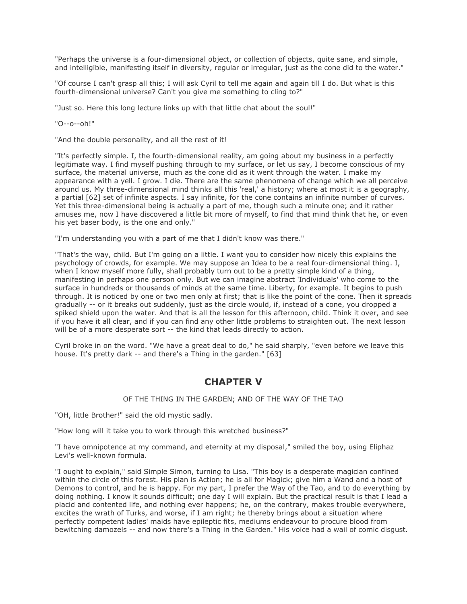"Perhaps the universe is a four-dimensional object, or collection of objects, quite sane, and simple, and intelligible, manifesting itself in diversity, regular or irregular, just as the cone did to the water."

"Of course I can't grasp all this; I will ask Cyril to tell me again and again till I do. But what is this fourth-dimensional universe? Can't you give me something to cling to?"

"Just so. Here this long lecture links up with that little chat about the soul!"

"O--o--oh!"

"And the double personality, and all the rest of it!

"It's perfectly simple. I, the fourth-dimensional reality, am going about my business in a perfectly legitimate way. I find myself pushing through to my surface, or let us say, I become conscious of my surface, the material universe, much as the cone did as it went through the water. I make my appearance with a yell. I grow. I die. There are the same phenomena of change which we all perceive around us. My three-dimensional mind thinks all this 'real,' a history; where at most it is a geography, a partial [62] set of infinite aspects. I say infinite, for the cone contains an infinite number of curves. Yet this three-dimensional being is actually a part of me, though such a minute one; and it rather amuses me, now I have discovered a little bit more of myself, to find that mind think that he, or even his yet baser body, is the one and only."

"I'm understanding you with a part of me that I didn't know was there."

"That's the way, child. But I'm going on a little. I want you to consider how nicely this explains the psychology of crowds, for example. We may suppose an Idea to be a real four-dimensional thing. I, when I know myself more fully, shall probably turn out to be a pretty simple kind of a thing, manifesting in perhaps one person only. But we can imagine abstract 'Individuals' who come to the surface in hundreds or thousands of minds at the same time. Liberty, for example. It begins to push through. It is noticed by one or two men only at first; that is like the point of the cone. Then it spreads gradually -- or it breaks out suddenly, just as the circle would, if, instead of a cone, you dropped a spiked shield upon the water. And that is all the lesson for this afternoon, child. Think it over, and see if you have it all clear, and if you can find any other little problems to straighten out. The next lesson will be of a more desperate sort -- the kind that leads directly to action.

Cyril broke in on the word. "We have a great deal to do," he said sharply, "even before we leave this house. It's pretty dark -- and there's a Thing in the garden." [63]

## **CHAPTER V**

#### OF THE THING IN THE GARDEN; AND OF THE WAY OF THE TAO

"OH, little Brother!" said the old mystic sadly.

"How long will it take you to work through this wretched business?"

"I have omnipotence at my command, and eternity at my disposal," smiled the boy, using Eliphaz Levi's well-known formula.

"I ought to explain," said Simple Simon, turning to Lisa. "This boy is a desperate magician confined within the circle of this forest. His plan is Action; he is all for Magick; give him a Wand and a host of Demons to control, and he is happy. For my part, I prefer the Way of the Tao, and to do everything by doing nothing. I know it sounds difficult; one day I will explain. But the practical result is that I lead a placid and contented life, and nothing ever happens; he, on the contrary, makes trouble everywhere, excites the wrath of Turks, and worse, if I am right; he thereby brings about a situation where perfectly competent ladies' maids have epileptic fits, mediums endeavour to procure blood from bewitching damozels -- and now there's a Thing in the Garden." His voice had a wail of comic disgust.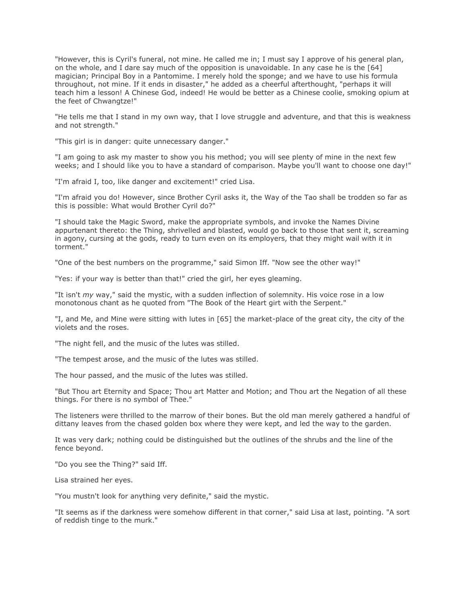"However, this is Cyril's funeral, not mine. He called me in; I must say I approve of his general plan, on the whole, and I dare say much of the opposition is unavoidable. In any case he is the [64] magician; Principal Boy in a Pantomime. I merely hold the sponge; and we have to use his formula throughout, not mine. If it ends in disaster," he added as a cheerful afterthought, "perhaps it will teach him a lesson! A Chinese God, indeed! He would be better as a Chinese coolie, smoking opium at the feet of Chwangtze!"

"He tells me that I stand in my own way, that I love struggle and adventure, and that this is weakness and not strength."

"This girl is in danger: quite unnecessary danger."

"I am going to ask my master to show you his method; you will see plenty of mine in the next few weeks; and I should like you to have a standard of comparison. Maybe you'll want to choose one day!"

"I'm afraid I, too, like danger and excitement!" cried Lisa.

"I'm afraid you do! However, since Brother Cyril asks it, the Way of the Tao shall be trodden so far as this is possible: What would Brother Cyril do?"

"I should take the Magic Sword, make the appropriate symbols, and invoke the Names Divine appurtenant thereto: the Thing, shrivelled and blasted, would go back to those that sent it, screaming in agony, cursing at the gods, ready to turn even on its employers, that they might wail with it in torment."

"One of the best numbers on the programme," said Simon Iff. "Now see the other way!"

"Yes: if your way is better than that!" cried the girl, her eyes gleaming.

"It isn't *my* way," said the mystic, with a sudden inflection of solemnity. His voice rose in a low monotonous chant as he quoted from "The Book of the Heart girt with the Serpent."

"I, and Me, and Mine were sitting with lutes in [65] the market-place of the great city, the city of the violets and the roses.

"The night fell, and the music of the lutes was stilled.

"The tempest arose, and the music of the lutes was stilled.

The hour passed, and the music of the lutes was stilled.

"But Thou art Eternity and Space; Thou art Matter and Motion; and Thou art the Negation of all these things. For there is no symbol of Thee."

The listeners were thrilled to the marrow of their bones. But the old man merely gathered a handful of dittany leaves from the chased golden box where they were kept, and led the way to the garden.

It was very dark; nothing could be distinguished but the outlines of the shrubs and the line of the fence beyond.

"Do you see the Thing?" said Iff.

Lisa strained her eyes.

"You mustn't look for anything very definite," said the mystic.

"It seems as if the darkness were somehow different in that corner," said Lisa at last, pointing. "A sort of reddish tinge to the murk."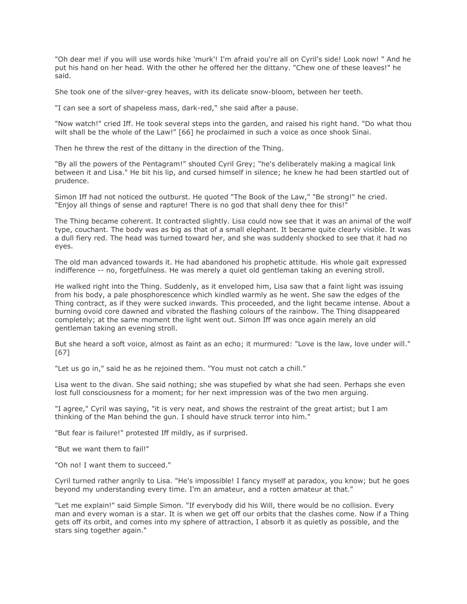"Oh dear me! if you will use words hike 'murk'! I'm afraid you're all on Cyril's side! Look now! " And he put his hand on her head. With the other he offered her the dittany. "Chew one of these leaves!" he said.

She took one of the silver-grey heaves, with its delicate snow-bloom, between her teeth.

"I can see a sort of shapeless mass, dark-red," she said after a pause.

"Now watch!" cried Iff. He took several steps into the garden, and raised his right hand. "Do what thou wilt shall be the whole of the Law!" [66] he proclaimed in such a voice as once shook Sinai.

Then he threw the rest of the dittany in the direction of the Thing.

"By all the powers of the Pentagram!" shouted Cyril Grey; "he's deliberately making a magical link between it and Lisa." He bit his lip, and cursed himself in silence; he knew he had been startled out of prudence.

Simon Iff had not noticed the outburst. He quoted "The Book of the Law," "Be strong!" he cried. "Enjoy all things of sense and rapture! There is no god that shall deny thee for this!"

The Thing became coherent. It contracted slightly. Lisa could now see that it was an animal of the wolf type, couchant. The body was as big as that of a small elephant. It became quite clearly visible. It was a dull fiery red. The head was turned toward her, and she was suddenly shocked to see that it had no eyes.

The old man advanced towards it. He had abandoned his prophetic attitude. His whole gait expressed indifference -- no, forgetfulness. He was merely a quiet old gentleman taking an evening stroll.

He walked right into the Thing. Suddenly, as it enveloped him, Lisa saw that a faint light was issuing from his body, a pale phosphorescence which kindled warmly as he went. She saw the edges of the Thing contract, as if they were sucked inwards. This proceeded, and the light became intense. About a burning ovoid core dawned and vibrated the flashing colours of the rainbow. The Thing disappeared completely; at the same moment the light went out. Simon Iff was once again merely an old gentleman taking an evening stroll.

But she heard a soft voice, almost as faint as an echo; it murmured: "Love is the law, love under will." [67]

"Let us go in," said he as he rejoined them. "You must not catch a chill."

Lisa went to the divan. She said nothing; she was stupefied by what she had seen. Perhaps she even lost full consciousness for a moment; for her next impression was of the two men arguing.

"I agree," Cyril was saying, "it is very neat, and shows the restraint of the great artist; but I am thinking of the Man behind the gun. I should have struck terror into him."

"But fear is failure!" protested Iff mildly, as if surprised.

"But we want them to fail!"

"Oh no! I want them to succeed."

Cyril turned rather angrily to Lisa. "He's impossible! I fancy myself at paradox, you know; but he goes beyond my understanding every time. I'm an amateur, and a rotten amateur at that."

"Let me explain!" said Simple Simon. "If everybody did his Will, there would be no collision. Every man and every woman is a star. It is when we get off our orbits that the clashes come. Now if a Thing gets off its orbit, and comes into my sphere of attraction, I absorb it as quietly as possible, and the stars sing together again."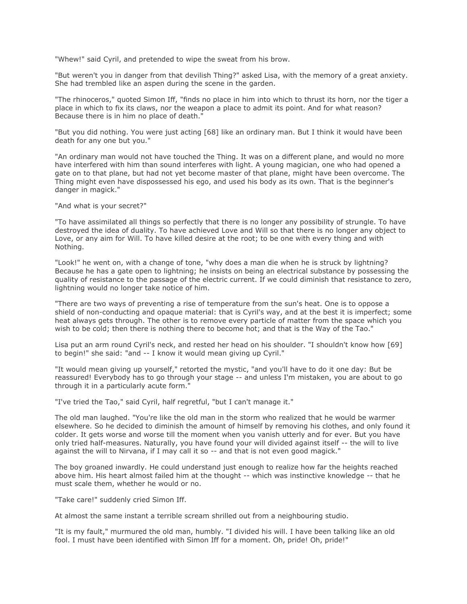"Whew!" said Cyril, and pretended to wipe the sweat from his brow.

"But weren't you in danger from that devilish Thing?" asked Lisa, with the memory of a great anxiety. She had trembled like an aspen during the scene in the garden.

"The rhinoceros," quoted Simon Iff, "finds no place in him into which to thrust its horn, nor the tiger a place in which to fix its claws, nor the weapon a place to admit its point. And for what reason? Because there is in him no place of death."

"But you did nothing. You were just acting [68] like an ordinary man. But I think it would have been death for any one but you."

"An ordinary man would not have touched the Thing. It was on a different plane, and would no more have interfered with him than sound interferes with light. A young magician, one who had opened a gate on to that plane, but had not yet become master of that plane, might have been overcome. The Thing might even have dispossessed his ego, and used his body as its own. That is the beginner's danger in magick."

"And what is your secret?"

"To have assimilated all things so perfectly that there is no longer any possibility of strungle. To have destroyed the idea of duality. To have achieved Love and Will so that there is no longer any object to Love, or any aim for Will. To have killed desire at the root; to be one with every thing and with Nothing.

"Look!" he went on, with a change of tone, "why does a man die when he is struck by lightning? Because he has a gate open to lightning; he insists on being an electrical substance by possessing the quality of resistance to the passage of the electric current. If we could diminish that resistance to zero, lightning would no longer take notice of him.

"There are two ways of preventing a rise of temperature from the sun's heat. One is to oppose a shield of non-conducting and opaque material: that is Cyril's way, and at the best it is imperfect; some heat always gets through. The other is to remove every particle of matter from the space which you wish to be cold; then there is nothing there to become hot; and that is the Way of the Tao."

Lisa put an arm round Cyril's neck, and rested her head on his shoulder. "I shouldn't know how [69] to begin!" she said: "and -- I know it would mean giving up Cyril."

"It would mean giving up yourself," retorted the mystic, "and you'll have to do it one day: But be reassured! Everybody has to go through your stage -- and unless I'm mistaken, you are about to go through it in a particularly acute form."

"I've tried the Tao," said Cyril, half regretful, "but I can't manage it."

The old man laughed. "You're like the old man in the storm who realized that he would be warmer elsewhere. So he decided to diminish the amount of himself by removing his clothes, and only found it colder. It gets worse and worse till the moment when you vanish utterly and for ever. But you have only tried half-measures. Naturally, you have found your will divided against itself -- the will to live against the will to Nirvana, if I may call it so -- and that is not even good magick."

The boy groaned inwardly. He could understand just enough to realize how far the heights reached above him. His heart almost failed him at the thought -- which was instinctive knowledge -- that he must scale them, whether he would or no.

"Take care!" suddenly cried Simon Iff.

At almost the same instant a terrible scream shrilled out from a neighbouring studio.

"It is my fault," murmured the old man, humbly. "I divided his will. I have been talking like an old fool. I must have been identified with Simon Iff for a moment. Oh, pride! Oh, pride!"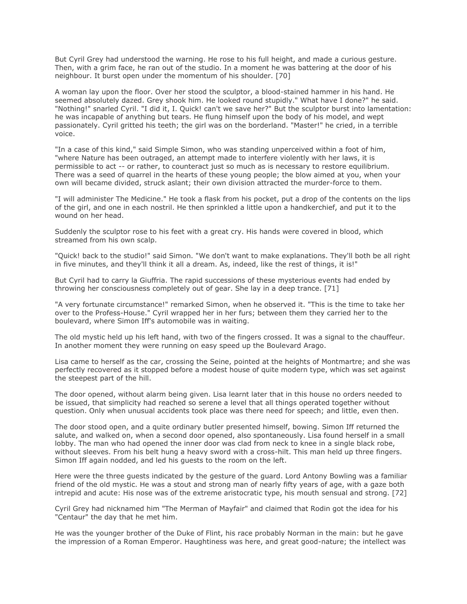But Cyril Grey had understood the warning. He rose to his full height, and made a curious gesture. Then, with a grim face, he ran out of the studio. In a moment he was battering at the door of his neighbour. It burst open under the momentum of his shoulder. [70]

A woman lay upon the floor. Over her stood the sculptor, a blood-stained hammer in his hand. He seemed absolutely dazed. Grey shook him. He looked round stupidly." What have I done?" he said. "Nothing!" snarled Cyril. "I did it, I. Quick! can't we save her?" But the sculptor burst into lamentation: he was incapable of anything but tears. He flung himself upon the body of his model, and wept passionately. Cyril gritted his teeth; the girl was on the borderland. "Master!" he cried, in a terrible voice.

"In a case of this kind," said Simple Simon, who was standing unperceived within a foot of him, "where Nature has been outraged, an attempt made to interfere violently with her laws, it is permissible to act -- or rather, to counteract just so much as is necessary to restore equilibrium. There was a seed of quarrel in the hearts of these young people; the blow aimed at you, when your own will became divided, struck aslant; their own division attracted the murder-force to them.

"I will administer The Medicine." He took a flask from his pocket, put a drop of the contents on the lips of the girl, and one in each nostril. He then sprinkled a little upon a handkerchief, and put it to the wound on her head.

Suddenly the sculptor rose to his feet with a great cry. His hands were covered in blood, which streamed from his own scalp.

"Quick! back to the studio!" said Simon. "We don't want to make explanations. They'll both be all right in five minutes, and they'll think it all a dream. As, indeed, like the rest of things, it is!"

But Cyril had to carry la Giuffria. The rapid successions of these mysterious events had ended by throwing her consciousness completely out of gear. She lay in a deep trance. [71]

"A very fortunate circumstance!" remarked Simon, when he observed it. "This is the time to take her over to the Profess-House." Cyril wrapped her in her furs; between them they carried her to the boulevard, where Simon Iff's automobile was in waiting.

The old mystic held up his left hand, with two of the fingers crossed. It was a signal to the chauffeur. In another moment they were running on easy speed up the Boulevard Arago.

Lisa came to herself as the car, crossing the Seine, pointed at the heights of Montmartre; and she was perfectly recovered as it stopped before a modest house of quite modern type, which was set against the steepest part of the hill.

The door opened, without alarm being given. Lisa learnt later that in this house no orders needed to be issued, that simplicity had reached so serene a level that all things operated together without question. Only when unusual accidents took place was there need for speech; and little, even then.

The door stood open, and a quite ordinary butler presented himself, bowing. Simon Iff returned the salute, and walked on, when a second door opened, also spontaneously. Lisa found herself in a small lobby. The man who had opened the inner door was clad from neck to knee in a single black robe, without sleeves. From his belt hung a heavy sword with a cross-hilt. This man held up three fingers. Simon Iff again nodded, and led his guests to the room on the left.

Here were the three guests indicated by the gesture of the guard. Lord Antony Bowling was a familiar friend of the old mystic. He was a stout and strong man of nearly fifty years of age, with a gaze both intrepid and acute: His nose was of the extreme aristocratic type, his mouth sensual and strong. [72]

Cyril Grey had nicknamed him "The Merman of Mayfair" and claimed that Rodin got the idea for his "Centaur" the day that he met him.

He was the younger brother of the Duke of Flint, his race probably Norman in the main: but he gave the impression of a Roman Emperor. Haughtiness was here, and great good-nature; the intellect was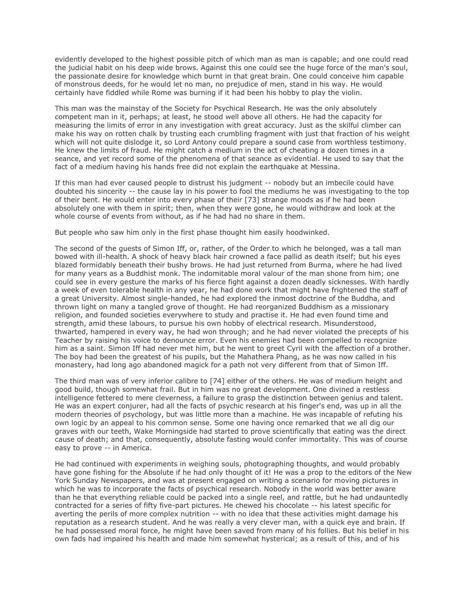evidently developed to the highest possible pitch of which man as man is capable; and one could read the judicial habit on his deep wide brows. Against this one could see the huge force of the man's soul, the passionate desire for knowledge which burnt in that great brain. One could conceive him capable of monstrous deeds, for he would let no man, no prejudice of men, stand in his way. He would certainly have fiddled while Rome was burning if it had been his hobby to play the violin.

This man was the mainstay of the Society for Psychical Research. He was the only absolutely competent man in it, perhaps; at least, he stood well above all others. He had the capacity for measuring the limits of error in any investigation with great accuracy. Just as the skilful climber can make his way on rotten chalk by trusting each crumbling fragment with just that fraction of his weight which will not quite dislodge it, so Lord Antony could prepare a sound case from worthless testimony. He knew the limits of fraud. He might catch a medium in the act of cheating a dozen times in a seance, and yet record some of the phenomena of that seance as evidential. He used to say that the fact of a medium having his hands free did not explain the earthquake at Messina.

If this man had ever caused people to distrust his judgment -- nobody but an imbecile could have doubted his sincerity -- the cause lay in his power to fool the mediums he was investigating to the top of their bent. He would enter into every phase of their [73] strange moods as if he had been absolutely one with them in spirit; then, when they were gone, he would withdraw and look at the whole course of events from without, as if he had had no share in them.

But people who saw him only in the first phase thought him easily hoodwinked.

The second of the guests of Simon Iff, or, rather, of the Order to which he belonged, was a tall man bowed with ill-health. A shock of heavy black hair crowned a face pallid as death itself; but his eyes blazed formidably beneath their bushy brows. He had just returned from Burma, where he had lived for many years as a Buddhist monk. The indomitable moral valour of the man shone from him; one could see in every gesture the marks of his fierce fight against a dozen deadly sicknesses. With hardly a week of even tolerable health in any year, he had done work that might have frightened the staff of a great University. Almost single-handed, he had explored the inmost doctrine of the Buddha, and thrown light on many a tangled grove of thought. He had reorganized Buddhism as a missionary religion, and founded societies everywhere to study and practise it. He had even found time and strength, amid these labours, to pursue his own hobby of electrical research. Misunderstood, thwarted, hampered in every way, he had won through; and he had never violated the precepts of his Teacher by raising his voice to denounce error. Even his enemies had been compelled to recognize him as a saint. Simon Iff had never met him, but he went to greet Cyril with the affection of a brother. The boy had been the greatest of his pupils, but the Mahathera Phang, as he was now called in his monastery, had long ago abandoned magick for a path not very different from that of Simon Iff.

The third man was of very inferior calibre to [74] either of the others. He was of medium height and good build, though somewhat frail. But in him was no great development. One divined a restless intelligence fettered to mere cleverness, a failure to grasp the distinction between genius and talent. He was an expert conjurer, had all the facts of psychic research at his finger's end, was up in all the modern theories of psychology, but was little more than a machine. He was incapable of refuting his own logic by an appeal to his common sense. Some one having once remarked that we all dig our graves with our teeth, Wake Morningside had started to prove scientifically that eating was the direct cause of death; and that, consequently, absolute fasting would confer immortality. This was of course easy to prove -- in America.

He had continued with experiments in weighing souls, photographing thoughts, and would probably have gone fishing for the Absolute if he had only thought of it! He was a prop to the editors of the New York Sunday Newspapers, and was at present engaged on writing a scenario for moving pictures in which he was to incorporate the facts of psychical research. Nobody in the world was better aware than he that everything reliable could be packed into a single reel, and rattle, but he had undauntedly contracted for a series of fifty five-part pictures. He chewed his chocolate -- his latest specific for averting the perils of more complex nutrition -- with no idea that these activities might damage his reputation as a research student. And he was really a very clever man, with a quick eye and brain. If he had possessed moral force, he might have been saved from many of his follies. But his belief in his own fads had impaired his health and made him somewhat hysterical; as a result of this, and of his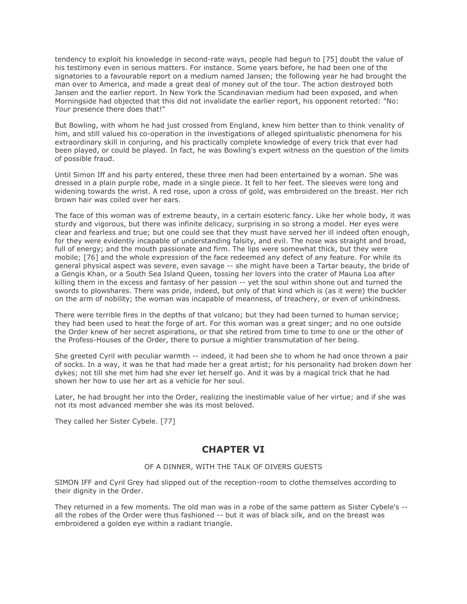tendency to exploit his knowledge in second-rate ways, people had begun to [75] doubt the value of his testimony even in serious matters. For instance. Some years before, he had been one of the signatories to a favourable report on a medium named Jansen; the following year he had brought the man over to America, and made a great deal of money out of the tour. The action destroyed both Jansen and the earlier report. In New York the Scandinavian medium had been exposed, and when Morningside had objected that this did not invalidate the earlier report, his opponent retorted: "No: *Your* presence there does that!"

But Bowling, with whom he had just crossed from England, knew him better than to think venality of him, and still valued his co-operation in the investigations of alleged spiritualistic phenomena for his extraordinary skill in conjuring, and his practically complete knowledge of every trick that ever had been played, or could be played. In fact, he was Bowling's expert witness on the question of the limits of possible fraud.

Until Simon Iff and his party entered, these three men had been entertained by a woman. She was dressed in a plain purple robe, made in a single piece. It fell to her feet. The sleeves were long and widening towards the wrist. A red rose, upon a cross of gold, was embroidered on the breast. Her rich brown hair was coiled over her ears.

The face of this woman was of extreme beauty, in a certain esoteric fancy. Like her whole body, it was sturdy and vigorous, but there was infinite delicacy, surprising in so strong a model. Her eyes were clear and fearless and true; but one could see that they must have served her ill indeed often enough, for they were evidently incapable of understanding falsity, and evil. The nose was straight and broad, full of energy; and the mouth passionate and firm. The lips were somewhat thick, but they were mobile; [76] and the whole expression of the face redeemed any defect of any feature. For while its general physical aspect was severe, even savage -- she might have been a Tartar beauty, the bride of a Gengis Khan, or a South Sea Island Queen, tossing her lovers into the crater of Mauna Loa after killing them in the excess and fantasy of her passion -- yet the soul within shone out and turned the swords to plowshares. There was pride, indeed, but only of that kind which is (as it were) the buckler on the arm of nobility; the woman was incapable of meanness, of treachery, or even of unkindness.

There were terrible fires in the depths of that volcano; but they had been turned to human service; they had been used to heat the forge of art. For this woman was a great singer; and no one outside the Order knew of her secret aspirations, or that she retired from time to time to one or the other of the Profess-Houses of the Order, there to pursue a mightier transmutation of her being.

She greeted Cyril with peculiar warmth -- indeed, it had been she to whom he had once thrown a pair of socks. In a way, it was he that had made her a great artist; for his personality had broken down her dykes; not till she met him had she ever let herself go. And it was by a magical trick that he had shown her how to use her art as a vehicle for her soul.

Later, he had brought her into the Order, realizing the inestimable value of her virtue; and if she was not its most advanced member she was its most beloved.

They called her Sister Cybele. [77]

## **CHAPTER VI**

#### OF A DINNER, WITH THE TALK OF DIVERS GUESTS

SIMON IFF and Cyril Grey had slipped out of the reception-room to clothe themselves according to their dignity in the Order.

They returned in a few moments. The old man was in a robe of the same pattern as Sister Cybele's - all the robes of the Order were thus fashioned -- but it was of black silk, and on the breast was embroidered a golden eye within a radiant triangle.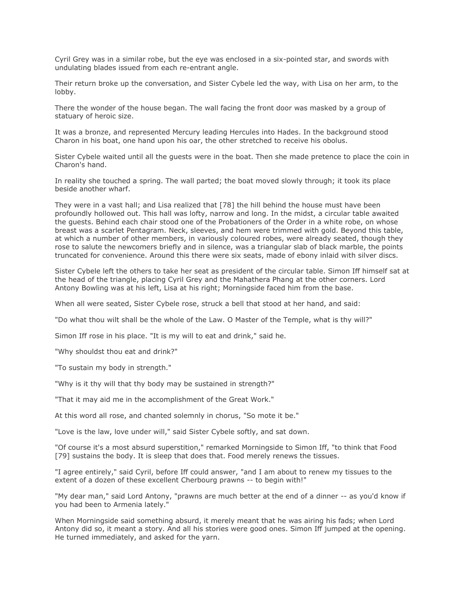Cyril Grey was in a similar robe, but the eye was enclosed in a six-pointed star, and swords with undulating blades issued from each re-entrant angle.

Their return broke up the conversation, and Sister Cybele led the way, with Lisa on her arm, to the lobby.

There the wonder of the house began. The wall facing the front door was masked by a group of statuary of heroic size.

It was a bronze, and represented Mercury leading Hercules into Hades. In the background stood Charon in his boat, one hand upon his oar, the other stretched to receive his obolus.

Sister Cybele waited until all the guests were in the boat. Then she made pretence to place the coin in Charon's hand.

In reality she touched a spring. The wall parted; the boat moved slowly through; it took its place beside another wharf.

They were in a vast hall; and Lisa realized that [78] the hill behind the house must have been profoundly hollowed out. This hall was lofty, narrow and long. In the midst, a circular table awaited the guests. Behind each chair stood one of the Probationers of the Order in a white robe, on whose breast was a scarlet Pentagram. Neck, sleeves, and hem were trimmed with gold. Beyond this table, at which a number of other members, in variously coloured robes, were already seated, though they rose to salute the newcomers briefly and in silence, was a triangular slab of black marble, the points truncated for convenience. Around this there were six seats, made of ebony inlaid with silver discs.

Sister Cybele left the others to take her seat as president of the circular table. Simon Iff himself sat at the head of the triangle, placing Cyril Grey and the Mahathera Phang at the other corners. Lord Antony Bowling was at his left, Lisa at his right; Morningside faced him from the base.

When all were seated, Sister Cybele rose, struck a bell that stood at her hand, and said:

"Do what thou wilt shall be the whole of the Law. O Master of the Temple, what is thy will?"

Simon Iff rose in his place. "It is my will to eat and drink," said he.

"Why shouldst thou eat and drink?"

"To sustain my body in strength."

"Why is it thy will that thy body may be sustained in strength?"

"That it may aid me in the accomplishment of the Great Work."

At this word all rose, and chanted solemnly in chorus, "So mote it be."

"Love is the law, love under will," said Sister Cybele softly, and sat down.

"Of course it's a most absurd superstition," remarked Morningside to Simon Iff, "to think that Food [79] sustains the body. It is sleep that does that. Food merely renews the tissues.

"I agree entirely," said Cyril, before Iff could answer, "and I am about to renew my tissues to the extent of a dozen of these excellent Cherbourg prawns -- to begin with!"

"My dear man," said Lord Antony, "prawns are much better at the end of a dinner -- as you'd know if you had been to Armenia lately."

When Morningside said something absurd, it merely meant that he was airing his fads; when Lord Antony did so, it meant a story. And all his stories were good ones. Simon Iff jumped at the opening. He turned immediately, and asked for the yarn.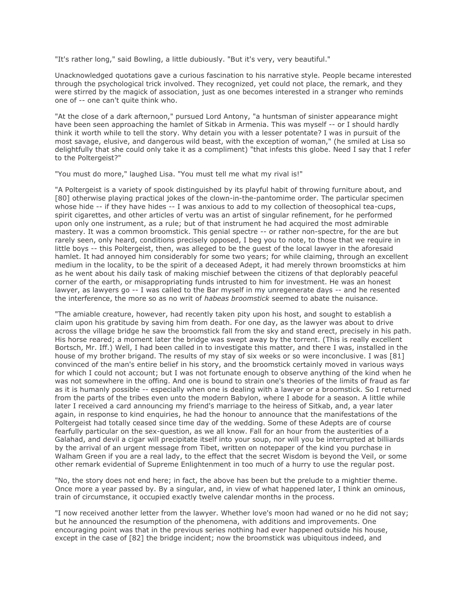"It's rather long," said Bowling, a little dubiously. "But it's very, very beautiful."

Unacknowledged quotations gave a curious fascination to his narrative style. People became interested through the psychological trick involved. They recognized, yet could not place, the remark, and they were stirred by the magick of association, just as one becomes interested in a stranger who reminds one of -- one can't quite think who.

"At the close of a dark afternoon," pursued Lord Antony, "a huntsman of sinister appearance might have been seen approaching the hamlet of Sitkab in Armenia. This was myself -- or I should hardly think it worth while to tell the story. Why detain you with a lesser potentate? I was in pursuit of the most savage, elusive, and dangerous wild beast, with the exception of woman," (he smiled at Lisa so delightfully that she could only take it as a compliment) "that infests this globe. Need I say that I refer to the Poltergeist?"

"You must do more," laughed Lisa. "You must tell me what my rival is!"

"A Poltergeist is a variety of spook distinguished by its playful habit of throwing furniture about, and [80] otherwise playing practical jokes of the clown-in-the-pantomime order. The particular specimen whose hide -- if they have hides -- I was anxious to add to my collection of theosophical tea-cups, spirit cigarettes, and other articles of vertu was an artist of singular refinement, for he performed upon only one instrument, as a rule; but of that instrument he had acquired the most admirable mastery. It was a common broomstick. This genial spectre -- or rather non-spectre, for the are but rarely seen, only heard, conditions precisely opposed, I beg you to note, to those that we require in little boys -- this Poltergeist, then, was alleged to be the guest of the local lawyer in the aforesaid hamlet. It had annoyed him considerably for some two years; for while claiming, through an excellent medium in the locality, to be the spirit of a deceased Adept, it had merely thrown broomsticks at him as he went about his daily task of making mischief between the citizens of that deplorably peaceful corner of the earth, or misappropriating funds intrusted to him for investment. He was an honest lawyer, as lawyers go -- I was called to the Bar myself in my unregenerate days -- and he resented the interference, the more so as no writ of *habeas broomstick* seemed to abate the nuisance.

"The amiable creature, however, had recently taken pity upon his host, and sought to establish a claim upon his gratitude by saving him from death. For one day, as the lawyer was about to drive across the village bridge he saw the broomstick fall from the sky and stand erect, precisely in his path. His horse reared; a moment later the bridge was swept away by the torrent. (This is really excellent Bortsch, Mr. Iff.) Well, I had been called in to investigate this matter, and there I was, installed in the house of my brother brigand. The results of my stay of six weeks or so were inconclusive. I was [81] convinced of the man's entire belief in his story, and the broomstick certainly moved in various ways for which I could not account; but I was not fortunate enough to observe anything of the kind when he was not somewhere in the offing. And one is bound to strain one's theories of the limits of fraud as far as it is humanly possible -- especially when one is dealing with a lawyer or a broomstick. So I returned from the parts of the tribes even unto the modern Babylon, where I abode for a season. A little while later I received a card announcing my friend's marriage to the heiress of Sitkab, and, a year later again, in response to kind enquiries, he had the honour to announce that the manifestations of the Poltergeist had totally ceased since time day of the wedding. Some of these Adepts are of course fearfully particular on the sex-question, as we all know. Fall for an hour from the austerities of a Galahad, and devil a cigar will precipitate itself into your soup, nor will you be interrupted at billiards by the arrival of an urgent message from Tibet, written on notepaper of the kind you purchase in Walham Green if you are a real lady, to the effect that the secret Wisdom is beyond the Veil, or some other remark evidential of Supreme Enlightenment in too much of a hurry to use the regular post.

"No, the story does not end here; in fact, the above has been but the prelude to a mightier theme. Once more a year passed by. By a singular, and, in view of what happened later, I think an ominous, train of circumstance, it occupied exactly twelve calendar months in the process.

"I now received another letter from the lawyer. Whether love's moon had waned or no he did not say; but he announced the resumption of the phenomena, with additions and improvements. One encouraging point was that in the previous series nothing had ever happened outside his house, except in the case of [82] the bridge incident; now the broomstick was ubiquitous indeed, and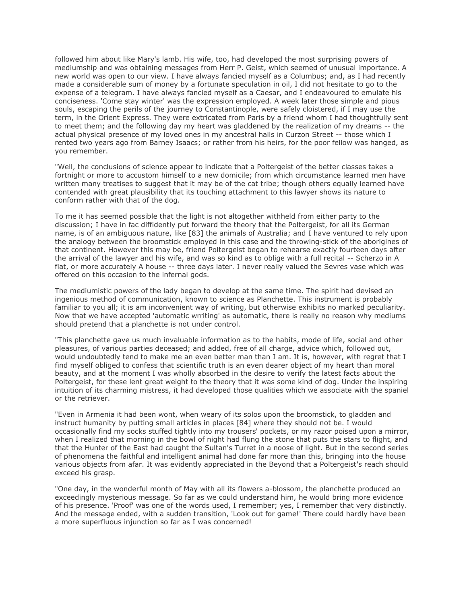followed him about like Mary's lamb. His wife, too, had developed the most surprising powers of mediumship and was obtaining messages from Herr P. Geist, which seemed of unusual importance. A new world was open to our view. I have always fancied myself as a Columbus; and, as I had recently made a considerable sum of money by a fortunate speculation in oil, I did not hesitate to go to the expense of a telegram. I have always fancied myself as a Caesar, and I endeavoured to emulate his conciseness. 'Come stay winter' was the expression employed. A week later those simple and pious souls, escaping the perils of the journey to Constantinople, were safely cloistered, if I may use the term, in the Orient Express. They were extricated from Paris by a friend whom I had thoughtfully sent to meet them; and the following day my heart was gladdened by the realization of my dreams -- the actual physical presence of my loved ones in my ancestral halls in Curzon Street -- those which I rented two years ago from Barney Isaacs; or rather from his heirs, for the poor fellow was hanged, as you remember.

"Well, the conclusions of science appear to indicate that a Poltergeist of the better classes takes a fortnight or more to accustom himself to a new domicile; from which circumstance learned men have written many treatises to suggest that it may be of the cat tribe; though others equally learned have contended with great plausibility that its touching attachment to this lawyer shows its nature to conform rather with that of the dog.

To me it has seemed possible that the light is not altogether withheld from either party to the discussion; I have in fac diffidently put forward the theory that the Poltergeist, for all its German name, is of an ambiguous nature, like [83] the animals of Australia; and I have ventured to rely upon the analogy between the broomstick employed in this case and the throwing-stick of the aborigines of that continent. However this may be, friend Poltergeist began to rehearse exactly fourteen days after the arrival of the lawyer and his wife, and was so kind as to oblige with a full recital -- Scherzo in A flat, or more accurately A house -- three days later. I never really valued the Sevres vase which was offered on this occasion to the infernal gods.

The mediumistic powers of the lady began to develop at the same time. The spirit had devised an ingenious method of communication, known to science as Planchette. This instrument is probably familiar to you all; it is am inconvenient way of writing, but otherwise exhibits no marked peculiarity. Now that we have accepted 'automatic wrriting' as automatic, there is really no reason why mediums should pretend that a planchette is not under control.

"This planchette gave us much invaluable information as to the habits, mode of life, social and other pleasures, of various parties deceased; and added, free of all charge, advice which, followed out, would undoubtedly tend to make me an even better man than I am. It is, however, with regret that I find myself obliged to confess that scientific truth is an even dearer object of my heart than moral beauty, and at the moment I was wholly absorbed in the desire to verify the latest facts about the Poltergeist, for these lent great weight to the theory that it was some kind of dog. Under the inspiring intuition of its charming mistress, it had developed those qualities which we associate with the spaniel or the retriever.

"Even in Armenia it had been wont, when weary of its solos upon the broomstick, to gladden and instruct humanity by putting small articles in places [84] where they should not be. I would occasionally find my socks stuffed tightly into my trousers' pockets, or my razor poised upon a mirror, when I realized that morning in the bowl of night had flung the stone that puts the stars to flight, and that the Hunter of the East had caught the Sultan's Turret in a noose of light. But in the second series of phenomena the faithful and intelligent animal had done far more than this, bringing into the house various objects from afar. It was evidently appreciated in the Beyond that a Poltergeist's reach should exceed his grasp.

"One day, in the wonderful month of May with all its flowers a-blossom, the planchette produced an exceedingly mysterious message. So far as we could understand him, he would bring more evidence of his presence. 'Proof' was one of the words used, I remember; yes, I remember that very distinctly. And the message ended, with a sudden transition, 'Look out for game!' There could hardly have been a more superfluous injunction so far as I was concerned!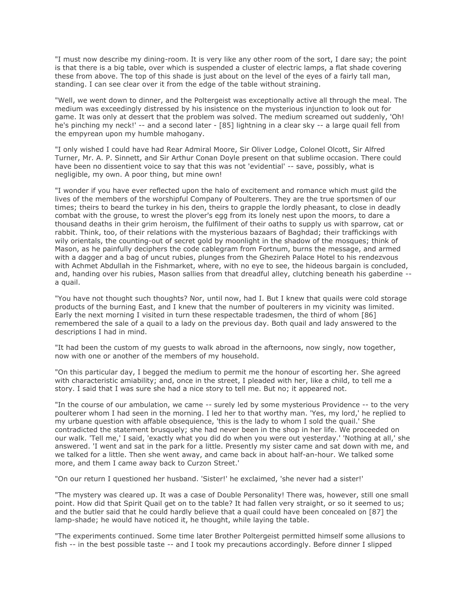"I must now describe my dining-room. It is very like any other room of the sort, I dare say; the point is that there is a big table, over which is suspended a cluster of electric lamps, a flat shade covering these from above. The top of this shade is just about on the level of the eyes of a fairly tall man, standing. I can see clear over it from the edge of the table without straining.

"Well, we went down to dinner, and the Poltergeist was exceptionally active all through the meal. The medium was exceedingly distressed by his insistence on the mysterious injunction to look out for game. It was only at dessert that the problem was solved. The medium screamed out suddenly, 'Oh! he's pinching my neck!' -- and a second later - [85] lightning in a clear sky -- a large quail fell from the empyrean upon my humble mahogany.

"I only wished I could have had Rear Admiral Moore, Sir Oliver Lodge, Colonel Olcott, Sir Alfred Turner, Mr. A. P. Sinnett, and Sir Arthur Conan Doyle present on that sublime occasion. There could have been no dissentient voice to say that this was not 'evidential' -- save, possibly, what is negligible, my own. A poor thing, but mine own!

"I wonder if you have ever reflected upon the halo of excitement and romance which must gild the lives of the members of the worshipful Company of Poulterers. They are the true sportsmen of our times; theirs to beard the turkey in his den, theirs to grapple the lordly pheasant, to close in deadly combat with the grouse, to wrest the plover's egg from its lonely nest upon the moors, to dare a thousand deaths in their grim heroism, the fulfilment of their oaths to supply us with sparrow, cat or rabbit. Think, too, of their relations with the mysterious bazaars of Baghdad; their traffickings with wily orientals, the counting-out of secret gold by moonlight in the shadow of the mosques; think of Mason, as he painfully deciphers the code cablegram from Fortnum, burns the message, and armed with a dagger and a bag of uncut rubies, plunges from the Ghezireh Palace Hotel to his rendezvous with Achmet Abdullah in the Fishmarket, where, with no eve to see, the hideous bargain is concluded, and, handing over his rubies, Mason sallies from that dreadful alley, clutching beneath his gaberdine -a quail.

"You have not thought such thoughts? Nor, until now, had I. But I knew that quails were cold storage products of the burning East, and I knew that the number of poulterers in my vicinity was limited. Early the next morning I visited in turn these respectable tradesmen, the third of whom [86] remembered the sale of a quail to a lady on the previous day. Both quail and lady answered to the descriptions I had in mind.

"It had been the custom of my guests to walk abroad in the afternoons, now singly, now together, now with one or another of the members of my household.

"On this particular day, I begged the medium to permit me the honour of escorting her. She agreed with characteristic amiability; and, once in the street, I pleaded with her, like a child, to tell me a story. I said that I was sure she had a nice story to tell me. But no; it appeared not.

"In the course of our ambulation, we came -- surely led by some mysterious Providence -- to the very poulterer whom I had seen in the morning. I led her to that worthy man. 'Yes, my lord,' he replied to my urbane question with affable obsequience, 'this is the lady to whom I sold the quail.' She contradicted the statement brusquely; she had never been in the shop in her life. We proceeded on our walk. 'Tell me,' I said, 'exactly what you did do when you were out yesterday.' 'Nothing at all,' she answered. 'I went and sat in the park for a little. Presently my sister came and sat down with me, and we talked for a little. Then she went away, and came back in about half-an-hour. We talked some more, and them I came away back to Curzon Street.'

"On our return I questioned her husband. 'Sister!' he exclaimed, 'she never had a sister!'

"The mystery was cleared up. It was a case of Double Personality! There was, however, still one small point. How did that Spirit Quail get on to the table? It had fallen very straight, or so it seemed to us; and the butler said that he could hardly believe that a quail could have been concealed on [87] the lamp-shade; he would have noticed it, he thought, while laying the table.

"The experiments continued. Some time later Brother Poltergeist permitted himself some allusions to fish -- in the best possible taste -- and I took my precautions accordingly. Before dinner I slipped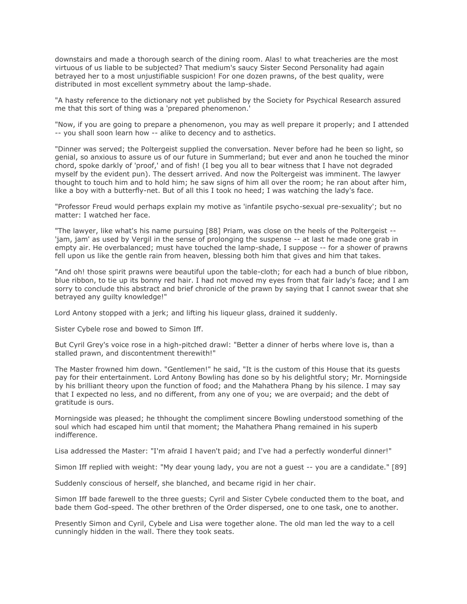downstairs and made a thorough search of the dining room. Alas! to what treacheries are the most virtuous of us liable to be subjected? That medium's saucy Sister Second Personality had again betrayed her to a most unjustifiable suspicion! For one dozen prawns, of the best quality, were distributed in most excellent symmetry about the lamp-shade.

"A hasty reference to the dictionary not yet published by the Society for Psychical Research assured me that this sort of thing was a 'prepared phenomenon.'

"Now, if you are going to prepare a phenomenon, you may as well prepare it properly; and I attended -- you shall soon learn how -- alike to decency and to asthetics.

"Dinner was served; the Poltergeist supplied the conversation. Never before had he been so light, so genial, so anxious to assure us of our future in Summerland; but ever and anon he touched the minor chord, spoke darkly of 'proof,' and of fish! (I beg you all to bear witness that I have not degraded myself by the evident pun). The dessert arrived. And now the Poltergeist was imminent. The lawyer thought to touch him and to hold him; he saw signs of him all over the room; he ran about after him, like a boy with a butterfly-net. But of all this I took no heed; I was watching the lady's face.

"Professor Freud would perhaps explain my motive as 'infantile psycho-sexual pre-sexuality'; but no matter: I watched her face.

"The lawyer, like what's his name pursuing [88] Priam, was close on the heels of the Poltergeist -- 'jam, jam' as used by Vergil in the sense of prolonging the suspense -- at last he made one grab in empty air. He overbalanced; must have touched the lamp-shade, I suppose -- for a shower of prawns fell upon us like the gentle rain from heaven, blessing both him that gives and him that takes.

"And oh! those spirit prawns were beautiful upon the table-cloth; for each had a bunch of blue ribbon, blue ribbon, to tie up its bonny red hair. I had not moved my eyes from that fair lady's face; and I am sorry to conclude this abstract and brief chronicle of the prawn by saying that I cannot swear that she betrayed any guilty knowledge!"

Lord Antony stopped with a jerk; and lifting his liqueur glass, drained it suddenly.

Sister Cybele rose and bowed to Simon Iff.

But Cyril Grey's voice rose in a high-pitched drawl: "Better a dinner of herbs where love is, than a stalled prawn, and discontentment therewith!"

The Master frowned him down. "Gentlemen!" he said, "It is the custom of this House that its guests pay for their entertainment. Lord Antony Bowling has done so by his delightful story; Mr. Morningside by his brilliant theory upon the function of food; and the Mahathera Phang by his silence. I may say that I expected no less, and no different, from any one of you; we are overpaid; and the debt of gratitude is ours.

Morningside was pleased; he thhought the compliment sincere Bowling understood something of the soul which had escaped him until that moment; the Mahathera Phang remained in his superb indifference.

Lisa addressed the Master: "I'm afraid I haven't paid; and I've had a perfectly wonderful dinner!"

Simon Iff replied with weight: "My dear young lady, you are not a guest -- you are a candidate." [89]

Suddenly conscious of herself, she blanched, and became rigid in her chair.

Simon Iff bade farewell to the three guests; Cyril and Sister Cybele conducted them to the boat, and bade them God-speed. The other brethren of the Order dispersed, one to one task, one to another.

Presently Simon and Cyril, Cybele and Lisa were together alone. The old man led the way to a cell cunningly hidden in the wall. There they took seats.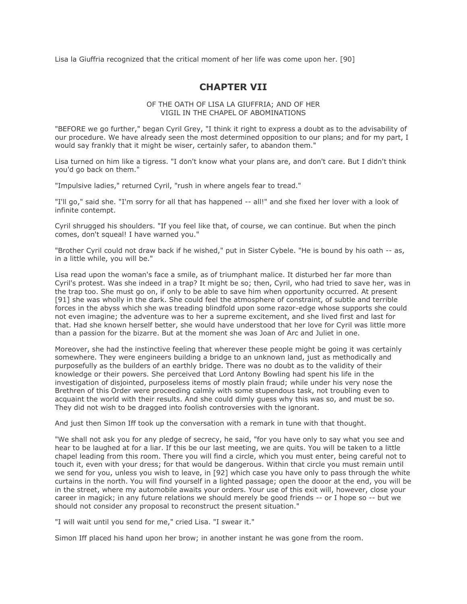Lisa la Giuffria recognized that the critical moment of her life was come upon her. [90]

# **CHAPTER VII**

### OF THE OATH OF LISA LA GIUFFRIA; AND OF HER VIGIL IN THE CHAPEL OF ABOMINATIONS

"BEFORE we go further," began Cyril Grey, "I think it right to express a doubt as to the advisability of our procedure. We have already seen the most determined opposition to our plans; and for my part, I would say frankly that it might be wiser, certainly safer, to abandon them."

Lisa turned on him like a tigress. "I don't know what your plans are, and don't care. But I didn't think you'd go back on them."

"Impulsive ladies," returned Cyril, "rush in where angels fear to tread."

"I'll go," said she. "I'm sorry for all that has happened -- all!" and she fixed her lover with a look of infinite contempt.

Cyril shrugged his shoulders. "If you feel like that, of course, we can continue. But when the pinch comes, don't squeal! I have warned you."

"Brother Cyril could not draw back if he wished," put in Sister Cybele. "He is bound by his oath -- as, in a little while, you will be."

Lisa read upon the woman's face a smile, as of triumphant malice. It disturbed her far more than Cyril's protest. Was she indeed in a trap? It might be so; then, Cyril, who had tried to save her, was in the trap too. She must go on, if only to be able to save him when opportunity occurred. At present [91] she was wholly in the dark. She could feel the atmosphere of constraint, of subtle and terrible forces in the abyss which she was treading blindfold upon some razor-edge whose supports she could not even imagine; the adventure was to her a supreme excitement, and she lived first and last for that. Had she known herself better, she would have understood that her love for Cyril was little more than a passion for the bizarre. But at the moment she was Joan of Arc and Juliet in one.

Moreover, she had the instinctive feeling that wherever these people might be going it was certainly somewhere. They were engineers building a bridge to an unknown land, just as methodically and purposefully as the builders of an earthly bridge. There was no doubt as to the validity of their knowledge or their powers. She perceived that Lord Antony Bowling had spent his life in the investigation of disjointed, purposeless items of mostly plain fraud; while under his very nose the Brethren of this Order were proceeding calmly with some stupendous task, not troubling even to acquaint the world with their results. And she could dimly guess why this was so, and must be so. They did not wish to be dragged into foolish controversies with the ignorant.

And just then Simon Iff took up the conversation with a remark in tune with that thought.

"We shall not ask you for any pledge of secrecy, he said, "for you have only to say what you see and hear to be laughed at for a liar. If this be our last meeting, we are quits. You will be taken to a little chapel leading from this room. There you will find a circle, which you must enter, being careful not to touch it, even with your dress; for that would be dangerous. Within that circle you must remain until we send for you, unless you wish to leave, in [92] which case you have only to pass through the white curtains in the north. You will find yourself in a lighted passage; open the dooor at the end, you will be in the street, where my automobile awaits your orders. Your use of this exit will, however, close your career in magick; in any future relations we should merely be good friends -- or I hope so -- but we should not consider any proposal to reconstruct the present situation."

"I will wait until you send for me," cried Lisa. "I swear it."

Simon Iff placed his hand upon her brow; in another instant he was gone from the room.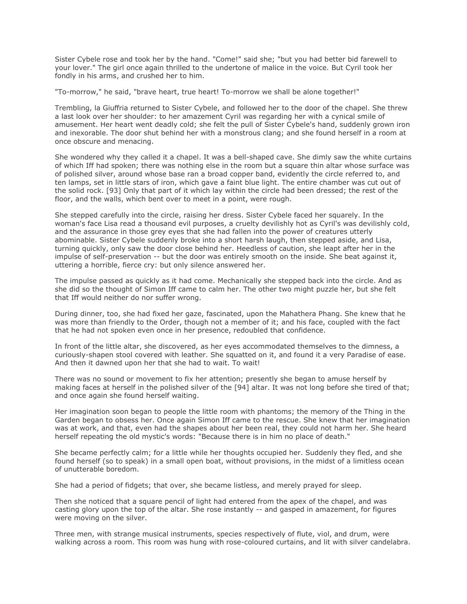Sister Cybele rose and took her by the hand. "Come!" said she; "but you had better bid farewell to your lover." The girl once again thrilled to the undertone of malice in the voice. But Cyril took her fondly in his arms, and crushed her to him.

"To-morrow," he said, "brave heart, true heart! To-morrow we shall be alone together!"

Trembling, la Giuffria returned to Sister Cybele, and followed her to the door of the chapel. She threw a last look over her shoulder: to her amazement Cyril was regarding her with a cynical smile of amusement. Her heart went deadly cold; she felt the pull of Sister Cybele's hand, suddenly grown iron and inexorable. The door shut behind her with a monstrous clang; and she found herself in a room at once obscure and menacing.

She wondered why they called it a chapel. It was a bell-shaped cave. She dimly saw the white curtains of which Iff had spoken; there was nothing else in the room but a square thin altar whose surface was of polished silver, around whose base ran a broad copper band, evidently the circle referred to, and ten lamps, set in little stars of iron, which gave a faint blue light. The entire chamber was cut out of the solid rock. [93] Only that part of it which lay within the circle had been dressed; the rest of the floor, and the walls, which bent over to meet in a point, were rough.

She stepped carefully into the circle, raising her dress. Sister Cybele faced her squarely. In the woman's face Lisa read a thousand evil purposes, a cruelty devilishly hot as Cyril's was devilishly cold, and the assurance in those grey eyes that she had fallen into the power of creatures utterly abominable. Sister Cybele suddenly broke into a short harsh laugh, then stepped aside, and Lisa, turning quickly, only saw the door close behind her. Heedless of caution, she leapt after her in the impulse of self-preservation -- but the door was entirely smooth on the inside. She beat against it, uttering a horrible, fierce cry: but only silence answered her.

The impulse passed as quickly as it had come. Mechanically she stepped back into the circle. And as she did so the thought of Simon Iff came to calm her. The other two might puzzle her, but she felt that Iff would neither do nor suffer wrong.

During dinner, too, she had fixed her gaze, fascinated, upon the Mahathera Phang. She knew that he was more than friendly to the Order, though not a member of it; and his face, coupled with the fact that he had not spoken even once in her presence, redoubled that confidence.

In front of the little altar, she discovered, as her eyes accommodated themselves to the dimness, a curiously-shapen stool covered with leather. She squatted on it, and found it a very Paradise of ease. And then it dawned upon her that she had to wait. To wait!

There was no sound or movement to fix her attention; presently she began to amuse herself by making faces at herself in the polished silver of the [94] altar. It was not long before she tired of that; and once again she found herself waiting.

Her imagination soon began to people the little room with phantoms; the memory of the Thing in the Garden began to obsess her. Once again Simon Iff came to the rescue. She knew that her imagination was at work, and that, even had the shapes about her been real, they could not harm her. She heard herself repeating the old mystic's words: "Because there is in him no place of death."

She became perfectly calm; for a little while her thoughts occupied her. Suddenly they fled, and she found herself (so to speak) in a small open boat, without provisions, in the midst of a limitless ocean of unutterable boredom.

She had a period of fidgets; that over, she became listless, and merely prayed for sleep.

Then she noticed that a square pencil of light had entered from the apex of the chapel, and was casting glory upon the top of the altar. She rose instantly -- and gasped in amazement, for figures were moving on the silver.

Three men, with strange musical instruments, species respectively of flute, viol, and drum, were walking across a room. This room was hung with rose-coloured curtains, and lit with silver candelabra.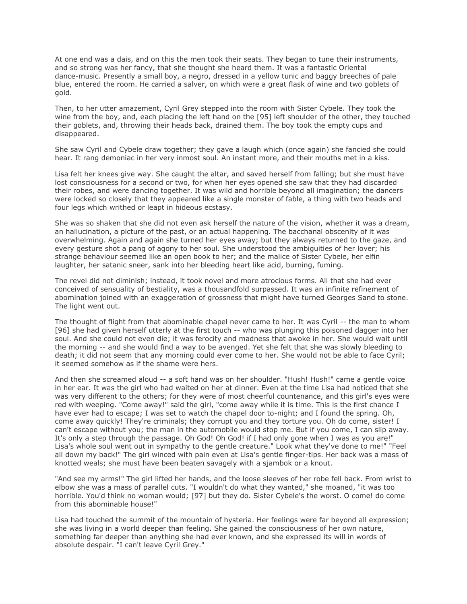At one end was a dais, and on this the men took their seats. They began to tune their instruments, and so strong was her fancy, that she thought she heard them. It was a fantastic Oriental dance-music. Presently a small boy, a negro, dressed in a yellow tunic and baggy breeches of pale blue, entered the room. He carried a salver, on which were a great flask of wine and two goblets of gold.

Then, to her utter amazement, Cyril Grey stepped into the room with Sister Cybele. They took the wine from the boy, and, each placing the left hand on the [95] left shoulder of the other, they touched their goblets, and, throwing their heads back, drained them. The boy took the empty cups and disappeared.

She saw Cyril and Cybele draw together; they gave a laugh which (once again) she fancied she could hear. It rang demoniac in her very inmost soul. An instant more, and their mouths met in a kiss.

Lisa felt her knees give way. She caught the altar, and saved herself from falling; but she must have lost consciousness for a second or two, for when her eyes opened she saw that they had discarded their robes, and were dancing together. It was wild and horrible beyond all imagination; the dancers were locked so closely that they appeared like a single monster of fable, a thing with two heads and four legs which writhed or leapt in hideous ecstasy.

She was so shaken that she did not even ask herself the nature of the vision, whether it was a dream, an hallucination, a picture of the past, or an actual happening. The bacchanal obscenity of it was overwhelming. Again and again she turned her eyes away; but they always returned to the gaze, and every gesture shot a pang of agony to her soul. She understood the ambiguities of her lover; his strange behaviour seemed like an open book to her; and the malice of Sister Cybele, her elfin laughter, her satanic sneer, sank into her bleeding heart like acid, burning, fuming.

The revel did not diminish; instead, it took novel and more atrocious forms. All that she had ever conceived of sensuality of bestiality, was a thousandfold surpassed. It was an infinite refinement of abomination joined with an exaggeration of grossness that might have turned Georges Sand to stone. The light went out.

The thought of flight from that abominable chapel never came to her. It was Cyril -- the man to whom [96] she had given herself utterly at the first touch -- who was plunging this poisoned dagger into her soul. And she could not even die; it was ferocity and madness that awoke in her. She would wait until the morning -- and she would find a way to be avenged. Yet she felt that she was slowly bleeding to death; it did not seem that any morning could ever come to her. She would not be able to face Cyril; it seemed somehow as if the shame were hers.

And then she screamed aloud -- a soft hand was on her shoulder. "Hush! Hush!" came a gentle voice in her ear. It was the girl who had waited on her at dinner. Even at the time Lisa had noticed that she was very different to the others; for they were of most cheerful countenance, and this girl's eyes were red with weeping. "Come away!" said the girl, "come away while it is time. This is the first chance I have ever had to escape; I was set to watch the chapel door to-night; and I found the spring. Oh, come away quickly! They're criminals; they corrupt you and they torture you. Oh do come, sister! I can't escape without you; the man in the automobile would stop me. But if you come, I can slip away. It's only a step through the passage. Oh God! Oh God! if I had only gone when I was as you are!" Lisa's whole soul went out in sympathy to the gentle creature." Look what they've done to me!" "Feel all down my back!" The girl winced with pain even at Lisa's gentle finger-tips. Her back was a mass of knotted weals; she must have been beaten savagely with a sjambok or a knout.

"And see my arms!" The girl lifted her hands, and the loose sleeves of her robe fell back. From wrist to elbow she was a mass of parallel cuts. "I wouldn't do what they wanted," she moaned, "it was too horrible. You'd think no woman would; [97] but they do. Sister Cybele's the worst. O come! do come from this abominable house!"

Lisa had touched the summit of the mountain of hysteria. Her feelings were far beyond all expression; she was living in a world deeper than feeling. She gained the consciousness of her own nature, something far deeper than anything she had ever known, and she expressed its will in words of absolute despair. "I can't leave Cyril Grey."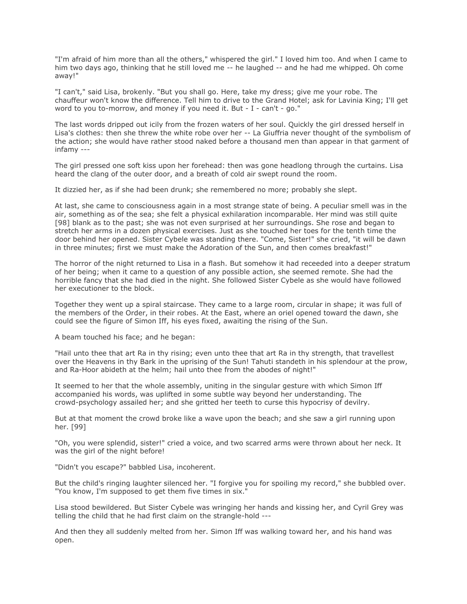"I'm afraid of him more than all the others," whispered the girl." I loved him too. And when I came to him two days ago, thinking that he still loved me -- he laughed -- and he had me whipped. Oh come away!"

"I can't," said Lisa, brokenly. "But you shall go. Here, take my dress; give me your robe. The chauffeur won't know the difference. Tell him to drive to the Grand Hotel; ask for Lavinia King; I'll get word to you to-morrow, and money if you need it. But - I - can't - go."

The last words dripped out icily from the frozen waters of her soul. Quickly the girl dressed herself in Lisa's clothes: then she threw the white robe over her -- La Giuffria never thought of the symbolism of the action; she would have rather stood naked before a thousand men than appear in that garment of infamy ---

The girl pressed one soft kiss upon her forehead: then was gone headlong through the curtains. Lisa heard the clang of the outer door, and a breath of cold air swept round the room.

It dizzied her, as if she had been drunk; she remembered no more; probably she slept.

At last, she came to consciousness again in a most strange state of being. A peculiar smell was in the air, something as of the sea; she felt a physical exhilaration incomparable. Her mind was still quite [98] blank as to the past; she was not even surprised at her surroundings. She rose and began to stretch her arms in a dozen physical exercises. Just as she touched her toes for the tenth time the door behind her opened. Sister Cybele was standing there. "Come, Sister!" she cried, "it will be dawn in three minutes; first we must make the Adoration of the Sun, and then comes breakfast!"

The horror of the night returned to Lisa in a flash. But somehow it had receeded into a deeper stratum of her being; when it came to a question of any possible action, she seemed remote. She had the horrible fancy that she had died in the night. She followed Sister Cybele as she would have followed her executioner to the block.

Together they went up a spiral staircase. They came to a large room, circular in shape; it was full of the members of the Order, in their robes. At the East, where an oriel opened toward the dawn, she could see the figure of Simon Iff, his eyes fixed, awaiting the rising of the Sun.

A beam touched his face; and he began:

"Hail unto thee that art Ra in thy rising; even unto thee that art Ra in thy strength, that travellest over the Heavens in thy Bark in the uprising of the Sun! Tahuti standeth in his splendour at the prow, and Ra-Hoor abideth at the helm; hail unto thee from the abodes of night!"

It seemed to her that the whole assembly, uniting in the singular gesture with which Simon Iff accompanied his words, was uplifted in some subtle way beyond her understanding. The crowd-psychology assailed her; and she gritted her teeth to curse this hypocrisy of devilry.

But at that moment the crowd broke like a wave upon the beach; and she saw a girl running upon her. [99]

"Oh, you were splendid, sister!" cried a voice, and two scarred arms were thrown about her neck. It was the girl of the night before!

"Didn't you escape?" babbled Lisa, incoherent.

But the child's ringing laughter silenced her. "I forgive you for spoiling my record," she bubbled over. "You know, I'm supposed to get them five times in six."

Lisa stood bewildered. But Sister Cybele was wringing her hands and kissing her, and Cyril Grey was telling the child that he had first claim on the strangle-hold ---

And then they all suddenly melted from her. Simon Iff was walking toward her, and his hand was open.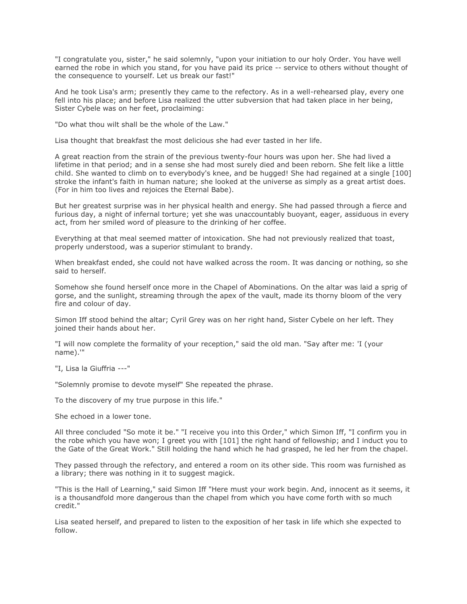"I congratulate you, sister," he said solemnly, "upon your initiation to our holy Order. You have well earned the robe in which you stand, for you have paid its price -- service to others without thought of the consequence to yourself. Let us break our fast!"

And he took Lisa's arm; presently they came to the refectory. As in a well-rehearsed play, every one fell into his place; and before Lisa realized the utter subversion that had taken place in her being, Sister Cybele was on her feet, proclaiming:

"Do what thou wilt shall be the whole of the Law."

Lisa thought that breakfast the most delicious she had ever tasted in her life.

A great reaction from the strain of the previous twenty-four hours was upon her. She had lived a lifetime in that period; and in a sense she had most surely died and been reborn. She felt like a little child. She wanted to climb on to everybody's knee, and be hugged! She had regained at a single [100] stroke the infant's faith in human nature; she looked at the universe as simply as a great artist does. (For in him too lives and rejoices the Eternal Babe).

But her greatest surprise was in her physical health and energy. She had passed through a fierce and furious day, a night of infernal torture; yet she was unaccountably buoyant, eager, assiduous in every act, from her smiled word of pleasure to the drinking of her coffee.

Everything at that meal seemed matter of intoxication. She had not previously realized that toast, properly understood, was a superior stimulant to brandy.

When breakfast ended, she could not have walked across the room. It was dancing or nothing, so she said to herself.

Somehow she found herself once more in the Chapel of Abominations. On the altar was laid a sprig of gorse, and the sunlight, streaming through the apex of the vault, made its thorny bloom of the very fire and colour of day.

Simon Iff stood behind the altar; Cyril Grey was on her right hand, Sister Cybele on her left. They joined their hands about her.

"I will now complete the formality of your reception," said the old man. "Say after me: 'I (your name).'"

"I, Lisa la Giuffria ---"

"Solemnly promise to devote myself" She repeated the phrase.

To the discovery of my true purpose in this life."

She echoed in a lower tone.

All three concluded "So mote it be." "I receive you into this Order," which Simon Iff, "I confirm you in the robe which you have won; I greet you with [101] the right hand of fellowship; and I induct you to the Gate of the Great Work." Still holding the hand which he had grasped, he led her from the chapel.

They passed through the refectory, and entered a room on its other side. This room was furnished as a library; there was nothing in it to suggest magick.

"This is the Hall of Learning," said Simon Iff "Here must your work begin. And, innocent as it seems, it is a thousandfold more dangerous than the chapel from which you have come forth with so much credit."

Lisa seated herself, and prepared to listen to the exposition of her task in life which she expected to follow.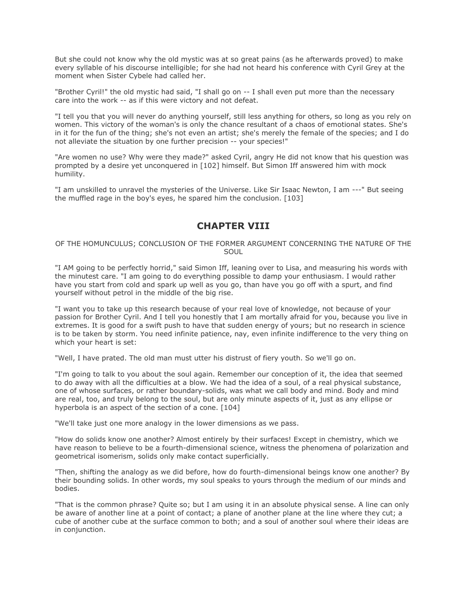But she could not know why the old mystic was at so great pains (as he afterwards proved) to make every syllable of his discourse intelligible; for she had not heard his conference with Cyril Grey at the moment when Sister Cybele had called her.

"Brother Cyril!" the old mystic had said, "I shall go on -- I shall even put more than the necessary care into the work -- as if this were victory and not defeat.

"I tell you that you will never do anything yourself, still less anything for others, so long as you rely on women. This victory of the woman's is only the chance resultant of a chaos of emotional states. She's in it for the fun of the thing; she's not even an artist; she's merely the female of the species; and I do not alleviate the situation by one further precision -- your species!"

"Are women no use? Why were they made?" asked Cyril, angry He did not know that his question was prompted by a desire yet unconquered in [102] himself. But Simon Iff answered him with mock humility.

"I am unskilled to unravel the mysteries of the Universe. Like Sir Isaac Newton, I am ---" But seeing the muffled rage in the boy's eyes, he spared him the conclusion. [103]

## **CHAPTER VIII**

### OF THE HOMUNCULUS; CONCLUSION OF THE FORMER ARGUMENT CONCERNING THE NATURE OF THE SOUL

"I AM going to be perfectly horrid," said Simon Iff, leaning over to Lisa, and measuring his words with the minutest care. "I am going to do everything possible to damp your enthusiasm. I would rather have you start from cold and spark up well as you go, than have you go off with a spurt, and find yourself without petrol in the middle of the big rise.

"I want you to take up this research because of your real love of knowledge, not because of your passion for Brother Cyril. And I tell you honestly that I am mortally afraid for you, because you live in extremes. It is good for a swift push to have that sudden energy of yours; but no research in science is to be taken by storm. You need infinite patience, nay, even infinite indifference to the very thing on which your heart is set:

"Well, I have prated. The old man must utter his distrust of fiery youth. So we'll go on.

"I'm going to talk to you about the soul again. Remember our conception of it, the idea that seemed to do away with all the difficulties at a blow. We had the idea of a soul, of a real physical substance, one of whose surfaces, or rather boundary-solids, was what we call body and mind. Body and mind are real, too, and truly belong to the soul, but are only minute aspects of it, just as any ellipse or hyperbola is an aspect of the section of a cone. [104]

"We'll take just one more analogy in the lower dimensions as we pass.

"How do solids know one another? Almost entirely by their surfaces! Except in chemistry, which we have reason to believe to be a fourth-dimensional science, witness the phenomena of polarization and geometrical isomerism, solids only make contact superficially.

"Then, shifting the analogy as we did before, how do fourth-dimensional beings know one another? By their bounding solids. In other words, my soul speaks to yours through the medium of our minds and bodies.

"That is the common phrase? Quite so; but I am using it in an absolute physical sense. A line can only be aware of another line at a point of contact; a plane of another plane at the line where they cut; a cube of another cube at the surface common to both; and a soul of another soul where their ideas are in conjunction.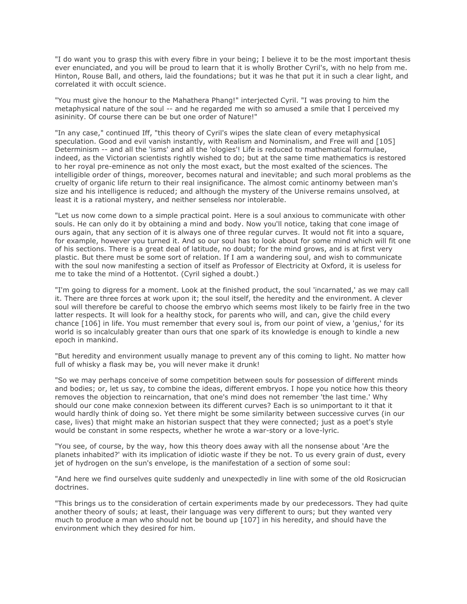"I do want you to grasp this with every fibre in your being; I believe it to be the most important thesis ever enunciated, and you will be proud to learn that it is wholly Brother Cyril's, with no help from me. Hinton, Rouse Ball, and others, laid the foundations; but it was he that put it in such a clear light, and correlated it with occult science.

"You must give the honour to the Mahathera Phang!" interjected Cyril. "I was proving to him the metaphysical nature of the soul -- and he regarded me with so amused a smile that I perceived my asininity. Of course there can be but one order of Nature!"

"In any case," continued Iff, "this theory of Cyril's wipes the slate clean of every metaphysical speculation. Good and evil vanish instantly, with Realism and Nominalism, and Free will and [105] Determinism -- and all the 'isms' and all the 'ologies'! Life is reduced to mathematical formulae, indeed, as the Victorian scientists rightly wished to do; but at the same time mathematics is restored to her royal pre-eminence as not only the most exact, but the most exalted of the sciences. The intelligible order of things, moreover, becomes natural and inevitable; and such moral problems as the cruelty of organic life return to their real insignificance. The almost comic antinomy between man's size and his intelligence is reduced; and although the mystery of the Universe remains unsolved, at least it is a rational mystery, and neither senseless nor intolerable.

"Let us now come down to a simple practical point. Here is a soul anxious to communicate with other souls. He can only do it by obtaining a mind and body. Now you'll notice, taking that cone image of ours again, that any section of it is always one of three regular curves. It would not fit into a square, for example, however you turned it. And so our soul has to look about for some mind which will fit one of his sections. There is a great deal of latitude, no doubt; for the mind grows, and is at first very plastic. But there must be some sort of relation. If I am a wandering soul, and wish to communicate with the soul now manifesting a section of itself as Professor of Electricity at Oxford, it is useless for me to take the mind of a Hottentot. (Cyril sighed a doubt.)

"I'm going to digress for a moment. Look at the finished product, the soul 'incarnated,' as we may call it. There are three forces at work upon it; the soul itself, the heredity and the environment. A clever soul will therefore be careful to choose the embryo which seems most likely to be fairly free in the two latter respects. It will look for a healthy stock, for parents who will, and can, give the child every chance [106] in life. You must remember that every soul is, from our point of view, a 'genius,' for its world is so incalculably greater than ours that one spark of its knowledge is enough to kindle a new epoch in mankind.

"But heredity and environment usually manage to prevent any of this coming to light. No matter how full of whisky a flask may be, you will never make it drunk!

"So we may perhaps conceive of some competition between souls for possession of different minds and bodies; or, let us say, to combine the ideas, different embryos. I hope you notice how this theory removes the objection to reincarnation, that one's mind does not remember 'the last time.' Why should our cone make connexion between its different curves? Each is so unimportant to it that it would hardly think of doing so. Yet there might be some similarity between successive curves (in our case, lives) that might make an historian suspect that they were connected; just as a poet's style would be constant in some respects, whether he wrote a war-story or a love-lyric.

"You see, of course, by the way, how this theory does away with all the nonsense about 'Are the planets inhabited?' with its implication of idiotic waste if they be not. To us every grain of dust, every jet of hydrogen on the sun's envelope, is the manifestation of a section of some soul:

"And here we find ourselves quite suddenly and unexpectedly in line with some of the old Rosicrucian doctrines.

"This brings us to the consideration of certain experiments made by our predecessors. They had quite another theory of souls; at least, their language was very different to ours; but they wanted very much to produce a man who should not be bound up [107] in his heredity, and should have the environment which they desired for him.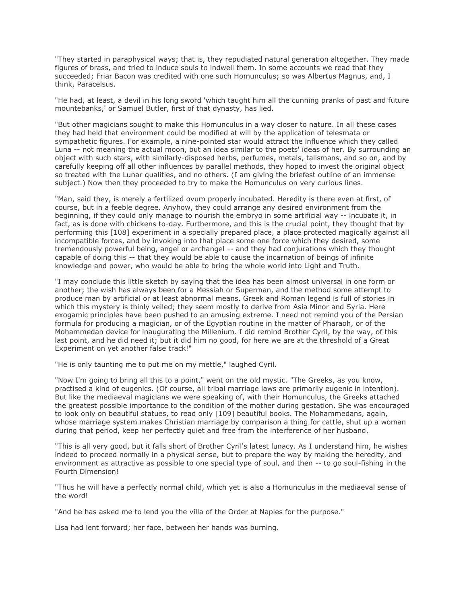"They started in paraphysical ways; that is, they repudiated natural generation altogether. They made figures of brass, and tried to induce souls to indwell them. In some accounts we read that they succeeded; Friar Bacon was credited with one such Homunculus; so was Albertus Magnus, and, I think, Paracelsus.

"He had, at least, a devil in his long sword 'which taught him all the cunning pranks of past and future mountebanks,' or Samuel Butler, first of that dynasty, has lied.

"But other magicians sought to make this Homunculus in a way closer to nature. In all these cases they had held that environment could be modified at will by the application of telesmata or sympathetic figures. For example, a nine-pointed star would attract the influence which they called Luna -- not meaning the actual moon, but an idea similar to the poets' ideas of her. By surrounding an object with such stars, with similarly-disposed herbs, perfumes, metals, talismans, and so on, and by carefully keeping off all other influences by parallel methods, they hoped to invest the original object so treated with the Lunar qualities, and no others. (I am giving the briefest outline of an immense subject.) Now then they proceeded to try to make the Homunculus on very curious lines.

"Man, said they, is merely a fertilized ovum properly incubated. Heredity is there even at first, of course, but in a feeble degree. Anyhow, they could arrange any desired environment from the beginning, if they could only manage to nourish the embryo in some artificial way -- incubate it, in fact, as is done with chickens to-day. Furthermore, and this is the crucial point, they thought that by performing this [108] experiment in a specially prepared place, a place protected magically against all incompatible forces, and by invoking into that place some one force which they desired, some tremendously powerful being, angel or archangel -- and they had conjurations which they thought capable of doing this -- that they would be able to cause the incarnation of beings of infinite knowledge and power, who would be able to bring the whole world into Light and Truth.

"I may conclude this little sketch by saying that the idea has been almost universal in one form or another; the wish has always been for a Messiah or Superman, and the method some attempt to produce man by artificial or at least abnormal means. Greek and Roman legend is full of stories in which this mystery is thinly veiled; they seem mostly to derive from Asia Minor and Syria. Here exogamic principles have been pushed to an amusing extreme. I need not remind you of the Persian formula for producing a magician, or of the Egyptian routine in the matter of Pharaoh, or of the Mohammedan device for inaugurating the Millenium. I did remind Brother Cyril, by the way, of this last point, and he did need it; but it did him no good, for here we are at the threshold of a Great Experiment on yet another false track!"

"He is only taunting me to put me on my mettle," laughed Cyril.

"Now I'm going to bring all this to a point," went on the old mystic. "The Greeks, as you know, practised a kind of eugenics. (Of course, all tribal marriage laws are primarily eugenic in intention). But like the mediaeval magicians we were speaking of, with their Homunculus, the Greeks attached the greatest possible importance to the condition of the mother during gestation. She was encouraged to look only on beautiful statues, to read only [109] beautiful books. The Mohammedans, again, whose marriage system makes Christian marriage by comparison a thing for cattle, shut up a woman during that period, keep her perfectly quiet and free from the interference of her husband.

"This is all very good, but it falls short of Brother Cyril's latest lunacy. As I understand him, he wishes indeed to proceed normally in a physical sense, but to prepare the way by making the heredity, and environment as attractive as possible to one special type of soul, and then -- to go soul-fishing in the Fourth Dimension!

"Thus he will have a perfectly normal child, which yet is also a Homunculus in the mediaeval sense of the word!

"And he has asked me to lend you the villa of the Order at Naples for the purpose."

Lisa had lent forward; her face, between her hands was burning.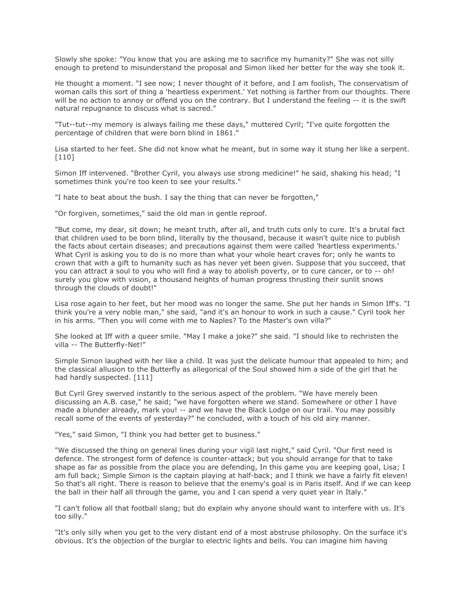Slowly she spoke: "You know that you are asking me to sacrifice my humanity?" She was not silly enough to pretend to misunderstand the proposal and Simon liked her better for the way she took it.

He thought a moment. "I see now; I never thought of it before, and I am foolish, The conservatism of woman calls this sort of thing a 'heartless experiment.' Yet nothing is farther from our thoughts. There will be no action to annoy or offend you on the contrary. But I understand the feeling -- it is the swift natural repugnance to discuss what is sacred."

"Tut--tut--my memory is always failing me these days," muttered Cyril; "I've quite forgotten the percentage of children that were born blind in 1861."

Lisa started to her feet. She did not know what he meant, but in some way it stung her like a serpent. [110]

Simon Iff intervened. "Brother Cyril, you always use strong medicine!" he said, shaking his head; "I sometimes think you're too keen to see your results."

"I hate to beat about the bush. I say the thing that can never be forgotten,"

"Or forgiven, sometimes," said the old man in gentle reproof.

"But come, my dear, sit down; he meant truth, after all, and truth cuts only to cure. It's a brutal fact that children used to be born blind, literally by the thousand, because it wasn't quite nice to publish the facts about certain diseases; and precautions against them were called 'heartless experiments.' What Cyril is asking you to do is no more than what your whole heart craves for; only he wants to crown that with a gift to humanity such as has never yet been given. Suppose that you succeed, that you can attract a soul to you who will find a way to abolish poverty, or to cure cancer, or to -- oh! surely you glow with vision, a thousand heights of human progress thrusting their sunlit snows through the clouds of doubt!"

Lisa rose again to her feet, but her mood was no longer the same. She put her hands in Simon Iff's. "I think you're a very noble man," she said, "and it's an honour to work in such a cause." Cyril took her in his arms. "Then you will come with me to Naples? To the Master's own villa?"

She looked at Iff with a queer smile. "May I make a joke?" she said. "I should like to rechristen the villa -- The Butterfly-Net!"

Simple Simon laughed with her like a child. It was just the delicate humour that appealed to him; and the classical allusion to the Butterfly as allegorical of the Soul showed him a side of the girl that he had hardly suspected. [111]

But Cyril Grey swerved instantly to the serious aspect of the problem. "We have merely been discussing an A.B. case," he said; "we have forgotten where we stand. Somewhere or other I have made a blunder already, mark you! -- and we have the Black Lodge on our trail. You may possibly recall some of the events of yesterday?" he concluded, with a touch of his old airy manner.

"Yes," said Simon, "I think you had better get to business."

"We discussed the thing on general lines during your vigil last night," said Cyril. "Our first need is defence. The strongest form of defence is counter-attack; but you should arrange for that to take shape as far as possible from the place you are defending, In this game you are keeping goal, Lisa; I am full back; Simple Simon is the captain playing at half-back; and I think we have a fairly fit eleven! So that's all right. There is reason to believe that the enemy's goal is in Paris itself. And if we can keep the ball in their half all through the game, you and I can spend a very quiet year in Italy."

"I can't follow all that football slang; but do explain why anyone should want to interfere with us. It's too silly."

"It's only silly when you get to the very distant end of a most abstruse philosophy. On the surface it's obvious. It's the objection of the burglar to electric lights and bells. You can imagine him having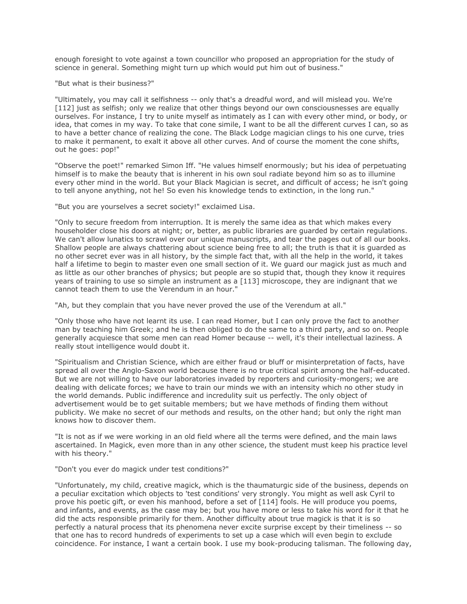enough foresight to vote against a town councillor who proposed an appropriation for the study of science in general. Something might turn up which would put him out of business."

"But what is their business?"

"Ultimately, you may call it selfishness -- only that's a dreadful word, and will mislead you. We're [112] just as selfish; only we realize that other things beyond our own consciousnesses are equally ourselves. For instance, I try to unite myself as intimately as I can with every other mind, or body, or idea, that comes in my way. To take that cone simile, I want to be all the different curves I can, so as to have a better chance of realizing the cone. The Black Lodge magician clings to his one curve, tries to make it permanent, to exalt it above all other curves. And of course the moment the cone shifts, out he goes: pop!"

"Observe the poet!" remarked Simon Iff. "He values himself enormously; but his idea of perpetuating himself is to make the beauty that is inherent in his own soul radiate beyond him so as to illumine every other mind in the world. But your Black Magician is secret, and difficult of access; he isn't going to tell anyone anything, not he! So even his knowledge tends to extinction, in the long run."

"But you are yourselves a secret society!" exclaimed Lisa.

"Only to secure freedom from interruption. It is merely the same idea as that which makes every householder close his doors at night; or, better, as public libraries are guarded by certain regulations. We can't allow lunatics to scrawl over our unique manuscripts, and tear the pages out of all our books. Shallow people are always chattering about science being free to all; the truth is that it is guarded as no other secret ever was in all history, by the simple fact that, with all the help in the world, it takes half a lifetime to begin to master even one small section of it. We guard our magick just as much and as little as our other branches of physics; but people are so stupid that, though they know it requires years of training to use so simple an instrument as a [113] microscope, they are indignant that we cannot teach them to use the Verendum in an hour."

"Ah, but they complain that you have never proved the use of the Verendum at all."

"Only those who have not learnt its use. I can read Homer, but I can only prove the fact to another man by teaching him Greek; and he is then obliged to do the same to a third party, and so on. People generally acquiesce that some men can read Homer because -- well, it's their intellectual laziness. A really stout intelligence would doubt it.

"Spiritualism and Christian Science, which are either fraud or bluff or misinterpretation of facts, have spread all over the Anglo-Saxon world because there is no true critical spirit among the half-educated. But we are not willing to have our laboratories invaded by reporters and curiosity-mongers; we are dealing with delicate forces; we have to train our minds we with an intensity which no other study in the world demands. Public indifference and incredulity suit us perfectly. The only object of advertisement would be to get suitable members; but we have methods of finding them without publicity. We make no secret of our methods and results, on the other hand; but only the right man knows how to discover them.

"It is not as if we were working in an old field where all the terms were defined, and the main laws ascertained. In Magick, even more than in any other science, the student must keep his practice level with his theory."

"Don't you ever do magick under test conditions?"

"Unfortunately, my child, creative magick, which is the thaumaturgic side of the business, depends on a peculiar excitation which objects to 'test conditions' very strongly. You might as well ask Cyril to prove his poetic gift, or even his manhood, before a set of [114] fools. He will produce you poems, and infants, and events, as the case may be; but you have more or less to take his word for it that he did the acts responsible primarily for them. Another difficulty about true magick is that it is so perfectly a natural process that its phenomena never excite surprise except by their timeliness -- so that one has to record hundreds of experiments to set up a case which will even begin to exclude coincidence. For instance, I want a certain book. I use my book-producing talisman. The following day,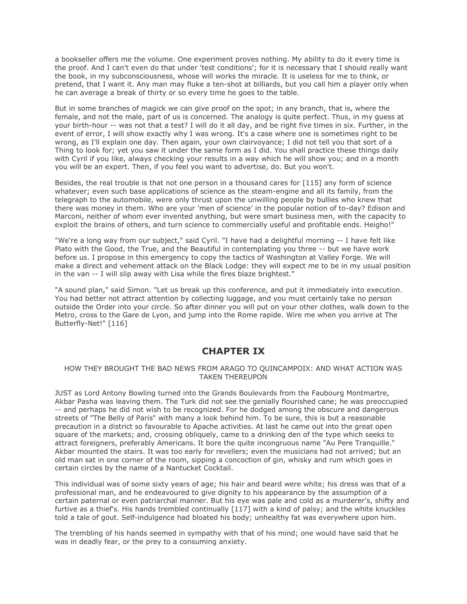a bookseller offers me the volume. One experiment proves nothing. My ability to do it every time is the proof. And I can't even do that under 'test conditions'; for it is necessary that I should really want the book, in my subconsciousness, whose will works the miracle. It is useless for me to think, or pretend, that I want it. Any man may fluke a ten-shot at billiards, but you call him a player only when he can average a break of thirty or so every time he goes to the table.

But in some branches of magick we can give proof on the spot; in any branch, that is, where the female, and not the male, part of us is concerned. The analogy is quite perfect. Thus, in my guess at your birth-hour -- was not that a test? I will do it all day, and be right five times in six. Further, in the event of error, I will show exactly why I was wrong. It's a case where one is sometimes right to be wrong, as I'll explain one day. Then again, your own clairvoyance; I did not tell you that sort of a Thing to look for; yet you saw it under the same form as I did. You shall practice these things daily with Cyril if you like, always checking your results in a way which he will show you; and in a month you will be an expert. Then, if you feel you want to advertise, do. But you won't.

Besides, the real trouble is that not one person in a thousand cares for [115] any form of science whatever; even such base applications of science as the steam-engine and all its family, from the telegraph to the automobile, were only thrust upon the unwilling people by bullies who knew that there was money in them. Who are your 'men of science' in the popular notion of to-day? Edison and Marconi, neither of whom ever invented anything, but were smart business men, with the capacity to exploit the brains of others, and turn science to commercially useful and profitable ends. Heigho!"

"We're a long way from our subject," said Cyril. "I have had a delightful morning -- I have felt like Plato with the Good, the True, and the Beautiful in contemplating you three -- but we have work before us. I propose in this emergency to copy the tactics of Washington at Valley Forge. We will make a direct and vehement attack on the Black Lodge: they will expect me to be in my usual position in the van -- I will slip away with Lisa while the fires blaze brightest."

"A sound plan," said Simon. "Let us break up this conference, and put it immediately into execution. You had better not attract attention by collecting luggage, and you must certainly take no person outside the Order into your circle. So after dinner you will put on your other clothes, walk down to the Metro, cross to the Gare de Lyon, and jump into the Rome rapide. Wire me when you arrive at The Butterfly-Net!" [116]

## **CHAPTER IX**

#### HOW THEY BROUGHT THE BAD NEWS FROM ARAGO TO QUINCAMPOIX: AND WHAT ACTION WAS TAKEN THEREUPON

JUST as Lord Antony Bowling turned into the Grands Boulevards from the Faubourg Montmartre, Akbar Pasha was leaving them. The Turk did not see the genially flourished cane; he was preoccupied -- and perhaps he did not wish to be recognized. For he dodged among the obscure and dangerous streets of "The Belly of Paris" with many a look behind him. To be sure, this is but a reasonable precaution in a district so favourable to Apache activities. At last he came out into the great open square of the markets; and, crossing obliquely, came to a drinking den of the type which seeks to attract foreigners, preferably Americans. It bore the quite incongruous name "Au Pere Tranquille." Akbar mounted the stairs. It was too early for revellers; even the musicians had not arrived; but an old man sat in one corner of the room, sipping a concoction of gin, whisky and rum which goes in certain circles by the name of a Nantucket Cocktail.

This individual was of some sixty years of age; his hair and beard were white; his dress was that of a professional man, and he endeavoured to give dignity to his appearance by the assumption of a certain paternal or even patriarchal manner. But his eye was pale and cold as a murderer's, shifty and furtive as a thief's. His hands trembled continually [117] with a kind of palsy; and the white knuckles told a tale of gout. Self-indulgence had bloated his body; unhealthy fat was everywhere upon him.

The trembling of his hands seemed in sympathy with that of his mind; one would have said that he was in deadly fear, or the prey to a consuming anxiety.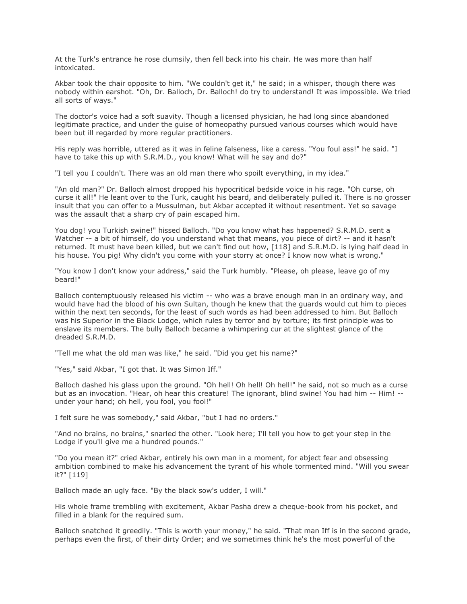At the Turk's entrance he rose clumsily, then fell back into his chair. He was more than half intoxicated.

Akbar took the chair opposite to him. "We couldn't get it," he said; in a whisper, though there was nobody within earshot. "Oh, Dr. Balloch, Dr. Balloch! do try to understand! It was impossible. We tried all sorts of ways."

The doctor's voice had a soft suavity. Though a licensed physician, he had long since abandoned legitimate practice, and under the guise of homeopathy pursued various courses which would have been but ill regarded by more regular practitioners.

His reply was horrible, uttered as it was in feline falseness, like a caress. "You foul ass!" he said. "I have to take this up with S.R.M.D., you know! What will he say and do?"

"I tell you I couldn't. There was an old man there who spoilt everything, in my idea."

"An old man?" Dr. Balloch almost dropped his hypocritical bedside voice in his rage. "Oh curse, oh curse it all!" He leant over to the Turk, caught his beard, and deliberately pulled it. There is no grosser insult that you can offer to a Mussulman, but Akbar accepted it without resentment. Yet so savage was the assault that a sharp cry of pain escaped him.

You dog! you Turkish swine!" hissed Balloch. "Do you know what has happened? S.R.M.D. sent a Watcher -- a bit of himself, do you understand what that means, you piece of dirt? -- and it hasn't returned. It must have been killed, but we can't find out how, [118] and S.R.M.D. is lying half dead in his house. You pig! Why didn't you come with your storry at once? I know now what is wrong."

"You know I don't know your address," said the Turk humbly. "Please, oh please, leave go of my beard!"

Balloch contemptuously released his victim -- who was a brave enough man in an ordinary way, and would have had the blood of his own Sultan, though he knew that the guards would cut him to pieces within the next ten seconds, for the least of such words as had been addressed to him. But Balloch was his Superior in the Black Lodge, which rules by terror and by torture; its first principle was to enslave its members. The bully Balloch became a whimpering cur at the slightest glance of the dreaded S.R.M.D.

"Tell me what the old man was like," he said. "Did you get his name?"

"Yes," said Akbar, "I got that. It was Simon Iff."

Balloch dashed his glass upon the ground. "Oh hell! Oh hell! Oh hell!" he said, not so much as a curse but as an invocation. "Hear, oh hear this creature! The ignorant, blind swine! You had him -- Him! - under your hand; oh hell, you fool, you fool!"

I felt sure he was somebody," said Akbar, "but I had no orders."

"And no brains, no brains," snarled the other. "Look here; I'll tell you how to get your step in the Lodge if you'll give me a hundred pounds."

"Do you mean it?" cried Akbar, entirely his own man in a moment, for abject fear and obsessing ambition combined to make his advancement the tyrant of his whole tormented mind. "Will you swear it?" [119]

Balloch made an ugly face. "By the black sow's udder, I will."

His whole frame trembling with excitement, Akbar Pasha drew a cheque-book from his pocket, and filled in a blank for the required sum.

Balloch snatched it greedily. "This is worth your money," he said. "That man Iff is in the second grade, perhaps even the first, of their dirty Order; and we sometimes think he's the most powerful of the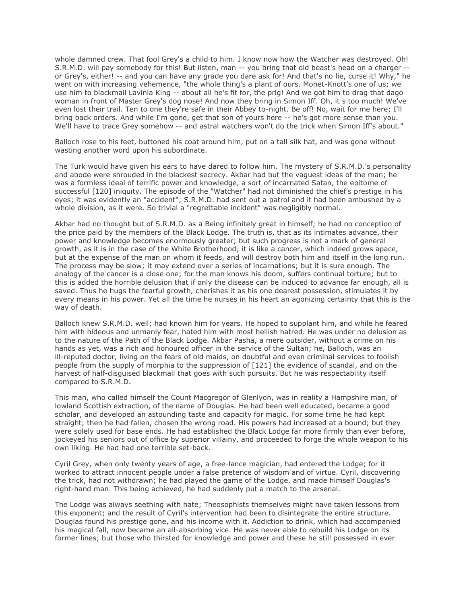whole damned crew. That fool Grey's a child to him. I know now how the Watcher was destroyed. Oh! S.R.M.D. will pay somebody for this! But listen, man -- you bring that old beast's head on a charger - or Grey's, either! -- and you can have any grade you dare ask for! And that's no lie, curse it! Why," he went on with increasing vehemence, "the whole thing's a plant of ours. Monet-Knott's one of us; we use him to blackmail Lavinia King -- about all he's fit for, the prig! And we got him to drag that dago woman in front of Master Grey's dog nose! And now they bring in Simon Iff. Oh, it s too much! We've even lost their trail. Ten to one they're safe in their Abbey to-night. Be off! No, wait for me here; I'll bring back orders. And while I'm gone, get that son of yours here -- he's got more sense than you. We'll have to trace Grey somehow -- and astral watchers won't do the trick when Simon Iff's about."

Balloch rose to his feet, buttoned his coat around him, put on a tall silk hat, and was gone without wasting another word upon his subordinate.

The Turk would have given his ears to have dared to follow him. The mystery of S.R.M.D.'s personality and abode were shrouded in the blackest secrecy. Akbar had but the vaguest ideas of the man; he was a formless ideal of terrific power and knowledge, a sort of incarnated Satan, the epitome of successful [120] iniquity. The episode of the "Watcher" had not diminished the chief's prestige in his eyes; it was evidently an "accident"; S.R.M.D. had sent out a patrol and it had been ambushed by a whole division, as it were. So trivial a "regrettable incident" was negligibly normal.

Akbar had no thought but of S.R.M.D. as a Being infinitely great in himself; he had no conception of the price paid by the members of the Black Lodge. The truth is, that as its intimates advance, their power and knowledge becomes enormously greater; but such progress is not a mark of general growth, as it is in the case of the White Brotherhood; it is like a cancer, which indeed grows apace, but at the expense of the man on whom it feeds, and will destroy both him and itself in the long run. The process may be slow; it may extend over a series of incarnations; but it is sure enough. The analogy of the cancer is a close one; for the man knows his doom, suffers continual torture; but to this is added the horrible delusion that if only the disease can be induced to advance far enough, all is saved. Thus he hugs the fearful growth, cherishes it as his one dearest possession, stimulates it by every means in his power. Yet all the time he nurses in his heart an agonizing certainty that this is the way of death.

Balloch knew S.R.M.D. well; had known him for years. He hoped to supplant him, and while he feared him with hideous and unmanly fear, hated him with most hellish hatred. He was under no delusion as to the nature of the Path of the Black Lodge. Akbar Pasha, a mere outsider, without a crime on his hands as yet, was a rich and honoured officer in the service of the Sultan; he, Balloch, was an ill-reputed doctor, living on the fears of old maids, on doubtful and even criminal services to foolish people from the supply of morphia to the suppression of [121] the evidence of scandal, and on the harvest of half-disguised blackmail that goes with such pursuits. But he was respectability itself compared to S.R.M.D.

This man, who called himself the Count Macgregor of Glenlyon, was in reality a Hampshire man, of lowland Scottish extraction, of the name of Douglas. He had been well educated, became a good scholar, and developed an astounding taste and capacity for magic. For some time he had kept straight; then he had fallen, chosen the wrong road. His powers had increased at a bound; but they were solely used for base ends. He had established the Black Lodge far more firmly than ever before, jockeyed his seniors out of office by superior villainy, and proceeded to forge the whole weapon to his own liking. He had had one terrible set-back.

Cyril Grey, when only twenty years of age, a free-lance magician, had entered the Lodge; for it worked to attract innocent people under a false pretence of wisdom and of virtue. Cyril, discovering the trick, had not withdrawn; he had played the game of the Lodge, and made himself Douglas's right-hand man. This being achieved, he had suddenly put a match to the arsenal.

The Lodge was always seething with hate; Theosophists themselves might have taken lessons from this exponent; and the result of Cyril's intervention had been to disintegrate the entire structure. Douglas found his prestige gone, and his income with it. Addiction to drink, which had accompanied his magical fall, now became an all-absorbing vice. He was never able to rebuild his Lodge on its former lines; but those who thirsted for knowledge and power and these he still possessed in ever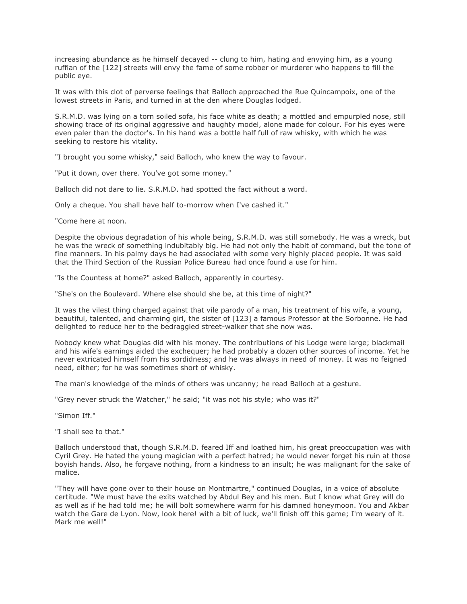increasing abundance as he himself decayed -- clung to him, hating and envying him, as a young ruffian of the [122] streets will envy the fame of some robber or murderer who happens to fill the public eye.

It was with this clot of perverse feelings that Balloch approached the Rue Quincampoix, one of the lowest streets in Paris, and turned in at the den where Douglas lodged.

S.R.M.D. was lying on a torn soiled sofa, his face white as death; a mottled and empurpled nose, still showing trace of its original aggressive and haughty model, alone made for colour. For his eyes were even paler than the doctor's. In his hand was a bottle half full of raw whisky, with which he was seeking to restore his vitality.

"I brought you some whisky," said Balloch, who knew the way to favour.

"Put it down, over there. You've got some money."

Balloch did not dare to lie. S.R.M.D. had spotted the fact without a word.

Only a cheque. You shall have half to-morrow when I've cashed it."

"Come here at noon.

Despite the obvious degradation of his whole being, S.R.M.D. was still somebody. He was a wreck, but he was the wreck of something indubitably big. He had not only the habit of command, but the tone of fine manners. In his palmy days he had associated with some very highly placed people. It was said that the Third Section of the Russian Police Bureau had once found a use for him.

"Is the Countess at home?" asked Balloch, apparently in courtesy.

"She's on the Boulevard. Where else should she be, at this time of night?"

It was the vilest thing charged against that vile parody of a man, his treatment of his wife, a young, beautiful, talented, and charming girl, the sister of [123] a famous Professor at the Sorbonne. He had delighted to reduce her to the bedraggled street-walker that she now was.

Nobody knew what Douglas did with his money. The contributions of his Lodge were large; blackmail and his wife's earnings aided the exchequer; he had probably a dozen other sources of income. Yet he never extricated himself from his sordidness; and he was always in need of money. It was no feigned need, either; for he was sometimes short of whisky.

The man's knowledge of the minds of others was uncanny; he read Balloch at a gesture.

"Grey never struck the Watcher," he said; "it was not his style; who was it?"

"Simon Iff."

"I shall see to that."

Balloch understood that, though S.R.M.D. feared Iff and loathed him, his great preoccupation was with Cyril Grey. He hated the young magician with a perfect hatred; he would never forget his ruin at those boyish hands. Also, he forgave nothing, from a kindness to an insult; he was malignant for the sake of malice.

"They will have gone over to their house on Montmartre," continued Douglas, in a voice of absolute certitude. "We must have the exits watched by Abdul Bey and his men. But I know what Grey will do as well as if he had told me; he will bolt somewhere warm for his damned honeymoon. You and Akbar watch the Gare de Lyon. Now, look here! with a bit of luck, we'll finish off this game; I'm weary of it. Mark me well!"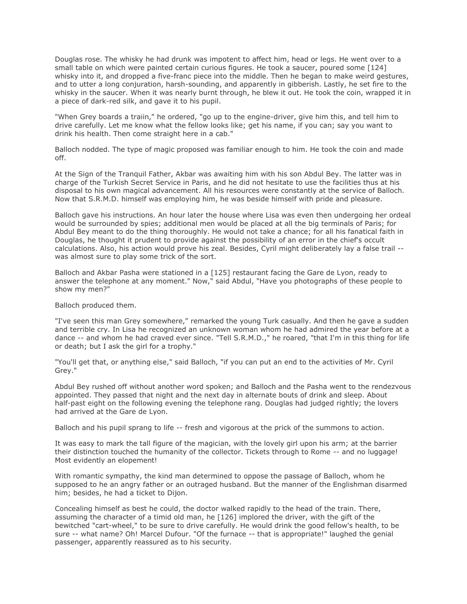Douglas rose. The whisky he had drunk was impotent to affect him, head or legs. He went over to a small table on which were painted certain curious figures. He took a saucer, poured some [124] whisky into it, and dropped a five-franc piece into the middle. Then he began to make weird gestures, and to utter a long conjuration, harsh-sounding, and apparently in gibberish. Lastly, he set fire to the whisky in the saucer. When it was nearly burnt through, he blew it out. He took the coin, wrapped it in a piece of dark-red silk, and gave it to his pupil.

"When Grey boards a traiin," he ordered, "go up to the engine-driver, give him this, and tell him to drive carefully. Let me know what the fellow looks like; get his name, if you can; say you want to drink his health. Then come straight here in a cab."

Balloch nodded. The type of magic proposed was familiar enough to him. He took the coin and made off.

At the Sign of the Tranquil Father, Akbar was awaiting him with his son Abdul Bey. The latter was in charge of the Turkish Secret Service in Paris, and he did not hesitate to use the facilities thus at his disposal to his own magical advancement. All his resources were constantly at the service of Balloch. Now that S.R.M.D. himself was employing him, he was beside himself with pride and pleasure.

Balloch gave his instructions. An hour later the house where Lisa was even then undergoing her ordeal would be surrounded by spies; additional men would be placed at all the big terminals of Paris; for Abdul Bey meant to do the thing thoroughly. He would not take a chance; for all his fanatical faith in Douglas, he thought it prudent to provide against the possibility of an error in the chief's occult calculations. Also, his action would prove his zeal. Besides, Cyril might deliberately lay a false trail - was almost sure to play some trick of the sort.

Balloch and Akbar Pasha were stationed in a [125] restaurant facing the Gare de Lyon, ready to answer the telephone at any moment." Now," said Abdul, "Have you photographs of these people to show my men?"

Balloch produced them.

"I've seen this man Grey somewhere," remarked the young Turk casually. And then he gave a sudden and terrible cry. In Lisa he recognized an unknown woman whom he had admired the year before at a dance -- and whom he had craved ever since. "Tell S.R.M.D.," he roared, "that I'm in this thing for life or death; but I ask the girl for a trophy."

"You'll get that, or anything else," said Balloch, "if you can put an end to the activities of Mr. Cyril Grey."

Abdul Bey rushed off without another word spoken; and Balloch and the Pasha went to the rendezvous appointed. They passed that night and the next day in alternate bouts of drink and sleep. About half-past eight on the following evening the telephone rang. Douglas had judged rightly; the lovers had arrived at the Gare de Lyon.

Balloch and his pupil sprang to life -- fresh and vigorous at the prick of the summons to action.

It was easy to mark the tall figure of the magician, with the lovely girl upon his arm; at the barrier their distinction touched the humanity of the collector. Tickets through to Rome -- and no luggage! Most evidently an elopement!

With romantic sympathy, the kind man determined to oppose the passage of Balloch, whom he supposed to he an angry father or an outraged husband. But the manner of the Englishman disarmed him; besides, he had a ticket to Dijon.

Concealing himself as best he could, the doctor walked rapidly to the head of the train. There, assuming the character of a timid old man, he [126] implored the driver, with the gift of the bewitched "cart-wheel," to be sure to drive carefully. He would drink the good fellow's health, to be sure -- what name? Oh! Marcel Dufour. "Of the furnace -- that is appropriate!" laughed the genial passenger, apparently reassured as to his security.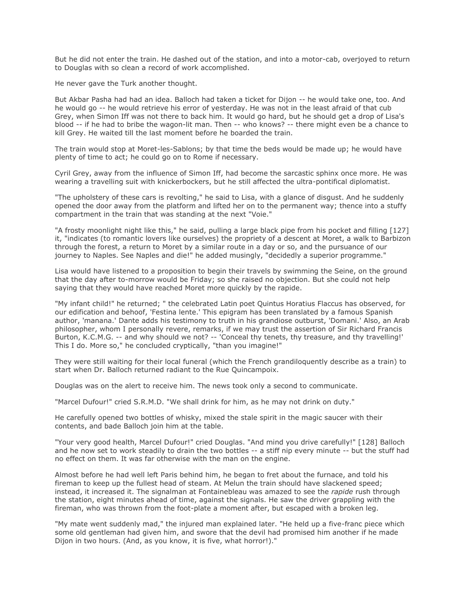But he did not enter the train. He dashed out of the station, and into a motor-cab, overjoyed to return to Douglas with so clean a record of work accomplished.

He never gave the Turk another thought.

But Akbar Pasha had had an idea. Balloch had taken a ticket for Dijon -- he would take one, too. And he would go -- he would retrieve his error of yesterday. He was not in the least afraid of that cub Grey, when Simon Iff was not there to back him. It would go hard, but he should get a drop of Lisa's blood -- if he had to bribe the wagon-lit man. Then -- who knows? -- there might even be a chance to kill Grey. He waited till the last moment before he boarded the train.

The train would stop at Moret-les-Sablons; by that time the beds would be made up; he would have plenty of time to act; he could go on to Rome if necessary.

Cyril Grey, away from the influence of Simon Iff, had become the sarcastic sphinx once more. He was wearing a travelling suit with knickerbockers, but he still affected the ultra-pontifical diplomatist.

"The upholstery of these cars is revolting," he said to Lisa, with a glance of disgust. And he suddenly opened the door away from the platform and lifted her on to the permanent way; thence into a stuffy compartment in the train that was standing at the next "Voie."

"A frosty moonlight night like this," he said, pulling a large black pipe from his pocket and filling [127] it, "indicates (to romantic lovers like ourselves) the propriety of a descent at Moret, a walk to Barbizon through the forest, a return to Moret by a similar route in a day or so, and the pursuance of our journey to Naples. See Naples and die!" he added musingly, "decidedly a superior programme."

Lisa would have listened to a proposition to begin their travels by swimming the Seine, on the ground that the day after to-morrow would be Friday; so she raised no objection. But she could not help saying that they would have reached Moret more quickly by the rapide.

"My infant child!" he returned; " the celebrated Latin poet Quintus Horatius Flaccus has observed, for our edification and behoof, 'Festina lente.' This epigram has been translated by a famous Spanish author, 'manana.' Dante adds his testimony to truth in his grandiose outburst, 'Domani.' Also, an Arab philosopher, whom I personally revere, remarks, if we may trust the assertion of Sir Richard Francis Burton, K.C.M.G. -- and why should we not? -- 'Conceal thy tenets, thy treasure, and thy travelling!' This I do. More so," he concluded cryptically, "than you imagine!"

They were still waiting for their local funeral (which the French grandiloquently describe as a train) to start when Dr. Balloch returned radiant to the Rue Quincampoix.

Douglas was on the alert to receive him. The news took only a second to communicate.

"Marcel Dufour!" cried S.R.M.D. "We shall drink for him, as he may not drink on duty."

He carefully opened two bottles of whisky, mixed the stale spirit in the magic saucer with their contents, and bade Balloch join him at the table.

"Your very good health, Marcel Dufour!" cried Douglas. "And mind you drive carefully!" [128] Balloch and he now set to work steadily to drain the two bottles -- a stiff nip every minute -- but the stuff had no effect on them. It was far otherwise with the man on the engine.

Almost before he had well left Paris behind him, he began to fret about the furnace, and told his fireman to keep up the fullest head of steam. At Melun the train should have slackened speed; instead, it increased it. The signalman at Fontainebleau was amazed to see the *rapide* rush through the station, eight minutes ahead of time, against the signals. He saw the driver grappling with the fireman, who was thrown from the foot-plate a moment after, but escaped with a broken leg.

"My mate went suddenly mad," the injured man explained later. "He held up a five-franc piece which some old gentleman had given him, and swore that the devil had promised him another if he made Dijon in two hours. (And, as you know, it is five, what horror!)."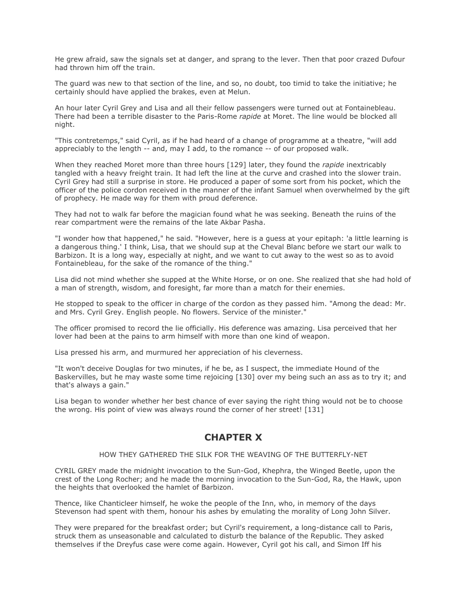He grew afraid, saw the signals set at danger, and sprang to the lever. Then that poor crazed Dufour had thrown him off the train.

The guard was new to that section of the line, and so, no doubt, too timid to take the initiative; he certainly should have applied the brakes, even at Melun.

An hour later Cyril Grey and Lisa and all their fellow passengers were turned out at Fontainebleau. There had been a terrible disaster to the Paris-Rome *rapide* at Moret. The line would be blocked all night.

"This contretemps," said Cyril, as if he had heard of a change of programme at a theatre, "will add appreciably to the length -- and, may I add, to the romance -- of our proposed walk.

When they reached Moret more than three hours [129] later, they found the *rapide* inextricably tangled with a heavy freight train. It had left the line at the curve and crashed into the slower train. Cyril Grey had still a surprise in store. He produced a paper of some sort from his pocket, which the officer of the police cordon received in the manner of the infant Samuel when overwhelmed by the gift of prophecy. He made way for them with proud deference.

They had not to walk far before the magician found what he was seeking. Beneath the ruins of the rear compartment were the remains of the late Akbar Pasha.

"I wonder how that happened," he said. "However, here is a guess at your epitaph: 'a little learning is a dangerous thing.' I think, Lisa, that we should sup at the Cheval Blanc before we start our walk to Barbizon. It is a long way, especially at night, and we want to cut away to the west so as to avoid Fontainebleau, for the sake of the romance of the thing."

Lisa did not mind whether she supped at the White Horse, or on one. She realized that she had hold of a man of strength, wisdom, and foresight, far more than a match for their enemies.

He stopped to speak to the officer in charge of the cordon as they passed him. "Among the dead: Mr. and Mrs. Cyril Grey. English people. No flowers. Service of the minister."

The officer promised to record the lie officially. His deference was amazing. Lisa perceived that her lover had been at the pains to arm himself with more than one kind of weapon.

Lisa pressed his arm, and murmured her appreciation of his cleverness.

"It won't deceive Douglas for two minutes, if he be, as I suspect, the immediate Hound of the Baskervilles, but he may waste some time rejoicing [130] over my being such an ass as to try it; and that's always a gain."

Lisa began to wonder whether her best chance of ever saying the right thing would not be to choose the wrong. His point of view was always round the corner of her street! [131]

### **CHAPTER X**

#### HOW THEY GATHERED THE SILK FOR THE WEAVING OF THE BUTTERFLY-NET

CYRIL GREY made the midnight invocation to the Sun-God, Khephra, the Winged Beetle, upon the crest of the Long Rocher; and he made the morning invocation to the Sun-God, Ra, the Hawk, upon the heights that overlooked the hamlet of Barbizon.

Thence, like Chanticleer himself, he woke the people of the Inn, who, in memory of the days Stevenson had spent with them, honour his ashes by emulating the morality of Long John Silver.

They were prepared for the breakfast order; but Cyril's requirement, a long-distance call to Paris, struck them as unseasonable and calculated to disturb the balance of the Republic. They asked themselves if the Dreyfus case were come again. However, Cyril got his call, and Simon Iff his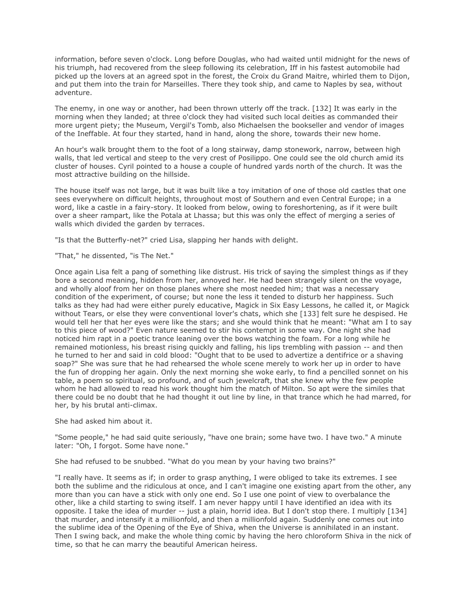information, before seven o'clock. Long before Douglas, who had waited until midnight for the news of his triumph, had recovered from the sleep following its celebration, Iff in his fastest automobile had picked up the lovers at an agreed spot in the forest, the Croix du Grand Maitre, whirled them to Dijon, and put them into the train for Marseilles. There they took ship, and came to Naples by sea, without adventure.

The enemy, in one way or another, had been thrown utterly off the track. [132] It was early in the morning when they landed; at three o'clock they had visited such local deities as commanded their more urgent piety; the Museum, Vergil's Tomb, also Michaelsen the bookseller and vendor of images of the Ineffable. At four they started, hand in hand, along the shore, towards their new home.

An hour's walk brought them to the foot of a long stairway, damp stonework, narrow, between high walls, that led vertical and steep to the very crest of Posilippo. One could see the old church amid its cluster of houses. Cyril pointed to a house a couple of hundred yards north of the church. It was the most attractive building on the hillside.

The house itself was not large, but it was built like a toy imitation of one of those old castles that one sees everywhere on difficult heights, throughout most of Southern and even Central Europe; in a word, like a castle in a fairy-story. It looked from below, owing to foreshortening, as if it were built over a sheer rampart, like the Potala at Lhassa; but this was only the effect of merging a series of walls which divided the garden by terraces.

"Is that the Butterfly-net?" cried Lisa, slapping her hands with delight.

"That," he dissented, "is The Net."

Once again Lisa felt a pang of something like distrust. His trick of saying the simplest things as if they bore a second meaning, hidden from her, annoyed her. He had been strangely silent on the voyage, and wholly aloof from her on those planes where she most needed him; that was a necessary condition of the experiment, of course; but none the less it tended to disturb her happiness. Such talks as they had had were either purely educative, Magick in Six Easy Lessons, he called it, or Magick without Tears, or else they were conventional lover's chats, which she [133] felt sure he despised. He would tell her that her eyes were like the stars; and she would think that he meant: "What am I to say to this piece of wood?" Even nature seemed to stir his contempt in some way. One night she had noticed him rapt in a poetic trance leaning over the bows watching the foam. For a long while he remained motionless, his breast rising quickly and falling, his lips trembling with passion -- and then he turned to her and said in cold blood: "Ought that to be used to advertize a dentifrice or a shaving soap?" She was sure that he had rehearsed the whole scene merely to work her up in order to have the fun of dropping her again. Only the next morning she woke early, to find a pencilled sonnet on his table, a poem so spiritual, so profound, and of such jewelcraft, that she knew why the few people whom he had allowed to read his work thought him the match of Milton. So apt were the similes that there could be no doubt that he had thought it out line by line, in that trance which he had marred, for her, by his brutal anti-climax.

She had asked him about it.

"Some people," he had said quite seriously, "have one brain; some have two. I have two." A minute later: "Oh, I forgot. Some have none."

She had refused to be snubbed. "What do you mean by your having two brains?"

"I really have. It seems as if; in order to grasp anything, I were obliged to take its extremes. I see both the sublime and the ridiculous at once, and I can't imagine one existing apart from the other, any more than you can have a stick with only one end. So I use one point of view to overbalance the other, like a child starting to swing itself. I am never happy until I have identified an idea with its opposite. I take the idea of murder -- just a plain, horrid idea. But I don't stop there. I multiply [134] that murder, and intensify it a millionfold, and then a millionfold again. Suddenly one comes out into the sublime idea of the Opening of the Eye of Shiva, when the Universe is annihilated in an instant. Then I swing back, and make the whole thing comic by having the hero chloroform Shiva in the nick of time, so that he can marry the beautiful American heiress.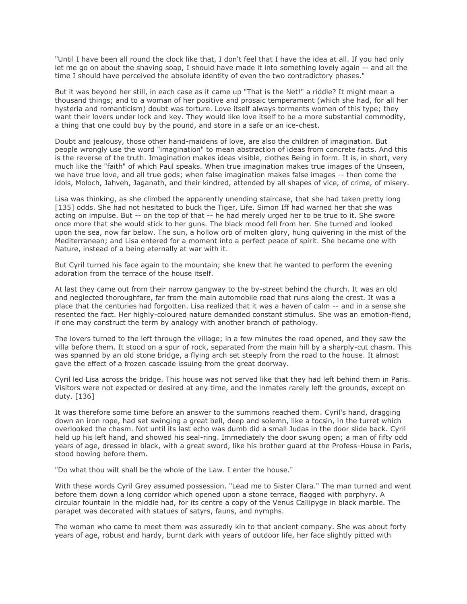"Until I have been all round the clock like that, I don't feel that I have the idea at all. If you had only let me go on about the shaving soap, I should have made it into something lovely again -- and all the time I should have perceived the absolute identity of even the two contradictory phases."

But it was beyond her still, in each case as it came up "That is the Net!" a riddle? It might mean a thousand things; and to a woman of her positive and prosaic temperament (which she had, for all her hysteria and romanticism) doubt was torture. Love itself always torments women of this type; they want their lovers under lock and key. They would like love itself to be a more substantial commodity, a thing that one could buy by the pound, and store in a safe or an ice-chest.

Doubt and jealousy, those other hand-maidens of love, are also the children of imagination. But people wrongly use the word "imagination" to mean abstraction of ideas from concrete facts. And this is the reverse of the truth. Imagination makes ideas visible, clothes Being in form. It is, in short, very much like the "faith" of which Paul speaks. When true imagination makes true images of the Unseen, we have true love, and all true gods; when false imagination makes false images -- then come the idols, Moloch, Jahveh, Jaganath, and their kindred, attended by all shapes of vice, of crime, of misery.

Lisa was thinking, as she climbed the apparently unending staircase, that she had taken pretty long [135] odds. She had not hesitated to buck the Tiger, Life. Simon Iff had warned her that she was acting on impulse. But -- on the top of that -- he had merely urged her to be true to it. She swore once more that she would stick to her guns. The black mood fell from her. She turned and looked upon the sea, now far below. The sun, a hollow orb of molten glory, hung quivering in the mist of the Mediterranean; and Lisa entered for a moment into a perfect peace of spirit. She became one with Nature, instead of a being eternally at war with it.

But Cyril turned his face again to the mountain; she knew that he wanted to perform the evening adoration from the terrace of the house itself.

At last they came out from their narrow gangway to the by-street behind the church. It was an old and neglected thoroughfare, far from the main automobile road that runs along the crest. It was a place that the centuries had forgotten. Lisa realized that it was a haven of calm -- and in a sense she resented the fact. Her highly-coloured nature demanded constant stimulus. She was an emotion-fiend, if one may construct the term by analogy with another branch of pathology.

The lovers turned to the left through the village; in a few minutes the road opened, and they saw the villa before them. It stood on a spur of rock, separated from the main hill by a sharply-cut chasm. This was spanned by an old stone bridge, a flying arch set steeply from the road to the house. It almost gave the effect of a frozen cascade issuing from the great doorway.

Cyril led Lisa across the bridge. This house was not served like that they had left behind them in Paris. Visitors were not expected or desired at any time, and the inmates rarely left the grounds, except on duty. [136]

It was therefore some time before an answer to the summons reached them. Cyril's hand, dragging down an iron rope, had set swinging a great bell, deep and solemn, like a tocsin, in the turret which overlooked the chasm. Not until its last echo was dumb did a small Judas in the door slide back. Cyril held up his left hand, and showed his seal-ring. Immediately the door swung open; a man of fifty odd years of age, dressed in black, with a great sword, like his brother guard at the Profess-House in Paris, stood bowing before them.

"Do what thou wilt shall be the whole of the Law. I enter the house."

With these words Cyril Grey assumed possession. "Lead me to Sister Clara." The man turned and went before them down a long corridor which opened upon a stone terrace, flagged with porphyry. A circular fountain in the middle had, for its centre a copy of the Venus Callipyge in black marble. The parapet was decorated with statues of satyrs, fauns, and nymphs.

The woman who came to meet them was assuredly kin to that ancient company. She was about forty years of age, robust and hardy, burnt dark with years of outdoor life, her face slightly pitted with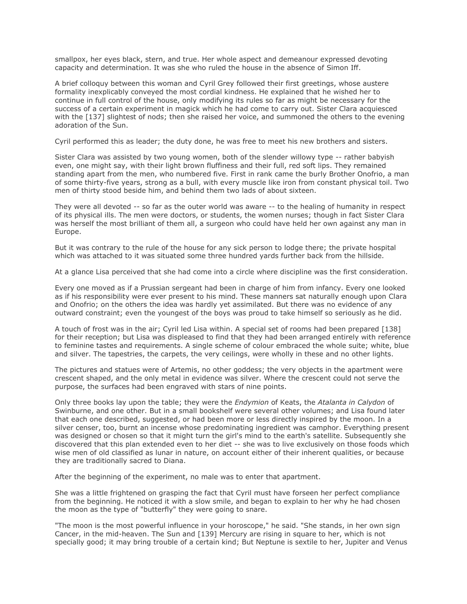smallpox, her eyes black, stern, and true. Her whole aspect and demeanour expressed devoting capacity and determination. It was she who ruled the house in the absence of Simon Iff.

A brief colloquy between this woman and Cyril Grey followed their first greetings, whose austere formality inexplicably conveyed the most cordial kindness. He explained that he wished her to continue in full control of the house, only modifying its rules so far as might be necessary for the success of a certain experiment in magick which he had come to carry out. Sister Clara acquiesced with the [137] slightest of nods; then she raised her voice, and summoned the others to the evening adoration of the Sun.

Cyril performed this as leader; the duty done, he was free to meet his new brothers and sisters.

Sister Clara was assisted by two young women, both of the slender willowy type -- rather babyish even, one might say, with their light brown fluffiness and their full, red soft lips. They remained standing apart from the men, who numbered five. First in rank came the burly Brother Onofrio, a man of some thirty-five years, strong as a bull, with every muscle like iron from constant physical toil. Two men of thirty stood beside him, and behind them two lads of about sixteen.

They were all devoted -- so far as the outer world was aware -- to the healing of humanity in respect of its physical ills. The men were doctors, or students, the women nurses; though in fact Sister Clara was herself the most brilliant of them all, a surgeon who could have held her own against any man in Europe.

But it was contrary to the rule of the house for any sick person to lodge there; the private hospital which was attached to it was situated some three hundred yards further back from the hillside.

At a glance Lisa perceived that she had come into a circle where discipline was the first consideration.

Every one moved as if a Prussian sergeant had been in charge of him from infancy. Every one looked as if his responsibility were ever present to his mind. These manners sat naturally enough upon Clara and Onofrio; on the others the idea was hardly yet assimilated. But there was no evidence of any outward constraint; even the youngest of the boys was proud to take himself so seriously as he did.

A touch of frost was in the air; Cyril led Lisa within. A special set of rooms had been prepared [138] for their reception; but Lisa was displeased to find that they had been arranged entirely with reference to feminine tastes and requirements. A single scheme of colour embraced the whole suite; white, blue and silver. The tapestries, the carpets, the very ceilings, were wholly in these and no other lights.

The pictures and statues were of Artemis, no other goddess; the very objects in the apartment were crescent shaped, and the only metal in evidence was silver. Where the crescent could not serve the purpose, the surfaces had been engraved with stars of nine points.

Only three books lay upon the table; they were the *Endymion* of Keats, the *Atalanta in Calydon* of Swinburne, and one other. But in a small bookshelf were several other volumes; and Lisa found later that each one described, suggested, or had been more or less directly inspired by the moon. In a silver censer, too, burnt an incense whose predominating ingredient was camphor. Everything present was designed or chosen so that it might turn the girl's mind to the earth's satellite. Subsequently she discovered that this plan extended even to her diet -- she was to live exclusively on those foods which wise men of old classified as lunar in nature, on account either of their inherent qualities, or because they are traditionally sacred to Diana.

After the beginning of the experiment, no male was to enter that apartment.

She was a little frightened on grasping the fact that Cyril must have forseen her perfect compliance from the beginning. He noticed it with a slow smile, and began to explain to her why he had chosen the moon as the type of "butterfly" they were going to snare.

"The moon is the most powerful influence in your horoscope," he said. "She stands, in her own sign Cancer, in the mid-heaven. The Sun and [139] Mercury are rising in square to her, which is not specially good; it may bring trouble of a certain kind; But Neptune is sextile to her, Jupiter and Venus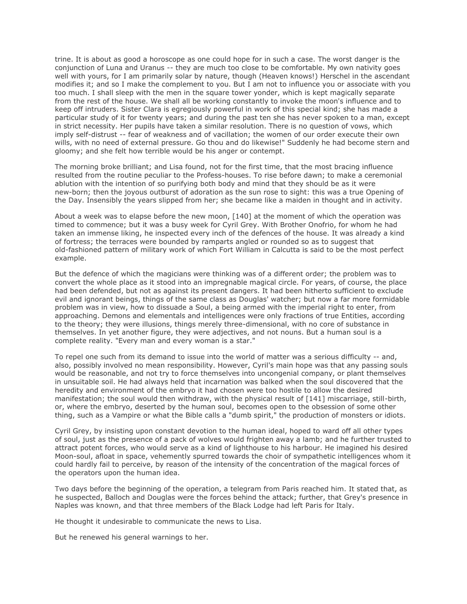trine. It is about as good a horoscope as one could hope for in such a case. The worst danger is the conjunction of Luna and Uranus -- they are much too close to be comfortable. My own nativity goes well with yours, for I am primarily solar by nature, though (Heaven knows!) Herschel in the ascendant modifies it; and so I make the complement to you. But I am not to influence you or associate with you too much. I shall sleep with the men in the square tower yonder, which is kept magically separate from the rest of the house. We shall all be working constantly to invoke the moon's influence and to keep off intruders. Sister Clara is egregiously powerful in work of this special kind; she has made a particular study of it for twenty years; and during the past ten she has never spoken to a man, except in strict necessity. Her pupils have taken a similar resolution. There is no question of vows, which imply self-distrust -- fear of weakness and of vacillation; the women of our order execute their own wills, with no need of external pressure. Go thou and do likewise!" Suddenly he had become stern and gloomy; and she felt how terrible would be his anger or contempt.

The morning broke brilliant; and Lisa found, not for the first time, that the most bracing influence resulted from the routine peculiar to the Profess-houses. To rise before dawn; to make a ceremonial ablution with the intention of so purifying both body and mind that they should be as it were new-born; then the joyous outburst of adoration as the sun rose to sight: this was a true Opening of the Day. Insensibly the years slipped from her; she became like a maiden in thought and in activity.

About a week was to elapse before the new moon, [140] at the moment of which the operation was timed to commence; but it was a busy week for Cyril Grey. With Brother Onofrio, for whom he had taken an immense liking, he inspected every inch of the defences of the house. It was already a kind of fortress; the terraces were bounded by ramparts angled or rounded so as to suggest that old-fashioned pattern of military work of which Fort William in Calcutta is said to be the most perfect example.

But the defence of which the magicians were thinking was of a different order; the problem was to convert the whole place as it stood into an impregnable magical circle. For years, of course, the place had been defended, but not as against its present dangers. It had been hitherto sufficient to exclude evil and ignorant beings, things of the same class as Douglas' watcher; but now a far more formidable problem was in view, how to dissuade a Soul, a being armed with the imperial right to enter, from approaching. Demons and elementals and intelligences were only fractions of true Entities, according to the theory; they were illusions, things merely three-dimensional, with no core of substance in themselves. In yet another figure, they were adjectives, and not nouns. But a human soul is a complete reality. "Every man and every woman is a star."

To repel one such from its demand to issue into the world of matter was a serious difficulty -- and, also, possibly involved no mean responsibility. However, Cyril's main hope was that any passing souls would be reasonable, and not try to force themselves into uncongenial company, or plant themselves in unsuitable soil. He had always held that incarnation was balked when the soul discovered that the heredity and environment of the embryo it had chosen were too hostile to allow the desired manifestation; the soul would then withdraw, with the physical result of [141] miscarriage, still-birth, or, where the embryo, deserted by the human soul, becomes open to the obsession of some other thing, such as a Vampire or what the Bible calls a "dumb spirit," the production of monsters or idiots.

Cyril Grey, by insisting upon constant devotion to the human ideal, hoped to ward off all other types of soul, just as the presence of a pack of wolves would frighten away a lamb; and he further trusted to attract potent forces, who would serve as a kind of lighthouse to his harbour. He imagined his desired Moon-soul, afloat in space, vehemently spurred towards the choir of sympathetic intelligences whom it could hardly fail to perceive, by reason of the intensity of the concentration of the magical forces of the operators upon the human idea.

Two days before the beginning of the operation, a telegram from Paris reached him. It stated that, as he suspected, Balloch and Douglas were the forces behind the attack; further, that Grey's presence in Naples was known, and that three members of the Black Lodge had left Paris for Italy.

He thought it undesirable to communicate the news to Lisa.

But he renewed his general warnings to her.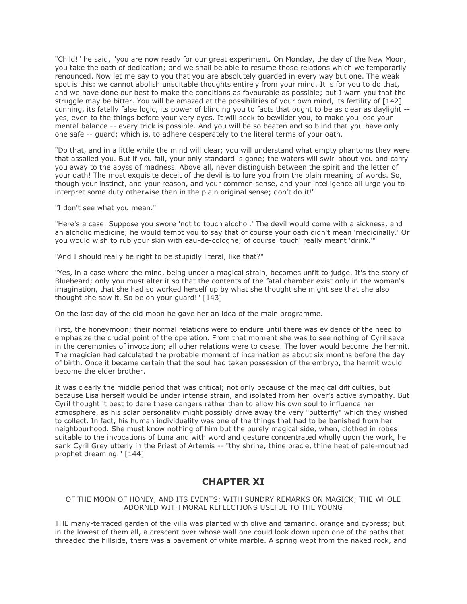"Child!" he said, "you are now ready for our great experiment. On Monday, the day of the New Moon, you take the oath of dedication; and we shall be able to resume those relations which we temporarily renounced. Now let me say to you that you are absolutely guarded in every way but one. The weak spot is this: we cannot abolish unsuitable thoughts entirely from your mind. It is for you to do that, and we have done our best to make the conditions as favourable as possible; but I warn you that the struggle may be bitter. You will be amazed at the possibilities of your own mind, its fertility of [142] cunning, its fatally false logic, its power of blinding you to facts that ought to be as clear as daylight - yes, even to the things before your very eyes. It will seek to bewilder you, to make you lose your mental balance -- every trick is possible. And you will be so beaten and so blind that you have only one safe -- guard; which is, to adhere desperately to the literal terms of your oath.

"Do that, and in a little while the mind will clear; you will understand what empty phantoms they were that assailed you. But if you fail, your only standard is gone; the waters will swirl about you and carry you away to the abyss of madness. Above all, never distinguish between the spirit and the letter of your oath! The most exquisite deceit of the devil is to lure you from the plain meaning of words. So, though your instinct, and your reason, and your common sense, and your intelligence all urge you to interpret some duty otherwise than in the plain original sense; don't do it!"

"I don't see what you mean."

"Here's a case. Suppose you swore 'not to touch alcohol.' The devil would come with a sickness, and an alcholic medicine; he would tempt you to say that of course your oath didn't mean 'medicinally.' Or you would wish to rub your skin with eau-de-cologne; of course 'touch' really meant 'drink.'"

"And I should really be right to be stupidly literal, like that?"

"Yes, in a case where the mind, being under a magical strain, becomes unfit to judge. It's the story of Bluebeard; only you must alter it so that the contents of the fatal chamber exist only in the woman's imagination, that she had so worked herself up by what she thought she might see that she also thought she saw it. So be on your guard!" [143]

On the last day of the old moon he gave her an idea of the main programme.

First, the honeymoon; their normal relations were to endure until there was evidence of the need to emphasize the crucial point of the operation. From that moment she was to see nothing of Cyril save in the ceremonies of invocation; all other relations were to cease. The lover would become the hermit. The magician had calculated the probable moment of incarnation as about six months before the day of birth. Once it became certain that the soul had taken possession of the embryo, the hermit would become the elder brother.

It was clearly the middle period that was critical; not only because of the magical difficulties, but because Lisa herself would be under intense strain, and isolated from her lover's active sympathy. But Cyril thought it best to dare these dangers rather than to allow his own soul to influence her atmosphere, as his solar personality might possibly drive away the very "butterfly" which they wished to collect. In fact, his human individuality was one of the things that had to be banished from her neighbourhood. She must know nothing of him but the purely magical side, when, clothed in robes suitable to the invocations of Luna and with word and gesture concentrated wholly upon the work, he sank Cyril Grey utterly in the Priest of Artemis -- "thy shrine, thine oracle, thine heat of pale-mouthed prophet dreaming." [144]

### **CHAPTER XI**

OF THE MOON OF HONEY, AND ITS EVENTS; WITH SUNDRY REMARKS ON MAGICK; THE WHOLE ADORNED WITH MORAL REFLECTIONS USEFUL TO THE YOUNG

THE many-terraced garden of the villa was planted with olive and tamarind, orange and cypress; but in the lowest of them all, a crescent over whose wall one could look down upon one of the paths that threaded the hillside, there was a pavement of white marble. A spring wept from the naked rock, and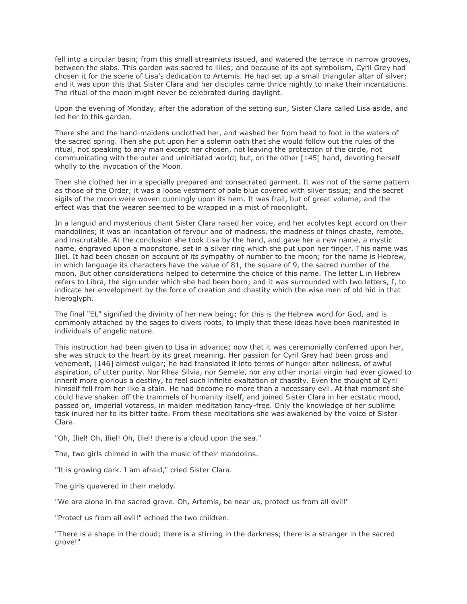fell into a circular basin; from this small streamlets issued, and watered the terrace in narrow grooves, between the slabs. This garden was sacred to lilies; and because of its apt symbolism, Cyril Grey had chosen it for the scene of Lisa's dedication to Artemis. He had set up a small triangular altar of silver; and it was upon this that Sister Clara and her disciples came thrice nightly to make their incantations. The ritual of the moon might never be celebrated during daylight.

Upon the evening of Monday, after the adoration of the setting sun, Sister Clara called Lisa aside, and led her to this garden.

There she and the hand-maidens unclothed her, and washed her from head to foot in the waters of the sacred spring. Then she put upon her a solemn oath that she would follow out the rules of the ritual, not speaking to any man except her chosen, not leaving the protection of the circle, not communicating with the outer and uninitiated world; but, on the other [145] hand, devoting herself wholly to the invocation of the Moon.

Then she clothed her in a specially prepared and consecrated garment. It was not of the same pattern as those of the Order; it was a loose vestment of pale blue covered with silver tissue; and the secret sigils of the moon were woven cunningly upon its hem. It was frail, but of great volume; and the effect was that the wearer seemed to be wrapped in a mist of moonlight.

In a languid and mysterious chant Sister Clara raised her voice, and her acolytes kept accord on their mandolines; it was an incantation of fervour and of madness, the madness of things chaste, remote, and inscrutable. At the conclusion she took Lisa by the hand, and gave her a new name, a mystic name, engraved upon a moonstone, set in a silver ring which she put upon her finger. This name was Iliel. It had been chosen on account of its sympathy of number to the moon; for the name is Hebrew, in which language its characters have the value of 81, the square of 9, the sacred number of the moon. But other considerations helped to determine the choice of this name. The letter L in Hebrew refers to Libra, the sign under which she had been born; and it was surrounded with two letters, I, to indicate her envelopment by the force of creation and chastity which the wise men of old hid in that hieroglyph.

The final "EL" signified the divinity of her new being; for this is the Hebrew word for God, and is commonly attached by the sages to divers roots, to imply that these ideas have been manifested in individuals of angelic nature.

This instruction had been given to Lisa in advance; now that it was ceremonially conferred upon her, she was struck to the heart by its great meaning. Her passion for Cyril Grey had been gross and vehement, [146] almost vulgar; he had translated it into terms of hunger after holiness, of awful aspiration, of utter purity. Nor Rhea Silvia, nor Semele, nor any other mortal virgin had ever glowed to inherit more glorious a destiny, to feel such infinite exaltation of chastity. Even the thought of Cyril himself fell from her like a stain. He had become no more than a necessary evil. At that moment she could have shaken off the trammels of humanity itself, and joined Sister Clara in her ecstatic mood, passed on, imperial votaress, in maiden meditation fancy-free. Only the knowledge of her sublime task inured her to its bitter taste. From these meditations she was awakened by the voice of Sister Clara.

"Oh, Iliel! Oh, Iliel! Oh, Iliel! there is a cloud upon the sea."

The, two girls chimed in with the music of their mandolins.

"It is growing dark. I am afraid," cried Sister Clara.

The girls quavered in their melody.

"We are alone in the sacred grove. Oh, Artemis, be near us, protect us from all evil!"

"Protect us from all evil!" echoed the two children.

"There is a shape in the cloud; there is a stirring in the darkness; there is a stranger in the sacred grove!"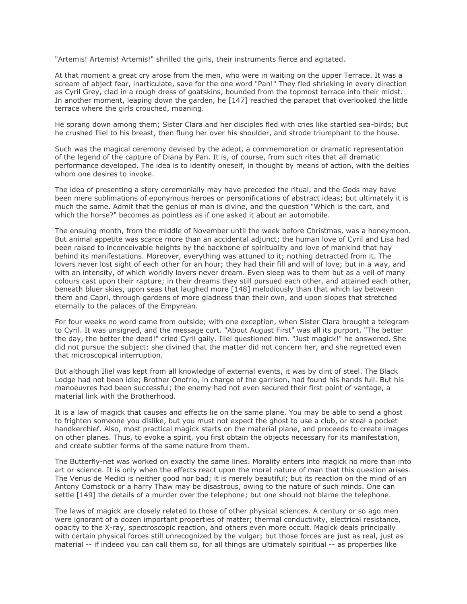"Artemis! Artemis! Artemis!" shrilled the girls, their instruments fierce and agitated.

At that moment a great cry arose from the men, who were in waiting on the upper Terrace. It was a scream of abject fear, inarticulate, save for the one word "Pan!" They fled shrieking in every direction as Cyril Grey, clad in a rough dress of goatskins, bounded from the topmost terrace into their midst. In another moment, leaping down the garden, he [147] reached the parapet that overlooked the little terrace where the girls crouched, moaning.

He sprang down among them; Sister Clara and her disciples fled with cries like startled sea-birds; but he crushed Iliel to his breast, then flung her over his shoulder, and strode triumphant to the house.

Such was the magical ceremony devised by the adept, a commemoration or dramatic representation of the legend of the capture of Diana by Pan. It is, of course, from such rites that all dramatic performance developed. The idea is to identify oneself, in thought by means of action, with the deities whom one desires to invoke.

The idea of presenting a story ceremonially may have preceded the ritual, and the Gods may have been mere sublimations of eponymous heroes or personifications of abstract ideas; but ultimately it is much the same. Admit that the genius of man is divine, and the question "Which is the cart, and which the horse?" becomes as pointless as if one asked it about an automobile.

The ensuing month, from the middle of November until the week before Christmas, was a honeymoon. But animal appetite was scarce more than an accidental adjunct; the human love of Cyril and Lisa had been raised to inconceivable heights by the backbone of spirituality and love of mankind that hay behind its manifestations. Moreover, everything was attuned to it; nothing detracted from it. The lovers never lost sight of each other for an hour; they had their fill and will of love; but in a way, and with an intensity, of which worldly lovers never dream. Even sleep was to them but as a veil of many colours cast upon their rapture; in their dreams they still pursued each other, and attained each other, beneath bluer skies, upon seas that laughed more [148] melodiously than that which lay between them and Capri, through gardens of more gladness than their own, and upon slopes that stretched eternally to the palaces of the Empyrean.

For four weeks no word came from outside; with one exception, when Sister Clara brought a telegram to Cyril. It was unsigned, and the message curt. "About August First" was all its purport. "The better the day, the better the deed!" cried Cyril gaily. Iliel questioned him. "Just magick!" he answered. She did not pursue the subject: she divined that the matter did not concern her, and she regretted even that microscopical interruption.

But although Iliel was kept from all knowledge of external events, it was by dint of steel. The Black Lodge had not been idle; Brother Onofrio, in charge of the garrison, had found his hands full. But his manoeuvres had been successful; the enemy had not even secured their first point of vantage, a material link with the Brotherhood.

It is a law of magick that causes and effects lie on the same plane. You may be able to send a ghost to frighten someone you dislike, but you must not expect the ghost to use a club, or steal a pocket handkerchief. Also, most practical magick starts on the material plane, and proceeds to create images on other planes. Thus, to evoke a spirit, you first obtain the objects necessary for its manifestation, and create subtler forms of the same nature from them.

The Butterfly-net was worked on exactly the same lines. Morality enters into magick no more than into art or science. It is only when the effects react upon the moral nature of man that this question arises. The Venus de Medici is neither good nor bad; it is merely beautiful; but its reaction on the mind of an Antony Comstock or a harry Thaw may be disastrous, owing to the nature of such minds. One can settle [149] the details of a murder over the telephone; but one should not blame the telephone.

The laws of magick are closely related to those of other physical sciences. A century or so ago men were ignorant of a dozen important properties of matter; thermal conductivity, electrical resistance, opacity to the X-ray, spectroscopic reaction, and others even more occult. Magick deals principally with certain physical forces still unrecognized by the vulgar; but those forces are just as real, just as material -- if indeed you can call them so, for all things are ultimately spiritual -- as properties like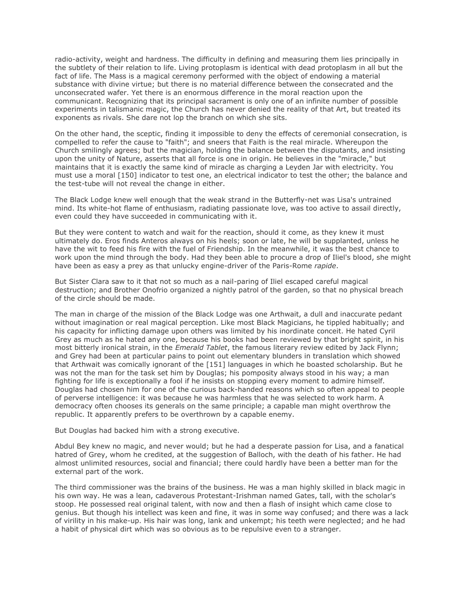radio-activity, weight and hardness. The difficulty in defining and measuring them lies principally in the subtlety of their relation to life. Living protoplasm is identical with dead protoplasm in all but the fact of life. The Mass is a magical ceremony performed with the object of endowing a material substance with divine virtue; but there is no material difference between the consecrated and the unconsecrated wafer. Yet there is an enormous difference in the moral reaction upon the communicant. Recognizing that its principal sacrament is only one of an infinite number of possible experiments in talismanic magic, the Church has never denied the reality of that Art, but treated its exponents as rivals. She dare not lop the branch on which she sits.

On the other hand, the sceptic, finding it impossible to deny the effects of ceremonial consecration, is compelled to refer the cause to "faith"; and sneers that Faith is the real miracle. Whereupon the Church smilingly agrees; but the magician, holding the balance between the disputants, and insisting upon the unity of Nature, asserts that all force is one in origin. He believes in the "miracle," but maintains that it is exactly the same kind of miracle as charging a Leyden Jar with electricity. You must use a moral [150] indicator to test one, an electrical indicator to test the other; the balance and the test-tube will not reveal the change in either.

The Black Lodge knew well enough that the weak strand in the Butterfly-net was Lisa's untrained mind. Its white-hot flame of enthusiasm, radiating passionate love, was too active to assail directly, even could they have succeeded in communicating with it.

But they were content to watch and wait for the reaction, should it come, as they knew it must ultimately do. Eros finds Anteros always on his heels; soon or late, he will be supplanted, unless he have the wit to feed his fire with the fuel of Friendship. In the meanwhile, it was the best chance to work upon the mind through the body. Had they been able to procure a drop of Iliel's blood, she might have been as easy a prey as that unlucky engine-driver of the Paris-Rome *rapide*.

But Sister Clara saw to it that not so much as a nail-paring of Iliel escaped careful magical destruction; and Brother Onofrio organized a nightly patrol of the garden, so that no physical breach of the circle should be made.

The man in charge of the mission of the Black Lodge was one Arthwait, a dull and inaccurate pedant without imagination or real magical perception. Like most Black Magicians, he tippled habitually; and his capacity for inflicting damage upon others was limited by his inordinate conceit. He hated Cyril Grey as much as he hated any one, because his books had been reviewed by that bright spirit, in his most bitterly ironical strain, in the *Emerald Tablet*, the famous literary review edited by Jack Flynn; and Grey had been at particular pains to point out elementary blunders in translation which showed that Arthwait was comically ignorant of the [151] languages in which he boasted scholarship. But he was not the man for the task set him by Douglas; his pomposity always stood in his way; a man fighting for life is exceptionally a fool if he insists on stopping every moment to admire himself. Douglas had chosen him for one of the curious back-handed reasons which so often appeal to people of perverse intelligence: it was because he was harmless that he was selected to work harm. A democracy often chooses its generals on the same principle; a capable man might overthrow the republic. It apparently prefers to be overthrown by a capable enemy.

But Douglas had backed him with a strong executive.

Abdul Bey knew no magic, and never would; but he had a desperate passion for Lisa, and a fanatical hatred of Grey, whom he credited, at the suggestion of Balloch, with the death of his father. He had almost unlimited resources, social and financial; there could hardly have been a better man for the external part of the work.

The third commissioner was the brains of the business. He was a man highly skilled in black magic in his own way. He was a lean, cadaverous Protestant-Irishman named Gates, tall, with the scholar's stoop. He possessed real original talent, with now and then a flash of insight which came close to genius. But though his intellect was keen and fine, it was in some way confused; and there was a lack of virility in his make-up. His hair was long, lank and unkempt; his teeth were neglected; and he had a habit of physical dirt which was so obvious as to be repulsive even to a stranger.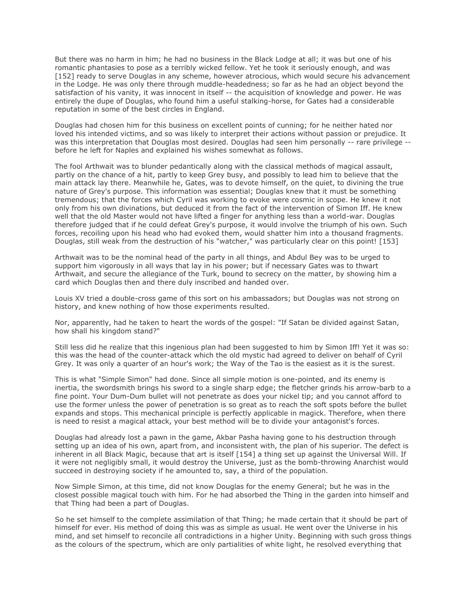But there was no harm in him; he had no business in the Black Lodge at all; it was but one of his romantic phantasies to pose as a terribly wicked fellow. Yet he took it seriously enough, and was [152] ready to serve Douglas in any scheme, however atrocious, which would secure his advancement in the Lodge. He was only there through muddle-headedness; so far as he had an object beyond the satisfaction of his vanity, it was innocent in itself -- the acquisition of knowledge and power. He was entirely the dupe of Douglas, who found him a useful stalking-horse, for Gates had a considerable reputation in some of the best circles in England.

Douglas had chosen him for this business on excellent points of cunning; for he neither hated nor loved his intended victims, and so was likely to interpret their actions without passion or prejudice. It was this interpretation that Douglas most desired. Douglas had seen him personally -- rare privilege -before he left for Naples and explained his wishes somewhat as follows.

The fool Arthwait was to blunder pedantically along with the classical methods of magical assault, partly on the chance of a hit, partly to keep Grey busy, and possibly to lead him to believe that the main attack lay there. Meanwhile he, Gates, was to devote himself, on the quiet, to divining the true nature of Grey's purpose. This information was essential; Douglas knew that it must be something tremendous; that the forces which Cyril was working to evoke were cosmic in scope. He knew it not only from his own divinations, but deduced it from the fact of the intervention of Simon Iff. He knew well that the old Master would not have lifted a finger for anything less than a world-war. Douglas therefore judged that if he could defeat Grey's purpose, it would involve the triumph of his own. Such forces, recoiling upon his head who had evoked them, would shatter him into a thousand fragments. Douglas, still weak from the destruction of his "watcher," was particularly clear on this point! [153]

Arthwait was to be the nominal head of the party in all things, and Abdul Bey was to be urged to support him vigorously in all ways that lay in his power; but if necessary Gates was to thwart Arthwait, and secure the allegiance of the Turk, bound to secrecy on the matter, by showing him a card which Douglas then and there duly inscribed and handed over.

Louis XV tried a double-cross game of this sort on his ambassadors; but Douglas was not strong on history, and knew nothing of how those experiments resulted.

Nor, apparently, had he taken to heart the words of the gospel: "If Satan be divided against Satan, how shall his kingdom stand?"

Still less did he realize that this ingenious plan had been suggested to him by Simon Iff! Yet it was so: this was the head of the counter-attack which the old mystic had agreed to deliver on behalf of Cyril Grey. It was only a quarter of an hour's work; the Way of the Tao is the easiest as it is the surest.

This is what "Simple Simon" had done. Since all simple motion is one-pointed, and its enemy is inertia, the swordsmith brings his sword to a single sharp edge; the fletcher grinds his arrow-barb to a fine point. Your Dum-Dum bullet will not penetrate as does your nickel tip; and you cannot afford to use the former unless the power of penetration is so great as to reach the soft spots before the bullet expands and stops. This mechanical principle is perfectly applicable in magick. Therefore, when there is need to resist a magical attack, your best method will be to divide your antagonist's forces.

Douglas had already lost a pawn in the game, Akbar Pasha having gone to his destruction through setting up an idea of his own, apart from, and inconsistent with, the plan of his superior. The defect is inherent in all Black Magic, because that art is itself [154] a thing set up against the Universal Will. If it were not negligibly small, it would destroy the Universe, just as the bomb-throwing Anarchist would succeed in destroying society if he amounted to, say, a third of the population.

Now Simple Simon, at this time, did not know Douglas for the enemy General; but he was in the closest possible magical touch with him. For he had absorbed the Thing in the garden into himself and that Thing had been a part of Douglas.

So he set himself to the complete assimilation of that Thing; he made certain that it should be part of himself for ever. His method of doing this was as simple as usual. He went over the Universe in his mind, and set himself to reconcile all contradictions in a higher Unity. Beginning with such gross things as the colours of the spectrum, which are only partialities of white light, he resolved everything that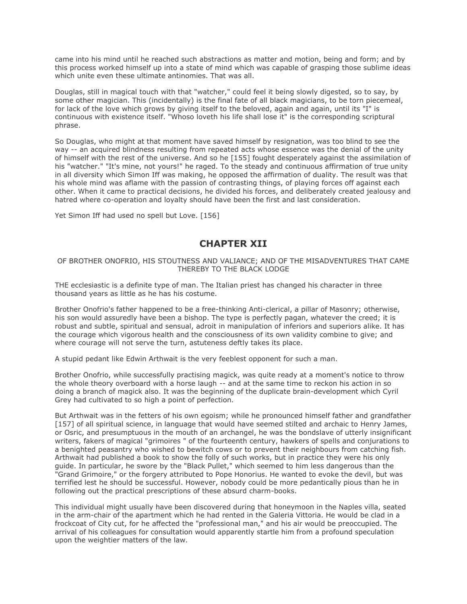came into his mind until he reached such abstractions as matter and motion, being and form; and by this process worked himself up into a state of mind which was capable of grasping those sublime ideas which unite even these ultimate antinomies. That was all.

Douglas, still in magical touch with that "watcher," could feel it being slowly digested, so to say, by some other magician. This (incidentally) is the final fate of all black magicians, to be torn piecemeal, for lack of the love which grows by giving itself to the beloved, again and again, until its "I" is continuous with existence itself. "Whoso loveth his life shall lose it" is the corresponding scriptural phrase.

So Douglas, who might at that moment have saved himself by resignation, was too blind to see the way -- an acquired blindness resulting from repeated acts whose essence was the denial of the unity of himself with the rest of the universe. And so he [155] fought desperately against the assimilation of his "watcher." "It's mine, not yours!" he raged. To the steady and continuous affirmation of true unity in all diversity which Simon Iff was making, he opposed the affirmation of duality. The result was that his whole mind was aflame with the passion of contrasting things, of playing forces off against each other. When it came to practical decisions, he divided his forces, and deliberately created jealousy and hatred where co-operation and loyalty should have been the first and last consideration.

Yet Simon Iff had used no spell but Love. [156]

## **CHAPTER XII**

OF BROTHER ONOFRIO, HIS STOUTNESS AND VALIANCE; AND OF THE MISADVENTURES THAT CAME THEREBY TO THE BLACK LODGE

THE ecclesiastic is a definite type of man. The Italian priest has changed his character in three thousand years as little as he has his costume.

Brother Onofrio's father happened to be a free-thinking Anti-clerical, a pillar of Masonry; otherwise, his son would assuredly have been a bishop. The type is perfectly pagan, whatever the creed; it is robust and subtle, spiritual and sensual, adroit in manipulation of inferiors and superiors alike. It has the courage which vigorous health and the consciousness of its own validity combine to give; and where courage will not serve the turn, astuteness deftly takes its place.

A stupid pedant like Edwin Arthwait is the very feeblest opponent for such a man.

Brother Onofrio, while successfully practising magick, was quite ready at a moment's notice to throw the whole theory overboard with a horse laugh -- and at the same time to reckon his action in so doing a branch of magick also. It was the beginning of the duplicate brain-development which Cyril Grey had cultivated to so high a point of perfection.

But Arthwait was in the fetters of his own egoism; while he pronounced himself father and grandfather [157] of all spiritual science, in language that would have seemed stilted and archaic to Henry James, or Osric, and presumptuous in the mouth of an archangel, he was the bondslave of utterly insignificant writers, fakers of magical "grimoires " of the fourteenth century, hawkers of spells and conjurations to a benighted peasantry who wished to bewitch cows or to prevent their neighbours from catching fish. Arthwait had published a book to show the folly of such works, but in practice they were his only guide. In particular, he swore by the "Black Pullet," which seemed to him less dangerous than the "Grand Grimoire," or the forgery attributed to Pope Honorius. He wanted to evoke the devil, but was terrified lest he should be successful. However, nobody could be more pedantically pious than he in following out the practical prescriptions of these absurd charm-books.

This individual might usually have been discovered during that honeymoon in the Naples villa, seated in the arm-chair of the apartment which he had rented in the Galeria Vittoria. He would be clad in a frockcoat of City cut, for he affected the "professional man," and his air would be preoccupied. The arrival of his colleagues for consultation would apparently startle him from a profound speculation upon the weightier matters of the law.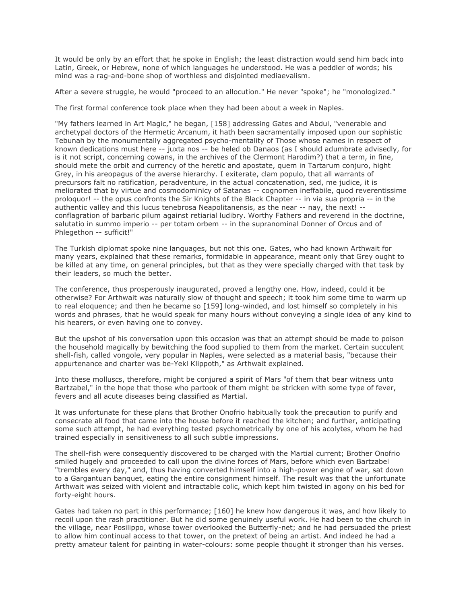It would be only by an effort that he spoke in English; the least distraction would send him back into Latin, Greek, or Hebrew, none of which languages he understood. He was a peddler of words; his mind was a rag-and-bone shop of worthless and disjointed mediaevalism.

After a severe struggle, he would "proceed to an allocution." He never "spoke"; he "monologized."

The first formal conference took place when they had been about a week in Naples.

"My fathers learned in Art Magic," he began, [158] addressing Gates and Abdul, "venerable and archetypal doctors of the Hermetic Arcanum, it hath been sacramentally imposed upon our sophistic Tebunah by the monumentally aggregated psycho-mentality of Those whose names in respect of known dedications must here -- juxta nos -- be heled ob Danaos (as I should adumbrate advisedly, for is it not script, concerning cowans, in the archives of the Clermont Harodim?) that a term, in fine, should mete the orbit and currency of the heretic and apostate, quem in Tartarum conjuro, hight Grey, in his areopagus of the averse hierarchy. I exiterate, clam populo, that all warrants of precursors falt no ratification, peradventure, in the actual concatenation, sed, me judice, it is meliorated that by virtue and cosmodominicy of Satanas -- cognomen ineffabile, quod reverentissime proloquor! -- the opus confronts the Sir Knights of the Black Chapter -- in via sua propria -- in the authentic valley and this lucus tenebrosa Neapolitanensis, as the near -- nay, the next! - conflagration of barbaric pilum against retiarial ludibry. Worthy Fathers and reverend in the doctrine, salutatio in summo imperio -- per totam orbem -- in the supranominal Donner of Orcus and of Phlegethon -- sufficit!"

The Turkish diplomat spoke nine languages, but not this one. Gates, who had known Arthwait for many years, explained that these remarks, formidable in appearance, meant only that Grey ought to be killed at any time, on general principles, but that as they were specially charged with that task by their leaders, so much the better.

The conference, thus prosperously inaugurated, proved a lengthy one. How, indeed, could it be otherwise? For Arthwait was naturally slow of thought and speech; it took him some time to warm up to real eloquence; and then he became so [159] long-winded, and lost himself so completely in his words and phrases, that he would speak for many hours without conveying a single idea of any kind to his hearers, or even having one to convey.

But the upshot of his conversation upon this occasion was that an attempt should be made to poison the household magically by bewitching the food supplied to them from the market. Certain succulent shell-fish, called vongole, very popular in Naples, were selected as a material basis, "because their appurtenance and charter was be-Yekl Klippoth," as Arthwait explained.

Into these molluscs, therefore, might be conjured a spirit of Mars "of them that bear witness unto Bartzabel," in the hope that those who partook of them might be stricken with some type of fever, fevers and all acute diseases being classified as Martial.

It was unfortunate for these plans that Brother Onofrio habitually took the precaution to purify and consecrate all food that came into the house before it reached the kitchen; and further, anticipating some such attempt, he had everything tested psychometrically by one of his acolytes, whom he had trained especially in sensitiveness to all such subtle impressions.

The shell-fish were consequently discovered to be charged with the Martial current; Brother Onofrio smiled hugely and proceeded to call upon the divine forces of Mars, before which even Bartzabel "trembles every day," and, thus having converted himself into a high-power engine of war, sat down to a Gargantuan banquet, eating the entire consignment himself. The result was that the unfortunate Arthwait was seized with violent and intractable colic, which kept him twisted in agony on his bed for forty-eight hours.

Gates had taken no part in this performance; [160] he knew how dangerous it was, and how likely to recoil upon the rash practitioner. But he did some genuinely useful work. He had been to the church in the village, near Posilippo, whose tower overlooked the Butterfly-net; and he had persuaded the priest to allow him continual access to that tower, on the pretext of being an artist. And indeed he had a pretty amateur talent for painting in water-colours: some people thought it stronger than his verses.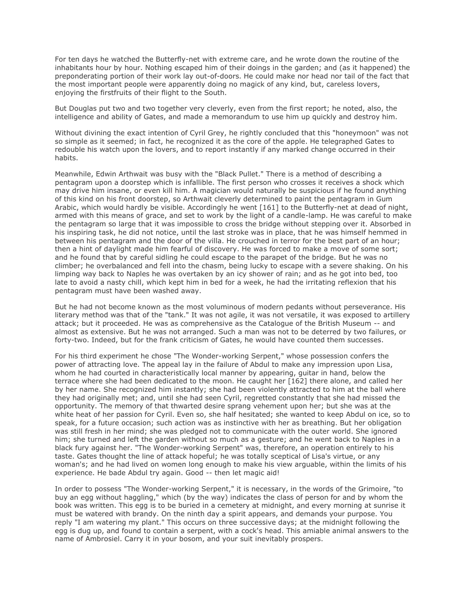For ten days he watched the Butterfly-net with extreme care, and he wrote down the routine of the inhabitants hour by hour. Nothing escaped him of their doings in the garden; and (as it happened) the preponderating portion of their work lay out-of-doors. He could make nor head nor tail of the fact that the most important people were apparently doing no magick of any kind, but, careless lovers, enjoying the firstfruits of their flight to the South.

But Douglas put two and two together very cleverly, even from the first report; he noted, also, the intelligence and ability of Gates, and made a memorandum to use him up quickly and destroy him.

Without divining the exact intention of Cyril Grey, he rightly concluded that this "honeymoon" was not so simple as it seemed; in fact, he recognized it as the core of the apple. He telegraphed Gates to redouble his watch upon the lovers, and to report instantly if any marked change occurred in their habits.

Meanwhile, Edwin Arthwait was busy with the "Black Pullet." There is a method of describing a pentagram upon a doorstep which is infallible. The first person who crosses it receives a shock which may drive him insane, or even kill him. A magician would naturally be suspicious if he found anything of this kind on his front doorstep, so Arthwait cleverly determined to paint the pentagram in Gum Arabic, which would hardly be visible. Accordingly he went [161] to the Butterfly-net at dead of night, armed with this means of grace, and set to work by the light of a candle-lamp. He was careful to make the pentagram so large that it was impossible to cross the bridge without stepping over it. Absorbed in his inspiring task, he did not notice, until the last stroke was in place, that he was himself hemmed in between his pentagram and the door of the villa. He crouched in terror for the best part of an hour; then a hint of daylight made him fearful of discovery. He was forced to make a move of some sort; and he found that by careful sidling he could escape to the parapet of the bridge. But he was no climber; he overbalanced and fell into the chasm, being lucky to escape with a severe shaking. On his limping way back to Naples he was overtaken by an icy shower of rain; and as he got into bed, too late to avoid a nasty chill, which kept him in bed for a week, he had the irritating reflexion that his pentagram must have been washed away.

But he had not become known as the most voluminous of modern pedants without perseverance. His literary method was that of the "tank." It was not agile, it was not versatile, it was exposed to artillery attack; but it proceeded. He was as comprehensive as the Catalogue of the British Museum -- and almost as extensive. But he was not arranged. Such a man was not to be deterred by two failures, or forty-two. Indeed, but for the frank criticism of Gates, he would have counted them successes.

For his third experiment he chose "The Wonder-working Serpent," whose possession confers the power of attracting love. The appeal lay in the failure of Abdul to make any impression upon Lisa, whom he had courted in characteristically local manner by appearing, guitar in hand, below the terrace where she had been dedicated to the moon. He caught her [162] there alone, and called her by her name. She recognized him instantly; she had been violently attracted to him at the ball where they had originally met; and, until she had seen Cyril, regretted constantly that she had missed the opportunity. The memory of that thwarted desire sprang vehement upon her; but she was at the white heat of her passion for Cyril. Even so, she half hesitated; she wanted to keep Abdul on ice, so to speak, for a future occasion; such action was as instinctive with her as breathing. But her obligation was still fresh in her mind; she was pledged not to communicate with the outer world. She ignored him; she turned and left the garden without so much as a gesture; and he went back to Naples in a black fury against her. "The Wonder-working Serpent" was, therefore, an operation entirely to his taste. Gates thought the line of attack hopeful; he was totally sceptical of Lisa's virtue, or any woman's; and he had lived on women long enough to make his view arguable, within the limits of his experience. He bade Abdul try again. Good -- then let magic aid!

In order to possess "The Wonder-working Serpent," it is necessary, in the words of the Grimoire, "to buy an egg without haggling," which (by the way) indicates the class of person for and by whom the book was written. This egg is to be buried in a cemetery at midnight, and every morning at sunrise it must be watered with brandy. On the ninth day a spirit appears, and demands your purpose. You reply "I am watering my plant." This occurs on three successive days; at the midnight following the egg is dug up, and found to contain a serpent, with a cock's head. This amiable animal answers to the name of Ambrosiel. Carry it in your bosom, and your suit inevitably prospers.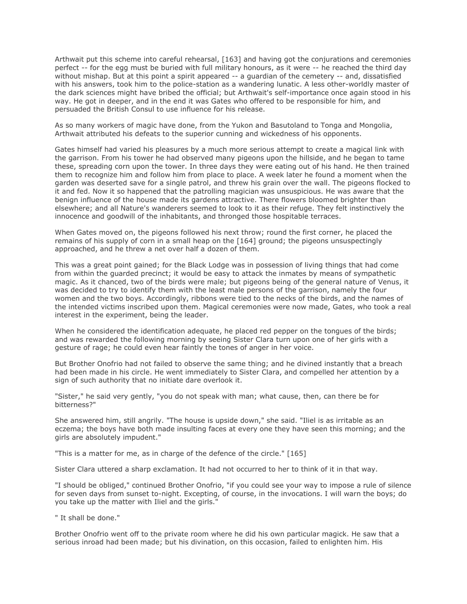Arthwait put this scheme into careful rehearsal, [163] and having got the conjurations and ceremonies perfect -- for the egg must be buried with full military honours, as it were -- he reached the third day without mishap. But at this point a spirit appeared -- a guardian of the cemetery -- and, dissatisfied with his answers, took him to the police-station as a wandering lunatic. A less other-worldly master of the dark sciences might have bribed the official; but Arthwait's self-importance once again stood in his way. He got in deeper, and in the end it was Gates who offered to be responsible for him, and persuaded the British Consul to use influence for his release.

As so many workers of magic have done, from the Yukon and Basutoland to Tonga and Mongolia, Arthwait attributed his defeats to the superior cunning and wickedness of his opponents.

Gates himself had varied his pleasures by a much more serious attempt to create a magical link with the garrison. From his tower he had observed many pigeons upon the hillside, and he began to tame these, spreading corn upon the tower. In three days they were eating out of his hand. He then trained them to recognize him and follow him from place to place. A week later he found a moment when the garden was deserted save for a single patrol, and threw his grain over the wall. The pigeons flocked to it and fed. Now it so happened that the patrolling magician was unsuspicious. He was aware that the benign influence of the house made its gardens attractive. There flowers bloomed brighter than elsewhere; and all Nature's wanderers seemed to look to it as their refuge. They felt instinctively the innocence and goodwill of the inhabitants, and thronged those hospitable terraces.

When Gates moved on, the pigeons followed his next throw; round the first corner, he placed the remains of his supply of corn in a small heap on the [164] ground; the pigeons unsuspectingly approached, and he threw a net over half a dozen of them.

This was a great point gained; for the Black Lodge was in possession of living things that had come from within the guarded precinct; it would be easy to attack the inmates by means of sympathetic magic. As it chanced, two of the birds were male; but pigeons being of the general nature of Venus, it was decided to try to identify them with the least male persons of the garrison, namely the four women and the two boys. Accordingly, ribbons were tied to the necks of the birds, and the names of the intended victims inscribed upon them. Magical ceremonies were now made, Gates, who took a real interest in the experiment, being the leader.

When he considered the identification adequate, he placed red pepper on the tongues of the birds; and was rewarded the following morning by seeing Sister Clara turn upon one of her girls with a gesture of rage; he could even hear faintly the tones of anger in her voice.

But Brother Onofrio had not failed to observe the same thing; and he divined instantly that a breach had been made in his circle. He went immediately to Sister Clara, and compelled her attention by a sign of such authority that no initiate dare overlook it.

"Sister," he said very gently, "you do not speak with man; what cause, then, can there be for bitterness?"

She answered him, still angrily. "The house is upside down," she said. "Iliel is as irritable as an eczema; the boys have both made insulting faces at every one they have seen this morning; and the girls are absolutely impudent."

"This is a matter for me, as in charge of the defence of the circle." [165]

Sister Clara uttered a sharp exclamation. It had not occurred to her to think of it in that way.

"I should be obliged," continued Brother Onofrio, "if you could see your way to impose a rule of silence for seven days from sunset to-night. Excepting, of course, in the invocations. I will warn the boys; do you take up the matter with Iliel and the girls."

" It shall be done."

Brother Onofrio went off to the private room where he did his own particular magick. He saw that a serious inroad had been made; but his divination, on this occasion, failed to enlighten him. His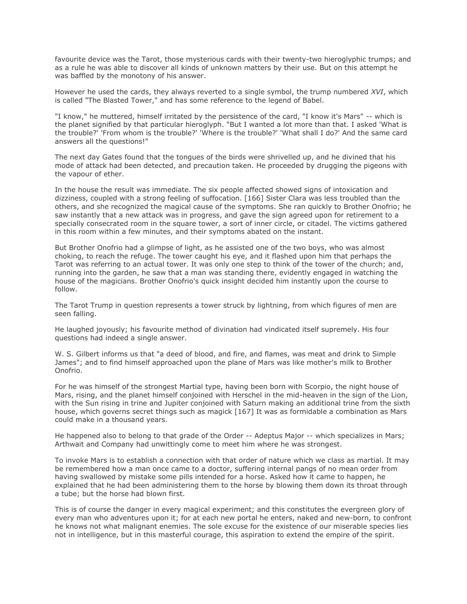favourite device was the Tarot, those mysterious cards with their twenty-two hieroglyphic trumps; and as a rule he was able to discover all kinds of unknown matters by their use. But on this attempt he was baffled by the monotony of his answer.

However he used the cards, they always reverted to a single symbol, the trump numbered *XVI*, which is called "The Blasted Tower," and has some reference to the legend of Babel.

"I know," he muttered, himself irritated by the persistence of the card, "I know it's Mars" -- which is the planet signified by that particular hieroglyph. "But I wanted a lot more than that. I asked 'What is the trouble?' 'From whom is the trouble?' 'Where is the trouble?' 'What shall I do?' And the same card answers all the questions!"

The next day Gates found that the tongues of the birds were shrivelled up, and he divined that his mode of attack had been detected, and precaution taken. He proceeded by drugging the pigeons with the vapour of ether.

In the house the result was immediate. The six people affected showed signs of intoxication and dizziness, coupled with a strong feeling of suffocation. [166] Sister Clara was less troubled than the others, and she recognized the magical cause of the symptoms. She ran quickly to Brother Onofrio; he saw instantly that a new attack was in progress, and gave the sign agreed upon for retirement to a specially consecrated room in the square tower, a sort of inner circle, or citadel. The victims gathered in this room within a few minutes, and their symptoms abated on the instant.

But Brother Onofrio had a glimpse of light, as he assisted one of the two boys, who was almost choking, to reach the refuge. The tower caught his eye, and it flashed upon him that perhaps the Tarot was referring to an actual tower. It was only one step to think of the tower of the church; and, running into the garden, he saw that a man was standing there, evidently engaged in watching the house of the magicians. Brother Onofrio's quick insight decided him instantly upon the course to follow.

The Tarot Trump in question represents a tower struck by lightning, from which figures of men are seen falling.

He laughed joyously; his favourite method of divination had vindicated itself supremely. His four questions had indeed a single answer.

W. S. Gilbert informs us that "a deed of blood, and fire, and flames, was meat and drink to Simple James"; and to find himself approached upon the plane of Mars was like mother's milk to Brother Onofrio.

For he was himself of the strongest Martial type, having been born with Scorpio, the night house of Mars, rising, and the planet himself conjoined with Herschel in the mid-heaven in the sign of the Lion, with the Sun rising in trine and Jupiter conjoined with Saturn making an additional trine from the sixth house, which governs secret things such as magick [167] It was as formidable a combination as Mars could make in a thousand years.

He happened also to belong to that grade of the Order -- Adeptus Major -- which specializes in Mars; Arthwait and Company had unwittingly come to meet him where he was strongest.

To invoke Mars is to establish a connection with that order of nature which we class as martial. It may be remembered how a man once came to a doctor, suffering internal pangs of no mean order from having swallowed by mistake some pills intended for a horse. Asked how it came to happen, he explained that he had been administering them to the horse by blowing them down its throat through a tube; but the horse had blown first.

This is of course the danger in every magical experiment; and this constitutes the evergreen glory of every man who adventures upon it; for at each new portal he enters, naked and new-born, to confront he knows not what malignant enemies. The sole excuse for the existence of our miserable species lies not in intelligence, but in this masterful courage, this aspiration to extend the empire of the spirit.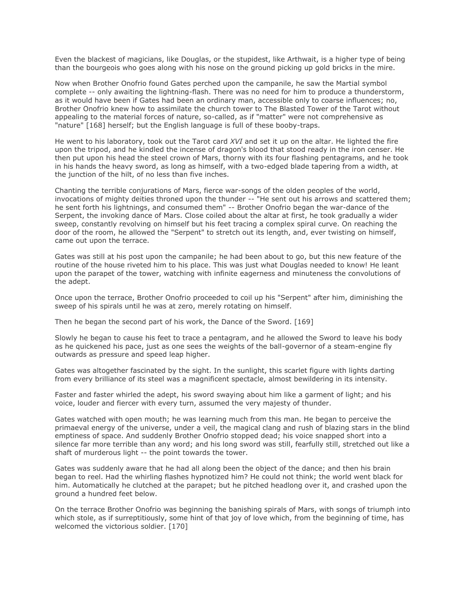Even the blackest of magicians, like Douglas, or the stupidest, like Arthwait, is a higher type of being than the bourgeois who goes along with his nose on the ground picking up gold bricks in the mire.

Now when Brother Onofrio found Gates perched upon the campanile, he saw the Martial symbol complete -- only awaiting the lightning-flash. There was no need for him to produce a thunderstorm, as it would have been if Gates had been an ordinary man, accessible only to coarse influences; no, Brother Onofrio knew how to assimilate the church tower to The Blasted Tower of the Tarot without appealing to the material forces of nature, so-called, as if "matter" were not comprehensive as "nature" [168] herself; but the English language is full of these booby-traps.

He went to his laboratory, took out the Tarot card *XVI* and set it up on the altar. He lighted the fire upon the tripod, and he kindled the incense of dragon's blood that stood ready in the iron censer. He then put upon his head the steel crown of Mars, thorny with its four flashing pentagrams, and he took in his hands the heavy sword, as long as himself, with a two-edged blade tapering from a width, at the junction of the hilt, of no less than five inches.

Chanting the terrible conjurations of Mars, fierce war-songs of the olden peoples of the world, invocations of mighty deities throned upon the thunder -- "He sent out his arrows and scattered them; he sent forth his lightnings, and consumed them" -- Brother Onofrio began the war-dance of the Serpent, the invoking dance of Mars. Close coiled about the altar at first, he took gradually a wider sweep, constantly revolving on himself but his feet tracing a complex spiral curve. On reaching the door of the room, he allowed the "Serpent" to stretch out its length, and, ever twisting on himself, came out upon the terrace.

Gates was still at his post upon the campanile; he had been about to go, but this new feature of the routine of the house riveted him to his place. This was just what Douglas needed to know! He leant upon the parapet of the tower, watching with infinite eagerness and minuteness the convolutions of the adept.

Once upon the terrace, Brother Onofrio proceeded to coil up his "Serpent" after him, diminishing the sweep of his spirals until he was at zero, merely rotating on himself.

Then he began the second part of his work, the Dance of the Sword. [169]

Slowly he began to cause his feet to trace a pentagram, and he allowed the Sword to leave his body as he quickened his pace, just as one sees the weights of the ball-governor of a steam-engine fly outwards as pressure and speed leap higher.

Gates was altogether fascinated by the sight. In the sunlight, this scarlet figure with lights darting from every brilliance of its steel was a magnificent spectacle, almost bewildering in its intensity.

Faster and faster whirled the adept, his sword swaying about him like a garment of light; and his voice, louder and fiercer with every turn, assumed the very majesty of thunder.

Gates watched with open mouth; he was learning much from this man. He began to perceive the primaeval energy of the universe, under a veil, the magical clang and rush of blazing stars in the blind emptiness of space. And suddenly Brother Onofrio stopped dead; his voice snapped short into a silence far more terrible than any word; and his long sword was still, fearfully still, stretched out like a shaft of murderous light -- the point towards the tower.

Gates was suddenly aware that he had all along been the object of the dance; and then his brain began to reel. Had the whirling flashes hypnotized him? He could not think; the world went black for him. Automatically he clutched at the parapet; but he pitched headlong over it, and crashed upon the ground a hundred feet below.

On the terrace Brother Onofrio was beginning the banishing spirals of Mars, with songs of triumph into which stole, as if surreptitiously, some hint of that joy of love which, from the beginning of time, has welcomed the victorious soldier. [170]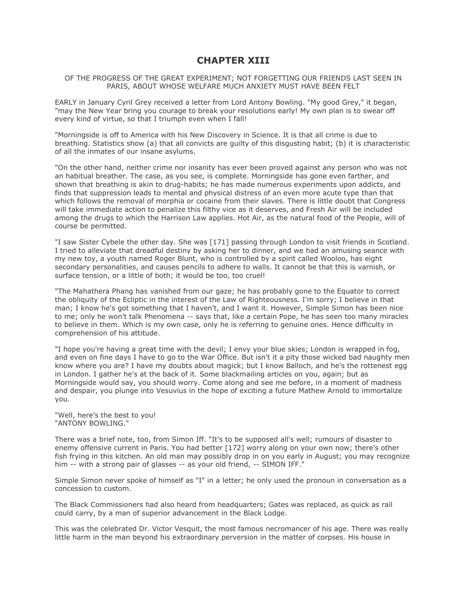### **CHAPTER XIII**

#### OF THE PROGRESS OF THE GREAT EXPERIMENT; NOT FORGETTING OUR FRIENDS LAST SEEN IN PARIS, ABOUT WHOSE WELFARE MUCH ANXIETY MUST HAVE BEEN FELT

EARLY in January Cyril Grey received a letter from Lord Antony Bowling. "My good Grey," it began, "may the New Year bring you courage to break your resolutions early! My own plan is to swear off every kind of virtue, so that I triumph even when I fall!

"Morningside is off to America with his New Discovery in Science. It is that all crime is due to breathing. Statistics show (a) that all convicts are guilty of this disgusting habit; (b) it is characteristic of all the inmates of our insane asylums.

"On the other hand, neither crime nor insanity has ever been proved against any person who was not an habitual breather. The case, as you see, is complete. Morningside has gone even farther, and shown that breathing is akin to drug-habits; he has made numerous experiments upon addicts, and finds that suppression leads to mental and physical distress of an even more acute type than that which follows the removal of morphia or cocaine from their slaves. There is little doubt that Congress will take immediate action to penalize this filthy vice as it deserves, and Fresh Air will be included among the drugs to which the Harrison Law applies. Hot Air, as the natural food of the People, will of course be permitted.

"I saw Sister Cybele the other day. She was [171] passing through London to visit friends in Scotland. I tried to alleviate that dreadful destiny by asking her to dinner, and we had an amusing seance with my new toy, a youth named Roger Blunt, who is controlled by a spirit called Wooloo, has eight secondary personalities, and causes pencils to adhere to walls. It cannot be that this is varnish, or surface tension, or a little of both; it would be too, too cruel!

"The Mahathera Phang has vanished from our gaze; he has probably gone to the Equator to correct the obliquity of the Ecliptic in the interest of the Law of Righteousness. I'm sorry; I believe in that man; I know he's got something that I haven't, and I want it. However, Simple Simon has been nice to me; only he won't talk Phenomena -- says that, like a certain Pope, he has seen too many miracles to believe in them. Which is my own case, only he is referring to genuine ones. Hence difficulty in comprehension of his attitude.

"I hope you're having a great time with the devil; I envy your blue skies; London is wrapped in fog, and even on fine days I have to go to the War Office. But isn't it a pity those wicked bad naughty men know where you are? I have my doubts about magick; but I know Balloch, and he's the rottenest egg in London. I gather he's at the back of it. Some blackmailing articles on you, again; but as Morningside would say, you should worry. Come along and see me before, in a moment of madness and despair, you plunge into Vesuvius in the hope of exciting a future Mathew Arnold to immortalize you.

"Well, here's the best to you! "ANTONY BOWLING."

There was a brief note, too, from Simon Iff. "It's to be supposed all's well; rumours of disaster to enemy offensive current in Paris. You had better [172] worry along on your own now; there's other fish frying in this kitchen. An old man may possibly drop in on you early in August; you may recognize him -- with a strong pair of glasses -- as your old friend, -- SIMON IFF."

Simple Simon never spoke of himself as "I" in a letter; he only used the pronoun in conversation as a concession to custom.

The Black Commissioners had also heard from headquarters; Gates was replaced, as quick as rail could carry, by a man of superior advancement in the Black Lodge.

This was the celebrated Dr. Victor Vesquit, the most famous necromancer of his age. There was really little harm in the man beyond his extraordinary perversion in the matter of corpses. His house in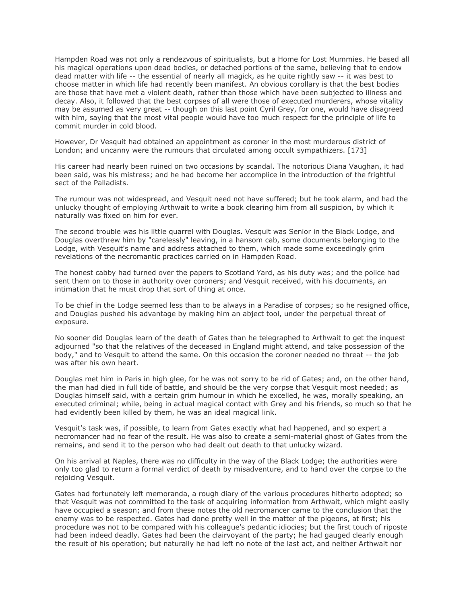Hampden Road was not only a rendezvous of spiritualists, but a Home for Lost Mummies. He based all his magical operations upon dead bodies, or detached portions of the same, believing that to endow dead matter with life -- the essential of nearly all magick, as he quite rightly saw -- it was best to choose matter in which life had recently been manifest. An obvious corollary is that the best bodies are those that have met a violent death, rather than those which have been subjected to illness and decay. Also, it followed that the best corpses of all were those of executed murderers, whose vitality may be assumed as very great -- though on this last point Cyril Grey, for one, would have disagreed with him, saying that the most vital people would have too much respect for the principle of life to commit murder in cold blood.

However, Dr Vesquit had obtained an appointment as coroner in the most murderous district of London; and uncanny were the rumours that circulated among occult sympathizers. [173]

His career had nearly been ruined on two occasions by scandal. The notorious Diana Vaughan, it had been said, was his mistress; and he had become her accomplice in the introduction of the frightful sect of the Palladists.

The rumour was not widespread, and Vesquit need not have suffered; but he took alarm, and had the unlucky thought of employing Arthwait to write a book clearing him from all suspicion, by which it naturally was fixed on him for ever.

The second trouble was his little quarrel with Douglas. Vesquit was Senior in the Black Lodge, and Douglas overthrew him by "carelessly" leaving, in a hansom cab, some documents belonging to the Lodge, with Vesquit's name and address attached to them, which made some exceedingly grim revelations of the necromantic practices carried on in Hampden Road.

The honest cabby had turned over the papers to Scotland Yard, as his duty was; and the police had sent them on to those in authority over coroners; and Vesquit received, with his documents, an intimation that he must drop that sort of thing at once.

To be chief in the Lodge seemed less than to be always in a Paradise of corpses; so he resigned office, and Douglas pushed his advantage by making him an abject tool, under the perpetual threat of exposure.

No sooner did Douglas learn of the death of Gates than he telegraphed to Arthwait to get the inquest adjourned "so that the relatives of the deceased in England might attend, and take possession of the body," and to Vesquit to attend the same. On this occasion the coroner needed no threat -- the job was after his own heart.

Douglas met him in Paris in high glee, for he was not sorry to be rid of Gates; and, on the other hand, the man had died in full tide of battle, and should be the very corpse that Vesquit most needed; as Douglas himself said, with a certain grim humour in which he excelled, he was, morally speaking, an executed criminal; while, being in actual magical contact with Grey and his friends, so much so that he had evidently been killed by them, he was an ideal magical link.

Vesquit's task was, if possible, to learn from Gates exactly what had happened, and so expert a necromancer had no fear of the result. He was also to create a semi-material ghost of Gates from the remains, and send it to the person who had dealt out death to that unlucky wizard.

On his arrival at Naples, there was no difficulty in the way of the Black Lodge; the authorities were only too glad to return a formal verdict of death by misadventure, and to hand over the corpse to the rejoicing Vesquit.

Gates had fortunately left memoranda, a rough diary of the various procedures hitherto adopted; so that Vesquit was not committed to the task of acquiring information from Arthwait, which might easily have occupied a season; and from these notes the old necromancer came to the conclusion that the enemy was to be respected. Gates had done pretty well in the matter of the pigeons, at first; his procedure was not to be compared with his colleague's pedantic idiocies; but the first touch of riposte had been indeed deadly. Gates had been the clairvoyant of the party; he had gauged clearly enough the result of his operation; but naturally he had left no note of the last act, and neither Arthwait nor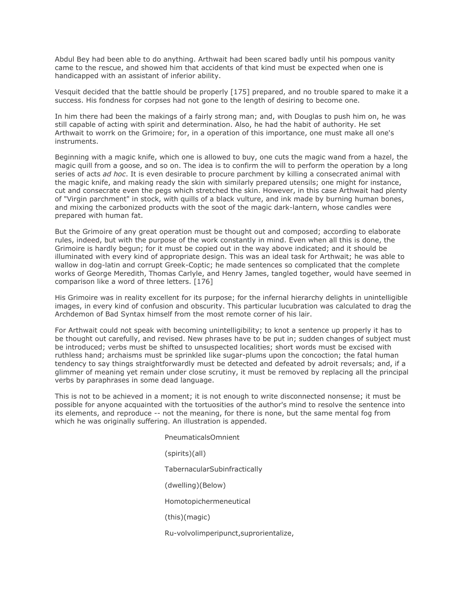Abdul Bey had been able to do anything. Arthwait had been scared badly until his pompous vanity came to the rescue, and showed him that accidents of that kind must be expected when one is handicapped with an assistant of inferior ability.

Vesquit decided that the battle should be properly [175] prepared, and no trouble spared to make it a success. His fondness for corpses had not gone to the length of desiring to become one.

In him there had been the makings of a fairly strong man; and, with Douglas to push him on, he was still capable of acting with spirit and determination. Also, he had the habit of authority. He set Arthwait to worrk on the Grimoire; for, in a operation of this importance, one must make all one's instruments.

Beginning with a magic knife, which one is allowed to buy, one cuts the magic wand from a hazel, the magic quill from a goose, and so on. The idea is to confirm the will to perform the operation by a long series of acts *ad hoc*. It is even desirable to procure parchment by killing a consecrated animal with the magic knife, and making ready the skin with similarly prepared utensils; one might for instance, cut and consecrate even the pegs which stretched the skin. However, in this case Arthwait had plenty of "Virgin parchment" in stock, with quills of a black vulture, and ink made by burning human bones, and mixing the carbonized products with the soot of the magic dark-lantern, whose candles were prepared with human fat.

But the Grimoire of any great operation must be thought out and composed; according to elaborate rules, indeed, but with the purpose of the work constantly in mind. Even when all this is done, the Grimoire is hardly begun; for it must be copied out in the way above indicated; and it should be illuminated with every kind of appropriate design. This was an ideal task for Arthwait; he was able to wallow in dog-latin and corrupt Greek-Coptic; he made sentences so complicated that the complete works of George Meredith, Thomas Carlyle, and Henry James, tangled together, would have seemed in comparison like a word of three letters. [176]

His Grimoire was in reality excellent for its purpose; for the infernal hierarchy delights in unintelligible images, in every kind of confusion and obscurity. This particular lucubration was calculated to drag the Archdemon of Bad Syntax himself from the most remote corner of his lair.

For Arthwait could not speak with becoming unintelligibility; to knot a sentence up properly it has to be thought out carefully, and revised. New phrases have to be put in; sudden changes of subject must be introduced; verbs must be shifted to unsuspected localities; short words must be excised with ruthless hand; archaisms must be sprinkled like sugar-plums upon the concoction; the fatal human tendency to say things straightforwardly must be detected and defeated by adroit reversals; and, if a glimmer of meaning yet remain under close scrutiny, it must be removed by replacing all the principal verbs by paraphrases in some dead language.

This is not to be achieved in a moment; it is not enough to write disconnected nonsense; it must be possible for anyone acquainted with the tortuosities of the author's mind to resolve the sentence into its elements, and reproduce -- not the meaning, for there is none, but the same mental fog from which he was originally suffering. An illustration is appended.

> PneumaticalsOmnient (spirits)(all) TabernacularSubinfractically (dwelling)(Below) Homotopichermeneutical (this)(magic) Ru-volvolimperipunct,suprorientalize,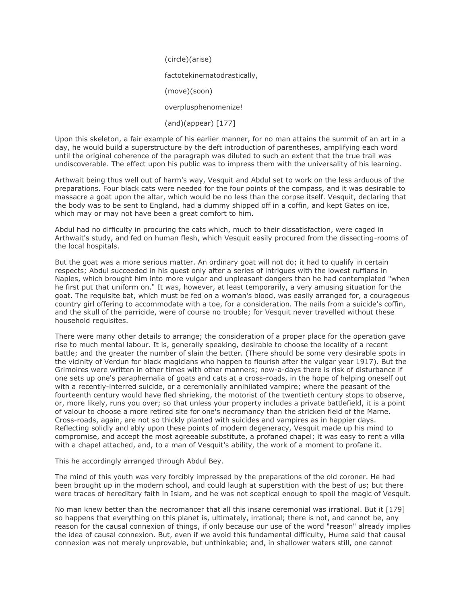(circle)(arise) factotekinematodrastically, (move)(soon) overplusphenomenize! (and)(appear) [177]

Upon this skeleton, a fair example of his earlier manner, for no man attains the summit of an art in a day, he would build a superstructure by the deft introduction of parentheses, amplifying each word until the original coherence of the paragraph was diluted to such an extent that the true trail was undiscoverable. The effect upon his public was to impress them with the universality of his learning.

Arthwait being thus well out of harm's way, Vesquit and Abdul set to work on the less arduous of the preparations. Four black cats were needed for the four points of the compass, and it was desirable to massacre a goat upon the altar, which would be no less than the corpse itself. Vesquit, declaring that the body was to be sent to England, had a dummy shipped off in a coffin, and kept Gates on ice, which may or may not have been a great comfort to him.

Abdul had no difficulty in procuring the cats which, much to their dissatisfaction, were caged in Arthwait's study, and fed on human flesh, which Vesquit easily procured from the dissecting-rooms of the local hospitals.

But the goat was a more serious matter. An ordinary goat will not do; it had to qualify in certain respects; Abdul succeeded in his quest only after a series of intrigues with the lowest ruffians in Naples, which brought him into more vulgar and unpleasant dangers than he had contemplated "when he first put that uniform on." It was, however, at least temporarily, a very amusing situation for the goat. The requisite bat, which must be fed on a woman's blood, was easily arranged for, a courageous country girl offering to accommodate with a toe, for a consideration. The nails from a suicide's coffin, and the skull of the parricide, were of course no trouble; for Vesquit never travelled without these household requisites.

There were many other details to arrange; the consideration of a proper place for the operation gave rise to much mental labour. It is, generally speaking, desirable to choose the locality of a recent battle; and the greater the number of slain the better. (There should be some very desirable spots in the vicinity of Verdun for black magicians who happen to flourish after the vulgar year 1917). But the Grimoires were written in other times with other manners; now-a-days there is risk of disturbance if one sets up one's paraphernalia of goats and cats at a cross-roads, in the hope of helping oneself out with a recently-interred suicide, or a ceremonially annihilated vampire; where the peasant of the fourteenth century would have fled shrieking, the motorist of the twentieth century stops to observe, or, more likely, runs you over; so that unless your property includes a private battlefield, it is a point of valour to choose a more retired site for one's necromancy than the stricken field of the Marne. Cross-roads, again, are not so thickly planted with suicides and vampires as in happier days. Reflecting solidly and ably upon these points of modern degeneracy, Vesquit made up his mind to compromise, and accept the most agreeable substitute, a profaned chapel; it was easy to rent a villa with a chapel attached, and, to a man of Vesquit's ability, the work of a moment to profane it.

This he accordingly arranged through Abdul Bey.

The mind of this youth was very forcibly impressed by the preparations of the old coroner. He had been brought up in the modern school, and could laugh at superstition with the best of us; but there were traces of hereditary faith in Islam, and he was not sceptical enough to spoil the magic of Vesquit.

No man knew better than the necromancer that all this insane ceremonial was irrational. But it [179] so happens that everything on this planet is, ultimately, irrational; there is not, and cannot be, any reason for the causal connexion of things, if only because our use of the word "reason" already implies the idea of causal connexion. But, even if we avoid this fundamental difficulty, Hume said that causal connexion was not merely unprovable, but unthinkable; and, in shallower waters still, one cannot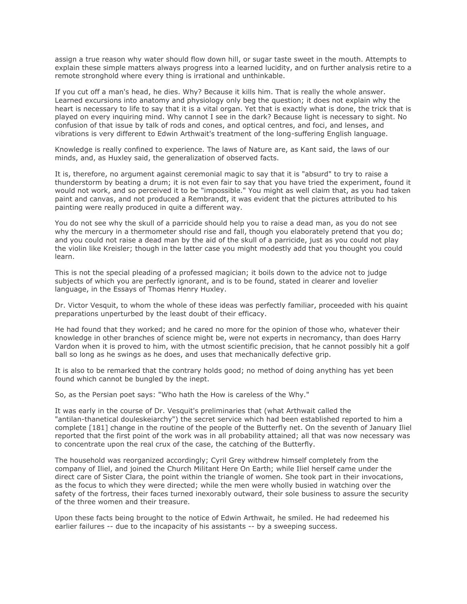assign a true reason why water should flow down hill, or sugar taste sweet in the mouth. Attempts to explain these simple matters always progress into a learned lucidity, and on further analysis retire to a remote stronghold where every thing is irrational and unthinkable.

If you cut off a man's head, he dies. Why? Because it kills him. That is really the whole answer. Learned excursions into anatomy and physiology only beg the question; it does not explain why the heart is necessary to life to say that it is a vital organ. Yet that is exactly what is done, the trick that is played on every inquiring mind. Why cannot I see in the dark? Because light is necessary to sight. No confusion of that issue by talk of rods and cones, and optical centres, and foci, and lenses, and vibrations is very different to Edwin Arthwait's treatment of the long-suffering English language.

Knowledge is really confined to experience. The laws of Nature are, as Kant said, the laws of our minds, and, as Huxley said, the generalization of observed facts.

It is, therefore, no argument against ceremonial magic to say that it is "absurd" to try to raise a thunderstorm by beating a drum; it is not even fair to say that you have tried the experiment, found it would not work, and so perceived it to be "impossible." You might as well claim that, as you had taken paint and canvas, and not produced a Rembrandt, it was evident that the pictures attributed to his painting were really produced in quite a different way.

You do not see why the skull of a parricide should help you to raise a dead man, as you do not see why the mercury in a thermometer should rise and fall, though you elaborately pretend that you do; and you could not raise a dead man by the aid of the skull of a parricide, just as you could not play the violin like Kreisler; though in the latter case you might modestly add that you thought you could learn.

This is not the special pleading of a professed magician; it boils down to the advice not to judge subjects of which you are perfectly ignorant, and is to be found, stated in clearer and lovelier language, in the Essays of Thomas Henry Huxley.

Dr. Victor Vesquit, to whom the whole of these ideas was perfectly familiar, proceeded with his quaint preparations unperturbed by the least doubt of their efficacy.

He had found that they worked; and he cared no more for the opinion of those who, whatever their knowledge in other branches of science might be, were not experts in necromancy, than does Harry Vardon when it is proved to him, with the utmost scientific precision, that he cannot possibly hit a golf ball so long as he swings as he does, and uses that mechanically defective grip.

It is also to be remarked that the contrary holds good; no method of doing anything has yet been found which cannot be bungled by the inept.

So, as the Persian poet says: "Who hath the How is careless of the Why."

It was early in the course of Dr. Vesquit's preliminaries that (what Arthwait called the "antilan-thanetical douleskeiarchy") the secret service which had been established reported to him a complete [181] change in the routine of the people of the Butterfly net. On the seventh of January Iliel reported that the first point of the work was in all probability attained; all that was now necessary was to concentrate upon the real crux of the case, the catching of the Butterfly.

The household was reorganized accordingly; Cyril Grey withdrew himself completely from the company of Iliel, and joined the Church Militant Here On Earth; while Iliel herself came under the direct care of Sister Clara, the point within the triangle of women. She took part in their invocations, as the focus to which they were directed; while the men were wholly busied in watching over the safety of the fortress, their faces turned inexorably outward, their sole business to assure the security of the three women and their treasure.

Upon these facts being brought to the notice of Edwin Arthwait, he smiled. He had redeemed his earlier failures -- due to the incapacity of his assistants -- by a sweeping success.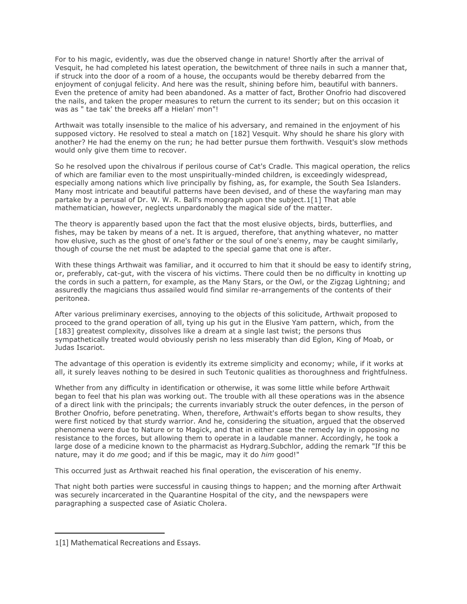For to his magic, evidently, was due the observed change in nature! Shortly after the arrival of Vesquit, he had completed his latest operation, the bewitchment of three nails in such a manner that, if struck into the door of a room of a house, the occupants would be thereby debarred from the enjoyment of conjugal felicity. And here was the result, shining before him, beautiful with banners. Even the pretence of amity had been abandoned. As a matter of fact, Brother Onofrio had discovered the nails, and taken the proper measures to return the current to its sender; but on this occasion it was as " tae tak' the breeks aff a Hielan' mon"!

Arthwait was totally insensible to the malice of his adversary, and remained in the enjoyment of his supposed victory. He resolved to steal a match on [182] Vesquit. Why should he share his glory with another? He had the enemy on the run; he had better pursue them forthwith. Vesquit's slow methods would only give them time to recover.

So he resolved upon the chivalrous if perilous course of Cat's Cradle. This magical operation, the relics of which are familiar even to the most unspiritually-minded children, is exceedingly widespread, especially among nations which live principally by fishing, as, for example, the South Sea Islanders. Many most intricate and beautiful patterns have been devised, and of these the wayfaring man may partake by a perusal of Dr. W. W. R. Ball's monograph upon the subject.1[1] That able mathematician, however, neglects unpardonably the magical side of the matter.

The theory is apparently based upon the fact that the most elusive objects, birds, butterflies, and fishes, may be taken by means of a net. It is argued, therefore, that anything whatever, no matter how elusive, such as the ghost of one's father or the soul of one's enemy, may be caught similarly, though of course the net must be adapted to the special game that one is after.

With these things Arthwait was familiar, and it occurred to him that it should be easy to identify string, or, preferably, cat-gut, with the viscera of his victims. There could then be no difficulty in knotting up the cords in such a pattern, for example, as the Many Stars, or the Owl, or the Zigzag Lightning; and assuredly the magicians thus assailed would find similar re-arrangements of the contents of their peritonea.

After various preliminary exercises, annoying to the objects of this solicitude, Arthwait proposed to proceed to the grand operation of all, tying up his gut in the Elusive Yam pattern, which, from the [183] greatest complexity, dissolves like a dream at a single last twist; the persons thus sympathetically treated would obviously perish no less miserably than did Eglon, King of Moab, or Judas Iscariot.

The advantage of this operation is evidently its extreme simplicity and economy; while, if it works at all, it surely leaves nothing to be desired in such Teutonic qualities as thoroughness and frightfulness.

Whether from any difficulty in identification or otherwise, it was some little while before Arthwait began to feel that his plan was working out. The trouble with all these operations was in the absence of a direct link with the principals; the currents invariably struck the outer defences, in the person of Brother Onofrio, before penetrating. When, therefore, Arthwait's efforts began to show results, they were first noticed by that sturdy warrior. And he, considering the situation, argued that the observed phenomena were due to Nature or to Magick, and that in either case the remedy lay in opposing no resistance to the forces, but allowing them to operate in a laudable manner. Accordingly, he took a large dose of a medicine known to the pharmacist as Hydrarg.Subchlor, adding the remark "If this be nature, may it do *me* good; and if this be magic, may it do *him* good!"

This occurred just as Arthwait reached his final operation, the evisceration of his enemy.

That night both parties were successful in causing things to happen; and the morning after Arthwait was securely incarcerated in the Quarantine Hospital of the city, and the newspapers were paragraphing a suspected case of Asiatic Cholera.

 $\overline{a}$ 

<sup>1</sup>[1] Mathematical Recreations and Essays.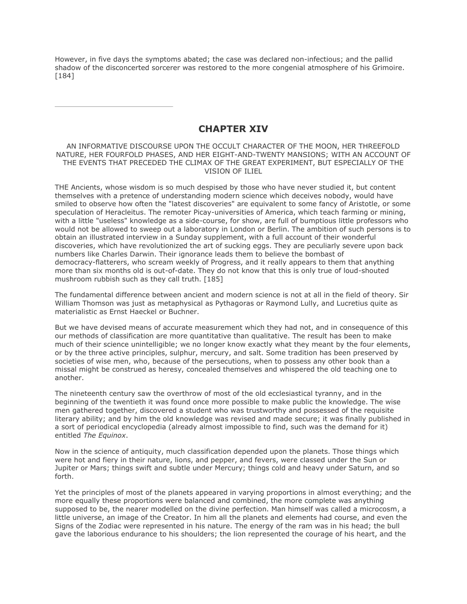However, in five days the symptoms abated; the case was declared non-infectious; and the pallid shadow of the disconcerted sorcerer was restored to the more congenial atmosphere of his Grimoire. [184]

## **CHAPTER XIV**

#### AN INFORMATIVE DISCOURSE UPON THE OCCULT CHARACTER OF THE MOON, HER THREEFOLD NATURE, HER FOURFOLD PHASES, AND HER EIGHT-AND-TWENTY MANSIONS; WITH AN ACCOUNT OF THE EVENTS THAT PRECEDED THE CLIMAX OF THE GREAT EXPERIMENT, BUT ESPECIALLY OF THE VISION OF ILIEL

THE Ancients, whose wisdom is so much despised by those who have never studied it, but content themselves with a pretence of understanding modern science which deceives nobody, would have smiled to observe how often the "latest discoveries" are equivalent to some fancy of Aristotle, or some speculation of Heracleitus. The remoter Picay-universities of America, which teach farming or mining, with a little "useless" knowledge as a side-course, for show, are full of bumptious little professors who would not be allowed to sweep out a laboratory in London or Berlin. The ambition of such persons is to obtain an illustrated interview in a Sunday supplement, with a full account of their wonderful discoveries, which have revolutionized the art of sucking eggs. They are peculiarly severe upon back numbers like Charles Darwin. Their ignorance leads them to believe the bombast of democracy-flatterers, who scream weekly of Progress, and it really appears to them that anything more than six months old is out-of-date. They do not know that this is only true of loud-shouted mushroom rubbish such as they call truth. [185]

The fundamental difference between ancient and modern science is not at all in the field of theory. Sir William Thomson was just as metaphysical as Pythagoras or Raymond Lully, and Lucretius quite as materialistic as Ernst Haeckel or Buchner.

But we have devised means of accurate measurement which they had not, and in consequence of this our methods of classification are more quantitative than qualitative. The result has been to make much of their science unintelligible; we no longer know exactly what they meant by the four elements, or by the three active principles, sulphur, mercury, and salt. Some tradition has been preserved by societies of wise men, who, because of the persecutions, when to possess any other book than a missal might be construed as heresy, concealed themselves and whispered the old teaching one to another.

The nineteenth century saw the overthrow of most of the old ecclesiastical tyranny, and in the beginning of the twentieth it was found once more possible to make public the knowledge. The wise men gathered together, discovered a student who was trustworthy and possessed of the requisite literary ability; and by him the old knowledge was revised and made secure; it was finally published in a sort of periodical encyclopedia (already almost impossible to find, such was the demand for it) entitled *The Equinox*.

Now in the science of antiquity, much classification depended upon the planets. Those things which were hot and fiery in their nature, lions, and pepper, and fevers, were classed under the Sun or Jupiter or Mars; things swift and subtle under Mercury; things cold and heavy under Saturn, and so forth.

Yet the principles of most of the planets appeared in varying proportions in almost everything; and the more equally these proportions were balanced and combined, the more complete was anything supposed to be, the nearer modelled on the divine perfection. Man himself was called a microcosm, a little universe, an image of the Creator. In him all the planets and elements had course, and even the Signs of the Zodiac were represented in his nature. The energy of the ram was in his head; the bull gave the laborious endurance to his shoulders; the lion represented the courage of his heart, and the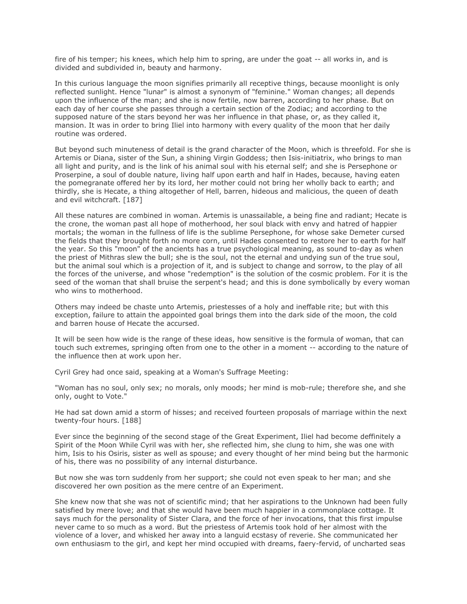fire of his temper; his knees, which help him to spring, are under the goat -- all works in, and is divided and subdivided in, beauty and harmony.

In this curious language the moon signifies primarily all receptive things, because moonlight is only reflected sunlight. Hence "lunar" is almost a synonym of "feminine." Woman changes; all depends upon the influence of the man; and she is now fertile, now barren, according to her phase. But on each day of her course she passes through a certain section of the Zodiac; and according to the supposed nature of the stars beyond her was her influence in that phase, or, as they called it, mansion. It was in order to bring Iliel into harmony with every quality of the moon that her daily routine was ordered.

But beyond such minuteness of detail is the grand character of the Moon, which is threefold. For she is Artemis or Diana, sister of the Sun, a shining Virgin Goddess; then Isis-initiatrix, who brings to man all light and purity, and is the link of his animal soul with his eternal self; and she is Persephone or Proserpine, a soul of double nature, living half upon earth and half in Hades, because, having eaten the pomegranate offered her by its lord, her mother could not bring her wholly back to earth; and thirdly, she is Hecate, a thing altogether of Hell, barren, hideous and malicious, the queen of death and evil witchcraft. [187]

All these natures are combined in woman. Artemis is unassailable, a being fine and radiant; Hecate is the crone, the woman past all hope of motherhood, her soul black with envy and hatred of happier mortals; the woman in the fullness of life is the sublime Persephone, for whose sake Demeter cursed the fields that they brought forth no more corn, until Hades consented to restore her to earth for half the year. So this "moon" of the ancients has a true psychological meaning, as sound to-day as when the priest of Mithras slew the bull; she is the soul, not the eternal and undying sun of the true soul, but the animal soul which is a projection of it, and is subject to change and sorrow, to the play of all the forces of the universe, and whose "redemption" is the solution of the cosmic problem. For it is the seed of the woman that shall bruise the serpent's head; and this is done symbolically by every woman who wins to motherhood.

Others may indeed be chaste unto Artemis, priestesses of a holy and ineffable rite; but with this exception, failure to attain the appointed goal brings them into the dark side of the moon, the cold and barren house of Hecate the accursed.

It will be seen how wide is the range of these ideas, how sensitive is the formula of woman, that can touch such extremes, springing often from one to the other in a moment -- according to the nature of the influence then at work upon her.

Cyril Grey had once said, speaking at a Woman's Suffrage Meeting:

"Woman has no soul, only sex; no morals, only moods; her mind is mob-rule; therefore she, and she only, ought to Vote."

He had sat down amid a storm of hisses; and received fourteen proposals of marriage within the next twenty-four hours. [188]

Ever since the beginning of the second stage of the Great Experiment, Iliel had become deffinitely a Spirit of the Moon While Cyril was with her, she reflected him, she clung to him, she was one with him, Isis to his Osiris, sister as well as spouse; and every thought of her mind being but the harmonic of his, there was no possibility of any internal disturbance.

But now she was torn suddenly from her support; she could not even speak to her man; and she discovered her own position as the mere centre of an Experiment.

She knew now that she was not of scientific mind; that her aspirations to the Unknown had been fully satisfied by mere love; and that she would have been much happier in a commonplace cottage. It says much for the personality of Sister Clara, and the force of her invocations, that this first impulse never came to so much as a word. But the priestess of Artemis took hold of her almost with the violence of a lover, and whisked her away into a languid ecstasy of reverie. She communicated her own enthusiasm to the girl, and kept her mind occupied with dreams, faery-fervid, of uncharted seas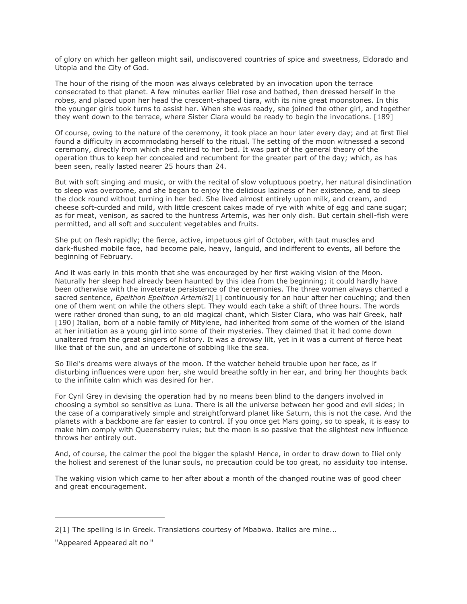of glory on which her galleon might sail, undiscovered countries of spice and sweetness, Eldorado and Utopia and the City of God.

The hour of the rising of the moon was always celebrated by an invocation upon the terrace consecrated to that planet. A few minutes earlier Iliel rose and bathed, then dressed herself in the robes, and placed upon her head the crescent-shaped tiara, with its nine great moonstones. In this the younger girls took turns to assist her. When she was ready, she joined the other girl, and together they went down to the terrace, where Sister Clara would be ready to begin the invocations. [189]

Of course, owing to the nature of the ceremony, it took place an hour later every day; and at first Iliel found a difficulty in accommodating herself to the ritual. The setting of the moon witnessed a second ceremony, directly from which she retired to her bed. It was part of the general theory of the operation thus to keep her concealed and recumbent for the greater part of the day; which, as has been seen, really lasted nearer 25 hours than 24.

But with soft singing and music, or with the recital of slow voluptuous poetry, her natural disinclination to sleep was overcome, and she began to enjoy the delicious laziness of her existence, and to sleep the clock round without turning in her bed. She lived almost entirely upon milk, and cream, and cheese soft-curded and mild, with little crescent cakes made of rye with white of egg and cane sugar; as for meat, venison, as sacred to the huntress Artemis, was her only dish. But certain shell-fish were permitted, and all soft and succulent vegetables and fruits.

She put on flesh rapidly; the fierce, active, impetuous girl of October, with taut muscles and dark-flushed mobile face, had become pale, heavy, languid, and indifferent to events, all before the beginning of February.

And it was early in this month that she was encouraged by her first waking vision of the Moon. Naturally her sleep had already been haunted by this idea from the beginning; it could hardly have been otherwise with the inveterate persistence of the ceremonies. The three women always chanted a sacred sentence, *Epelthon Epelthon Artemis*2[1] continuously for an hour after her couching; and then one of them went on while the others slept. They would each take a shift of three hours. The words were rather droned than sung, to an old magical chant, which Sister Clara, who was half Greek, half [190] Italian, born of a noble family of Mitylene, had inherited from some of the women of the island at her initiation as a young girl into some of their mysteries. They claimed that it had come down unaltered from the great singers of history. It was a drowsy lilt, yet in it was a current of fierce heat like that of the sun, and an undertone of sobbing like the sea.

So Iliel's dreams were always of the moon. If the watcher beheld trouble upon her face, as if disturbing influences were upon her, she would breathe softly in her ear, and bring her thoughts back to the infinite calm which was desired for her.

For Cyril Grey in devising the operation had by no means been blind to the dangers involved in choosing a symbol so sensitive as Luna. There is all the universe between her good and evil sides; in the case of a comparatively simple and straightforward planet like Saturn, this is not the case. And the planets with a backbone are far easier to control. If you once get Mars going, so to speak, it is easy to make him comply with Queensberry rules; but the moon is so passive that the slightest new influence throws her entirely out.

And, of course, the calmer the pool the bigger the splash! Hence, in order to draw down to Iliel only the holiest and serenest of the lunar souls, no precaution could be too great, no assiduity too intense.

The waking vision which came to her after about a month of the changed routine was of good cheer and great encouragement.

l

<sup>2[1]</sup> The spelling is in Greek. Translations courtesy of Mbabwa. Italics are mine...

<sup>&</sup>quot;Appeared Appeared alt no "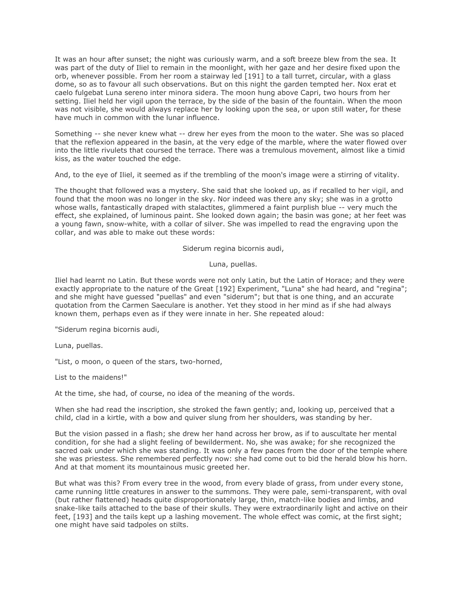It was an hour after sunset; the night was curiously warm, and a soft breeze blew from the sea. It was part of the duty of Iliel to remain in the moonlight, with her gaze and her desire fixed upon the orb, whenever possible. From her room a stairway led [191] to a tall turret, circular, with a glass dome, so as to favour all such observations. But on this night the garden tempted her. Nox erat et caelo fulgebat Luna sereno inter minora sidera. The moon hung above Capri, two hours from her setting. Iliel held her vigil upon the terrace, by the side of the basin of the fountain. When the moon was not visible, she would always replace her by looking upon the sea, or upon still water, for these have much in common with the lunar influence.

Something -- she never knew what -- drew her eyes from the moon to the water. She was so placed that the reflexion appeared in the basin, at the very edge of the marble, where the water flowed over into the little rivulets that coursed the terrace. There was a tremulous movement, almost like a timid kiss, as the water touched the edge.

And, to the eye of Iliel, it seemed as if the trembling of the moon's image were a stirring of vitality.

The thought that followed was a mystery. She said that she looked up, as if recalled to her vigil, and found that the moon was no longer in the sky. Nor indeed was there any sky; she was in a grotto whose walls, fantastically draped with stalactites, glimmered a faint purplish blue -- very much the effect, she explained, of luminous paint. She looked down again; the basin was gone; at her feet was a young fawn, snow-white, with a collar of silver. She was impelled to read the engraving upon the collar, and was able to make out these words:

Siderum regina bicornis audi,

Luna, puellas.

Iliel had learnt no Latin. But these words were not only Latin, but the Latin of Horace; and they were exactly appropriate to the nature of the Great [192] Experiment, "Luna" she had heard, and "regina"; and she might have guessed "puellas" and even "siderum"; but that is one thing, and an accurate quotation from the Carmen Saeculare is another. Yet they stood in her mind as if she had always known them, perhaps even as if they were innate in her. She repeated aloud:

"Siderum regina bicornis audi,

Luna, puellas.

"List, o moon, o queen of the stars, two-horned,

List to the maidens!"

At the time, she had, of course, no idea of the meaning of the words.

When she had read the inscription, she stroked the fawn gently; and, looking up, perceived that a child, clad in a kirtle, with a bow and quiver slung from her shoulders, was standing by her.

But the vision passed in a flash; she drew her hand across her brow, as if to auscultate her mental condition, for she had a slight feeling of bewilderment. No, she was awake; for she recognized the sacred oak under which she was standing. It was only a few paces from the door of the temple where she was priestess. She remembered perfectly now: she had come out to bid the herald blow his horn. And at that moment its mountainous music greeted her.

But what was this? From every tree in the wood, from every blade of grass, from under every stone, came running little creatures in answer to the summons. They were pale, semi-transparent, with oval (but rather flattened) heads quite disproportionately large, thin, match-like bodies and limbs, and snake-like tails attached to the base of their skulls. They were extraordinarily light and active on their feet, [193] and the tails kept up a lashing movement. The whole effect was comic, at the first sight; one might have said tadpoles on stilts.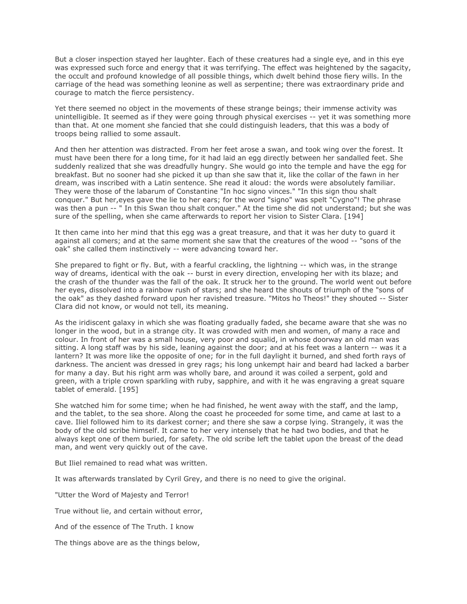But a closer inspection stayed her laughter. Each of these creatures had a single eye, and in this eye was expressed such force and energy that it was terrifying. The effect was heightened by the sagacity, the occult and profound knowledge of all possible things, which dwelt behind those fiery wills. In the carriage of the head was something leonine as well as serpentine; there was extraordinary pride and courage to match the fierce persistency.

Yet there seemed no object in the movements of these strange beings; their immense activity was unintelligible. It seemed as if they were going through physical exercises -- yet it was something more than that. At one moment she fancied that she could distinguish leaders, that this was a body of troops being rallied to some assault.

And then her attention was distracted. From her feet arose a swan, and took wing over the forest. It must have been there for a long time, for it had laid an egg directly between her sandalled feet. She suddenly realized that she was dreadfully hungry. She would go into the temple and have the egg for breakfast. But no sooner had she picked it up than she saw that it, like the collar of the fawn in her dream, was inscribed with a Latin sentence. She read it aloud: the words were absolutely familiar. They were those of the labarum of Constantine "In hoc signo vinces." "In this sign thou shalt conquer." But her,eyes gave the lie to her ears; for the word "signo" was spelt "Cygno"! The phrase was then a pun -- " In this Swan thou shalt conquer." At the time she did not understand; but she was sure of the spelling, when she came afterwards to report her vision to Sister Clara. [194]

It then came into her mind that this egg was a great treasure, and that it was her duty to guard it against all comers; and at the same moment she saw that the creatures of the wood -- "sons of the oak" she called them instinctively -- were advancing toward her.

She prepared to fight or fly. But, with a fearful crackling, the lightning -- which was, in the strange way of dreams, identical with the oak -- burst in every direction, enveloping her with its blaze; and the crash of the thunder was the fall of the oak. It struck her to the ground. The world went out before her eyes, dissolved into a rainbow rush of stars; and she heard the shouts of triumph of the "sons of the oak" as they dashed forward upon her ravished treasure. "Mitos ho Theos!" they shouted -- Sister Clara did not know, or would not tell, its meaning.

As the iridiscent galaxy in which she was floating gradually faded, she became aware that she was no longer in the wood, but in a strange city. It was crowded with men and women, of many a race and colour. In front of her was a small house, very poor and squalid, in whose doorway an old man was sitting. A long staff was by his side, leaning against the door; and at his feet was a lantern -- was it a lantern? It was more like the opposite of one; for in the full daylight it burned, and shed forth rays of darkness. The ancient was dressed in grey rags; his long unkempt hair and beard had lacked a barber for many a day. But his right arm was wholly bare, and around it was coiled a serpent, gold and green, with a triple crown sparkling with ruby, sapphire, and with it he was engraving a great square tablet of emerald. [195]

She watched him for some time; when he had finished, he went away with the staff, and the lamp, and the tablet, to the sea shore. Along the coast he proceeded for some time, and came at last to a cave. Iliel followed him to its darkest corner; and there she saw a corpse lying. Strangely, it was the body of the old scribe himself. It came to her very intensely that he had two bodies, and that he always kept one of them buried, for safety. The old scribe left the tablet upon the breast of the dead man, and went very quickly out of the cave.

But Iliel remained to read what was written.

It was afterwards translated by Cyril Grey, and there is no need to give the original.

"Utter the Word of Majesty and Terror!

True without lie, and certain without error,

And of the essence of The Truth. I know

The things above are as the things below,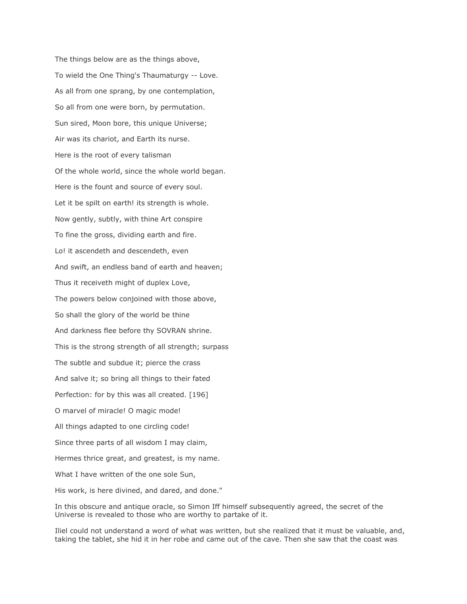The things below are as the things above, To wield the One Thing's Thaumaturgy -- Love. As all from one sprang, by one contemplation, So all from one were born, by permutation. Sun sired, Moon bore, this unique Universe; Air was its chariot, and Earth its nurse. Here is the root of every talisman Of the whole world, since the whole world began. Here is the fount and source of every soul. Let it be spilt on earth! its strength is whole. Now gently, subtly, with thine Art conspire To fine the gross, dividing earth and fire. Lo! it ascendeth and descendeth, even And swift, an endless band of earth and heaven; Thus it receiveth might of duplex Love, The powers below conjoined with those above, So shall the glory of the world be thine And darkness flee before thy SOVRAN shrine. This is the strong strength of all strength; surpass The subtle and subdue it; pierce the crass And salve it; so bring all things to their fated Perfection: for by this was all created. [196] O marvel of miracle! O magic mode! All things adapted to one circling code! Since three parts of all wisdom I may claim, Hermes thrice great, and greatest, is my name. What I have written of the one sole Sun, His work, is here divined, and dared, and done."

In this obscure and antique oracle, so Simon Iff himself subsequently agreed, the secret of the Universe is revealed to those who are worthy to partake of it.

Iliel could not understand a word of what was written, but she realized that it must be valuable, and, taking the tablet, she hid it in her robe and came out of the cave. Then she saw that the coast was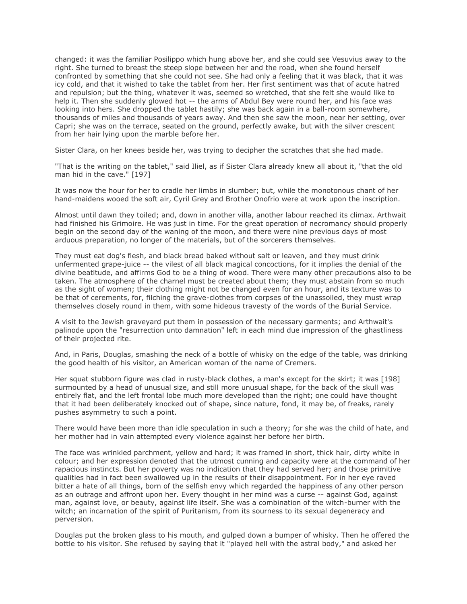changed: it was the familiar Posilippo which hung above her, and she could see Vesuvius away to the right. She turned to breast the steep slope between her and the road, when she found herself confronted by something that she could not see. She had only a feeling that it was black, that it was icy cold, and that it wished to take the tablet from her. Her first sentiment was that of acute hatred and repulsion; but the thing, whatever it was, seemed so wretched, that she felt she would like to help it. Then she suddenly glowed hot -- the arms of Abdul Bey were round her, and his face was looking into hers. She dropped the tablet hastily; she was back again in a ball-room somewhere, thousands of miles and thousands of years away. And then she saw the moon, near her setting, over Capri; she was on the terrace, seated on the ground, perfectly awake, but with the silver crescent from her hair lying upon the marble before her.

Sister Clara, on her knees beside her, was trying to decipher the scratches that she had made.

"That is the writing on the tablet," said Iliel, as if Sister Clara already knew all about it, "that the old man hid in the cave." [197]

It was now the hour for her to cradle her limbs in slumber; but, while the monotonous chant of her hand-maidens wooed the soft air, Cyril Grey and Brother Onofrio were at work upon the inscription.

Almost until dawn they toiled; and, down in another villa, another labour reached its climax. Arthwait had finished his Grimoire. He was just in time. For the great operation of necromancy should properly begin on the second day of the waning of the moon, and there were nine previous days of most arduous preparation, no longer of the materials, but of the sorcerers themselves.

They must eat dog's flesh, and black bread baked without salt or leaven, and they must drink unfermented grape-juice -- the vilest of all black magical concoctions, for it implies the denial of the divine beatitude, and affirms God to be a thing of wood. There were many other precautions also to be taken. The atmosphere of the charnel must be created about them; they must abstain from so much as the sight of women; their clothing might not be changed even for an hour, and its texture was to be that of cerements, for, filching the grave-clothes from corpses of the unassoiled, they must wrap themselves closely round in them, with some hideous travesty of the words of the Burial Service.

A visit to the Jewish graveyard put them in possession of the necessary garments; and Arthwait's palinode upon the "resurrection unto damnation" left in each mind due impression of the ghastliness of their projected rite.

And, in Paris, Douglas, smashing the neck of a bottle of whisky on the edge of the table, was drinking the good health of his visitor, an American woman of the name of Cremers.

Her squat stubborn figure was clad in rusty-black clothes, a man's except for the skirt; it was [198] surmounted by a head of unusual size, and still more unusual shape, for the back of the skull was entirely flat, and the left frontal lobe much more developed than the right; one could have thought that it had been deliberately knocked out of shape, since nature, fond, it may be, of freaks, rarely pushes asymmetry to such a point.

There would have been more than idle speculation in such a theory; for she was the child of hate, and her mother had in vain attempted every violence against her before her birth.

The face was wrinkled parchment, yellow and hard; it was framed in short, thick hair, dirty white in colour; and her expression denoted that the utmost cunning and capacity were at the command of her rapacious instincts. But her poverty was no indication that they had served her; and those primitive qualities had in fact been swallowed up in the results of their disappointment. For in her eye raved bitter a hate of all things, born of the selfish envy which regarded the happiness of any other person as an outrage and affront upon her. Every thought in her mind was a curse -- against God, against man, against love, or beauty, against life itself. She was a combination of the witch-burner with the witch; an incarnation of the spirit of Puritanism, from its sourness to its sexual degeneracy and perversion.

Douglas put the broken glass to his mouth, and gulped down a bumper of whisky. Then he offered the bottle to his visitor. She refused by saying that it "played hell with the astral body," and asked her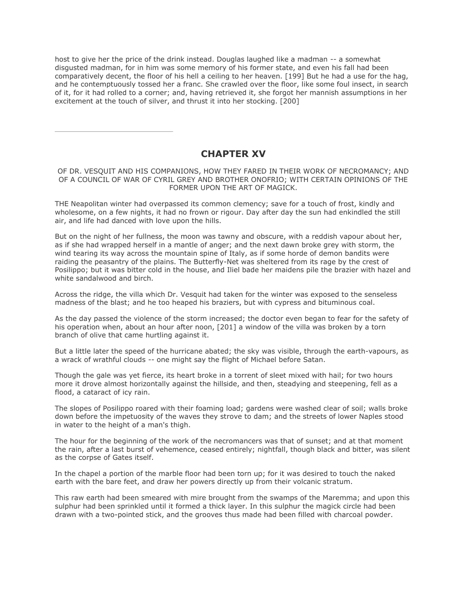host to give her the price of the drink instead. Douglas laughed like a madman -- a somewhat disgusted madman, for in him was some memory of his former state, and even his fall had been comparatively decent, the floor of his hell a ceiling to her heaven. [199] But he had a use for the hag, and he contemptuously tossed her a franc. She crawled over the floor, like some foul insect, in search of it, for it had rolled to a corner; and, having retrieved it, she forgot her mannish assumptions in her excitement at the touch of silver, and thrust it into her stocking. [200]

**CHAPTER XV** 

#### OF DR. VESQUIT AND HIS COMPANIONS, HOW THEY FARED IN THEIR WORK OF NECROMANCY; AND OF A COUNCIL OF WAR OF CYRIL GREY AND BROTHER ONOFRIO; WITH CERTAIN OPINIONS OF THE FORMER UPON THE ART OF MAGICK.

THE Neapolitan winter had overpassed its common clemency; save for a touch of frost, kindly and wholesome, on a few nights, it had no frown or rigour. Day after day the sun had enkindled the still air, and life had danced with love upon the hills.

But on the night of her fullness, the moon was tawny and obscure, with a reddish vapour about her, as if she had wrapped herself in a mantle of anger; and the next dawn broke grey with storm, the wind tearing its way across the mountain spine of Italy, as if some horde of demon bandits were raiding the peasantry of the plains. The Butterfly-Net was sheltered from its rage by the crest of Posilippo; but it was bitter cold in the house, and Iliel bade her maidens pile the brazier with hazel and white sandalwood and birch.

Across the ridge, the villa which Dr. Vesquit had taken for the winter was exposed to the senseless madness of the blast; and he too heaped his braziers, but with cypress and bituminous coal.

As the day passed the violence of the storm increased; the doctor even began to fear for the safety of his operation when, about an hour after noon, [201] a window of the villa was broken by a torn branch of olive that came hurtling against it.

But a little later the speed of the hurricane abated; the sky was visible, through the earth-vapours, as a wrack of wrathful clouds -- one might say the flight of Michael before Satan.

Though the gale was yet fierce, its heart broke in a torrent of sleet mixed with hail; for two hours more it drove almost horizontally against the hillside, and then, steadying and steepening, fell as a flood, a cataract of icy rain.

The slopes of Posilippo roared with their foaming load; gardens were washed clear of soil; walls broke down before the impetuosity of the waves they strove to dam; and the streets of lower Naples stood in water to the height of a man's thigh.

The hour for the beginning of the work of the necromancers was that of sunset; and at that moment the rain, after a last burst of vehemence, ceased entirely; nightfall, though black and bitter, was silent as the corpse of Gates itself.

In the chapel a portion of the marble floor had been torn up; for it was desired to touch the naked earth with the bare feet, and draw her powers directly up from their volcanic stratum.

This raw earth had been smeared with mire brought from the swamps of the Maremma; and upon this sulphur had been sprinkled until it formed a thick layer. In this sulphur the magick circle had been drawn with a two-pointed stick, and the grooves thus made had been filled with charcoal powder.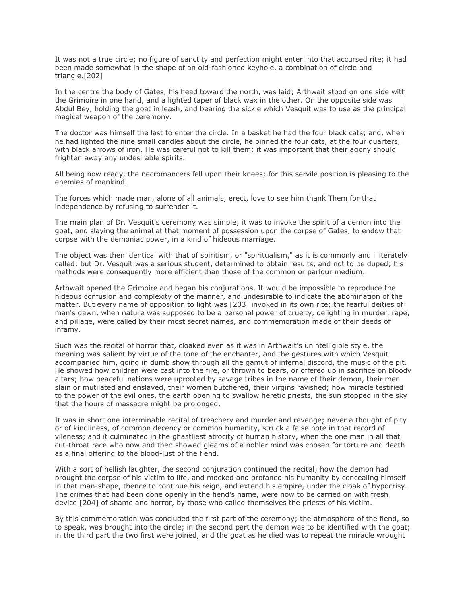It was not a true circle; no figure of sanctity and perfection might enter into that accursed rite; it had been made somewhat in the shape of an old-fashioned keyhole, a combination of circle and triangle.[202]

In the centre the body of Gates, his head toward the north, was laid; Arthwait stood on one side with the Grimoire in one hand, and a lighted taper of black wax in the other. On the opposite side was Abdul Bey, holding the goat in leash, and bearing the sickle which Vesquit was to use as the principal magical weapon of the ceremony.

The doctor was himself the last to enter the circle. In a basket he had the four black cats; and, when he had lighted the nine small candles about the circle, he pinned the four cats, at the four quarters, with black arrows of iron. He was careful not to kill them; it was important that their agony should frighten away any undesirable spirits.

All being now ready, the necromancers fell upon their knees; for this servile position is pleasing to the enemies of mankind.

The forces which made man, alone of all animals, erect, love to see him thank Them for that independence by refusing to surrender it.

The main plan of Dr. Vesquit's ceremony was simple; it was to invoke the spirit of a demon into the goat, and slaying the animal at that moment of possession upon the corpse of Gates, to endow that corpse with the demoniac power, in a kind of hideous marriage.

The object was then identical with that of spiritism, or "spiritualism," as it is commonly and illiterately called; but Dr. Vesquit was a serious student, determined to obtain results, and not to be duped; his methods were consequently more efficient than those of the common or parlour medium.

Arthwait opened the Grimoire and began his conjurations. It would be impossible to reproduce the hideous confusion and complexity of the manner, and undesirable to indicate the abomination of the matter. But every name of opposition to light was [203] invoked in its own rite; the fearful deities of man's dawn, when nature was supposed to be a personal power of cruelty, delighting in murder, rape, and pillage, were called by their most secret names, and commemoration made of their deeds of infamy.

Such was the recital of horror that, cloaked even as it was in Arthwait's unintelligible style, the meaning was salient by virtue of the tone of the enchanter, and the gestures with which Vesquit accompanied him, going in dumb show through all the gamut of infernal discord, the music of the pit. He showed how children were cast into the fire, or thrown to bears, or offered up in sacrifice on bloody altars; how peaceful nations were uprooted by savage tribes in the name of their demon, their men slain or mutilated and enslaved, their women butchered, their virgins ravished; how miracle testified to the power of the evil ones, the earth opening to swallow heretic priests, the sun stopped in the sky that the hours of massacre might be prolonged.

It was in short one interminable recital of treachery and murder and revenge; never a thought of pity or of kindliness, of common decency or common humanity, struck a false note in that record of vileness; and it culminated in the ghastliest atrocity of human history, when the one man in all that cut-throat race who now and then showed gleams of a nobler mind was chosen for torture and death as a final offering to the blood-lust of the fiend.

With a sort of hellish laughter, the second conjuration continued the recital; how the demon had brought the corpse of his victim to life, and mocked and profaned his humanity by concealing himself in that man-shape, thence to continue his reign, and extend his empire, under the cloak of hypocrisy. The crimes that had been done openly in the fiend's name, were now to be carried on with fresh device [204] of shame and horror, by those who called themselves the priests of his victim.

By this commemoration was concluded the first part of the ceremony; the atmosphere of the fiend, so to speak, was brought into the circle; in the second part the demon was to be identified with the goat; in the third part the two first were joined, and the goat as he died was to repeat the miracle wrought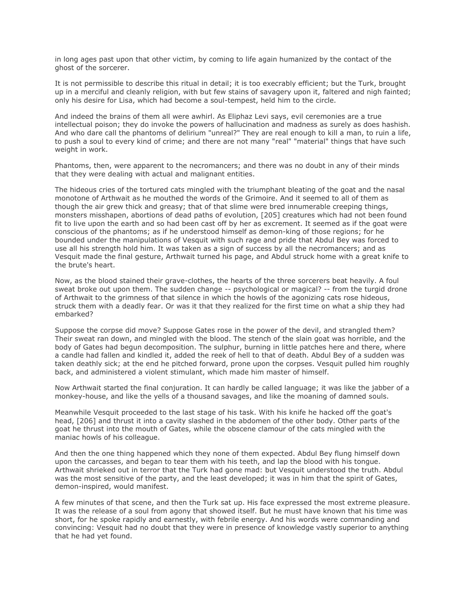in long ages past upon that other victim, by coming to life again humanized by the contact of the ghost of the sorcerer.

It is not permissible to describe this ritual in detail; it is too execrably efficient; but the Turk, brought up in a merciful and cleanly religion, with but few stains of savagery upon it, faltered and nigh fainted; only his desire for Lisa, which had become a soul-tempest, held him to the circle.

And indeed the brains of them all were awhirl. As Eliphaz Levi says, evil ceremonies are a true intellectual poison; they do invoke the powers of hallucination and madness as surely as does hashish. And who dare call the phantoms of delirium "unreal?" They are real enough to kill a man, to ruin a life, to push a soul to every kind of crime; and there are not many "real" "material" things that have such weight in work.

Phantoms, then, were apparent to the necromancers; and there was no doubt in any of their minds that they were dealing with actual and malignant entities.

The hideous cries of the tortured cats mingled with the triumphant bleating of the goat and the nasal monotone of Arthwait as he mouthed the words of the Grimoire. And it seemed to all of them as though the air grew thick and greasy; that of that slime were bred innumerable creeping things, monsters misshapen, abortions of dead paths of evolution, [205] creatures which had not been found fit to live upon the earth and so had been cast off by her as excrement. It seemed as if the goat were conscious of the phantoms; as if he understood himself as demon-king of those regions; for he bounded under the manipulations of Vesquit with such rage and pride that Abdul Bey was forced to use all his strength hold him. It was taken as a sign of success by all the necromancers; and as Vesquit made the final gesture, Arthwait turned his page, and Abdul struck home with a great knife to the brute's heart.

Now, as the blood stained their grave-clothes, the hearts of the three sorcerers beat heavily. A foul sweat broke out upon them. The sudden change -- psychological or magical? -- from the turgid drone of Arthwait to the grimness of that silence in which the howls of the agonizing cats rose hideous, struck them with a deadly fear. Or was it that they realized for the first time on what a ship they had embarked?

Suppose the corpse did move? Suppose Gates rose in the power of the devil, and strangled them? Their sweat ran down, and mingled with the blood. The stench of the slain goat was horrible, and the body of Gates had begun decomposition. The sulphur, burning in little patches here and there, where a candle had fallen and kindled it, added the reek of hell to that of death. Abdul Bey of a sudden was taken deathly sick; at the end he pitched forward, prone upon the corpses. Vesquit pulled him roughly back, and administered a violent stimulant, which made him master of himself.

Now Arthwait started the final conjuration. It can hardly be called language; it was like the jabber of a monkey-house, and like the yells of a thousand savages, and like the moaning of damned souls.

Meanwhile Vesquit proceeded to the last stage of his task. With his knife he hacked off the goat's head, [206] and thrust it into a cavity slashed in the abdomen of the other body. Other parts of the goat he thrust into the mouth of Gates, while the obscene clamour of the cats mingled with the maniac howls of his colleague.

And then the one thing happened which they none of them expected. Abdul Bey flung himself down upon the carcasses, and began to tear them with his teeth, and lap the blood with his tongue. Arthwait shrieked out in terror that the Turk had gone mad: but Vesquit understood the truth. Abdul was the most sensitive of the party, and the least developed; it was in him that the spirit of Gates, demon-inspired, would manifest.

A few minutes of that scene, and then the Turk sat up. His face expressed the most extreme pleasure. It was the release of a soul from agony that showed itself. But he must have known that his time was short, for he spoke rapidly and earnestly, with febrile energy. And his words were commanding and convincing: Vesquit had no doubt that they were in presence of knowledge vastly superior to anything that he had yet found.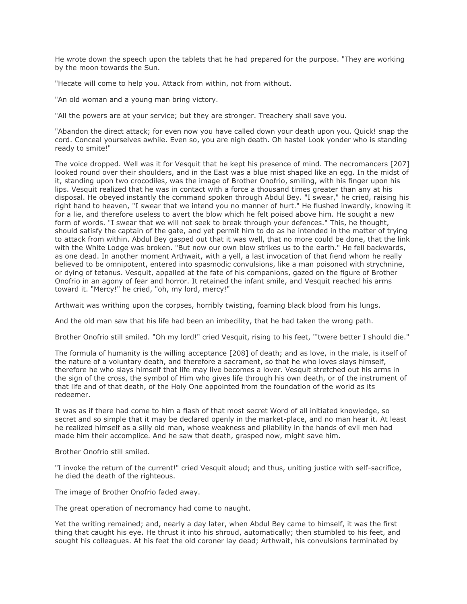He wrote down the speech upon the tablets that he had prepared for the purpose. "They are working by the moon towards the Sun.

"Hecate will come to help you. Attack from within, not from without.

"An old woman and a young man bring victory.

"All the powers are at your service; but they are stronger. Treachery shall save you.

"Abandon the direct attack; for even now you have called down your death upon you. Quick! snap the cord. Conceal yourselves awhile. Even so, you are nigh death. Oh haste! Look yonder who is standing ready to smite!"

The voice dropped. Well was it for Vesquit that he kept his presence of mind. The necromancers [207] looked round over their shoulders, and in the East was a blue mist shaped like an egg. In the midst of it, standing upon two crocodiles, was the image of Brother Onofrio, smiling, with his finger upon his lips. Vesquit realized that he was in contact with a force a thousand times greater than any at his disposal. He obeyed instantly the command spoken through Abdul Bey. "I swear," he cried, raising his right hand to heaven, "I swear that we intend you no manner of hurt." He flushed inwardly, knowing it for a lie, and therefore useless to avert the blow which he felt poised above him. He sought a new form of words. "I swear that we will not seek to break through your defences." This, he thought, should satisfy the captain of the gate, and yet permit him to do as he intended in the matter of trying to attack from within. Abdul Bey gasped out that it was well, that no more could be done, that the link with the White Lodge was broken. "But now our own blow strikes us to the earth." He fell backwards, as one dead. In another moment Arthwait, with a yell, a last invocation of that fiend whom he really believed to be omnipotent, entered into spasmodic convulsions, like a man poisoned with strychnine, or dying of tetanus. Vesquit, appalled at the fate of his companions, gazed on the figure of Brother Onofrio in an agony of fear and horror. It retained the infant smile, and Vesquit reached his arms toward it. "Mercy!" he cried, "oh, my lord, mercy!"

Arthwait was writhing upon the corpses, horribly twisting, foaming black blood from his lungs.

And the old man saw that his life had been an imbecility, that he had taken the wrong path.

Brother Onofrio still smiled. "Oh my lord!" cried Vesquit, rising to his feet, "'twere better I should die."

The formula of humanity is the willing acceptance [208] of death; and as love, in the male, is itself of the nature of a voluntary death, and therefore a sacrament, so that he who loves slays himself, therefore he who slays himself that life may live becomes a lover. Vesquit stretched out his arms in the sign of the cross, the symbol of Him who gives life through his own death, or of the instrument of that life and of that death, of the Holy One appointed from the foundation of the world as its redeemer.

It was as if there had come to him a flash of that most secret Word of all initiated knowledge, so secret and so simple that it may be declared openly in the market-place, and no man hear it. At least he realized himself as a silly old man, whose weakness and pliability in the hands of evil men had made him their accomplice. And he saw that death, grasped now, might save him.

Brother Onofrio still smiled.

"I invoke the return of the current!" cried Vesquit aloud; and thus, uniting justice with self-sacrifice, he died the death of the righteous.

The image of Brother Onofrio faded away.

The great operation of necromancy had come to naught.

Yet the writing remained; and, nearly a day later, when Abdul Bey came to himself, it was the first thing that caught his eye. He thrust it into his shroud, automatically; then stumbled to his feet, and sought his colleagues. At his feet the old coroner lay dead; Arthwait, his convulsions terminated by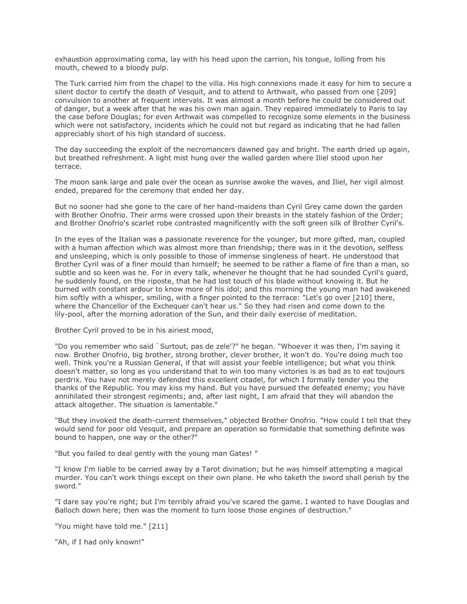exhaustion approximating coma, lay with his head upon the carrion, his tongue, lolling from his mouth, chewed to a bloody pulp.

The Turk carried him from the chapel to the villa. His high connexions made it easy for him to secure a silent doctor to certify the death of Vesquit, and to attend to Arthwait, who passed from one [209] convulsion to another at frequent intervals. It was almost a month before he could be considered out of danger, but a week after that he was his own man again. They repaired immediately to Paris to lay the case before Douglas; for even Arthwait was compelled to recognize some elements in the business which were not satisfactory, incidents which he could not but regard as indicating that he had fallen appreciably short of his high standard of success.

The day succeeding the exploit of the necromancers dawned gay and bright. The earth dried up again, but breathed refreshment. A light mist hung over the walled garden where Iliel stood upon her terrace.

The moon sank large and pale over the ocean as sunrise awoke the waves, and Iliel, her vigil almost ended, prepared for the ceremony that ended her day.

But no sooner had she gone to the care of her hand-maidens than Cyril Grey came down the garden with Brother Onofrio. Their arms were crossed upon their breasts in the stately fashion of the Order; and Brother Onofrio's scarlet robe contrasted magnificently with the soft green silk of Brother Cyril's.

In the eyes of the Italian was a passionate reverence for the younger, but more gifted, man, coupled with a human affection which was almost more than friendship; there was in it the devotion, selfless and unsleeping, which is only possible to those of immense singleness of heart. He understood that Brother Cyril was of a finer mould than himself; he seemed to be rather a flame of fire than a man, so subtle and so keen was he. For in every talk, whenever he thought that he had sounded Cyril's guard, he suddenly found, on the riposte, that he had lost touch of his blade without knowing it. But he burned with constant ardour to know more of his idol; and this morning the young man had awakened him softly with a whisper, smiling, with a finger pointed to the terrace: "Let's go over [210] there, where the Chancellor of the Exchequer can't hear us." So they had risen and come down to the lily-pool, after the morning adoration of the Sun, and their daily exercise of meditation.

Brother Cyril proved to be in his airiest mood,

"Do you remember who said `Surtout, pas de zele'?" he began. "Whoever it was then, I'm saying it now. Brother Onofrio, big brother, strong brother, clever brother, it won't do. You're doing much too well. Think you're a Russian General, if that will assist your feeble intelligence; but what you think doesn't matter, so long as you understand that to win too many victories is as bad as to eat toujours perdrix. You have not merely defended this excellent citadel, for which I formally tender you the thanks of the Republic. You may kiss my hand. But you have pursued the defeated enemy; you have annihilated their strongest regiments; and, after last night, I am afraid that they will abandon the attack altogether. The situation is lamentable."

"But they invoked the death-current themselves," objected Brother Onofrio. "How could I tell that they would send for poor old Vesquit, and prepare an operation so formidable that something definite was bound to happen, one way or the other?"

"But you failed to deal gently with the young man Gates! "

"I know I'm liable to be carried away by a Tarot divination; but he was himself attempting a magical murder. You can't work things except on their own plane. He who taketh the sword shall perish by the sword."

"I dare say you're right; but I'm terribly afraid you've scared the game. I wanted to have Douglas and Balloch down here; then was the moment to turn loose those engines of destruction."

"You might have told me." [211]

"Ah, if I had only known!"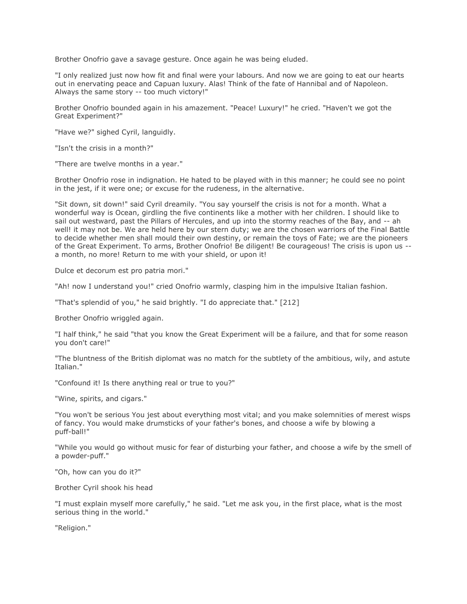Brother Onofrio gave a savage gesture. Once again he was being eluded.

"I only realized just now how fit and final were your labours. And now we are going to eat our hearts out in enervating peace and Capuan luxury. Alas! Think of the fate of Hannibal and of Napoleon. Always the same story -- too much victory!"

Brother Onofrio bounded again in his amazement. "Peace! Luxury!" he cried. "Haven't we got the Great Experiment?"

"Have we?" sighed Cyril, languidly.

"Isn't the crisis in a month?"

"There are twelve months in a year."

Brother Onofrio rose in indignation. He hated to be played with in this manner; he could see no point in the jest, if it were one; or excuse for the rudeness, in the alternative.

"Sit down, sit down!" said Cyril dreamily. "You say yourself the crisis is not for a month. What a wonderful way is Ocean, girdling the five continents like a mother with her children. I should like to sail out westward, past the Pillars of Hercules, and up into the stormy reaches of the Bay, and -- ah well! it may not be. We are held here by our stern duty; we are the chosen warriors of the Final Battle to decide whether men shall mould their own destiny, or remain the toys of Fate; we are the pioneers of the Great Experiment. To arms, Brother Onofrio! Be diligent! Be courageous! The crisis is upon us - a month, no more! Return to me with your shield, or upon it!

Dulce et decorum est pro patria mori."

"Ah! now I understand you!" cried Onofrio warmly, clasping him in the impulsive Italian fashion.

"That's splendid of you," he said brightly. "I do appreciate that." [212]

Brother Onofrio wriggled again.

"I half think," he said "that you know the Great Experiment will be a failure, and that for some reason you don't care!"

"The bluntness of the British diplomat was no match for the subtlety of the ambitious, wily, and astute Italian."

"Confound it! Is there anything real or true to you?"

"Wine, spirits, and cigars."

"You won't be serious You jest about everything most vital; and you make solemnities of merest wisps of fancy. You would make drumsticks of your father's bones, and choose a wife by blowing a puff-ball!"

"While you would go without music for fear of disturbing your father, and choose a wife by the smell of a powder-puff."

"Oh, how can you do it?"

Brother Cyril shook his head

"I must explain myself more carefully," he said. "Let me ask you, in the first place, what is the most serious thing in the world."

"Religion."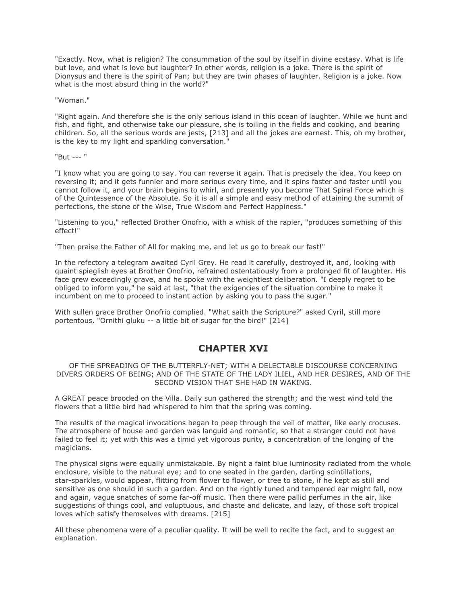"Exactly. Now, what is religion? The consummation of the soul by itself in divine ecstasy. What is life but love, and what is love but laughter? In other words, religion is a joke. There is the spirit of Dionysus and there is the spirit of Pan; but they are twin phases of laughter. Religion is a joke. Now what is the most absurd thing in the world?"

"Woman."

"Right again. And therefore she is the only serious island in this ocean of laughter. While we hunt and fish, and fight, and otherwise take our pleasure, she is toiling in the fields and cooking, and bearing children. So, all the serious words are jests, [213] and all the jokes are earnest. This, oh my brother, is the key to my light and sparkling conversation."

"But --- "

"I know what you are going to say. You can reverse it again. That is precisely the idea. You keep on reversing it; and it gets funnier and more serious every time, and it spins faster and faster until you cannot follow it, and your brain begins to whirl, and presently you become That Spiral Force which is of the Quintessence of the Absolute. So it is all a simple and easy method of attaining the summit of perfections, the stone of the Wise, True Wisdom and Perfect Happiness."

"Listening to you," reflected Brother Onofrio, with a whisk of the rapier, "produces something of this effect!"

"Then praise the Father of All for making me, and let us go to break our fast!"

In the refectory a telegram awaited Cyril Grey. He read it carefully, destroyed it, and, looking with quaint spieglish eyes at Brother Onofrio, refrained ostentatiously from a prolonged fit of laughter. His face grew exceedingly grave, and he spoke with the weightiest deliberation. "I deeply regret to be obliged to inform you," he said at last, "that the exigencies of the situation combine to make it incumbent on me to proceed to instant action by asking you to pass the sugar."

With sullen grace Brother Onofrio complied. "What saith the Scripture?" asked Cyril, still more portentous. "Ornithi gluku -- a little bit of sugar for the bird!" [214]

## **CHAPTER XVI**

#### OF THE SPREADING OF THE BUTTERFLY-NET; WITH A DELECTABLE DISCOURSE CONCERNING DIVERS ORDERS OF BEING; AND OF THE STATE OF THE LADY ILIEL, AND HER DESIRES, AND OF THE SECOND VISION THAT SHE HAD IN WAKING.

A GREAT peace brooded on the Villa. Daily sun gathered the strength; and the west wind told the flowers that a little bird had whispered to him that the spring was coming.

The results of the magical invocations began to peep through the veil of matter, like early crocuses. The atmosphere of house and garden was languid and romantic, so that a stranger could not have failed to feel it; yet with this was a timid yet vigorous purity, a concentration of the longing of the magicians.

The physical signs were equally unmistakable. By night a faint blue luminosity radiated from the whole enclosure, visible to the natural eye; and to one seated in the garden, darting scintillations, star-sparkles, would appear, flitting from flower to flower, or tree to stone, if he kept as still and sensitive as one should in such a garden. And on the rightly tuned and tempered ear might fall, now and again, vague snatches of some far-off music. Then there were pallid perfumes in the air, like suggestions of things cool, and voluptuous, and chaste and delicate, and lazy, of those soft tropical loves which satisfy themselves with dreams. [215]

All these phenomena were of a peculiar quality. It will be well to recite the fact, and to suggest an explanation.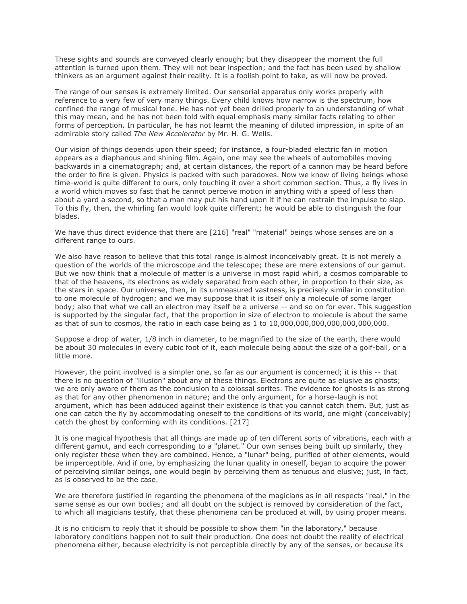These sights and sounds are conveyed clearly enough; but they disappear the moment the full attention is turned upon them. They will not bear inspection; and the fact has been used by shallow thinkers as an argument against their reality. It is a foolish point to take, as will now be proved.

The range of our senses is extremely limited. Our sensorial apparatus only works properly with reference to a very few of very many things. Every child knows how narrow is the spectrum, how confined the range of musical tone. He has not yet been drilled properly to an understanding of what this may mean, and he has not been told with equal emphasis many similar facts relating to other forms of perception. In particular, he has not learnt the meaning of diluted impression, in spite of an admirable story called *The New Accelerator* by Mr. H. G. Wells.

Our vision of things depends upon their speed; for instance, a four-bladed electric fan in motion appears as a diaphanous and shining film. Again, one may see the wheels of automobiles moving backwards in a cinematograph; and, at certain distances, the report of a cannon may be heard before the order to fire is given. Physics is packed with such paradoxes. Now we know of living beings whose time-world is quite different to ours, only touching it over a short common section. Thus, a fly lives in a world which moves so fast that he cannot perceive motion in anything with a speed of less than about a yard a second, so that a man may put his hand upon it if he can restrain the impulse to slap. To this fly, then, the whirling fan would look quite different; he would be able to distinguish the four blades.

We have thus direct evidence that there are [216] "real" "material" beings whose senses are on a different range to ours.

We also have reason to believe that this total range is almost inconceivably great. It is not merely a question of the worlds of the microscope and the telescope; these are mere extensions of our gamut. But we now think that a molecule of matter is a universe in most rapid whirl, a cosmos comparable to that of the heavens, its electrons as widely separated from each other, in proportion to their size, as the stars in space. Our universe, then, in its unmeasured vastness, is precisely similar in constitution to one molecule of hydrogen; and we may suppose that it is itself only a molecule of some larger body; also that what we call an electron may itself be a universe -- and so on for ever. This suggestion is supported by the singular fact, that the proportion in size of electron to molecule is about the same as that of sun to cosmos, the ratio in each case being as 1 to 10,000,000,000,000,000,000,000.

Suppose a drop of water, 1/8 inch in diameter, to be magnified to the size of the earth, there would be about 30 molecules in every cubic foot of it, each molecule being about the size of a golf-ball, or a little more.

However, the point involved is a simpler one, so far as our argument is concerned; it is this -- that there is no question of "illusion" about any of these things. Electrons are quite as elusive as ghosts; we are only aware of them as the conclusion to a colossal sorites. The evidence for ghosts is as strong as that for any other phenomenon in nature; and the only argument, for a horse-laugh is not argument, which has been adduced against their existence is that you cannot catch them. But, just as one can catch the fly by accommodating oneself to the conditions of its world, one might (conceivably) catch the ghost by conforming with its conditions. [217]

It is one magical hypothesis that all things are made up of ten different sorts of vibrations, each with a different gamut, and each corresponding to a "planet." Our own senses being built up similarly, they only register these when they are combined. Hence, a "lunar" being, purified of other elements, would be imperceptible. And if one, by emphasizing the lunar quality in oneself, began to acquire the power of perceiving similar beings, one would begin by perceiving them as tenuous and elusive; just, in fact, as is observed to be the case.

We are therefore justified in regarding the phenomena of the magicians as in all respects "real," in the same sense as our own bodies; and all doubt on the subject is removed by consideration of the fact, to which all magicians testify, that these phenomena can be produced at will, by using proper means.

It is no criticism to reply that it should be possible to show them "in the laboratory," because laboratory conditions happen not to suit their production. One does not doubt the reality of electrical phenomena either, because electricity is not perceptible directly by any of the senses, or because its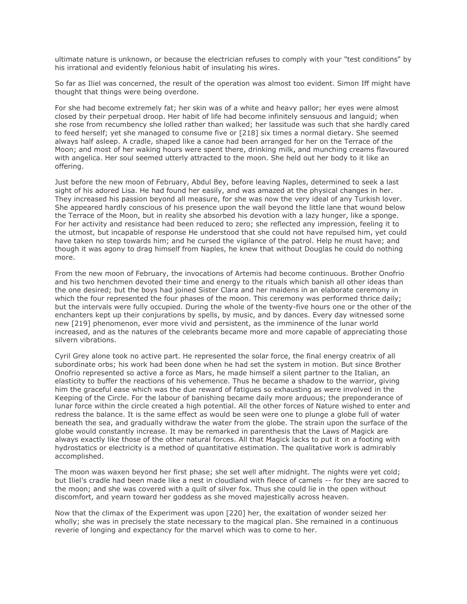ultimate nature is unknown, or because the electrician refuses to comply with your "test conditions" by his irrational and evidently felonious habit of insulating his wires.

So far as Iliel was concerned, the result of the operation was almost too evident. Simon Iff might have thought that things were being overdone.

For she had become extremely fat; her skin was of a white and heavy pallor; her eyes were almost closed by their perpetual droop. Her habit of life had become infinitely sensuous and languid; when she rose from recumbency she lolled rather than walked; her lassitude was such that she hardly cared to feed herself; yet she managed to consume five or [218] six times a normal dietary. She seemed always half asleep. A cradle, shaped like a canoe had been arranged for her on the Terrace of the Moon; and most of her waking hours were spent there, drinking milk, and munching creams flavoured with angelica. Her soul seemed utterly attracted to the moon. She held out her body to it like an offering.

Just before the new moon of February, Abdul Bey, before leaving Naples, determined to seek a last sight of his adored Lisa. He had found her easily, and was amazed at the physical changes in her. They increased his passion beyond all measure, for she was now the very ideal of any Turkish lover. She appeared hardly conscious of his presence upon the wall beyond the little lane that wound below the Terrace of the Moon, but in reality she absorbed his devotion with a lazy hunger, like a sponge. For her activity and resistance had been reduced to zero; she reflected any impression, feeling it to the utmost, but incapable of response He understood that she could not have repulsed him, yet could have taken no step towards him; and he cursed the vigilance of the patrol. Help he must have; and though it was agony to drag himself from Naples, he knew that without Douglas he could do nothing more.

From the new moon of February, the invocations of Artemis had become continuous. Brother Onofrio and his two henchmen devoted their time and energy to the rituals which banish all other ideas than the one desired; but the boys had joined Sister Clara and her maidens in an elaborate ceremony in which the four represented the four phases of the moon. This ceremony was performed thrice daily; but the intervals were fully occupied. During the whole of the twenty-five hours one or the other of the enchanters kept up their conjurations by spells, by music, and by dances. Every day witnessed some new [219] phenomenon, ever more vivid and persistent, as the imminence of the lunar world increased, and as the natures of the celebrants became more and more capable of appreciating those silvern vibrations.

Cyril Grey alone took no active part. He represented the solar force, the final energy creatrix of all subordinate orbs; his work had been done when he had set the system in motion. But since Brother Onofrio represented so active a force as Mars, he made himself a silent partner to the Italian, an elasticity to buffer the reactions of his vehemence. Thus he became a shadow to the warrior, giving him the graceful ease which was the due reward of fatigues so exhausting as were involved in the Keeping of the Circle. For the labour of banishing became daily more arduous; the preponderance of lunar force within the circle created a high potential. All the other forces of Nature wished to enter and redress the balance. It is the same effect as would be seen were one to plunge a globe full of water beneath the sea, and gradually withdraw the water from the globe. The strain upon the surface of the globe would constantly increase. It may be remarked in parenthesis that the Laws of Magick are always exactly like those of the other natural forces. All that Magick lacks to put it on a footing with hydrostatics or electricity is a method of quantitative estimation. The qualitative work is admirably accomplished.

The moon was waxen beyond her first phase; she set well after midnight. The nights were yet cold; but Iliel's cradle had been made like a nest in cloudland with fleece of camels -- for they are sacred to the moon; and she was covered with a quilt of silver fox. Thus she could lie in the open without discomfort, and yearn toward her goddess as she moved majestically across heaven.

Now that the climax of the Experiment was upon [220] her, the exaltation of wonder seized her wholly; she was in precisely the state necessary to the magical plan. She remained in a continuous reverie of longing and expectancy for the marvel which was to come to her.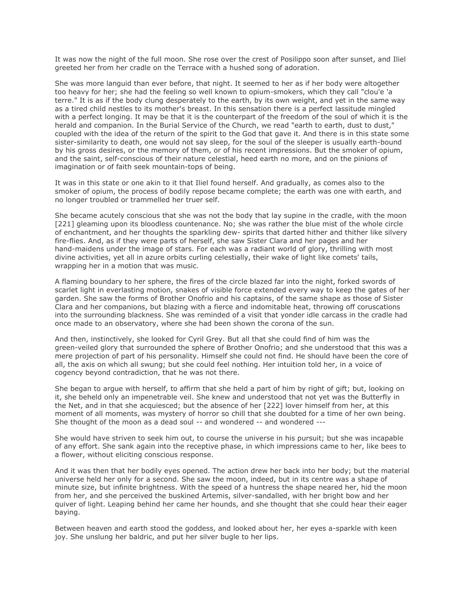It was now the night of the full moon. She rose over the crest of Posilippo soon after sunset, and Iliel greeted her from her cradle on the Terrace with a hushed song of adoration.

She was more languid than ever before, that night. It seemed to her as if her body were altogether too heavy for her; she had the feeling so well known to opium-smokers, which they call "clou'e 'a terre." It is as if the body clung desperately to the earth, by its own weight, and yet in the same way as a tired child nestles to its mother's breast. In this sensation there is a perfect lassitude mingled with a perfect longing. It may be that it is the counterpart of the freedom of the soul of which it is the herald and companion. In the Burial Service of the Church, we read "earth to earth, dust to dust," coupled with the idea of the return of the spirit to the God that gave it. And there is in this state some sister-similarity to death, one would not say sleep, for the soul of the sleeper is usually earth-bound by his gross desires, or the memory of them, or of his recent impressions. But the smoker of opium, and the saint, self-conscious of their nature celestial, heed earth no more, and on the pinions of imagination or of faith seek mountain-tops of being.

It was in this state or one akin to it that Iliel found herself. And gradually, as comes also to the smoker of opium, the process of bodily repose became complete; the earth was one with earth, and no longer troubled or trammelled her truer self.

She became acutely conscious that she was not the body that lay supine in the cradle, with the moon [221] gleaming upon its bloodless countenance. No; she was rather the blue mist of the whole circle of enchantment, and her thoughts the sparkling dew- spirits that darted hither and thither like silvery fire-flies. And, as if they were parts of herself, she saw Sister Clara and her pages and her hand-maidens under the image of stars. For each was a radiant world of glory, thrilling with most divine activities, yet all in azure orbits curling celestially, their wake of light like comets' tails, wrapping her in a motion that was music.

A flaming boundary to her sphere, the fires of the circle blazed far into the night, forked swords of scarlet light in everlasting motion, snakes of visible force extended every way to keep the gates of her garden. She saw the forms of Brother Onofrio and his captains, of the same shape as those of Sister Clara and her companions, but blazing with a fierce and indomitable heat, throwing off coruscations into the surrounding blackness. She was reminded of a visit that yonder idle carcass in the cradle had once made to an observatory, where she had been shown the corona of the sun.

And then, instinctively, she looked for Cyril Grey. But all that she could find of him was the green-veiled glory that surrounded the sphere of Brother Onofrio; and she understood that this was a mere projection of part of his personality. Himself she could not find. He should have been the core of all, the axis on which all swung; but she could feel nothing. Her intuition told her, in a voice of cogency beyond contradiction, that he was not there.

She began to argue with herself, to affirm that she held a part of him by right of gift; but, looking on it, she beheld only an impenetrable veil. She knew and understood that not yet was the Butterfly in the Net, and in that she acquiesced; but the absence of her [222] lover himself from her, at this moment of all moments, was mystery of horror so chill that she doubted for a time of her own being. She thought of the moon as a dead soul -- and wondered -- and wondered ---

She would have striven to seek him out, to course the universe in his pursuit; but she was incapable of any effort. She sank again into the receptive phase, in which impressions came to her, like bees to a flower, without eliciting conscious response.

And it was then that her bodily eyes opened. The action drew her back into her body; but the material universe held her only for a second. She saw the moon, indeed, but in its centre was a shape of minute size, but infinite brightness. With the speed of a huntress the shape neared her, hid the moon from her, and she perceived the buskined Artemis, silver-sandalled, with her bright bow and her quiver of light. Leaping behind her came her hounds, and she thought that she could hear their eager baying.

Between heaven and earth stood the goddess, and looked about her, her eyes a-sparkle with keen joy. She unslung her baldric, and put her silver bugle to her lips.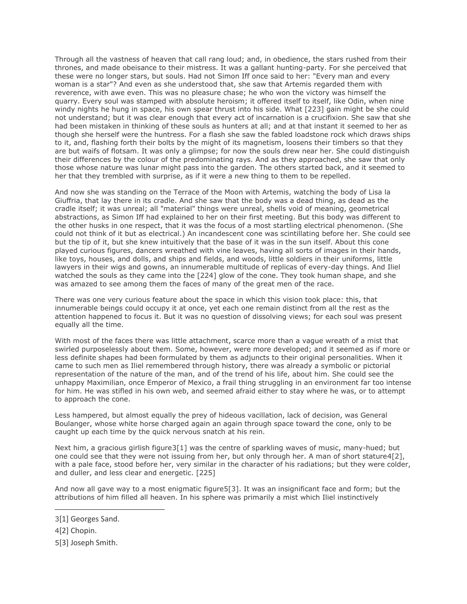Through all the vastness of heaven that call rang loud; and, in obedience, the stars rushed from their thrones, and made obeisance to their mistress. It was a gallant hunting-party. For she perceived that these were no longer stars, but souls. Had not Simon Iff once said to her: "Every man and every woman is a star"? And even as she understood that, she saw that Artemis regarded them with reverence, with awe even. This was no pleasure chase; he who won the victory was himself the quarry. Every soul was stamped with absolute heroism; it offered itself to itself, like Odin, when nine windy nights he hung in space, his own spear thrust into his side. What [223] gain might be she could not understand; but it was clear enough that every act of incarnation is a crucifixion. She saw that she had been mistaken in thinking of these souls as hunters at all; and at that instant it seemed to her as though she herself were the huntress. For a flash she saw the fabled loadstone rock which draws ships to it, and, flashing forth their bolts by the might of its magnetism, loosens their timbers so that they are but waifs of flotsam. It was only a glimpse; for now the souls drew near her. She could distinguish their differences by the colour of the predominating rays. And as they approached, she saw that only those whose nature was lunar might pass into the garden. The others started back, and it seemed to her that they trembled with surprise, as if it were a new thing to them to be repelled.

And now she was standing on the Terrace of the Moon with Artemis, watching the body of Lisa la Giuffria, that lay there in its cradle. And she saw that the body was a dead thing, as dead as the cradle itself; it was unreal; all "material" things were unreal, shells void of meaning, geometrical abstractions, as Simon Iff had explained to her on their first meeting. But this body was different to the other husks in one respect, that it was the focus of a most startling electrical phenomenon. (She could not think of it but as electrical.) An incandescent cone was scintillating before her. She could see but the tip of it, but she knew intuitively that the base of it was in the sun itself. About this cone played curious figures, dancers wreathed with vine leaves, having all sorts of images in their hands, like toys, houses, and dolls, and ships and fields, and woods, little soldiers in their uniforms, little lawyers in their wigs and gowns, an innumerable multitude of replicas of every-day things. And Iliel watched the souls as they came into the [224] glow of the cone. They took human shape, and she was amazed to see among them the faces of many of the great men of the race.

There was one very curious feature about the space in which this vision took place: this, that innumerable beings could occupy it at once, yet each one remain distinct from all the rest as the attention happened to focus it. But it was no question of dissolving views; for each soul was present equally all the time.

With most of the faces there was little attachment, scarce more than a vague wreath of a mist that swirled purposelessly about them. Some, however, were more developed; and it seemed as if more or less definite shapes had been formulated by them as adjuncts to their original personalities. When it came to such men as Iliel remembered through history, there was already a symbolic or pictorial representation of the nature of the man, and of the trend of his life, about him. She could see the unhappy Maximilian, once Emperor of Mexico, a frail thing struggling in an environment far too intense for him. He was stifled in his own web, and seemed afraid either to stay where he was, or to attempt to approach the cone.

Less hampered, but almost equally the prey of hideous vacillation, lack of decision, was General Boulanger, whose white horse charged again an again through space toward the cone, only to be caught up each time by the quick nervous snatch at his rein.

Next him, a gracious girlish figure3[1] was the centre of sparkling waves of music, many-hued; but one could see that they were not issuing from her, but only through her. A man of short stature4[2], with a pale face, stood before her, very similar in the character of his radiations; but they were colder, and duller, and less clear and energetic. [225]

And now all gave way to a most enigmatic figure5[3]. It was an insignificant face and form; but the attributions of him filled all heaven. In his sphere was primarily a mist which Iliel instinctively

4[2] Chopin.

 $\overline{\phantom{a}}$ 

<sup>3</sup>[1] Georges Sand.

<sup>5</sup>[3] Joseph Smith.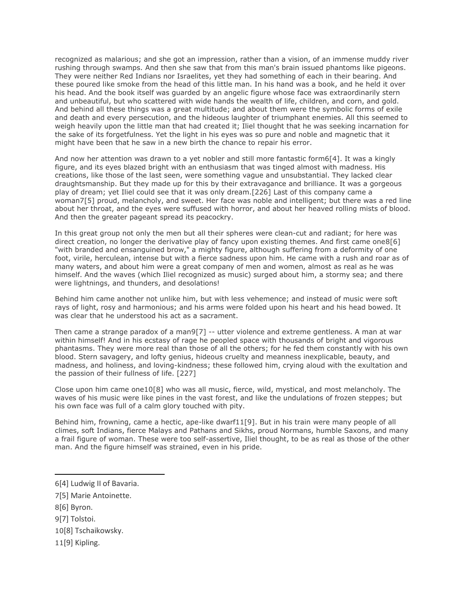recognized as malarious; and she got an impression, rather than a vision, of an immense muddy river rushing through swamps. And then she saw that from this man's brain issued phantoms like pigeons. They were neither Red Indians nor Israelites, yet they had something of each in their bearing. And these poured like smoke from the head of this little man. In his hand was a book, and he held it over his head. And the book itself was guarded by an angelic figure whose face was extraordinarily stern and unbeautiful, but who scattered with wide hands the wealth of life, children, and corn, and gold. And behind all these things was a great multitude; and about them were the symbolic forms of exile and death and every persecution, and the hideous laughter of triumphant enemies. All this seemed to weigh heavily upon the little man that had created it; Iliel thought that he was seeking incarnation for the sake of its forgetfulness. Yet the light in his eyes was so pure and noble and magnetic that it might have been that he saw in a new birth the chance to repair his error.

And now her attention was drawn to a yet nobler and still more fantastic form6[4]. It was a kingly figure, and its eyes blazed bright with an enthusiasm that was tinged almost with madness. His creations, like those of the last seen, were something vague and unsubstantial. They lacked clear draughtsmanship. But they made up for this by their extravagance and brilliance. It was a gorgeous play of dream; yet Iliel could see that it was only dream.[226] Last of this company came a woman7[5] proud, melancholy, and sweet. Her face was noble and intelligent; but there was a red line about her throat, and the eyes were suffused with horror, and about her heaved rolling mists of blood. And then the greater pageant spread its peacockry.

In this great group not only the men but all their spheres were clean-cut and radiant; for here was direct creation, no longer the derivative play of fancy upon existing themes. And first came one8[6] "with branded and ensanguined brow," a mighty figure, although suffering from a deformity of one foot, virile, herculean, intense but with a fierce sadness upon him. He came with a rush and roar as of many waters, and about him were a great company of men and women, almost as real as he was himself. And the waves (which Iliel recognized as music) surged about him, a stormy sea; and there were lightnings, and thunders, and desolations!

Behind him came another not unlike him, but with less vehemence; and instead of music were soft rays of light, rosy and harmonious; and his arms were folded upon his heart and his head bowed. It was clear that he understood his act as a sacrament.

Then came a strange paradox of a man9[7] -- utter violence and extreme gentleness. A man at war within himself! And in his ecstasy of rage he peopled space with thousands of bright and vigorous phantasms. They were more real than those of all the others; for he fed them constantly with his own blood. Stern savagery, and lofty genius, hideous cruelty and meanness inexplicable, beauty, and madness, and holiness, and loving-kindness; these followed him, crying aloud with the exultation and the passion of their fullness of life. [227]

Close upon him came one10[8] who was all music, fierce, wild, mystical, and most melancholy. The waves of his music were like pines in the vast forest, and like the undulations of frozen steppes; but his own face was full of a calm glory touched with pity.

Behind him, frowning, came a hectic, ape-like dwarf11[9]. But in his train were many people of all climes, soft Indians, fierce Malays and Pathans and Sikhs, proud Normans, humble Saxons, and many a frail figure of woman. These were too self-assertive, Iliel thought, to be as real as those of the other man. And the figure himself was strained, even in his pride.

- 7[5] Marie Antoinette.
- 8[6] Byron.

l

- 9[7] Tolstoi.
- 10[8] Tschaikowsky.
- 11[9] Kipling.

<sup>6</sup>[4] Ludwig II of Bavaria.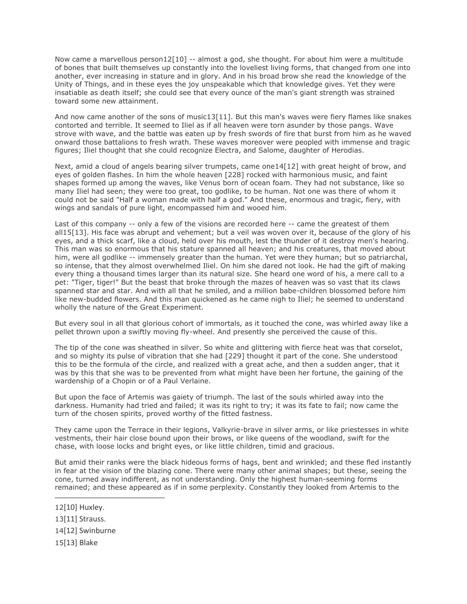Now came a marvellous person12[10] -- almost a god, she thought. For about him were a multitude of bones that built themselves up constantly into the loveliest living forms, that changed from one into another, ever increasing in stature and in glory. And in his broad brow she read the knowledge of the Unity of Things, and in these eyes the joy unspeakable which that knowledge gives. Yet they were insatiable as death itself; she could see that every ounce of the man's giant strength was strained toward some new attainment.

And now came another of the sons of music13[11]. But this man's waves were fiery flames like snakes contorted and terrible. It seemed to Iliel as if all heaven were torn asunder by those pangs. Wave strove with wave, and the battle was eaten up by fresh swords of fire that burst from him as he waved onward those battalions to fresh wrath. These waves moreover were peopled with immense and tragic figures; Iliel thought that she could recognize Electra, and Salome, daughter of Herodias.

Next, amid a cloud of angels bearing silver trumpets, came one14[12] with great height of brow, and eyes of golden flashes. In him the whole heaven [228] rocked with harmonious music, and faint shapes formed up among the waves, like Venus born of ocean foam. They had not substance, like so many Iliel had seen; they were too great, too godlike, to be human. Not one was there of whom it could not be said "Half a woman made with half a god." And these, enormous and tragic, fiery, with wings and sandals of pure light, encompassed him and wooed him.

Last of this company -- only a few of the visions are recorded here -- came the greatest of them all15[13]. His face was abrupt and vehement; but a veil was woven over it, because of the glory of his eyes, and a thick scarf, like a cloud, held over his mouth, lest the thunder of it destroy men's hearing. This man was so enormous that his stature spanned all heaven; and his creatures, that moved about him, were all godlike -- immensely greater than the human. Yet were they human; but so patriarchal, so intense, that they almost overwhelmed Iliel. On him she dared not look. He had the gift of making every thing a thousand times larger than its natural size. She heard one word of his, a mere call to a pet: "Tiger, tiger!" But the beast that broke through the mazes of heaven was so vast that its claws spanned star and star. And with all that he smiled, and a million babe-children blossomed before him like new-budded flowers. And this man quickened as he came nigh to Iliel; he seemed to understand wholly the nature of the Great Experiment.

But every soul in all that glorious cohort of immortals, as it touched the cone, was whirled away like a pellet thrown upon a swiftly moving fly-wheel. And presently she perceived the cause of this.

The tip of the cone was sheathed in silver. So white and glittering with fierce heat was that corselot, and so mighty its pulse of vibration that she had [229] thought it part of the cone. She understood this to be the formula of the circle, and realized with a great ache, and then a sudden anger, that it was by this that she was to be prevented from what might have been her fortune, the gaining of the wardenship of a Chopin or of a Paul Verlaine.

But upon the face of Artemis was gaiety of triumph. The last of the souls whirled away into the darkness. Humanity had tried and failed; it was its right to try; it was its fate to fail; now came the turn of the chosen spirits, proved worthy of the fitted fastness.

They came upon the Terrace in their legions, Valkyrie-brave in silver arms, or like priestesses in white vestments, their hair close bound upon their brows, or like queens of the woodland, swift for the chase, with loose locks and bright eyes, or like little children, timid and gracious.

But amid their ranks were the black hideous forms of hags, bent and wrinkled; and these fled instantly in fear at the vision of the blazing cone. There were many other animal shapes; but these, seeing the cone, turned away indifferent, as not understanding. Only the highest human-seeming forms remained; and these appeared as if in some perplexity. Constantly they looked from Artemis to the

 $\overline{\phantom{a}}$ 

15[13] Blake

<sup>12</sup>[10] Huxley.

<sup>13</sup>[11] Strauss.

<sup>14</sup>[12] Swinburne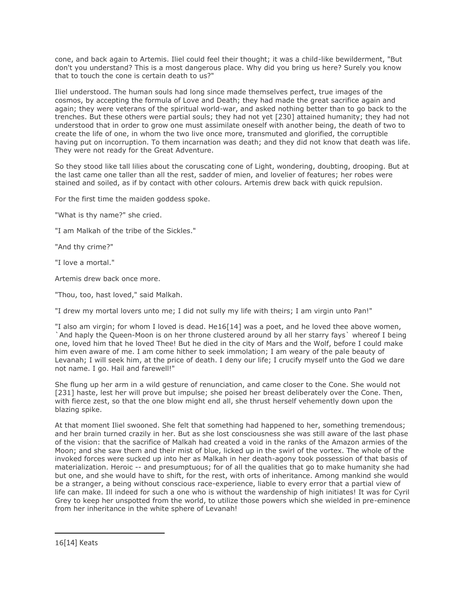cone, and back again to Artemis. Iliel could feel their thought; it was a child-like bewilderment, "But don't you understand? This is a most dangerous place. Why did you bring us here? Surely you know that to touch the cone is certain death to us?"

Iliel understood. The human souls had long since made themselves perfect, true images of the cosmos, by accepting the formula of Love and Death; they had made the great sacrifice again and again; they were veterans of the spiritual world-war, and asked nothing better than to go back to the trenches. But these others were partial souls; they had not yet [230] attained humanity; they had not understood that in order to grow one must assimilate oneself with another being, the death of two to create the life of one, in whom the two live once more, transmuted and glorified, the corruptible having put on incorruption. To them incarnation was death; and they did not know that death was life. They were not ready for the Great Adventure.

So they stood like tall lilies about the coruscating cone of Light, wondering, doubting, drooping. But at the last came one taller than all the rest, sadder of mien, and lovelier of features; her robes were stained and soiled, as if by contact with other colours. Artemis drew back with quick repulsion.

For the first time the maiden goddess spoke.

"What is thy name?" she cried.

"I am Malkah of the tribe of the Sickles."

"And thy crime?"

"I love a mortal."

Artemis drew back once more.

"Thou, too, hast loved," said Malkah.

"I drew my mortal lovers unto me; I did not sully my life with theirs; I am virgin unto Pan!"

"I also am virgin; for whom I loved is dead. He16[14] was a poet, and he loved thee above women, `And haply the Queen-Moon is on her throne clustered around by all her starry fays` whereof I being one, loved him that he loved Thee! But he died in the city of Mars and the Wolf, before I could make him even aware of me. I am come hither to seek immolation; I am weary of the pale beauty of Levanah; I will seek him, at the price of death. I deny our life; I crucify myself unto the God we dare not name. I go. Hail and farewell!"

She flung up her arm in a wild gesture of renunciation, and came closer to the Cone. She would not [231] haste, lest her will prove but impulse; she poised her breast deliberately over the Cone. Then, with fierce zest, so that the one blow might end all, she thrust herself vehemently down upon the blazing spike.

At that moment Iliel swooned. She felt that something had happened to her, something tremendous; and her brain turned crazily in her. But as she lost consciousness she was still aware of the last phase of the vision: that the sacrifice of Malkah had created a void in the ranks of the Amazon armies of the Moon; and she saw them and their mist of blue, licked up in the swirl of the vortex. The whole of the invoked forces were sucked up into her as Malkah in her death-agony took possession of that basis of materialization. Heroic -- and presumptuous; for of all the qualities that go to make humanity she had but one, and she would have to shift, for the rest, with orts of inheritance. Among mankind she would be a stranger, a being without conscious race-experience, liable to every error that a partial view of life can make. Ill indeed for such a one who is without the wardenship of high initiates! It was for Cyril Grey to keep her unspotted from the world, to utilize those powers which she wielded in pre-eminence from her inheritance in the white sphere of Levanah!

 $\overline{a}$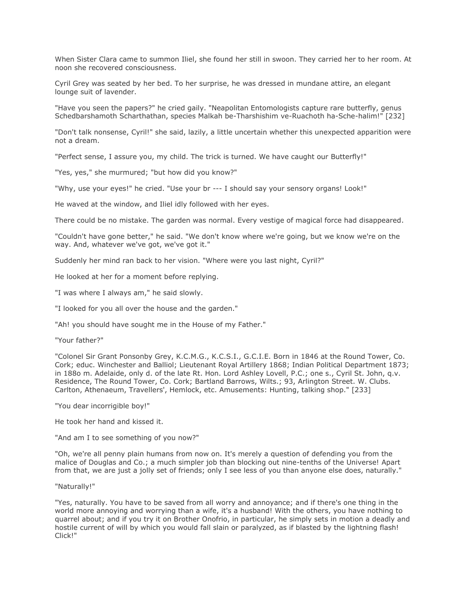When Sister Clara came to summon Iliel, she found her still in swoon. They carried her to her room. At noon she recovered consciousness.

Cyril Grey was seated by her bed. To her surprise, he was dressed in mundane attire, an elegant lounge suit of lavender.

"Have you seen the papers?" he cried gaily. "Neapolitan Entomologists capture rare butterfly, genus Schedbarshamoth Scharthathan, species Malkah be-Tharshishim ve-Ruachoth ha-Sche-halim!" [232]

"Don't talk nonsense, Cyril!" she said, lazily, a little uncertain whether this unexpected apparition were not a dream.

"Perfect sense, I assure you, my child. The trick is turned. We have caught our Butterfly!"

"Yes, yes," she murmured; "but how did you know?"

"Why, use your eyes!" he cried. "Use your br --- I should say your sensory organs! Look!"

He waved at the window, and Iliel idly followed with her eyes.

There could be no mistake. The garden was normal. Every vestige of magical force had disappeared.

"Couldn't have gone better," he said. "We don't know where we're going, but we know we're on the way. And, whatever we've got, we've got it."

Suddenly her mind ran back to her vision. "Where were you last night, Cyril?"

He looked at her for a moment before replying.

"I was where I always am," he said slowly.

"I looked for you all over the house and the garden."

"Ah! you should have sought me in the House of my Father."

"Your father?"

"Colonel Sir Grant Ponsonby Grey, K.C.M.G., K.C.S.I., G.C.I.E. Born in 1846 at the Round Tower, Co. Cork; educ. Winchester and Balliol; Lieutenant Royal Artillery 1868; Indian Political Department 1873; in 188o m. Adelaide, only d. of the late Rt. Hon. Lord Ashley Lovell, P.C.; one s., Cyril St. John, q.v. Residence, The Round Tower, Co. Cork; Bartland Barrows, Wilts.; 93, Arlington Street. W. Clubs. Carlton, Athenaeum, Travellers', Hemlock, etc. Amusements: Hunting, talking shop." [233]

"You dear incorrigible boy!"

He took her hand and kissed it.

"And am I to see something of you now?"

"Oh, we're all penny plain humans from now on. It's merely a question of defending you from the malice of Douglas and Co.; a much simpler job than blocking out nine-tenths of the Universe! Apart from that, we are just a jolly set of friends; only I see less of you than anyone else does, naturally."

"Naturally!"

"Yes, naturally. You have to be saved from all worry and annoyance; and if there's one thing in the world more annoying and worrying than a wife, it's a husband! With the others, you have nothing to quarrel about; and if you try it on Brother Onofrio, in particular, he simply sets in motion a deadly and hostile current of will by which you would fall slain or paralyzed, as if blasted by the lightning flash! Click!"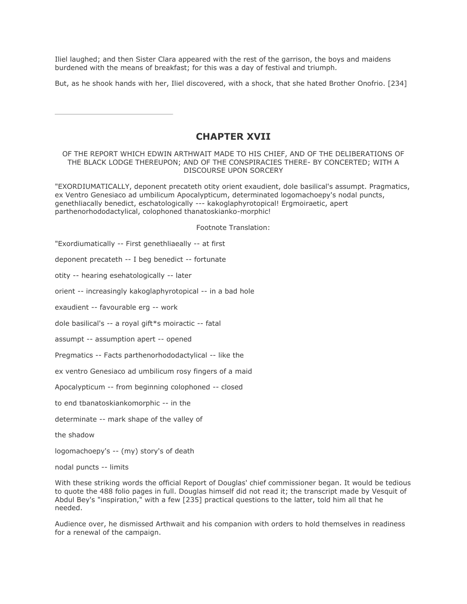Iliel laughed; and then Sister Clara appeared with the rest of the garrison, the boys and maidens burdened with the means of breakfast; for this was a day of festival and triumph.

But, as he shook hands with her, Iliel discovered, with a shock, that she hated Brother Onofrio. [234]

**CHAPTER XVII** 

### OF THE REPORT WHICH EDWIN ARTHWAIT MADE TO HIS CHIEF, AND OF THE DELIBERATIONS OF THE BLACK LODGE THEREUPON; AND OF THE CONSPIRACIES THERE- BY CONCERTED; WITH A DISCOURSE UPON SORCERY

"EXORDIUMATICALLY, deponent precateth otity orient exaudient, dole basilical's assumpt. Pragmatics, ex Ventro Genesiaco ad umbilicum Apocalypticum, determinated logomachoepy's nodal puncts, genethliacally benedict, eschatologically --- kakoglaphyrotopical! Ergmoiraetic, apert parthenorhododactylical, colophoned thanatoskianko-morphic!

Footnote Translation:

"Exordiumatically -- First genethliaeally -- at first

deponent precateth -- I beg benedict -- fortunate

otity -- hearing esehatologically -- later

orient -- increasingly kakoglaphyrotopical -- in a bad hole

exaudient -- favourable erg -- work

dole basilical's -- a royal gift\*s moiractic -- fatal

assumpt -- assumption apert -- opened

Pregmatics -- Facts parthenorhododactylical -- like the

ex ventro Genesiaco ad umbilicum rosy fingers of a maid

Apocalypticum -- from beginning colophoned -- closed

to end tbanatoskiankomorphic -- in the

determinate -- mark shape of the valley of

the shadow

logomachoepy's -- (my) story's of death

nodal puncts -- limits

With these striking words the official Report of Douglas' chief commissioner began. It would be tedious to quote the 488 folio pages in full. Douglas himself did not read it; the transcript made by Vesquit of Abdul Bey's "inspiration," with a few [235] practical questions to the latter, told him all that he needed.

Audience over, he dismissed Arthwait and his companion with orders to hold themselves in readiness for a renewal of the campaign.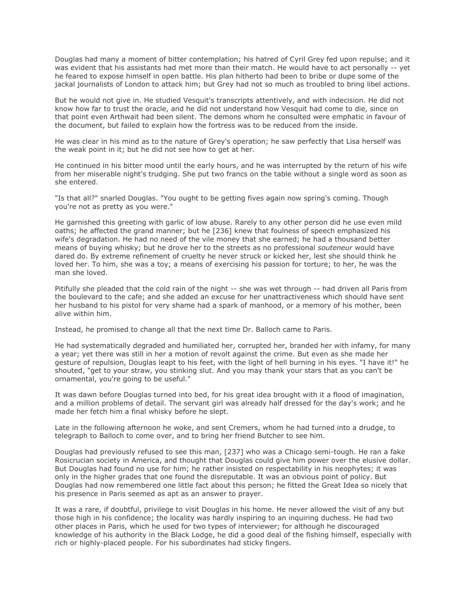Douglas had many a moment of bitter contemplation; his hatred of Cyril Grey fed upon repulse; and it was evident that his assistants had met more than their match. He would have to act personally -- yet he feared to expose himself in open battle. His plan hitherto had been to bribe or dupe some of the jackal journalists of London to attack him; but Grey had not so much as troubled to bring libel actions.

But he would not give in. He studied Vesquit's transcripts attentively, and with indecision. He did not know how far to trust the oracle, and he did not understand how Vesquit had come to die, since on that point even Arthwait had been silent. The demons whom he consulted were emphatic in favour of the document, but failed to explain how the fortress was to be reduced from the inside.

He was clear in his mind as to the nature of Grey's operation; he saw perfectly that Lisa herself was the weak point in it; but he did not see how to get at her.

He continued in his bitter mood until the early hours, and he was interrupted by the return of his wife from her miserable night's trudging. She put two francs on the table without a single word as soon as she entered.

"Is that all?" snarled Douglas. "You ought to be getting fives again now spring's coming. Though you're not as pretty as you were."

He garnished this greeting with garlic of low abuse. Rarely to any other person did he use even mild oaths; he affected the grand manner; but he [236] knew that foulness of speech emphasized his wife's degradation. He had no need of the vile money that she earned; he had a thousand better means of buying whisky; but he drove her to the streets as no professional *souteneur* would have dared do. By extreme refinement of cruelty he never struck or kicked her, lest she should think he loved her. To him, she was a toy; a means of exercising his passion for torture; to her, he was the man she loved.

Pitifully she pleaded that the cold rain of the night -- she was wet through -- had driven all Paris from the boulevard to the cafe; and she added an excuse for her unattractiveness which should have sent her husband to his pistol for very shame had a spark of manhood, or a memory of his mother, been alive within him.

Instead, he promised to change all that the next time Dr. Balloch came to Paris.

He had systematically degraded and humiliated her, corrupted her, branded her with infamy, for many a year; yet there was still in her a motion of revolt against the crime. But even as she made her gesture of repulsion, Douglas leapt to his feet, with the light of hell burning in his eyes. "I have it!" he shouted, "get to your straw, you stinking slut. And you may thank your stars that as you can't be ornamental, you're going to be useful."

It was dawn before Douglas turned into bed, for his great idea brought with it a flood of imagination, and a million problems of detail. The servant girl was already half dressed for the day's work; and he made her fetch him a final whisky before he slept.

Late in the following afternoon he woke, and sent Cremers, whom he had turned into a drudge, to telegraph to Balloch to come over, and to bring her friend Butcher to see him.

Douglas had previously refused to see this man, [237] who was a Chicago semi-tough. He ran a fake Rosicrucian society in America, and thought that Douglas could give him power over the elusive dollar. But Douglas had found no use for him; he rather insisted on respectability in his neophytes; it was only in the higher grades that one found the disreputable. It was an obvious point of policy. But Douglas had now remembered one little fact about this person; he fitted the Great Idea so nicely that his presence in Paris seemed as apt as an answer to prayer.

It was a rare, if doubtful, privilege to visit Douglas in his home. He never allowed the visit of any but those high in his confidence; the locality was hardly inspiring to an inquiring duchess. He had two other places in Paris, which he used for two types of interviewer; for although he discouraged knowledge of his authority in the Black Lodge, he did a good deal of the fishing himself, especially with rich or highly-placed people. For his subordinates had sticky fingers.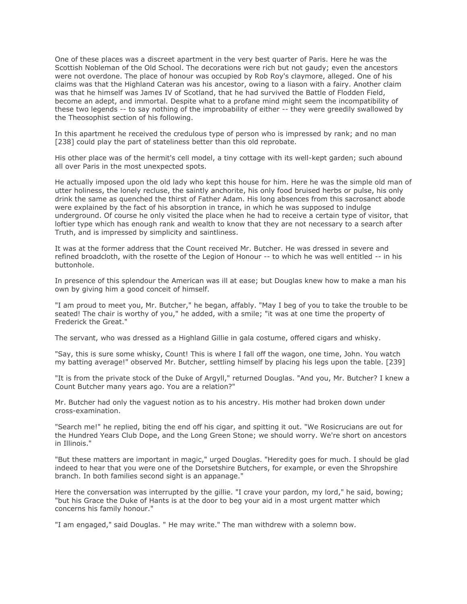One of these places was a discreet apartment in the very best quarter of Paris. Here he was the Scottish Nobleman of the Old School. The decorations were rich but not gaudy; even the ancestors were not overdone. The place of honour was occupied by Rob Roy's claymore, alleged. One of his claims was that the Highland Cateran was his ancestor, owing to a liason with a fairy. Another claim was that he himself was James IV of Scotland, that he had survived the Battle of Flodden Field, become an adept, and immortal. Despite what to a profane mind might seem the incompatibility of these two legends -- to say nothing of the improbability of either -- they were greedily swallowed by the Theosophist section of his following.

In this apartment he received the credulous type of person who is impressed by rank; and no man [238] could play the part of stateliness better than this old reprobate.

His other place was of the hermit's cell model, a tiny cottage with its well-kept garden; such abound all over Paris in the most unexpected spots.

He actually imposed upon the old lady who kept this house for him. Here he was the simple old man of utter holiness, the lonely recluse, the saintly anchorite, his only food bruised herbs or pulse, his only drink the same as quenched the thirst of Father Adam. His long absences from this sacrosanct abode were explained by the fact of his absorption in trance, in which he was supposed to indulge underground. Of course he only visited the place when he had to receive a certain type of visitor, that loftier type which has enough rank and wealth to know that they are not necessary to a search after Truth, and is impressed by simplicity and saintliness.

It was at the former address that the Count received Mr. Butcher. He was dressed in severe and refined broadcloth, with the rosette of the Legion of Honour -- to which he was well entitled -- in his buttonhole.

In presence of this splendour the American was ill at ease; but Douglas knew how to make a man his own by giving him a good conceit of himself.

"I am proud to meet you, Mr. Butcher," he began, affably. "May I beg of you to take the trouble to be seated! The chair is worthy of you," he added, with a smile; "it was at one time the property of Frederick the Great."

The servant, who was dressed as a Highland Gillie in gala costume, offered cigars and whisky.

"Say, this is sure some whisky, Count! This is where I fall off the wagon, one time, John. You watch my batting average!" observed Mr. Butcher, settling himself by placing his legs upon the table. [239]

"It is from the private stock of the Duke of Argyll," returned Douglas. "And you, Mr. Butcher? I knew a Count Butcher many years ago. You are a relation?"

Mr. Butcher had only the vaguest notion as to his ancestry. His mother had broken down under cross-examination.

"Search me!" he replied, biting the end off his cigar, and spitting it out. "We Rosicrucians are out for the Hundred Years Club Dope, and the Long Green Stone; we should worry. We're short on ancestors in Illinois."

"But these matters are important in magic," urged Douglas. "Heredity goes for much. I should be glad indeed to hear that you were one of the Dorsetshire Butchers, for example, or even the Shropshire branch. In both families second sight is an appanage."

Here the conversation was interrupted by the gillie. "I crave your pardon, my lord," he said, bowing; "but his Grace the Duke of Hants is at the door to beg your aid in a most urgent matter which concerns his family honour."

"I am engaged," said Douglas. " He may write." The man withdrew with a solemn bow.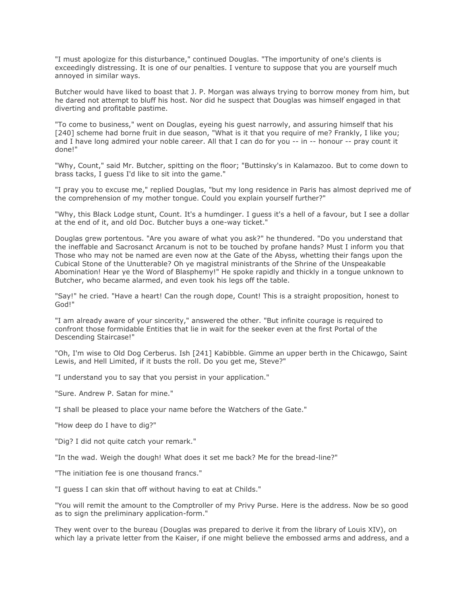"I must apologize for this disturbance," continued Douglas. "The importunity of one's clients is exceedingly distressing. It is one of our penalties. I venture to suppose that you are yourself much annoyed in similar ways.

Butcher would have liked to boast that J. P. Morgan was always trying to borrow money from him, but he dared not attempt to bluff his host. Nor did he suspect that Douglas was himself engaged in that diverting and profitable pastime.

"To come to business," went on Douglas, eyeing his guest narrowly, and assuring himself that his [240] scheme had borne fruit in due season, "What is it that you require of me? Frankly, I like you; and I have long admired your noble career. All that I can do for you -- in -- honour -- pray count it done!"

"Why, Count," said Mr. Butcher, spitting on the floor; "Buttinsky's in Kalamazoo. But to come down to brass tacks, I guess I'd like to sit into the game."

"I pray you to excuse me," replied Douglas, "but my long residence in Paris has almost deprived me of the comprehension of my mother tongue. Could you explain yourself further?"

"Why, this Black Lodge stunt, Count. It's a humdinger. I guess it's a hell of a favour, but I see a dollar at the end of it, and old Doc. Butcher buys a one-way ticket."

Douglas grew portentous. "Are you aware of what you ask?" he thundered. "Do you understand that the ineffable and Sacrosanct Arcanum is not to be touched by profane hands? Must I inform you that Those who may not be named are even now at the Gate of the Abyss, whetting their fangs upon the Cubical Stone of the Unutterable? Oh ye magistral ministrants of the Shrine of the Unspeakable Abomination! Hear ye the Word of Blasphemy!" He spoke rapidly and thickly in a tongue unknown to Butcher, who became alarmed, and even took his legs off the table.

"Say!" he cried. "Have a heart! Can the rough dope, Count! This is a straight proposition, honest to God!"

"I am already aware of your sincerity," answered the other. "But infinite courage is required to confront those formidable Entities that lie in wait for the seeker even at the first Portal of the Descending Staircase!"

"Oh, I'm wise to Old Dog Cerberus. Ish [241] Kabibble. Gimme an upper berth in the Chicawgo, Saint Lewis, and Hell Limited, if it busts the roll. Do you get me, Steve?"

"I understand you to say that you persist in your application."

"Sure. Andrew P. Satan for mine."

"I shall be pleased to place your name before the Watchers of the Gate."

"How deep do I have to dig?"

"Dig? I did not quite catch your remark."

"In the wad. Weigh the dough! What does it set me back? Me for the bread-line?"

"The initiation fee is one thousand francs."

"I guess I can skin that off without having to eat at Childs."

"You will remit the amount to the Comptroller of my Privy Purse. Here is the address. Now be so good as to sign the preliminary application-form."

They went over to the bureau (Douglas was prepared to derive it from the library of Louis XIV), on which lay a private letter from the Kaiser, if one might believe the embossed arms and address, and a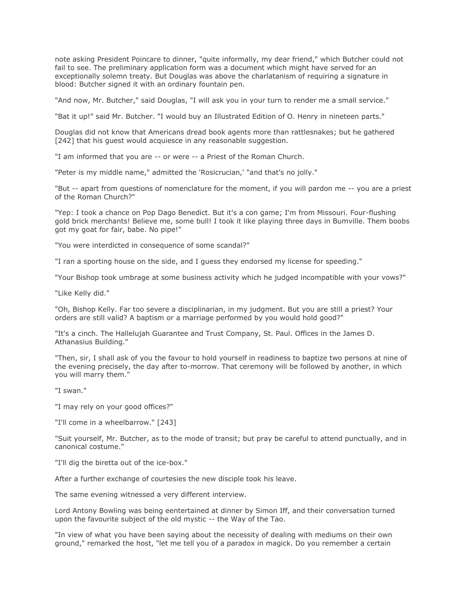note asking President Poincare to dinner, "quite informally, my dear friend," which Butcher could not fail to see. The preliminary application form was a document which might have served for an exceptionally solemn treaty. But Douglas was above the charlatanism of requiring a signature in blood: Butcher signed it with an ordinary fountain pen.

"And now, Mr. Butcher," said Douglas, "I will ask you in your turn to render me a small service."

"Bat it up!" said Mr. Butcher. "I would buy an Illustrated Edition of O. Henry in nineteen parts."

Douglas did not know that Americans dread book agents more than rattlesnakes; but he gathered [242] that his quest would acquiesce in any reasonable suggestion.

"I am informed that you are -- or were -- a Priest of the Roman Church.

"Peter is my middle name," admitted the 'Rosicrucian,' "and that's no jolly."

"But -- apart from questions of nomenclature for the moment, if you will pardon me -- you are a priest of the Roman Church?"

"Yep: I took a chance on Pop Dago Benedict. But it's a con game; I'm from Missouri. Four-flushing gold brick merchants! Believe me, some bull! I took it like playing three days in Bumville. Them boobs got my goat for fair, babe. No pipe!"

"You were interdicted in consequence of some scandal?"

"I ran a sporting house on the side, and I guess they endorsed my license for speeding."

"Your Bishop took umbrage at some business activity which he judged incompatible with your vows?"

"Like Kelly did."

"Oh, Bishop Kelly. Far too severe a disciplinarian, in my judgment. But you are still a priest? Your orders are still valid? A baptism or a marriage performed by you would hold good?"

"It's a cinch. The Hallelujah Guarantee and Trust Company, St. Paul. Offices in the James D. Athanasius Building."

"Then, sir, I shall ask of you the favour to hold yourself in readiness to baptize two persons at nine of the evening precisely, the day after to-morrow. That ceremony will be followed by another, in which you will marry them."

"I swan."

"I may rely on your good offices?"

"I'll come in a wheelbarrow." [243]

"Suit yourself, Mr. Butcher, as to the mode of transit; but pray be careful to attend punctually, and in canonical costume."

"I'll dig the biretta out of the ice-box."

After a further exchange of courtesies the new disciple took his leave.

The same evening witnessed a very different interview.

Lord Antony Bowling was being eentertained at dinner by Simon Iff, and their conversation turned upon the favourite subject of the old mystic -- the Way of the Tao.

"In view of what you have been saying about the necessity of dealing with mediums on their own ground," remarked the host, "let me tell you of a paradox in magick. Do you remember a certain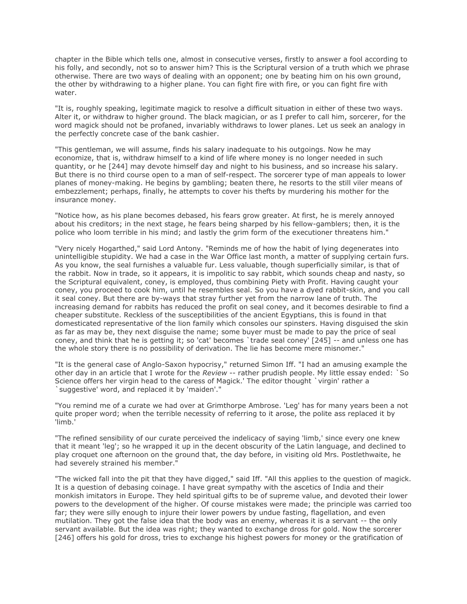chapter in the Bible which tells one, almost in consecutive verses, firstly to answer a fool according to his folly, and secondly, not so to answer him? This is the Scriptural version of a truth which we phrase otherwise. There are two ways of dealing with an opponent; one by beating him on his own ground, the other by withdrawing to a higher plane. You can fight fire with fire, or you can fight fire with water.

"It is, roughly speaking, legitimate magick to resolve a difficult situation in either of these two ways. Alter it, or withdraw to higher ground. The black magician, or as I prefer to call him, sorcerer, for the word magick should not be profaned, invariably withdraws to lower planes. Let us seek an analogy in the perfectly concrete case of the bank cashier.

"This gentleman, we will assume, finds his salary inadequate to his outgoings. Now he may economize, that is, withdraw himself to a kind of life where money is no longer needed in such quantity, or he [244] may devote himself day and night to his business, and so increase his salary. But there is no third course open to a man of self-respect. The sorcerer type of man appeals to lower planes of money-making. He begins by gambling; beaten there, he resorts to the still viler means of embezzlement; perhaps, finally, he attempts to cover his thefts by murdering his mother for the insurance money.

"Notice how, as his plane becomes debased, his fears grow greater. At first, he is merely annoyed about his creditors; in the next stage, he fears being sharped by his fellow-gamblers; then, it is the police who loom terrible in his mind; and lastly the grim form of the executioner threatens him."

"Very nicely Hogarthed," said Lord Antony. "Reminds me of how the habit of lying degenerates into unintelligible stupidity. We had a case in the War Office last month, a matter of supplying certain furs. As you know, the seal furnishes a valuable fur. Less valuable, though superficially similar, is that of the rabbit. Now in trade, so it appears, it is impolitic to say rabbit, which sounds cheap and nasty, so the Scriptural equivalent, coney, is employed, thus combining Piety with Profit. Having caught your coney, you proceed to cook him, until he resembles seal. So you have a dyed rabbit-skin, and you call it seal coney. But there are by-ways that stray further yet from the narrow lane of truth. The increasing demand for rabbits has reduced the profit on seal coney, and it becomes desirable to find a cheaper substitute. Reckless of the susceptibilities of the ancient Egyptians, this is found in that domesticated representative of the lion family which consoles our spinsters. Having disguised the skin as far as may be, they next disguise the name; some buyer must be made to pay the price of seal coney, and think that he is getting it; so 'cat' becomes `trade seal coney' [245] -- and unless one has the whole story there is no possibility of derivation. The lie has become mere misnomer."

"It is the general case of Anglo-Saxon hypocrisy," returned Simon Iff. "I had an amusing example the other day in an article that I wrote for the *Review* -- rather prudish people. My little essay ended: `So Science offers her virgin head to the caress of Magick.' The editor thought `virgin' rather a `suggestive' word, and replaced it by 'maiden'."

"You remind me of a curate we had over at Grimthorpe Ambrose. 'Leg' has for many years been a not quite proper word; when the terrible necessity of referring to it arose, the polite ass replaced it by 'limb.'

"The refined sensibility of our curate perceived the indelicacy of saying 'limb,' since every one knew that it meant 'leg'; so he wrapped it up in the decent obscurity of the Latin language, and declined to play croquet one afternoon on the ground that, the day before, in visiting old Mrs. Postlethwaite, he had severely strained his member."

"The wicked fall into the pit that they have digged," said Iff. "All this applies to the question of magick. It is a question of debasing coinage. I have great sympathy with the ascetics of India and their monkish imitators in Europe. They held spiritual gifts to be of supreme value, and devoted their lower powers to the development of the higher. Of course mistakes were made; the principle was carried too far; they were silly enough to injure their lower powers by undue fasting, flagellation, and even mutilation. They got the false idea that the body was an enemy, whereas it is a servant -- the only servant available. But the idea was right; they wanted to exchange dross for gold. Now the sorcerer [246] offers his gold for dross, tries to exchange his highest powers for money or the gratification of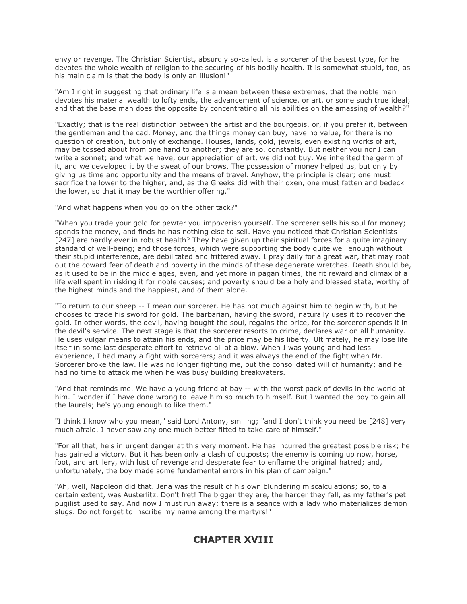envy or revenge. The Christian Scientist, absurdly so-called, is a sorcerer of the basest type, for he devotes the whole wealth of religion to the securing of his bodily health. It is somewhat stupid, too, as his main claim is that the body is only an illusion!"

"Am I right in suggesting that ordinary life is a mean between these extremes, that the noble man devotes his material wealth to lofty ends, the advancement of science, or art, or some such true ideal; and that the base man does the opposite by concentrating all his abilities on the amassing of wealth?"

"Exactly; that is the real distinction between the artist and the bourgeois, or, if you prefer it, between the gentleman and the cad. Money, and the things money can buy, have no value, for there is no question of creation, but only of exchange. Houses, lands, gold, jewels, even existing works of art, may be tossed about from one hand to another; they are so, constantly. But neither you nor I can write a sonnet; and what we have, our appreciation of art, we did not buy. We inherited the germ of it, and we developed it by the sweat of our brows. The possession of money helped us, but only by giving us time and opportunity and the means of travel. Anyhow, the principle is clear; one must sacrifice the lower to the higher, and, as the Greeks did with their oxen, one must fatten and bedeck the lower, so that it may be the worthier offering."

"And what happens when you go on the other tack?"

"When you trade your gold for pewter you impoverish yourself. The sorcerer sells his soul for money; spends the money, and finds he has nothing else to sell. Have you noticed that Christian Scientists [247] are hardly ever in robust health? They have given up their spiritual forces for a quite imaginary standard of well-being; and those forces, which were supporting the body quite well enough without their stupid interference, are debilitated and frittered away. I pray daily for a great war, that may root out the coward fear of death and poverty in the minds of these degenerate wretches. Death should be, as it used to be in the middle ages, even, and yet more in pagan times, the fit reward and climax of a life well spent in risking it for noble causes; and poverty should be a holy and blessed state, worthy of the highest minds and the happiest, and of them alone.

"To return to our sheep -- I mean our sorcerer. He has not much against him to begin with, but he chooses to trade his sword for gold. The barbarian, having the sword, naturally uses it to recover the gold. In other words, the devil, having bought the soul, regains the price, for the sorcerer spends it in the devil's service. The next stage is that the sorcerer resorts to crime, declares war on all humanity. He uses vulgar means to attain his ends, and the price may be his liberty. Ultimately, he may lose life itself in some last desperate effort to retrieve all at a blow. When I was young and had less experience, I had many a fight with sorcerers; and it was always the end of the fight when Mr. Sorcerer broke the law. He was no longer fighting me, but the consolidated will of humanity; and he had no time to attack me when he was busy building breakwaters.

"And that reminds me. We have a young friend at bay -- with the worst pack of devils in the world at him. I wonder if I have done wrong to leave him so much to himself. But I wanted the boy to gain all the laurels; he's young enough to like them."

"I think I know who you mean," said Lord Antony, smiling; "and I don't think you need be [248] very much afraid. I never saw any one much better fitted to take care of himself."

"For all that, he's in urgent danger at this very moment. He has incurred the greatest possible risk; he has gained a victory. But it has been only a clash of outposts; the enemy is coming up now, horse, foot, and artillery, with lust of revenge and desperate fear to enflame the original hatred; and, unfortunately, the boy made some fundamental errors in his plan of campaign."

"Ah, well, Napoleon did that. Jena was the result of his own blundering miscalculations; so, to a certain extent, was Austerlitz. Don't fret! The bigger they are, the harder they fall, as my father's pet pugilist used to say. And now I must run away; there is a seance with a lady who materializes demon slugs. Do not forget to inscribe my name among the martyrs!"

# **CHAPTER XVIII**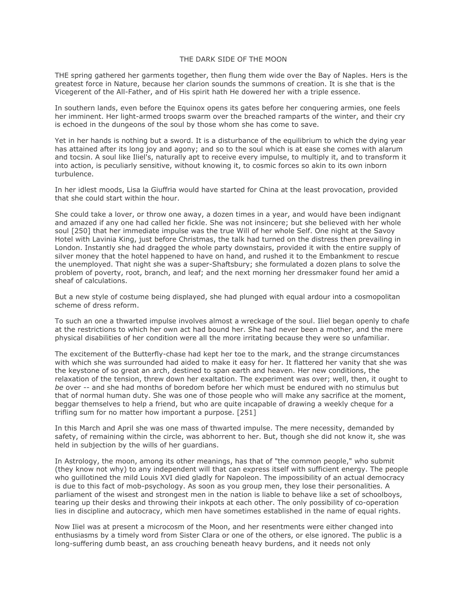#### THE DARK SIDE OF THE MOON

THE spring gathered her garments together, then flung them wide over the Bay of Naples. Hers is the greatest force in Nature, because her clarion sounds the summons of creation. It is she that is the Vicegerent of the All-Father, and of His spirit hath He dowered her with a triple essence.

In southern lands, even before the Equinox opens its gates before her conquering armies, one feels her imminent. Her light-armed troops swarm over the breached ramparts of the winter, and their cry is echoed in the dungeons of the soul by those whom she has come to save.

Yet in her hands is nothing but a sword. It is a disturbance of the equilibrium to which the dying year has attained after its long joy and agony; and so to the soul which is at ease she comes with alarum and tocsin. A soul like Iliel's, naturally apt to receive every impulse, to multiply it, and to transform it into action, is peculiarly sensitive, without knowing it, to cosmic forces so akin to its own inborn turbulence.

In her idlest moods, Lisa la Giuffria would have started for China at the least provocation, provided that she could start within the hour.

She could take a lover, or throw one away, a dozen times in a year, and would have been indignant and amazed if any one had called her fickle. She was not insincere; but she believed with her whole soul [250] that her immediate impulse was the true Will of her whole Self. One night at the Savoy Hotel with Lavinia King, just before Christmas, the talk had turned on the distress then prevailing in London. Instantly she had dragged the whole party downstairs, provided it with the entire supply of silver money that the hotel happened to have on hand, and rushed it to the Embankment to rescue the unemployed. That night she was a super-Shaftsbury; she formulated a dozen plans to solve the problem of poverty, root, branch, and leaf; and the next morning her dressmaker found her amid a sheaf of calculations.

But a new style of costume being displayed, she had plunged with equal ardour into a cosmopolitan scheme of dress reform.

To such an one a thwarted impulse involves almost a wreckage of the soul. Iliel began openly to chafe at the restrictions to which her own act had bound her. She had never been a mother, and the mere physical disabilities of her condition were all the more irritating because they were so unfamiliar.

The excitement of the Butterfly-chase had kept her toe to the mark, and the strange circumstances with which she was surrounded had aided to make it easy for her. It flattered her vanity that she was the keystone of so great an arch, destined to span earth and heaven. Her new conditions, the relaxation of the tension, threw down her exaltation. The experiment was over; well, then, it ought to *be* over -- and she had months of boredom before her which must be endured with no stimulus but that of normal human duty. She was one of those people who will make any sacrifice at the moment, beggar themselves to help a friend, but who are quite incapable of drawing a weekly cheque for a trifling sum for no matter how important a purpose. [251]

In this March and April she was one mass of thwarted impulse. The mere necessity, demanded by safety, of remaining within the circle, was abhorrent to her. But, though she did not know it, she was held in subjection by the wills of her guardians.

In Astrology, the moon, among its other meanings, has that of "the common people," who submit (they know not why) to any independent will that can express itself with sufficient energy. The people who guillotined the mild Louis XVI died gladly for Napoleon. The impossibility of an actual democracy is due to this fact of mob-psychology. As soon as you group men, they lose their personalities. A parliament of the wisest and strongest men in the nation is liable to behave like a set of schoolboys, tearing up their desks and throwing their inkpots at each other. The only possibility of co-operation lies in discipline and autocracy, which men have sometimes established in the name of equal rights.

Now Iliel was at present a microcosm of the Moon, and her resentments were either changed into enthusiasms by a timely word from Sister Clara or one of the others, or else ignored. The public is a long-suffering dumb beast, an ass crouching beneath heavy burdens, and it needs not only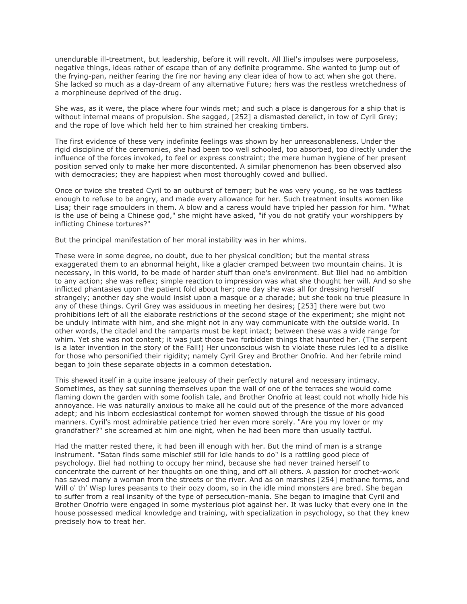unendurable ill-treatment, but leadership, before it will revolt. All Iliel's impulses were purposeless, negative things, ideas rather of escape than of any definite programme. She wanted to jump out of the frying-pan, neither fearing the fire nor having any clear idea of how to act when she got there. She lacked so much as a day-dream of any alternative Future; hers was the restless wretchedness of a morphineuse deprived of the drug.

She was, as it were, the place where four winds met; and such a place is dangerous for a ship that is without internal means of propulsion. She sagged, [252] a dismasted derelict, in tow of Cyril Grey; and the rope of love which held her to him strained her creaking timbers.

The first evidence of these very indefinite feelings was shown by her unreasonableness. Under the rigid discipline of the ceremonies, she had been too well schooled, too absorbed, too directly under the influence of the forces invoked, to feel or express constraint; the mere human hygiene of her present position served only to make her more discontented. A similar phenomenon has been observed also with democracies; they are happiest when most thoroughly cowed and bullied.

Once or twice she treated Cyril to an outburst of temper; but he was very young, so he was tactless enough to refuse to be angry, and made every allowance for her. Such treatment insults women like Lisa; their rage smoulders in them. A blow and a caress would have tripled her passion for him. "What is the use of being a Chinese god," she might have asked, "if you do not gratify your worshippers by inflicting Chinese tortures?"

But the principal manifestation of her moral instability was in her whims.

These were in some degree, no doubt, due to her physical condition; but the mental stress exaggerated them to an abnormal height, like a glacier cramped between two mountain chains. It is necessary, in this world, to be made of harder stuff than one's environment. But Iliel had no ambition to any action; she was reflex; simple reaction to impression was what she thought her will. And so she inflicted phantasies upon the patient fold about her; one day she was all for dressing herself strangely; another day she would insist upon a masque or a charade; but she took no true pleasure in any of these things. Cyril Grey was assiduous in meeting her desires; [253] there were but two prohibitions left of all the elaborate restrictions of the second stage of the experiment; she might not be unduly intimate with him, and she might not in any way communicate with the outside world. In other words, the citadel and the ramparts must be kept intact; between these was a wide range for whim. Yet she was not content; it was just those two forbidden things that haunted her. (The serpent is a later invention in the story of the Fall!) Her unconscious wish to violate these rules led to a dislike for those who personified their rigidity; namely Cyril Grey and Brother Onofrio. And her febrile mind began to join these separate objects in a common detestation.

This shewed itself in a quite insane jealousy of their perfectly natural and necessary intimacy. Sometimes, as they sat sunning themselves upon the wall of one of the terraces she would come flaming down the garden with some foolish tale, and Brother Onofrio at least could not wholly hide his annoyance. He was naturally anxious to make all he could out of the presence of the more advanced adept; and his inborn ecclesiastical contempt for women showed through the tissue of his good manners. Cyril's most admirable patience tried her even more sorely. "Are you my lover or my grandfather?" she screamed at him one night, when he had been more than usually tactful.

Had the matter rested there, it had been ill enough with her. But the mind of man is a strange instrument. "Satan finds some mischief still for idle hands to do" is a rattling good piece of psychology. Iliel had nothing to occupy her mind, because she had never trained herself to concentrate the current of her thoughts on one thing, and off all others. A passion for crochet-work has saved many a woman from the streets or the river. And as on marshes [254] methane forms, and Will o' th' Wisp lures peasants to their oozy doom, so in the idle mind monsters are bred. She began to suffer from a real insanity of the type of persecution-mania. She began to imagine that Cyril and Brother Onofrio were engaged in some mysterious plot against her. It was lucky that every one in the house possessed medical knowledge and training, with specialization in psychology, so that they knew precisely how to treat her.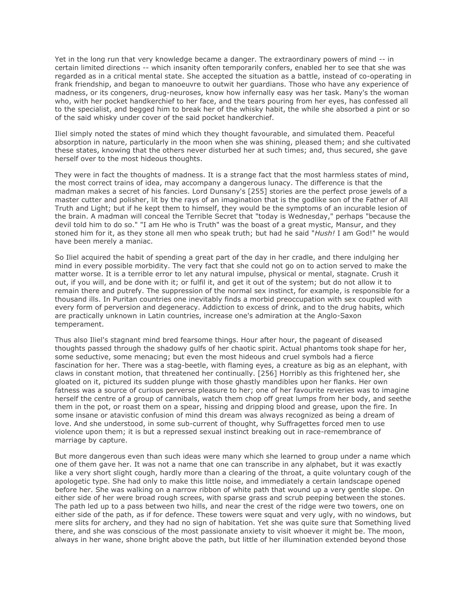Yet in the long run that very knowledge became a danger. The extraordinary powers of mind -- in certain limited directions -- which insanity often temporarily confers, enabled her to see that she was regarded as in a critical mental state. She accepted the situation as a battle, instead of co-operating in frank friendship, and began to manoeuvre to outwit her guardians. Those who have any experience of madness, or its congeners, drug-neuroses, know how infernally easy was her task. Many's the woman who, with her pocket handkerchief to her face, and the tears pouring from her eyes, has confessed all to the specialist, and begged him to break her of the whisky habit, the while she absorbed a pint or so of the said whisky under cover of the said pocket handkerchief.

Iliel simply noted the states of mind which they thought favourable, and simulated them. Peaceful absorption in nature, particularly in the moon when she was shining, pleased them; and she cultivated these states, knowing that the others never disturbed her at such times; and, thus secured, she gave herself over to the most hideous thoughts.

They were in fact the thoughts of madness. It is a strange fact that the most harmless states of mind, the most correct trains of idea, may accompany a dangerous lunacy. The difference is that the madman makes a secret of his fancies. Lord Dunsany's [255] stories are the perfect prose jewels of a master cutter and polisher, lit by the rays of an imagination that is the godlike son of the Father of All Truth and Light; but if he kept them to himself, they would be the symptoms of an incurable lesion of the brain. A madman will conceal the Terrible Secret that "today is Wednesday," perhaps "because the devil told him to do so." "I am He who is Truth" was the boast of a great mystic, Mansur, and they stoned him for it, as they stone all men who speak truth; but had he said "*Hush!* I am God!" he would have been merely a maniac.

So Iliel acquired the habit of spending a great part of the day in her cradle, and there indulging her mind in every possible morbidity. The very fact that she could not go on to action served to make the matter worse. It is a terrible error to let any natural impulse, physical or mental, stagnate. Crush it out, if you will, and be done with it; or fulfil it, and get it out of the system; but do not allow it to remain there and putrefy. The suppression of the normal sex instinct, for example, is responsible for a thousand ills. In Puritan countries one inevitably finds a morbid preoccupation with sex coupled with every form of perversion and degeneracy. Addiction to excess of drink, and to the drug habits, which are practically unknown in Latin countries, increase one's admiration at the Anglo-Saxon temperament.

Thus also Iliel's stagnant mind bred fearsome things. Hour after hour, the pageant of diseased thoughts passed through the shadowy gulfs of her chaotic spirit. Actual phantoms took shape for her, some seductive, some menacing; but even the most hideous and cruel symbols had a fierce fascination for her. There was a stag-beetle, with flaming eyes, a creature as big as an elephant, with claws in constant motion, that threatened her continually. [256] Horribly as this frightened her, she gloated on it, pictured its sudden plunge with those ghastly mandibles upon her flanks. Her own fatness was a source of curious perverse pleasure to her; one of her favourite reveries was to imagine herself the centre of a group of cannibals, watch them chop off great lumps from her body, and seethe them in the pot, or roast them on a spear, hissing and dripping blood and grease, upon the fire. In some insane or atavistic confusion of mind this dream was always recognized as being a dream of love. And she understood, in some sub-current of thought, why Suffragettes forced men to use violence upon them; it is but a repressed sexual instinct breaking out in race-remembrance of marriage by capture.

But more dangerous even than such ideas were many which she learned to group under a name which one of them gave her. It was not a name that one can transcribe in any alphabet, but it was exactly like a very short slight cough, hardly more than a clearing of the throat, a quite voluntary cough of the apologetic type. She had only to make this little noise, and immediately a certain landscape opened before her. She was walking on a narrow ribbon of white path that wound up a very gentle slope. On either side of her were broad rough screes, with sparse grass and scrub peeping between the stones. The path led up to a pass between two hills, and near the crest of the ridge were two towers, one on either side of the path, as if for defence. These towers were squat and very ugly, with no windows, but mere slits for archery, and they had no sign of habitation. Yet she was quite sure that Something lived there, and she was conscious of the most passionate anxiety to visit whoever it might be. The moon, always in her wane, shone bright above the path, but little of her illumination extended beyond those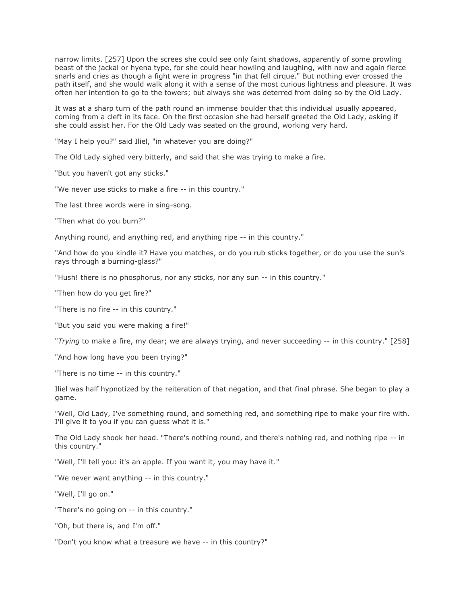narrow limits. [257] Upon the screes she could see only faint shadows, apparently of some prowling beast of the jackal or hyena type, for she could hear howling and laughing, with now and again fierce snarls and cries as though a fight were in progress "in that fell cirque." But nothing ever crossed the path itself, and she would walk along it with a sense of the most curious lightness and pleasure. It was often her intention to go to the towers; but always she was deterred from doing so by the Old Lady.

It was at a sharp turn of the path round an immense boulder that this individual usually appeared, coming from a cleft in its face. On the first occasion she had herself greeted the Old Lady, asking if she could assist her. For the Old Lady was seated on the ground, working very hard.

"May I help you?" said Iliel, "in whatever you are doing?"

The Old Lady sighed very bitterly, and said that she was trying to make a fire.

"But you haven't got any sticks."

"We never use sticks to make a fire -- in this country."

The last three words were in sing-song.

"Then what do you burn?"

Anything round, and anything red, and anything ripe -- in this country."

"And how do you kindle it? Have you matches, or do you rub sticks together, or do you use the sun's rays through a burning-glass?"

"Hush! there is no phosphorus, nor any sticks, nor any sun -- in this country."

"Then how do you get fire?"

"There is no fire -- in this country."

"But you said you were making a fire!"

"*Trying* to make a fire, my dear; we are always trying, and never succeeding -- in this country." [258]

"And how long have you been trying?"

"There is no time -- in this country."

Iliel was half hypnotized by the reiteration of that negation, and that final phrase. She began to play a game.

"Well, Old Lady, I've something round, and something red, and something ripe to make your fire with. I'll give it to you if you can guess what it is."

The Old Lady shook her head. "There's nothing round, and there's nothing red, and nothing ripe -- in this country."

"Well, I'll tell you: it's an apple. If you want it, you may have it."

"We never want anything -- in this country."

"Well, I'll go on."

"There's no going on -- in this country."

"Oh, but there is, and I'm off."

"Don't you know what a treasure we have -- in this country?"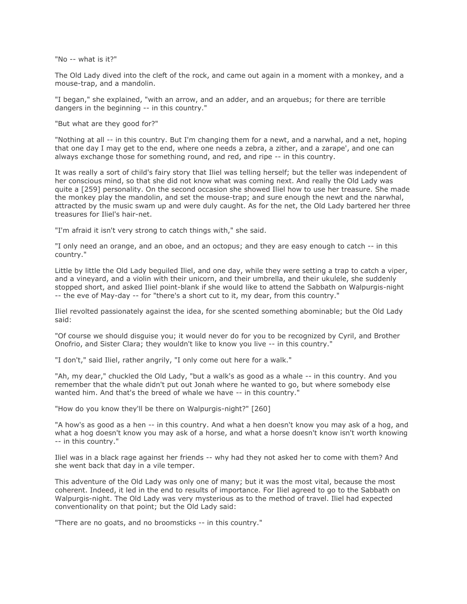"No -- what is it?"

The Old Lady dived into the cleft of the rock, and came out again in a moment with a monkey, and a mouse-trap, and a mandolin.

"I began," she explained, "with an arrow, and an adder, and an arquebus; for there are terrible dangers in the beginning -- in this country."

"But what are they good for?"

"Nothing at all -- in this country. But I'm changing them for a newt, and a narwhal, and a net, hoping that one day I may get to the end, where one needs a zebra, a zither, and a zarape', and one can always exchange those for something round, and red, and ripe -- in this country.

It was really a sort of child's fairy story that Iliel was telling herself; but the teller was independent of her conscious mind, so that she did not know what was coming next. And really the Old Lady was quite a [259] personality. On the second occasion she showed Iliel how to use her treasure. She made the monkey play the mandolin, and set the mouse-trap; and sure enough the newt and the narwhal, attracted by the music swam up and were duly caught. As for the net, the Old Lady bartered her three treasures for Iliel's hair-net.

"I'm afraid it isn't very strong to catch things with," she said.

"I only need an orange, and an oboe, and an octopus; and they are easy enough to catch -- in this country."

Little by little the Old Lady beguiled Iliel, and one day, while they were setting a trap to catch a viper, and a vineyard, and a violin with their unicorn, and their umbrella, and their ukulele, she suddenly stopped short, and asked Iliel point-blank if she would like to attend the Sabbath on Walpurgis-night -- the eve of May-day -- for "there's a short cut to it, my dear, from this country."

Iliel revolted passionately against the idea, for she scented something abominable; but the Old Lady said:

"Of course we should disguise you; it would never do for you to be recognized by Cyril, and Brother Onofrio, and Sister Clara; they wouldn't like to know you live -- in this country."

"I don't," said Iliel, rather angrily, "I only come out here for a walk."

"Ah, my dear," chuckled the Old Lady, "but a walk's as good as a whale -- in this country. And you remember that the whale didn't put out Jonah where he wanted to go, but where somebody else wanted him. And that's the breed of whale we have -- in this country."

"How do you know they'll be there on Walpurgis-night?" [260]

"A how's as good as a hen -- in this country. And what a hen doesn't know you may ask of a hog, and what a hog doesn't know you may ask of a horse, and what a horse doesn't know isn't worth knowing -- in this country."

Iliel was in a black rage against her friends -- why had they not asked her to come with them? And she went back that day in a vile temper.

This adventure of the Old Lady was only one of many; but it was the most vital, because the most coherent. Indeed, it led in the end to results of importance. For Iliel agreed to go to the Sabbath on Walpurgis-night. The Old Lady was very mysterious as to the method of travel. Iliel had expected conventionality on that point; but the Old Lady said:

"There are no goats, and no broomsticks -- in this country."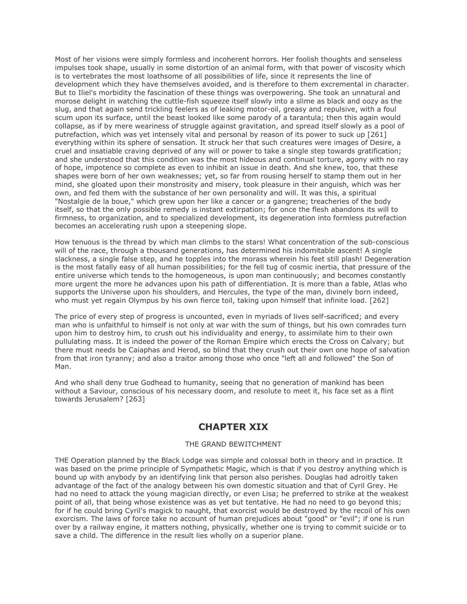Most of her visions were simply formless and incoherent horrors. Her foolish thoughts and senseless impulses took shape, usually in some distortion of an animal form, with that power of viscosity which is to vertebrates the most loathsome of all possibilities of life, since it represents the line of development which they have themselves avoided, and is therefore to them excremental in character. But to Iliel's morbidity the fascination of these things was overpowering. She took an unnatural and morose delight in watching the cuttle-fish squeeze itself slowly into a slime as black and oozy as the slug, and that again send trickling feelers as of leaking motor-oil, greasy and repulsive, with a foul scum upon its surface, until the beast looked like some parody of a tarantula; then this again would collapse, as if by mere weariness of struggle against gravitation, and spread itself slowly as a pool of putrefaction, which was yet intensely vital and personal by reason of its power to suck up [261] everything within its sphere of sensation. It struck her that such creatures were images of Desire, a cruel and insatiable craving deprived of any will or power to take a single step towards gratification; and she understood that this condition was the most hideous and continual torture, agony with no ray of hope, impotence so complete as even to inhibit an issue in death. And she knew, too, that these shapes were born of her own weaknesses; yet, so far from rousing herself to stamp them out in her mind, she gloated upon their monstrosity and misery, took pleasure in their anguish, which was her own, and fed them with the substance of her own personality and will. It was this, a spiritual "Nostalgie de la boue," which grew upon her like a cancer or a gangrene; treacheries of the body itself, so that the only possible remedy is instant extirpation; for once the flesh abandons its will to firmness, to organization, and to specialized development, its degeneration into formless putrefaction becomes an accelerating rush upon a steepening slope.

How tenuous is the thread by which man climbs to the stars! What concentration of the sub-conscious will of the race, through a thousand generations, has determined his indomitable ascent! A single slackness, a single false step, and he topples into the morass wherein his feet still plash! Degeneration is the most fatally easy of all human possibilities; for the fell tug of cosmic inertia, that pressure of the entire universe which tends to the homogeneous, is upon man continuously; and becomes constantly more urgent the more he advances upon his path of differentiation. It is more than a fable, Atlas who supports the Universe upon his shoulders, and Hercules, the type of the man, divinely born indeed, who must yet regain Olympus by his own fierce toil, taking upon himself that infinite load. [262]

The price of every step of progress is uncounted, even in myriads of lives self-sacrificed; and every man who is unfaithful to himself is not only at war with the sum of things, but his own comrades turn upon him to destroy him, to crush out his individuality and energy, to assimilate him to their own pullulating mass. It is indeed the power of the Roman Empire which erects the Cross on Calvary; but there must needs be Caiaphas and Herod, so blind that they crush out their own one hope of salvation from that iron tyranny; and also a traitor among those who once "left all and followed" the Son of Man.

And who shall deny true Godhead to humanity, seeing that no generation of mankind has been without a Saviour, conscious of his necessary doom, and resolute to meet it, his face set as a flint towards Jerusalem? [263]

## **CHAPTER XIX**

### THE GRAND BEWITCHMENT

THE Operation planned by the Black Lodge was simple and colossal both in theory and in practice. It was based on the prime principle of Sympathetic Magic, which is that if you destroy anything which is bound up with anybody by an identifying link that person also perishes. Douglas had adroitly taken advantage of the fact of the analogy between his own domestic situation and that of Cyril Grey. He had no need to attack the young magician directly, or even Lisa; he preferred to strike at the weakest point of all, that being whose existence was as yet but tentative. He had no need to go beyond this; for if he could bring Cyril's magick to naught, that exorcist would be destroyed by the recoil of his own exorcism. The laws of force take no account of human prejudices about "good" or "evil"; if one is run over by a railway engine, it matters nothing, physically, whether one is trying to commit suicide or to save a child. The difference in the result lies wholly on a superior plane.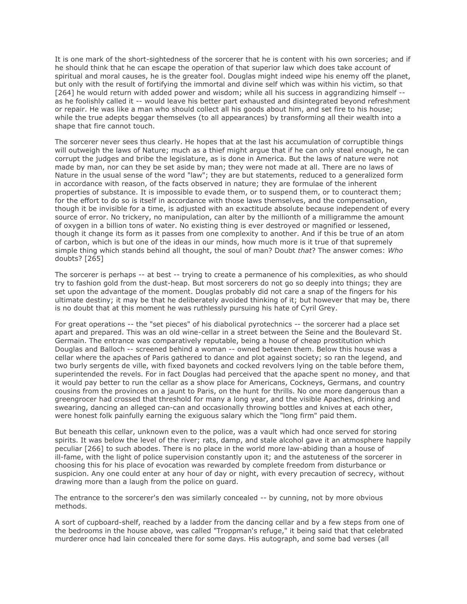It is one mark of the short-sightedness of the sorcerer that he is content with his own sorceries; and if he should think that he can escape the operation of that superior law which does take account of spiritual and moral causes, he is the greater fool. Douglas might indeed wipe his enemy off the planet, but only with the result of fortifying the immortal and divine self which was within his victim, so that [264] he would return with added power and wisdom; while all his success in aggrandizing himself -as he foolishly called it -- would leave his better part exhausted and disintegrated beyond refreshment or repair. He was like a man who should collect all his goods about him, and set fire to his house; while the true adepts beggar themselves (to all appearances) by transforming all their wealth into a shape that fire cannot touch.

The sorcerer never sees thus clearly. He hopes that at the last his accumulation of corruptible things will outweigh the laws of Nature; much as a thief might argue that if he can only steal enough, he can corrupt the judges and bribe the legislature, as is done in America. But the laws of nature were not made by man, nor can they be set aside by man; they were not made at all. There are no laws of Nature in the usual sense of the word "law"; they are but statements, reduced to a generalized form in accordance with reason, of the facts observed in nature; they are formulae of the inherent properties of substance. It is impossible to evade them, or to suspend them, or to counteract them; for the effort to do so is itself in accordance with those laws themselves, and the compensation, though it be invisible for a time, is adjusted with an exactitude absolute because independent of every source of error. No trickery, no manipulation, can alter by the millionth of a milligramme the amount of oxygen in a billion tons of water. No existing thing is ever destroyed or magnified or lessened, though it change its form as it passes from one complexity to another. And if this be true of an atom of carbon, which is but one of the ideas in our minds, how much more is it true of that supremely simple thing which stands behind all thought, the soul of man? Doubt *that*? The answer comes: *Who* doubts? [265]

The sorcerer is perhaps -- at best -- trying to create a permanence of his complexities, as who should try to fashion gold from the dust-heap. But most sorcerers do not go so deeply into things; they are set upon the advantage of the moment. Douglas probably did not care a snap of the fingers for his ultimate destiny; it may be that he deliberately avoided thinking of it; but however that may be, there is no doubt that at this moment he was ruthlessly pursuing his hate of Cyril Grey.

For great operations -- the "set pieces" of his diabolical pyrotechnics -- the sorcerer had a place set apart and prepared. This was an old wine-cellar in a street between the Seine and the Boulevard St. Germain. The entrance was comparatively reputable, being a house of cheap prostitution which Douglas and Balloch -- screened behind a woman -- owned between them. Below this house was a cellar where the apaches of Paris gathered to dance and plot against society; so ran the legend, and two burly sergents de ville, with fixed bayonets and cocked revolvers lying on the table before them, superintended the revels. For in fact Douglas had perceived that the apache spent no money, and that it would pay better to run the cellar as a show place for Americans, Cockneys, Germans, and country cousins from the provinces on a jaunt to Paris, on the hunt for thrills. No one more dangerous than a greengrocer had crossed that threshold for many a long year, and the visible Apaches, drinking and swearing, dancing an alleged can-can and occasionally throwing bottles and knives at each other, were honest folk painfully earning the exiguous salary which the "long firm" paid them.

But beneath this cellar, unknown even to the police, was a vault which had once served for storing spirits. It was below the level of the river; rats, damp, and stale alcohol gave it an atmosphere happily peculiar [266] to such abodes. There is no place in the world more law-abiding than a house of ill-fame, with the light of police supervision constantly upon it; and the astuteness of the sorcerer in choosing this for his place of evocation was rewarded by complete freedom from disturbance or suspicion. Any one could enter at any hour of day or night, with every precaution of secrecy, without drawing more than a laugh from the police on guard.

The entrance to the sorcerer's den was similarly concealed -- by cunning, not by more obvious methods.

A sort of cupboard-shelf, reached by a ladder from the dancing cellar and by a few steps from one of the bedrooms in the house above, was called "Troppman's refuge," it being said that that celebrated murderer once had lain concealed there for some days. His autograph, and some bad verses (all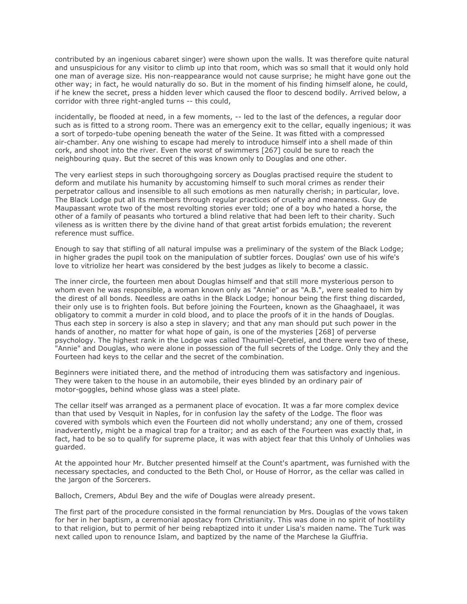contributed by an ingenious cabaret singer) were shown upon the walls. It was therefore quite natural and unsuspicious for any visitor to climb up into that room, which was so small that it would only hold one man of average size. His non-reappearance would not cause surprise; he might have gone out the other way; in fact, he would naturally do so. But in the moment of his finding himself alone, he could, if he knew the secret, press a hidden lever which caused the floor to descend bodily. Arrived below, a corridor with three right-angled turns -- this could,

incidentally, be flooded at need, in a few moments, -- led to the last of the defences, a regular door such as is fitted to a strong room. There was an emergency exit to the cellar, equally ingenious; it was a sort of torpedo-tube opening beneath the water of the Seine. It was fitted with a compressed air-chamber. Any one wishing to escape had merely to introduce himself into a shell made of thin cork, and shoot into the river. Even the worst of swimmers [267] could be sure to reach the neighbouring quay. But the secret of this was known only to Douglas and one other.

The very earliest steps in such thoroughgoing sorcery as Douglas practised require the student to deform and mutilate his humanity by accustoming himself to such moral crimes as render their perpetrator callous and insensible to all such emotions as men naturally cherish; in particular, love. The Black Lodge put all its members through regular practices of cruelty and meanness. Guy de Maupassant wrote two of the most revolting stories ever told; one of a boy who hated a horse, the other of a family of peasants who tortured a blind relative that had been left to their charity. Such vileness as is written there by the divine hand of that great artist forbids emulation; the reverent reference must suffice.

Enough to say that stifling of all natural impulse was a preliminary of the system of the Black Lodge; in higher grades the pupil took on the manipulation of subtler forces. Douglas' own use of his wife's love to vitriolize her heart was considered by the best judges as likely to become a classic.

The inner circle, the fourteen men about Douglas himself and that still more mysterious person to whom even he was responsible, a woman known only as "Annie" or as "A.B.", were sealed to him by the direst of all bonds. Needless are oaths in the Black Lodge; honour being the first thing discarded, their only use is to frighten fools. But before joining the Fourteen, known as the Ghaaghaael, it was obligatory to commit a murder in cold blood, and to place the proofs of it in the hands of Douglas. Thus each step in sorcery is also a step in slavery; and that any man should put such power in the hands of another, no matter for what hope of gain, is one of the mysteries [268] of perverse psychology. The highest rank in the Lodge was called Thaumiel-Qeretiel, and there were two of these, "Annie" and Douglas, who were alone in possession of the full secrets of the Lodge. Only they and the Fourteen had keys to the cellar and the secret of the combination.

Beginners were initiated there, and the method of introducing them was satisfactory and ingenious. They were taken to the house in an automobile, their eyes blinded by an ordinary pair of motor-goggles, behind whose glass was a steel plate.

The cellar itself was arranged as a permanent place of evocation. It was a far more complex device than that used by Vesquit in Naples, for in confusion lay the safety of the Lodge. The floor was covered with symbols which even the Fourteen did not wholly understand; any one of them, crossed inadvertently, might be a magical trap for a traitor; and as each of the Fourteen was exactly that, in fact, had to be so to qualify for supreme place, it was with abject fear that this Unholy of Unholies was guarded.

At the appointed hour Mr. Butcher presented himself at the Count's apartment, was furnished with the necessary spectacles, and conducted to the Beth Chol, or House of Horror, as the cellar was called in the jargon of the Sorcerers.

Balloch, Cremers, Abdul Bey and the wife of Douglas were already present.

The first part of the procedure consisted in the formal renunciation by Mrs. Douglas of the vows taken for her in her baptism, a ceremonial apostacy from Christianity. This was done in no spirit of hostility to that religion, but to permit of her being rebaptized into it under Lisa's maiden name. The Turk was next called upon to renounce Islam, and baptized by the name of the Marchese la Giuffria.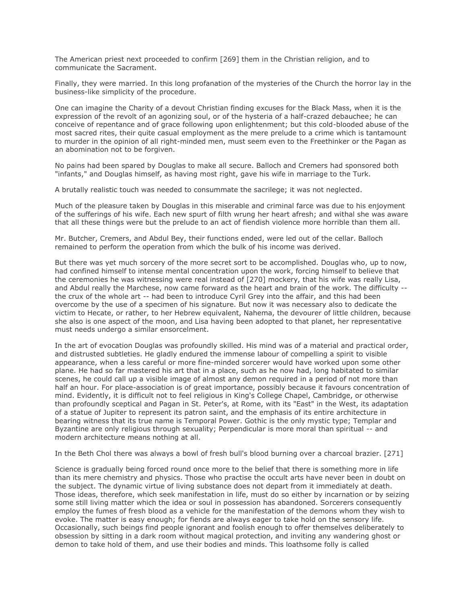The American priest next proceeded to confirm [269] them in the Christian religion, and to communicate the Sacrament.

Finally, they were married. In this long profanation of the mysteries of the Church the horror lay in the business-like simplicity of the procedure.

One can imagine the Charity of a devout Christian finding excuses for the Black Mass, when it is the expression of the revolt of an agonizing soul, or of the hysteria of a half-crazed debauchee; he can conceive of repentance and of grace following upon enlightenment; but this cold-blooded abuse of the most sacred rites, their quite casual employment as the mere prelude to a crime which is tantamount to murder in the opinion of all right-minded men, must seem even to the Freethinker or the Pagan as an abomination not to be forgiven.

No pains had been spared by Douglas to make all secure. Balloch and Cremers had sponsored both "infants," and Douglas himself, as having most right, gave his wife in marriage to the Turk.

A brutally realistic touch was needed to consummate the sacrilege; it was not neglected.

Much of the pleasure taken by Douglas in this miserable and criminal farce was due to his enjoyment of the sufferings of his wife. Each new spurt of filth wrung her heart afresh; and withal she was aware that all these things were but the prelude to an act of fiendish violence more horrible than them all.

Mr. Butcher, Cremers, and Abdul Bey, their functions ended, were led out of the cellar. Balloch remained to perform the operation from which the bulk of his income was derived.

But there was yet much sorcery of the more secret sort to be accomplished. Douglas who, up to now, had confined himself to intense mental concentration upon the work, forcing himself to believe that the ceremonies he was witnessing were real instead of [270] mockery, that his wife was really Lisa, and Abdul really the Marchese, now came forward as the heart and brain of the work. The difficulty - the crux of the whole art -- had been to introduce Cyril Grey into the affair, and this had been overcome by the use of a specimen of his signature. But now it was necessary also to dedicate the victim to Hecate, or rather, to her Hebrew equivalent, Nahema, the devourer of little children, because she also is one aspect of the moon, and Lisa having been adopted to that planet, her representative must needs undergo a similar ensorcelment.

In the art of evocation Douglas was profoundly skilled. His mind was of a material and practical order, and distrusted subtleties. He gladly endured the immense labour of compelling a spirit to visible appearance, when a less careful or more fine-minded sorcerer would have worked upon some other plane. He had so far mastered his art that in a place, such as he now had, long habitated to similar scenes, he could call up a visible image of almost any demon required in a period of not more than half an hour. For place-association is of great importance, possibly because it favours concentration of mind. Evidently, it is difficult not to feel religious in King's College Chapel, Cambridge, or otherwise than profoundly sceptical and Pagan in St. Peter's, at Rome, with its "East" in the West, its adaptation of a statue of Jupiter to represent its patron saint, and the emphasis of its entire architecture in bearing witness that its true name is Temporal Power. Gothic is the only mystic type; Templar and Byzantine are only religious through sexuality; Perpendicular is more moral than spiritual -- and modern architecture means nothing at all.

In the Beth Chol there was always a bowl of fresh bull's blood burning over a charcoal brazier. [271]

Science is gradually being forced round once more to the belief that there is something more in life than its mere chemistry and physics. Those who practise the occult arts have never been in doubt on the subject. The dynamic virtue of living substance does not depart from it immediately at death. Those ideas, therefore, which seek manifestation in life, must do so either by incarnation or by seizing some still living matter which the idea or soul in possession has abandoned. Sorcerers consequently employ the fumes of fresh blood as a vehicle for the manifestation of the demons whom they wish to evoke. The matter is easy enough; for fiends are always eager to take hold on the sensory life. Occasionally, such beings find people ignorant and foolish enough to offer themselves deliberately to obsession by sitting in a dark room without magical protection, and inviting any wandering ghost or demon to take hold of them, and use their bodies and minds. This loathsome folly is called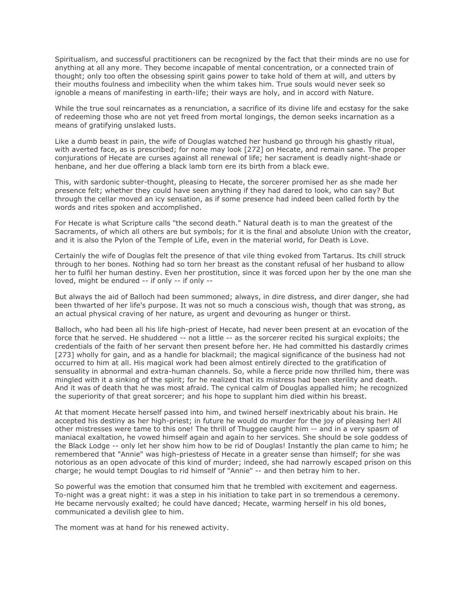Spiritualism, and successful practitioners can be recognized by the fact that their minds are no use for anything at all any more. They become incapable of mental concentration, or a connected train of thought; only too often the obsessing spirit gains power to take hold of them at will, and utters by their mouths foulness and imbecility when the whim takes him. True souls would never seek so ignoble a means of manifesting in earth-life; their ways are holy, and in accord with Nature.

While the true soul reincarnates as a renunciation, a sacrifice of its divine life and ecstasy for the sake of redeeming those who are not yet freed from mortal longings, the demon seeks incarnation as a means of gratifying unslaked lusts.

Like a dumb beast in pain, the wife of Douglas watched her husband go through his ghastly ritual, with averted face, as is prescribed; for none may look [272] on Hecate, and remain sane. The proper conjurations of Hecate are curses against all renewal of life; her sacrament is deadly night-shade or henbane, and her due offering a black lamb torn ere its birth from a black ewe.

This, with sardonic subter-thought, pleasing to Hecate, the sorcerer promised her as she made her presence felt; whether they could have seen anything if they had dared to look, who can say? But through the cellar moved an icy sensation, as if some presence had indeed been called forth by the words and rites spoken and accomplished.

For Hecate is what Scripture calls "the second death." Natural death is to man the greatest of the Sacraments, of which all others are but symbols; for it is the final and absolute Union with the creator, and it is also the Pylon of the Temple of Life, even in the material world, for Death is Love.

Certainly the wife of Douglas felt the presence of that vile thing evoked from Tartarus. Its chill struck through to her bones. Nothing had so torn her breast as the constant refusal of her husband to allow her to fulfil her human destiny. Even her prostitution, since it was forced upon her by the one man she loved, might be endured -- if only -- if only --

But always the aid of Balloch had been summoned; always, in dire distress, and direr danger, she had been thwarted of her life's purpose. It was not so much a conscious wish, though that was strong, as an actual physical craving of her nature, as urgent and devouring as hunger or thirst.

Balloch, who had been all his life high-priest of Hecate, had never been present at an evocation of the force that he served. He shuddered -- not a little -- as the sorcerer recited his surgical exploits; the credentials of the faith of her servant then present before her. He had committed his dastardly crimes [273] wholly for gain, and as a handle for blackmail; the magical significance of the business had not occurred to him at all. His magical work had been almost entirely directed to the gratification of sensuality in abnormal and extra-human channels. So, while a fierce pride now thrilled him, there was mingled with it a sinking of the spirit; for he realized that its mistress had been sterility and death. And it was of death that he was most afraid. The cynical calm of Douglas appalled him; he recognized the superiority of that great sorcerer; and his hope to supplant him died within his breast.

At that moment Hecate herself passed into him, and twined herself inextricably about his brain. He accepted his destiny as her high-priest; in future he would do murder for the joy of pleasing her! All other mistresses were tame to this one! The thrill of Thuggee caught him -- and in a very spasm of maniacal exaltation, he vowed himself again and again to her services. She should be sole goddess of the Black Lodge -- only let her show him how to be rid of Douglas! Instantly the plan came to him; he remembered that "Annie" was high-priestess of Hecate in a greater sense than himself; for she was notorious as an open advocate of this kind of murder; indeed, she had narrowly escaped prison on this charge; he would tempt Douglas to rid himself of "Annie" -- and then betray him to her.

So powerful was the emotion that consumed him that he trembled with excitement and eagerness. To-night was a great night: it was a step in his initiation to take part in so tremendous a ceremony. He became nervously exalted; he could have danced; Hecate, warming herself in his old bones, communicated a devilish glee to him.

The moment was at hand for his renewed activity.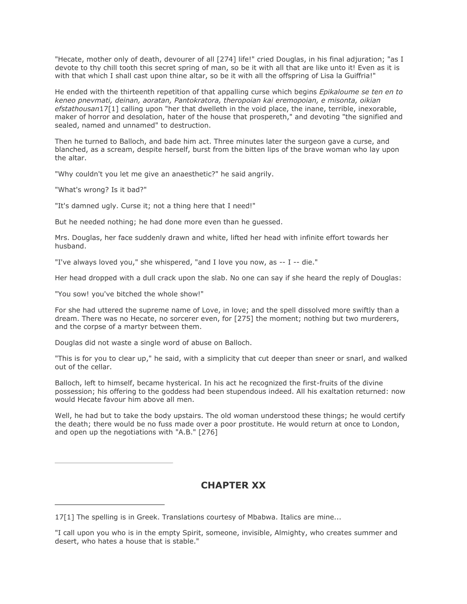"Hecate, mother only of death, devourer of all [274] life!" cried Douglas, in his final adjuration; "as I devote to thy chill tooth this secret spring of man, so be it with all that are like unto it! Even as it is with that which I shall cast upon thine altar, so be it with all the offspring of Lisa la Guiffria!"

He ended with the thirteenth repetition of that appalling curse which begins *Epikaloume se ten en to keneo pnevmati, deinan, aoratan, Pantokratora, theropoian kai eremopoian, e misonta, oikian efstathousan*17[1] calling upon "her that dwelleth in the void place, the inane, terrible, inexorable, maker of horror and desolation, hater of the house that prospereth," and devoting "the signified and sealed, named and unnamed" to destruction.

Then he turned to Balloch, and bade him act. Three minutes later the surgeon gave a curse, and blanched, as a scream, despite herself, burst from the bitten lips of the brave woman who lay upon the altar.

"Why couldn't you let me give an anaesthetic?" he said angrily.

"What's wrong? Is it bad?"

 $\overline{\phantom{a}}$ 

"It's damned ugly. Curse it; not a thing here that I need!"

But he needed nothing; he had done more even than he guessed.

Mrs. Douglas, her face suddenly drawn and white, lifted her head with infinite effort towards her husband.

"I've always loved you," she whispered, "and I love you now, as -- I -- die."

Her head dropped with a dull crack upon the slab. No one can say if she heard the reply of Douglas:

"You sow! you've bitched the whole show!"

For she had uttered the supreme name of Love, in love; and the spell dissolved more swiftly than a dream. There was no Hecate, no sorcerer even, for [275] the moment; nothing but two murderers, and the corpse of a martyr between them.

Douglas did not waste a single word of abuse on Balloch.

"This is for you to clear up," he said, with a simplicity that cut deeper than sneer or snarl, and walked out of the cellar.

Balloch, left to himself, became hysterical. In his act he recognized the first-fruits of the divine possession; his offering to the goddess had been stupendous indeed. All his exaltation returned: now would Hecate favour him above all men.

Well, he had but to take the body upstairs. The old woman understood these things; he would certify the death; there would be no fuss made over a poor prostitute. He would return at once to London, and open up the negotiations with "A.B." [276]

# **CHAPTER XX**

<sup>17[1]</sup> The spelling is in Greek. Translations courtesy of Mbabwa. Italics are mine...

<sup>&</sup>quot;I call upon you who is in the empty Spirit, someone, invisible, Almighty, who creates summer and desert, who hates a house that is stable."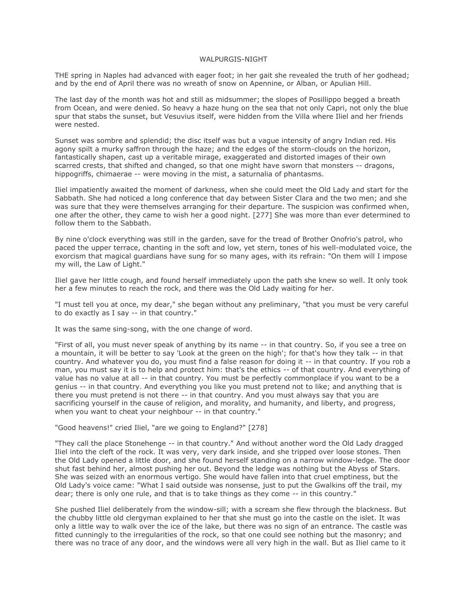#### WALPURGIS-NIGHT

THE spring in Naples had advanced with eager foot; in her gait she revealed the truth of her godhead; and by the end of April there was no wreath of snow on Apennine, or Alban, or Apulian Hill.

The last day of the month was hot and still as midsummer; the slopes of Posillippo begged a breath from Ocean, and were denied. So heavy a haze hung on the sea that not only Capri, not only the blue spur that stabs the sunset, but Vesuvius itself, were hidden from the Villa where Iliel and her friends were nested.

Sunset was sombre and splendid; the disc itself was but a vague intensity of angry Indian red. His agony spilt a murky saffron through the haze; and the edges of the storm-clouds on the horizon, fantastically shapen, cast up a veritable mirage, exaggerated and distorted images of their own scarred crests, that shifted and changed, so that one might have sworn that monsters -- dragons, hippogriffs, chimaerae -- were moving in the mist, a saturnalia of phantasms.

Iliel impatiently awaited the moment of darkness, when she could meet the Old Lady and start for the Sabbath. She had noticed a long conference that day between Sister Clara and the two men; and she was sure that they were themselves arranging for their departure. The suspicion was confirmed when, one after the other, they came to wish her a good night. [277] She was more than ever determined to follow them to the Sabbath.

By nine o'clock everything was still in the garden, save for the tread of Brother Onofrio's patrol, who paced the upper terrace, chanting in the soft and low, yet stern, tones of his well-modulated voice, the exorcism that magical guardians have sung for so many ages, with its refrain: "On them will I impose my will, the Law of Light."

Iliel gave her little cough, and found herself immediately upon the path she knew so well. It only took her a few minutes to reach the rock, and there was the Old Lady waiting for her.

"I must tell you at once, my dear," she began without any preliminary, "that you must be very careful to do exactly as I say -- in that country."

It was the same sing-song, with the one change of word.

"First of all, you must never speak of anything by its name -- in that country. So, if you see a tree on a mountain, it will be better to say 'Look at the green on the high'; for that's how they talk -- in that country. And whatever you do, you must find a false reason for doing it -- in that country. If you rob a man, you must say it is to help and protect him: that's the ethics -- of that country. And everything of value has no value at all -- in that country. You must be perfectly commonplace if you want to be a genius -- in that country. And everything you like you must pretend not to like; and anything that is there you must pretend is not there -- in that country. And you must always say that you are sacrificing yourself in the cause of religion, and morality, and humanity, and liberty, and progress, when you want to cheat your neighbour -- in that country."

"Good heavens!" cried Iliel, "are we going to England?" [278]

"They call the place Stonehenge -- in that country." And without another word the Old Lady dragged Iliel into the cleft of the rock. It was very, very dark inside, and she tripped over loose stones. Then the Old Lady opened a little door, and she found herself standing on a narrow window-ledge. The door shut fast behind her, almost pushing her out. Beyond the ledge was nothing but the Abyss of Stars. She was seized with an enormous vertigo. She would have fallen into that cruel emptiness, but the Old Lady's voice came: "What I said outside was nonsense, just to put the Gwalkins off the trail, my dear; there is only one rule, and that is to take things as they come -- in this country."

She pushed Iliel deliberately from the window-sill; with a scream she flew through the blackness. But the chubby little old clergyman explained to her that she must go into the castle on the islet. It was only a little way to walk over the ice of the lake, but there was no sign of an entrance. The castle was fitted cunningly to the irregularities of the rock, so that one could see nothing but the masonry; and there was no trace of any door, and the windows were all very high in the wall. But as Iliel came to it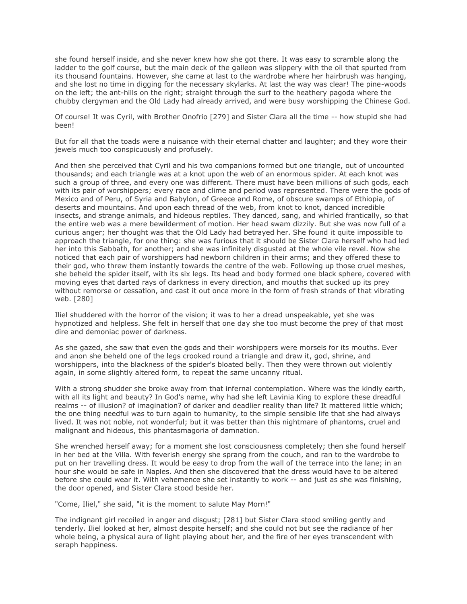she found herself inside, and she never knew how she got there. It was easy to scramble along the ladder to the golf course, but the main deck of the galleon was slippery with the oil that spurted from its thousand fountains. However, she came at last to the wardrobe where her hairbrush was hanging, and she lost no time in digging for the necessary skylarks. At last the way was clear! The pine-woods on the left; the ant-hills on the right; straight through the surf to the heathery pagoda where the chubby clergyman and the Old Lady had already arrived, and were busy worshipping the Chinese God.

Of course! It was Cyril, with Brother Onofrio [279] and Sister Clara all the time -- how stupid she had been!

But for all that the toads were a nuisance with their eternal chatter and laughter; and they wore their jewels much too conspicuously and profusely.

And then she perceived that Cyril and his two companions formed but one triangle, out of uncounted thousands; and each triangle was at a knot upon the web of an enormous spider. At each knot was such a group of three, and every one was different. There must have been millions of such gods, each with its pair of worshippers; every race and clime and period was represented. There were the gods of Mexico and of Peru, of Syria and Babylon, of Greece and Rome, of obscure swamps of Ethiopia, of deserts and mountains. And upon each thread of the web, from knot to knot, danced incredible insects, and strange animals, and hideous reptiles. They danced, sang, and whirled frantically, so that the entire web was a mere bewilderment of motion. Her head swam dizzily. But she was now full of a curious anger; her thought was that the Old Lady had betrayed her. She found it quite impossible to approach the triangle, for one thing: she was furious that it should be Sister Clara herself who had led her into this Sabbath, for another; and she was infinitely disgusted at the whole vile revel. Now she noticed that each pair of worshippers had newborn children in their arms; and they offered these to their god, who threw them instantly towards the centre of the web. Following up those cruel meshes, she beheld the spider itself, with its six legs. Its head and body formed one black sphere, covered with moving eyes that darted rays of darkness in every direction, and mouths that sucked up its prey without remorse or cessation, and cast it out once more in the form of fresh strands of that vibrating web. [280]

Iliel shuddered with the horror of the vision; it was to her a dread unspeakable, yet she was hypnotized and helpless. She felt in herself that one day she too must become the prey of that most dire and demoniac power of darkness.

As she gazed, she saw that even the gods and their worshippers were morsels for its mouths. Ever and anon she beheld one of the legs crooked round a triangle and draw it, god, shrine, and worshippers, into the blackness of the spider's bloated belly. Then they were thrown out violently again, in some slightly altered form, to repeat the same uncanny ritual.

With a strong shudder she broke away from that infernal contemplation. Where was the kindly earth, with all its light and beauty? In God's name, why had she left Lavinia King to explore these dreadful realms -- of illusion? of imagination? of darker and deadlier reality than life? It mattered little which; the one thing needful was to turn again to humanity, to the simple sensible life that she had always lived. It was not noble, not wonderful; but it was better than this nightmare of phantoms, cruel and malignant and hideous, this phantasmagoria of damnation.

She wrenched herself away; for a moment she lost consciousness completely; then she found herself in her bed at the Villa. With feverish energy she sprang from the couch, and ran to the wardrobe to put on her travelling dress. It would be easy to drop from the wall of the terrace into the lane; in an hour she would be safe in Naples. And then she discovered that the dress would have to be altered before she could wear it. With vehemence she set instantly to work -- and just as she was finishing, the door opened, and Sister Clara stood beside her.

"Come, Iliel," she said, "it is the moment to salute May Morn!"

The indignant girl recoiled in anger and disgust; [281] but Sister Clara stood smiling gently and tenderly. Iliel looked at her, almost despite herself; and she could not but see the radiance of her whole being, a physical aura of light playing about her, and the fire of her eyes transcendent with seraph happiness.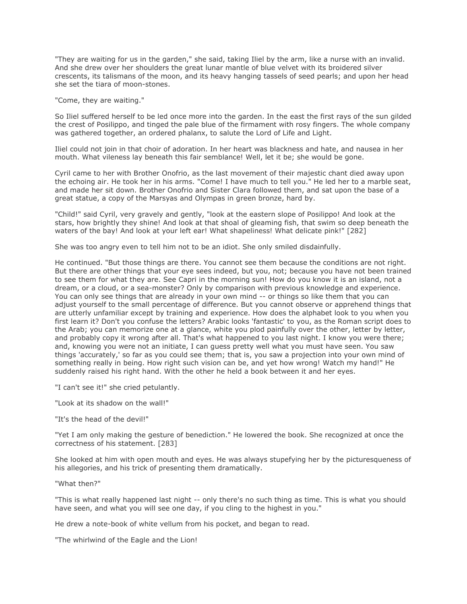"They are waiting for us in the garden," she said, taking Iliel by the arm, like a nurse with an invalid. And she drew over her shoulders the great lunar mantle of blue velvet with its broidered silver crescents, its talismans of the moon, and its heavy hanging tassels of seed pearls; and upon her head she set the tiara of moon-stones.

"Come, they are waiting."

So Iliel suffered herself to be led once more into the garden. In the east the first rays of the sun gilded the crest of Posilippo, and tinged the pale blue of the firmament with rosy fingers. The whole company was gathered together, an ordered phalanx, to salute the Lord of Life and Light.

Iliel could not join in that choir of adoration. In her heart was blackness and hate, and nausea in her mouth. What vileness lay beneath this fair semblance! Well, let it be; she would be gone.

Cyril came to her with Brother Onofrio, as the last movement of their majestic chant died away upon the echoing air. He took her in his arms. "Come! I have much to tell you." He led her to a marble seat, and made her sit down. Brother Onofrio and Sister Clara followed them, and sat upon the base of a great statue, a copy of the Marsyas and Olympas in green bronze, hard by.

"Child!" said Cyril, very gravely and gently, "look at the eastern slope of Posilippo! And look at the stars, how brightly they shine! And look at that shoal of gleaming fish, that swim so deep beneath the waters of the bay! And look at your left ear! What shapeliness! What delicate pink!" [282]

She was too angry even to tell him not to be an idiot. She only smiled disdainfully.

He continued. "But those things are there. You cannot see them because the conditions are not right. But there are other things that your eye sees indeed, but you, not; because you have not been trained to see them for what they are. See Capri in the morning sun! How do you know it is an island, not a dream, or a cloud, or a sea-monster? Only by comparison with previous knowledge and experience. You can only see things that are already in your own mind -- or things so like them that you can adjust yourself to the small percentage of difference. But you cannot observe or apprehend things that are utterly unfamiliar except by training and experience. How does the alphabet look to you when you first learn it? Don't you confuse the letters? Arabic looks 'fantastic' to you, as the Roman script does to the Arab; you can memorize one at a glance, white you plod painfully over the other, letter by letter, and probably copy it wrong after all. That's what happened to you last night. I know you were there; and, knowing you were not an initiate, I can guess pretty well what you must have seen. You saw things 'accurately,' so far as you could see them; that is, you saw a projection into your own mind of something really in being. How right such vision can be, and yet how wrong! Watch my hand!" He suddenly raised his right hand. With the other he held a book between it and her eyes.

"I can't see it!" she cried petulantly.

"Look at its shadow on the wall!"

"It's the head of the devil!"

"Yet I am only making the gesture of benediction." He lowered the book. She recognized at once the correctness of his statement. [283]

She looked at him with open mouth and eyes. He was always stupefying her by the picturesqueness of his allegories, and his trick of presenting them dramatically.

"What then?"

"This is what really happened last night -- only there's no such thing as time. This is what you should have seen, and what you will see one day, if you cling to the highest in you."

He drew a note-book of white vellum from his pocket, and began to read.

"The whirlwind of the Eagle and the Lion!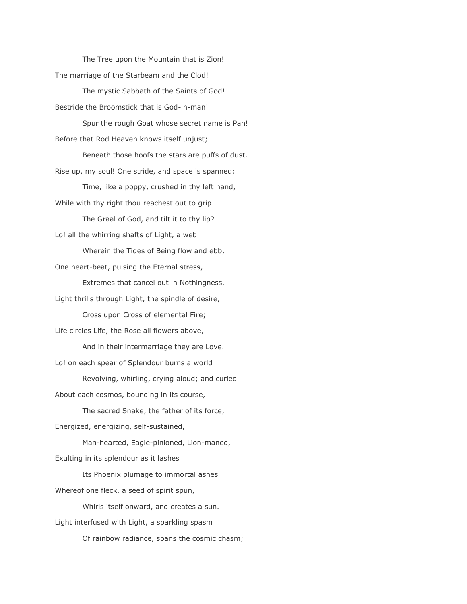The Tree upon the Mountain that is Zion! The marriage of the Starbeam and the Clod! The mystic Sabbath of the Saints of God! Bestride the Broomstick that is God-in-man! Spur the rough Goat whose secret name is Pan! Before that Rod Heaven knows itself unjust; Beneath those hoofs the stars are puffs of dust. Rise up, my soul! One stride, and space is spanned; Time, like a poppy, crushed in thy left hand, While with thy right thou reachest out to grip The Graal of God, and tilt it to thy lip? Lo! all the whirring shafts of Light, a web Wherein the Tides of Being flow and ebb, One heart-beat, pulsing the Eternal stress, Extremes that cancel out in Nothingness. Light thrills through Light, the spindle of desire, Cross upon Cross of elemental Fire; Life circles Life, the Rose all flowers above, And in their intermarriage they are Love. Lo! on each spear of Splendour burns a world Revolving, whirling, crying aloud; and curled About each cosmos, bounding in its course, The sacred Snake, the father of its force, Energized, energizing, self-sustained, Man-hearted, Eagle-pinioned, Lion-maned, Exulting in its splendour as it lashes Its Phoenix plumage to immortal ashes Whereof one fleck, a seed of spirit spun, Whirls itself onward, and creates a sun. Light interfused with Light, a sparkling spasm Of rainbow radiance, spans the cosmic chasm;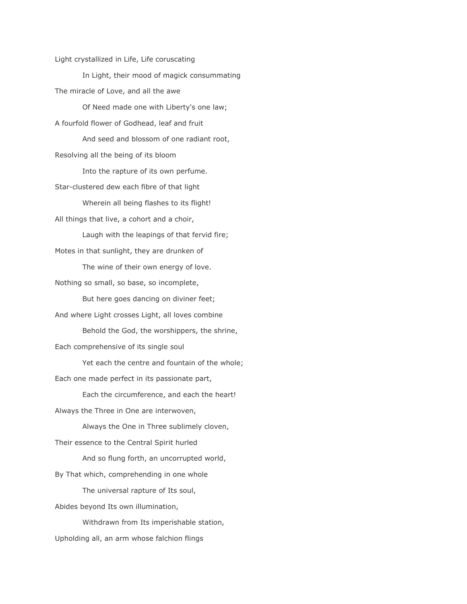Light crystallized in Life, Life coruscating In Light, their mood of magick consummating The miracle of Love, and all the awe Of Need made one with Liberty's one law; A fourfold flower of Godhead, leaf and fruit And seed and blossom of one radiant root, Resolving all the being of its bloom Into the rapture of its own perfume. Star-clustered dew each fibre of that light Wherein all being flashes to its flight! All things that live, a cohort and a choir, Laugh with the leapings of that fervid fire; Motes in that sunlight, they are drunken of The wine of their own energy of love. Nothing so small, so base, so incomplete, But here goes dancing on diviner feet; And where Light crosses Light, all loves combine Behold the God, the worshippers, the shrine, Each comprehensive of its single soul Yet each the centre and fountain of the whole; Each one made perfect in its passionate part, Each the circumference, and each the heart! Always the Three in One are interwoven, Always the One in Three sublimely cloven, Their essence to the Central Spirit hurled And so flung forth, an uncorrupted world, By That which, comprehending in one whole The universal rapture of Its soul, Abides beyond Its own illumination, Withdrawn from Its imperishable station, Upholding all, an arm whose falchion flings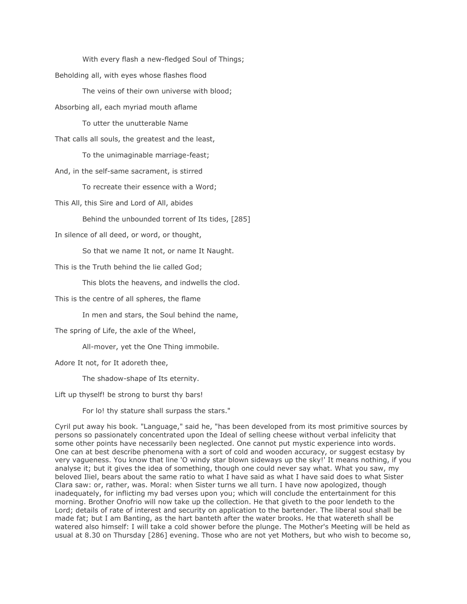With every flash a new-fledged Soul of Things;

Beholding all, with eyes whose flashes flood

The veins of their own universe with blood;

Absorbing all, each myriad mouth aflame

To utter the unutterable Name

That calls all souls, the greatest and the least,

To the unimaginable marriage-feast;

And, in the self-same sacrament, is stirred

To recreate their essence with a Word;

This All, this Sire and Lord of All, abides

Behind the unbounded torrent of Its tides, [285]

In silence of all deed, or word, or thought,

So that we name It not, or name It Naught.

This is the Truth behind the lie called God;

This blots the heavens, and indwells the clod.

This is the centre of all spheres, the flame

In men and stars, the Soul behind the name,

The spring of Life, the axle of the Wheel,

All-mover, yet the One Thing immobile.

Adore It not, for It adoreth thee,

The shadow-shape of Its eternity.

Lift up thyself! be strong to burst thy bars!

For lo! thy stature shall surpass the stars."

Cyril put away his book. "Language," said he, "has been developed from its most primitive sources by persons so passionately concentrated upon the Ideal of selling cheese without verbal infelicity that some other points have necessarily been neglected. One cannot put mystic experience into words. One can at best describe phenomena with a sort of cold and wooden accuracy, or suggest ecstasy by very vagueness. You know that line 'O windy star blown sideways up the sky!' It means nothing, if you analyse it; but it gives the idea of something, though one could never say what. What you saw, my beloved Iliel, bears about the same ratio to what I have said as what I have said does to what Sister Clara saw: or, rather, was. Moral: when Sister turns we all turn. I have now apologized, though inadequately, for inflicting my bad verses upon you; which will conclude the entertainment for this morning. Brother Onofrio will now take up the collection. He that giveth to the poor lendeth to the Lord; details of rate of interest and security on application to the bartender. The liberal soul shall be made fat; but I am Banting, as the hart banteth after the water brooks. He that watereth shall be watered also himself: I will take a cold shower before the plunge. The Mother's Meeting will be held as usual at 8.30 on Thursday [286] evening. Those who are not yet Mothers, but who wish to become so,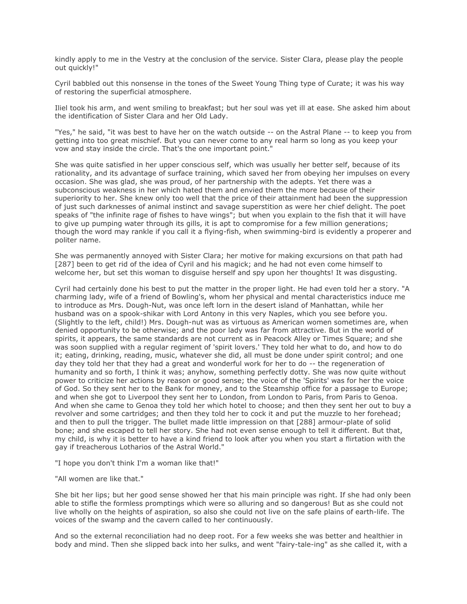kindly apply to me in the Vestry at the conclusion of the service. Sister Clara, please play the people out quickly!"

Cyril babbled out this nonsense in the tones of the Sweet Young Thing type of Curate; it was his way of restoring the superficial atmosphere.

Iliel took his arm, and went smiling to breakfast; but her soul was yet ill at ease. She asked him about the identification of Sister Clara and her Old Lady.

"Yes," he said, "it was best to have her on the watch outside -- on the Astral Plane -- to keep you from getting into too great mischief. But you can never come to any real harm so long as you keep your vow and stay inside the circle. That's the one important point."

She was quite satisfied in her upper conscious self, which was usually her better self, because of its rationality, and its advantage of surface training, which saved her from obeying her impulses on every occasion. She was glad, she was proud, of her partnership with the adepts. Yet there was a subconscious weakness in her which hated them and envied them the more because of their superiority to her. She knew only too well that the price of their attainment had been the suppression of just such darknesses of animal instinct and savage superstition as were her chief delight. The poet speaks of "the infinite rage of fishes to have wings"; but when you explain to the fish that it will have to give up pumping water through its gills, it is apt to compromise for a few million generations; though the word may rankle if you call it a flying-fish, when swimming-bird is evidently a properer and politer name.

She was permanently annoyed with Sister Clara; her motive for making excursions on that path had [287] been to get rid of the idea of Cyril and his magick; and he had not even come himself to welcome her, but set this woman to disguise herself and spy upon her thoughts! It was disgusting.

Cyril had certainly done his best to put the matter in the proper light. He had even told her a story. "A charming lady, wife of a friend of Bowling's, whom her physical and mental characteristics induce me to introduce as Mrs. Dough-Nut, was once left lorn in the desert island of Manhattan, while her husband was on a spook-shikar with Lord Antony in this very Naples, which you see before you. (Slightly to the left, child!) Mrs. Dough-nut was as virtuous as American women sometimes are, when denied opportunity to be otherwise; and the poor lady was far from attractive. But in the world of spirits, it appears, the same standards are not current as in Peacock Alley or Times Square; and she was soon supplied with a regular regiment of 'spirit lovers.' They told her what to do, and how to do it; eating, drinking, reading, music, whatever she did, all must be done under spirit control; and one day they told her that they had a great and wonderful work for her to do -- the regeneration of humanity and so forth, I think it was; anyhow, something perfectly dotty. She was now quite without power to criticize her actions by reason or good sense; the voice of the 'Spirits' was for her the voice of God. So they sent her to the Bank for money, and to the Steamship office for a passage to Europe; and when she got to Liverpool they sent her to London, from London to Paris, from Paris to Genoa. And when she came to Genoa they told her which hotel to choose; and then they sent her out to buy a revolver and some cartridges; and then they told her to cock it and put the muzzle to her forehead; and then to pull the trigger. The bullet made little impression on that [288] armour-plate of solid bone; and she escaped to tell her story. She had not even sense enough to tell it different. But that, my child, is why it is better to have a kind friend to look after you when you start a flirtation with the gay if treacherous Lotharios of the Astral World."

"I hope you don't think I'm a woman like that!"

"All women are like that."

She bit her lips; but her good sense showed her that his main principle was right. If she had only been able to stifle the formless promptings which were so alluring and so dangerous! But as she could not live wholly on the heights of aspiration, so also she could not live on the safe plains of earth-life. The voices of the swamp and the cavern called to her continuously.

And so the external reconciliation had no deep root. For a few weeks she was better and healthier in body and mind. Then she slipped back into her sulks, and went "fairy-tale-ing" as she called it, with a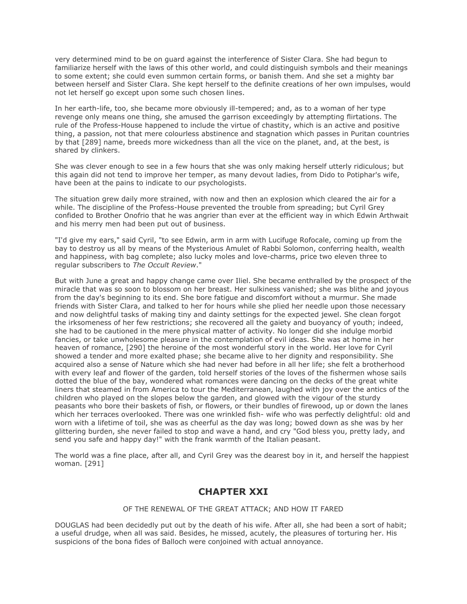very determined mind to be on guard against the interference of Sister Clara. She had begun to familiarize herself with the laws of this other world, and could distinguish symbols and their meanings to some extent; she could even summon certain forms, or banish them. And she set a mighty bar between herself and Sister Clara. She kept herself to the definite creations of her own impulses, would not let herself go except upon some such chosen lines.

In her earth-life, too, she became more obviously ill-tempered; and, as to a woman of her type revenge only means one thing, she amused the garrison exceedingly by attempting flirtations. The rule of the Profess-House happened to include the virtue of chastity, which is an active and positive thing, a passion, not that mere colourless abstinence and stagnation which passes in Puritan countries by that [289] name, breeds more wickedness than all the vice on the planet, and, at the best, is shared by clinkers.

She was clever enough to see in a few hours that she was only making herself utterly ridiculous; but this again did not tend to improve her temper, as many devout ladies, from Dido to Potiphar's wife, have been at the pains to indicate to our psychologists.

The situation grew daily more strained, with now and then an explosion which cleared the air for a while. The discipline of the Profess-House prevented the trouble from spreading; but Cyril Grey confided to Brother Onofrio that he was angrier than ever at the efficient way in which Edwin Arthwait and his merry men had been put out of business.

"I'd give my ears," said Cyril, "to see Edwin, arm in arm with Lucifuge Rofocale, coming up from the bay to destroy us all by means of the Mysterious Amulet of Rabbi Solomon, conferring health, wealth and happiness, with bag complete; also lucky moles and love-charms, price two eleven three to regular subscribers to *The Occult Review*."

But with June a great and happy change came over Iliel. She became enthralled by the prospect of the miracle that was so soon to blossom on her breast. Her sulkiness vanished; she was blithe and joyous from the day's beginning to its end. She bore fatigue and discomfort without a murmur. She made friends with Sister Clara, and talked to her for hours while she plied her needle upon those necessary and now delightful tasks of making tiny and dainty settings for the expected jewel. She clean forgot the irksomeness of her few restrictions; she recovered all the gaiety and buoyancy of youth; indeed, she had to be cautioned in the mere physical matter of activity. No longer did she indulge morbid fancies, or take unwholesome pleasure in the contemplation of evil ideas. She was at home in her heaven of romance, [290] the heroine of the most wonderful story in the world. Her love for Cyril showed a tender and more exalted phase; she became alive to her dignity and responsibility. She acquired also a sense of Nature which she had never had before in all her life; she felt a brotherhood with every leaf and flower of the garden, told herself stories of the loves of the fishermen whose sails dotted the blue of the bay, wondered what romances were dancing on the decks of the great white liners that steamed in from America to tour the Mediterranean, laughed with joy over the antics of the children who played on the slopes below the garden, and glowed with the vigour of the sturdy peasants who bore their baskets of fish, or flowers, or their bundles of firewood, up or down the lanes which her terraces overlooked. There was one wrinkled fish- wife who was perfectly delightful: old and worn with a lifetime of toil, she was as cheerful as the day was long; bowed down as she was by her glittering burden, she never failed to stop and wave a hand, and cry "God bless you, pretty lady, and send you safe and happy day!" with the frank warmth of the Italian peasant.

The world was a fine place, after all, and Cyril Grey was the dearest boy in it, and herself the happiest woman. [291]

### **CHAPTER XXI**

#### OF THE RENEWAL OF THE GREAT ATTACK; AND HOW IT FARED

DOUGLAS had been decidedly put out by the death of his wife. After all, she had been a sort of habit; a useful drudge, when all was said. Besides, he missed, acutely, the pleasures of torturing her. His suspicions of the bona fides of Balloch were conjoined with actual annoyance.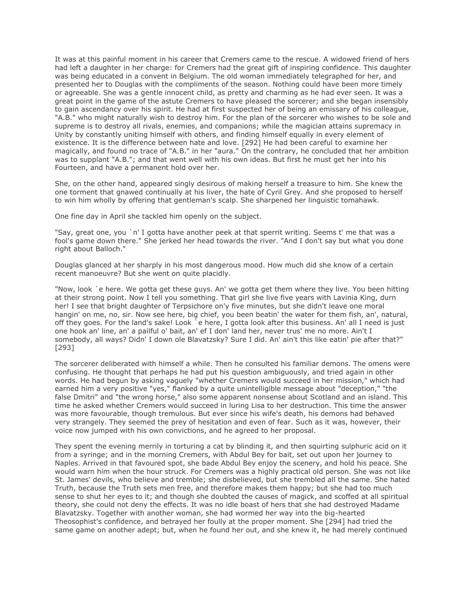It was at this painful moment in his career that Cremers came to the rescue. A widowed friend of hers had left a daughter in her charge: for Cremers had the great gift of inspiring confidence. This daughter was being educated in a convent in Belgium. The old woman immediately telegraphed for her, and presented her to Douglas with the compliments of the season. Nothing could have been more timely or agreeable. She was a gentle innocent child, as pretty and charming as he had ever seen. It was a great point in the game of the astute Cremers to have pleased the sorcerer; and she began insensibly to gain ascendancy over his spirit. He had at first suspected her of being an emissary of his colleague, "A.B." who might naturally wish to destroy him. For the plan of the sorcerer who wishes to be sole and supreme is to destroy all rivals, enemies, and companions; while the magician attains supremacy in Unity by constantly uniting himself with others, and finding himself equally in every element of existence. It is the difference between hate and love. [292] He had been careful to examine her magically, and found no trace of "A.B." in her "aura." On the contrary, he concluded that her ambition was to supplant "A.B."; and that went well with his own ideas. But first he must get her into his Fourteen, and have a permanent hold over her.

She, on the other hand, appeared singly desirous of making herself a treasure to him. She knew the one torment that gnawed continually at his liver, the hate of Cyril Grey. And she proposed to herself to win him wholly by offering that gentleman's scalp. She sharpened her linguistic tomahawk.

One fine day in April she tackled him openly on the subject.

"Say, great one, you `n' I gotta have another peek at that sperrit writing. Seems t' me that was a fool's game down there." She jerked her head towards the river. "And I don't say but what you done right about Balloch."

Douglas glanced at her sharply in his most dangerous mood. How much did she know of a certain recent manoeuvre? But she went on quite placidly.

"Now, look `e here. We gotta get these guys. An' we gotta get them where they live. You been hitting at their strong point. Now I tell you something. That girl she live five years with Lavinia King, durn her! I see that bright daughter of Terpsichore on'y five minutes, but she didn't leave one moral hangin' on me, no, sir. Now see here, big chief, you been beatin' the water for them fish, an', natural, off they goes. For the land's sake! Look `e here, I gotta look after this business. An' all I need is just one hook an' line, an' a pailful o' bait, an' ef I don' land her, never trus' me no more. Ain't I somebody, all ways? Didn' I down ole Blavatzsky? Sure I did. An' ain't this like eatin' pie after that?" [293]

The sorcerer deliberated with himself a while. Then he consulted his familiar demons. The omens were confusing. He thought that perhaps he had put his question ambiguously, and tried again in other words. He had begun by asking vaguely "whether Cremers would succeed in her mission," which had earned him a very positive "yes," flanked by a quite unintelligible message about "deception," "the false Dmitri" and "the wrong horse," also some apparent nonsense about Scotland and an island. This time he asked whether Cremers would succeed in luring Lisa to her destruction. This time the answer was more favourable, though tremulous. But ever since his wife's death, his demons had behaved very strangely. They seemed the prey of hesitation and even of fear. Such as it was, however, their voice now jumped with his own convictions, and he agreed to her proposal.

They spent the evening merrily in torturing a cat by blinding it, and then squirting sulphuric acid on it from a syringe; and in the morning Cremers, with Abdul Bey for bait, set out upon her journey to Naples. Arrived in that favoured spot, she bade Abdul Bey enjoy the scenery, and hold his peace. She would warn him when the hour struck. For Cremers was a highly practical old person. She was not like St. James' devils, who believe and tremble; she disbelieved, but she trembled all the same. She hated Truth, because the Truth sets men free, and therefore makes them happy; but she had too much sense to shut her eyes to it; and though she doubted the causes of magick, and scoffed at all spiritual theory, she could not deny the effects. It was no idle boast of hers that she had destroyed Madame Blavatzsky. Together with another woman, she had wormed her way into the big-hearted Theosophist's confidence, and betrayed her foully at the proper moment. She [294] had tried the same game on another adept; but, when he found her out, and she knew it, he had merely continued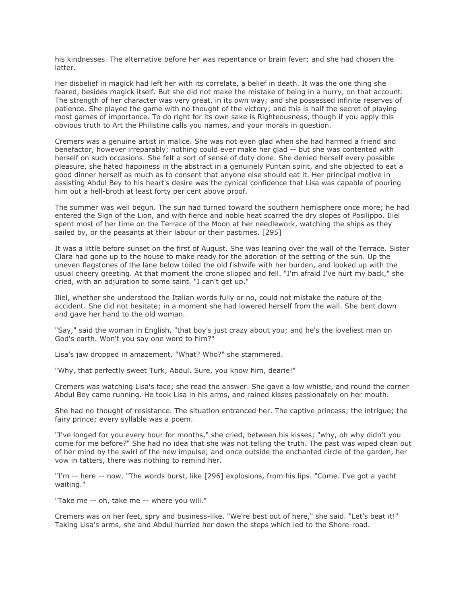his kindnesses. The alternative before her was repentance or brain fever; and she had chosen the latter.

Her disbelief in magick had left her with its correlate, a belief in death. It was the one thing she feared, besides magick itself. But she did not make the mistake of being in a hurry, on that account. The strength of her character was very great, in its own way; and she possessed infinite reserves of patience. She played the game with no thought of the victory; and this is half the secret of playing most games of importance. To do right for its own sake is Righteousness, though if you apply this obvious truth to Art the Philistine calls you names, and your morals in question.

Cremers was a genuine artist in malice. She was not even glad when she had harmed a friend and benefactor, however irreparably; nothing could ever make her glad -- but she was contented with herself on such occasions. She felt a sort of sense of duty done. She denied herself every possible pleasure, she hated happiness in the abstract in a genuinely Puritan spirit, and she objected to eat a good dinner herself as much as to consent that anyone else should eat it. Her principal motive in assisting Abdul Bey to his heart's desire was the cynical confidence that Lisa was capable of pouring him out a hell-broth at least forty per cent above proof.

The summer was well begun. The sun had turned toward the southern hemisphere once more; he had entered the Sign of the Lion, and with fierce and noble heat scarred the dry slopes of Posilippo. Iliel spent most of her time on the Terrace of the Moon at her needlework, watching the ships as they sailed by, or the peasants at their labour or their pastimes. [295]

It was a little before sunset on the first of August. She was leaning over the wall of the Terrace. Sister Clara had gone up to the house to make ready for the adoration of the setting of the sun. Up the uneven flagstones of the lane below toiled the old fishwife with her burden, and looked up with the usual cheery greeting. At that moment the crone slipped and fell. "I'm afraid I've hurt my back," she cried, with an adjuration to some saint. "I can't get up."

Iliel, whether she understood the Italian words fully or no, could not mistake the nature of the accident. She did not hesitate; in a moment she had lowered herself from the wall. She bent down and gave her hand to the old woman.

"Say," said the woman in English, "that boy's just crazy about you; and he's the loveliest man on God's earth. Won't you say one word to him?"

Lisa's jaw dropped in amazement. "What? Who?" she stammered.

"Why, that perfectly sweet Turk, Abdul. Sure, you know him, dearie!"

Cremers was watching Lisa's face; she read the answer. She gave a low whistle, and round the corner Abdul Bey came running. He took Lisa in his arms, and rained kisses passionately on her mouth.

She had no thought of resistance. The situation entranced her. The captive princess; the intrigue; the fairy prince; every syllable was a poem.

"I've longed for you every hour for months," she cried, between his kisses; "why, oh why didn't you come for me before?" She had no idea that she was not telling the truth. The past was wiped clean out of her mind by the swirl of the new impulse; and once outside the enchanted circle of the garden, her vow in tatters, there was nothing to remind her.

"I'm -- here -- now. "The words burst, like [296] explosions, from his lips. "Come. I've got a yacht waiting."

"Take me -- oh, take me -- where you will."

Cremers was on her feet, spry and business-like. "We're best out of here," she said. "Let's beat it!" Taking Lisa's arms, she and Abdul hurried her down the steps which led to the Shore-road.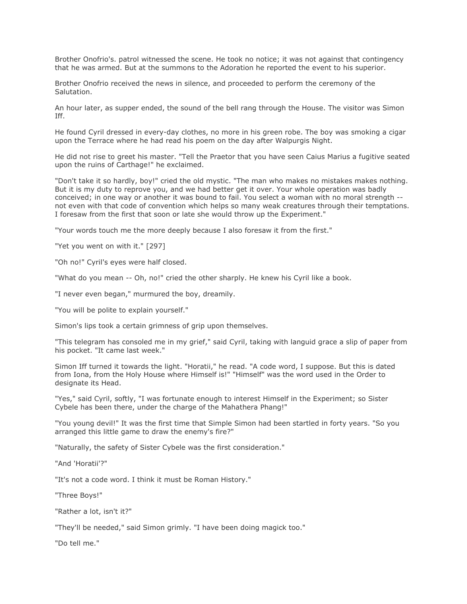Brother Onofrio's. patrol witnessed the scene. He took no notice; it was not against that contingency that he was armed. But at the summons to the Adoration he reported the event to his superior.

Brother Onofrio received the news in silence, and proceeded to perform the ceremony of the Salutation.

An hour later, as supper ended, the sound of the bell rang through the House. The visitor was Simon Iff.

He found Cyril dressed in every-day clothes, no more in his green robe. The boy was smoking a cigar upon the Terrace where he had read his poem on the day after Walpurgis Night.

He did not rise to greet his master. "Tell the Praetor that you have seen Caius Marius a fugitive seated upon the ruins of Carthage!" he exclaimed.

"Don't take it so hardly, boy!" cried the old mystic. "The man who makes no mistakes makes nothing. But it is my duty to reprove you, and we had better get it over. Your whole operation was badly conceived; in one way or another it was bound to fail. You select a woman with no moral strength - not even with that code of convention which helps so many weak creatures through their temptations. I foresaw from the first that soon or late she would throw up the Experiment."

"Your words touch me the more deeply because I also foresaw it from the first."

"Yet you went on with it." [297]

"Oh no!" Cyril's eyes were half closed.

"What do you mean -- Oh, no!" cried the other sharply. He knew his Cyril like a book.

"I never even began," murmured the boy, dreamily.

"You will be polite to explain yourself."

Simon's lips took a certain grimness of grip upon themselves.

"This telegram has consoled me in my grief," said Cyril, taking with languid grace a slip of paper from his pocket. "It came last week."

Simon Iff turned it towards the light. "Horatii," he read. "A code word, I suppose. But this is dated from Iona, from the Holy House where Himself is!" "Himself" was the word used in the Order to designate its Head.

"Yes," said Cyril, softly, "I was fortunate enough to interest Himself in the Experiment; so Sister Cybele has been there, under the charge of the Mahathera Phang!"

"You young devil!" It was the first time that Simple Simon had been startled in forty years. "So you arranged this little game to draw the enemy's fire?"

"Naturally, the safety of Sister Cybele was the first consideration."

"And 'Horatii'?"

"It's not a code word. I think it must be Roman History."

"Three Boys!"

"Rather a lot, isn't it?"

"They'll be needed," said Simon grimly. "I have been doing magick too."

"Do tell me."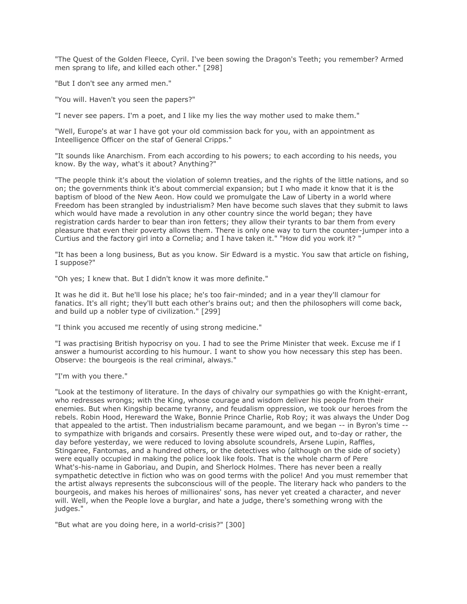"The Quest of the Golden Fleece, Cyril. I've been sowing the Dragon's Teeth; you remember? Armed men sprang to life, and killed each other." [298]

"But I don't see any armed men."

"You will. Haven't you seen the papers?"

"I never see papers. I'm a poet, and I like my lies the way mother used to make them."

"Well, Europe's at war I have got your old commission back for you, with an appointment as Inteelligence Officer on the staf of General Cripps."

"It sounds like Anarchism. From each according to his powers; to each according to his needs, you know. By the way, what's it about? Anything?"

"The people think it's about the violation of solemn treaties, and the rights of the little nations, and so on; the governments think it's about commercial expansion; but I who made it know that it is the baptism of blood of the New Aeon. How could we promulgate the Law of Liberty in a world where Freedom has been strangled by industrialism? Men have become such slaves that they submit to laws which would have made a revolution in any other country since the world began; they have registration cards harder to bear than iron fetters; they allow their tyrants to bar them from every pleasure that even their poverty allows them. There is only one way to turn the counter-jumper into a Curtius and the factory girl into a Cornelia; and I have taken it." "How did you work it? "

"It has been a long business, But as you know. Sir Edward is a mystic. You saw that article on fishing, I suppose?"

"Oh yes; I knew that. But I didn't know it was more definite."

It was he did it. But he'll lose his place; he's too fair-minded; and in a year they'll clamour for fanatics. It's all right; they'll butt each other's brains out; and then the philosophers will come back, and build up a nobler type of civilization." [299]

"I think you accused me recently of using strong medicine."

"I was practising British hypocrisy on you. I had to see the Prime Minister that week. Excuse me if I answer a humourist according to his humour. I want to show you how necessary this step has been. Observe: the bourgeois is the real criminal, always."

"I'm with you there."

"Look at the testimony of literature. In the days of chivalry our sympathies go with the Knight-errant, who redresses wrongs; with the King, whose courage and wisdom deliver his people from their enemies. But when Kingship became tyranny, and feudalism oppression, we took our heroes from the rebels. Robin Hood, Hereward the Wake, Bonnie Prince Charlie, Rob Roy; it was always the Under Dog that appealed to the artist. Then industrialism became paramount, and we began -- in Byron's time - to sympathize with brigands and corsairs. Presently these were wiped out, and to-day or rather, the day before yesterday, we were reduced to loving absolute scoundrels, Arsene Lupin, Raffles, Stingaree, Fantomas, and a hundred others, or the detectives who (although on the side of society) were equally occupied in making the police look like fools. That is the whole charm of Pere What's-his-name in Gaboriau, and Dupin, and Sherlock Holmes. There has never been a really sympathetic detectlve in fiction who was on good terms with the police! And you must remember that the artist always represents the subconscious will of the people. The literary hack who panders to the bourgeois, and makes his heroes of millionaires' sons, has never yet created a character, and never will. Well, when the People love a burglar, and hate a judge, there's something wrong with the judges."

"But what are you doing here, in a world-crisis?" [300]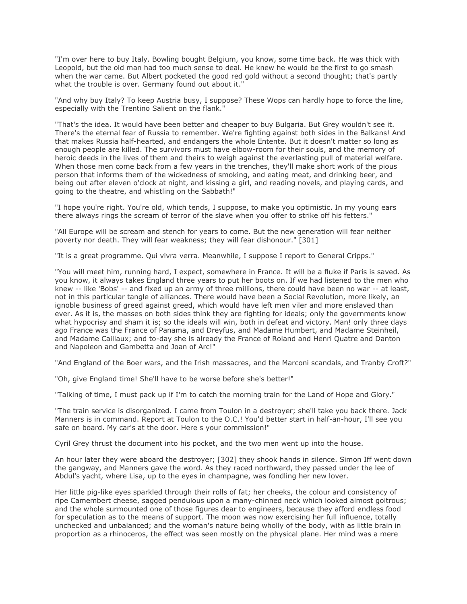"I'm over here to buy Italy. Bowling bought Belgium, you know, some time back. He was thick with Leopold, but the old man had too much sense to deal. He knew he would be the first to go smash when the war came. But Albert pocketed the good red gold without a second thought; that's partly what the trouble is over. Germany found out about it."

"And why buy Italy? To keep Austria busy, I suppose? These Wops can hardly hope to force the line, especially with the Trentino Salient on the flank."

"That's the idea. It would have been better and cheaper to buy Bulgaria. But Grey wouldn't see it. There's the eternal fear of Russia to remember. We're fighting against both sides in the Balkans! And that makes Russia half-hearted, and endangers the whole Entente. But it doesn't matter so long as enough people are killed. The survivors must have elbow-room for their souls, and the memory of heroic deeds in the lives of them and theirs to weigh against the everlasting pull of material welfare. When those men come back from a few years in the trenches, they'll make short work of the pious person that informs them of the wickedness of smoking, and eating meat, and drinking beer, and being out after eleven o'clock at night, and kissing a girl, and reading novels, and playing cards, and going to the theatre, and whistling on the Sabbath!"

"I hope you're right. You're old, which tends, I suppose, to make you optimistic. In my young ears there always rings the scream of terror of the slave when you offer to strike off his fetters."

"All Europe will be scream and stench for years to come. But the new generation will fear neither poverty nor death. They will fear weakness; they will fear dishonour." [301]

"It is a great programme. Qui vivra verra. Meanwhile, I suppose I report to General Cripps."

"You will meet him, running hard, I expect, somewhere in France. It will be a fluke if Paris is saved. As you know, it always takes England three years to put her boots on. If we had listened to the men who knew -- like 'Bobs' -- and fixed up an army of three millions, there could have been no war -- at least, not in this particular tangle of alliances. There would have been a Social Revolution, more likely, an ignoble business of greed against greed, which would have left men viler and more enslaved than ever. As it is, the masses on both sides think they are fighting for ideals; only the governments know what hypocrisy and sham it is; so the ideals will win, both in defeat and victory. Man! only three days ago France was the France of Panama, and Dreyfus, and Madame Humbert, and Madame Steinheil, and Madame Caillaux; and to-day she is already the France of Roland and Henri Quatre and Danton and Napoleon and Gambetta and Joan of Arc!"

"And England of the Boer wars, and the Irish massacres, and the Marconi scandals, and Tranby Croft?"

"Oh, give England time! She'll have to be worse before she's better!"

"Talking of time, I must pack up if I'm to catch the morning train for the Land of Hope and Glory."

"The train service is disorganized. I came from Toulon in a destroyer; she'll take you back there. Jack Manners is in command. Report at Toulon to the O.C.! You'd better start in half-an-hour, I'll see you safe on board. My car's at the door. Here s your commission!"

Cyril Grey thrust the document into his pocket, and the two men went up into the house.

An hour later they were aboard the destroyer; [302] they shook hands in silence. Simon Iff went down the gangway, and Manners gave the word. As they raced northward, they passed under the lee of Abdul's yacht, where Lisa, up to the eyes in champagne, was fondling her new lover.

Her little pig-like eyes sparkled through their rolls of fat; her cheeks, the colour and consistency of ripe Camembert cheese, sagged pendulous upon a many-chinned neck which looked almost goitrous; and the whole surmounted one of those figures dear to engineers, because they afford endless food for speculation as to the means of support. The moon was now exercising her full influence, totally unchecked and unbalanced; and the woman's nature being wholly of the body, with as little brain in proportion as a rhinoceros, the effect was seen mostly on the physical plane. Her mind was a mere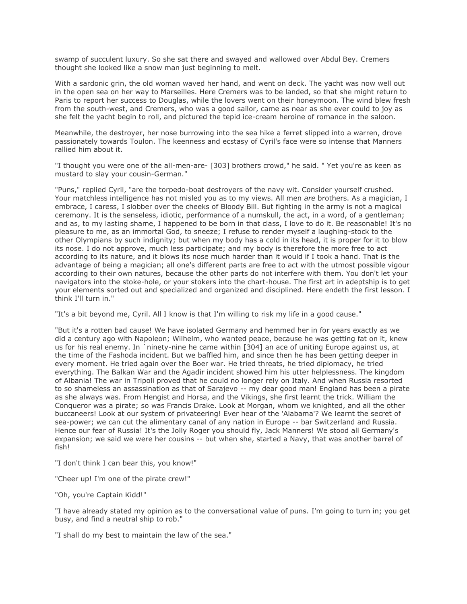swamp of succulent luxury. So she sat there and swayed and wallowed over Abdul Bey. Cremers thought she looked like a snow man just beginning to melt.

With a sardonic grin, the old woman waved her hand, and went on deck. The yacht was now well out in the open sea on her way to Marseilles. Here Cremers was to be landed, so that she might return to Paris to report her success to Douglas, while the lovers went on their honeymoon. The wind blew fresh from the south-west, and Cremers, who was a good sailor, came as near as she ever could to joy as she felt the yacht begin to roll, and pictured the tepid ice-cream heroine of romance in the saloon.

Meanwhile, the destroyer, her nose burrowing into the sea hike a ferret slipped into a warren, drove passionately towards Toulon. The keenness and ecstasy of Cyril's face were so intense that Manners rallied him about it.

"I thought you were one of the all-men-are- [303] brothers crowd," he said. " Yet you're as keen as mustard to slay your cousin-German."

"Puns," replied Cyril, "are the torpedo-boat destroyers of the navy wit. Consider yourself crushed. Your matchless intelligence has not misled you as to my views. All men *are* brothers. As a magician, I embrace, I caress, I slobber over the cheeks of Bloody Bill. But fighting in the army is not a magical ceremony. It is the senseless, idiotic, performance of a numskull, the act, in a word, of a gentleman; and as, to my lasting shame, I happened to be born in that class, I love to do it. Be reasonable! It's no pleasure to me, as an immortal God, to sneeze; I refuse to render myself a laughing-stock to the other Olympians by such indignity; but when my body has a cold in its head, it is proper for it to blow its nose. I do not approve, much less participate; and my body is therefore the more free to act according to its nature, and it blows its nose much harder than it would if I took a hand. That is the advantage of being a magician; all one's different parts are free to act with the utmost possible vigour according to their own natures, because the other parts do not interfere with them. You don't let your navigators into the stoke-hole, or your stokers into the chart-house. The first art in adeptship is to get your elements sorted out and specialized and organized and disciplined. Here endeth the first lesson. I think I'll turn in."

"It's a bit beyond me, Cyril. All I know is that I'm willing to risk my life in a good cause."

"But it's a rotten bad cause! We have isolated Germany and hemmed her in for years exactly as we did a century ago with Napoleon; Wilhelm, who wanted peace, because he was getting fat on it, knew us for his real enemy. In `ninety-nine he came within [304] an ace of uniting Europe against us, at the time of the Fashoda incident. But we baffled him, and since then he has been getting deeper in every moment. He tried again over the Boer war. He tried threats, he tried diplomacy, he tried everything. The Balkan War and the Agadir incident showed him his utter helplessness. The kingdom of Albania! The war in Tripoli proved that he could no longer rely on Italy. And when Russia resorted to so shameless an assassination as that of Sarajevo -- my dear good man! England has been a pirate as she always was. From Hengist and Horsa, and the Vikings, she first learnt the trick. William the Conqueror was a pirate; so was Francis Drake. Look at Morgan, whom we knighted, and all the other buccaneers! Look at our system of privateering! Ever hear of the 'Alabama'? We learnt the secret of sea-power; we can cut the alimentary canal of any nation in Europe -- bar Switzerland and Russia. Hence our fear of Russia! It's the Jolly Roger you should fly, Jack Manners! We stood all Germany's expansion; we said we were her cousins -- but when she, started a Navy, that was another barrel of fish!

"I don't think I can bear this, you know!"

"Cheer up! I'm one of the pirate crew!"

"Oh, you're Captain Kidd!"

"I have already stated my opinion as to the conversational value of puns. I'm going to turn in; you get busy, and find a neutral ship to rob."

"I shall do my best to maintain the law of the sea."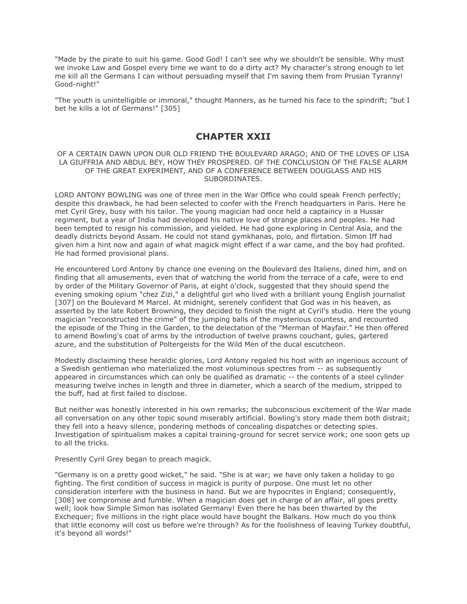"Made by the pirate to suit his game. Good God! I can't see why we shouldn't be sensible. Why must we invoke Law and Gospel every time we want to do a dirty act? My character's strong enough to let me kill all the Germans I can without persuading myself that I'm saving them from Prusian Tyranny! Good-night!"

"The youth is unintelligible or immoral," thought Manners, as he turned his face to the spindrift; "but I bet he kills a lot of Germans!" [305]

### **CHAPTER XXII**

#### OF A CERTAIN DAWN UPON OUR OLD FRIEND THE BOULEVARD ARAGO; AND OF THE LOVES OF LISA LA GIUFFRIA AND ABDUL BEY, HOW THEY PROSPERED. OF THE CONCLUSION OF THE FALSE ALARM OF THE GREAT EXPERIMENT, AND OF A CONFERENCE BETWEEN DOUGLASS AND HIS SUBORDINATES.

LORD ANTONY BOWLING was one of three men in the War Office who could speak French perfectly; despite this drawback, he had been selected to confer with the French headquarters in Paris. Here he met Cyril Grey, busy with his tailor. The young magician had once held a captaincy in a Hussar regiment, but a year of India had developed his native love of strange places and peoples. He had been tempted to resign his commission, and yielded. He had gone exploring in Central Asia, and the deadly districts beyond Assam. He could not stand gymkhanas, polo, and flirtation. Simon Iff had given him a hint now and again of what magick might effect if a war came, and the boy had profited. He had formed provisional plans.

He encountered Lord Antony by chance one evening on the Boulevard des Italiens, dined him, and on finding that all amusements, even that of watching the world from the terrace of a cafe, were to end by order of the Military Governor of Paris, at eight o'clock, suggested that they should spend the evening smoking opium "chez Zizi," a delightful girl who lived with a brilliant young English journalist [307] on the Boulevard M Marcel. At midnight, serenely confident that God was in his heaven, as asserted by the late Robert Browning, they decided to finish the night at Cyril's studio. Here the young magician "reconstructed the crime" of the jumping balls of the mysterious countess, and recounted the episode of the Thing in the Garden, to the delectation of the "Merman of Mayfair." He then offered to amend Bowling's coat of arms by the introduction of twelve prawns couchant, gules, gartered azure, and the substitution of Poltergeists for the Wild Men of the ducal escutcheon.

Modestly disclaiming these heraldic glories, Lord Antony regaled his host with an ingenious account of a Swedish gentleman who materialized the most voluminous spectres from -- as subsequently appeared in circumstances which can only be qualified as dramatic -- the contents of a steel cylinder measuring twelve inches in length and three in diameter, which a search of the medium, stripped to the buff, had at first failed to disclose.

But neither was honestly interested in his own remarks; the subconscious excitement of the War made all conversation on any other topic sound miserably artificial. Bowling's story made them both distrait; they fell into a heavy silence, pondering methods of concealing dispatches or detecting spies. Investigation of spiritualism makes a capital training-ground for secret service work; one soon gets up to all the tricks.

Presently Cyril Grey began to preach magick.

"Germany is on a pretty good wicket," he said. "She is at war; we have only taken a holiday to go fighting. The first condition of success in magick is purity of purpose. One must let no other consideration interfere with the business in hand. But we are hypocrites in England; consequently, [308] we compromise and fumble. When a magician does get in charge of an affair, all goes pretty well; look how Simple Simon has isolated Germany! Even there he has been thwarted by the Exchequer; five millions in the right place would have bought the Balkans. How much do you think that little economy will cost us before we're through? As for the foolishness of leaving Turkey doubtful, it's beyond all words!"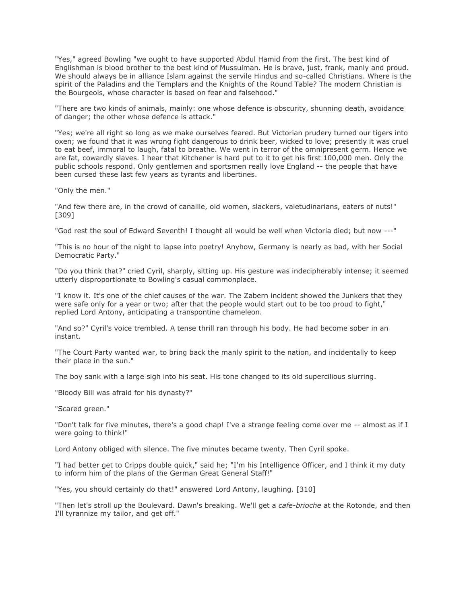"Yes," agreed Bowling "we ought to have supported Abdul Hamid from the first. The best kind of Englishman is blood brother to the best kind of Mussulman. He is brave, just, frank, manly and proud. We should always be in alliance Islam against the servile Hindus and so-called Christians. Where is the spirit of the Paladins and the Templars and the Knights of the Round Table? The modern Christian is the Bourgeois, whose character is based on fear and falsehood."

"There are two kinds of animals, mainly: one whose defence is obscurity, shunning death, avoidance of danger; the other whose defence is attack."

"Yes; we're all right so long as we make ourselves feared. But Victorian prudery turned our tigers into oxen; we found that it was wrong fight dangerous to drink beer, wicked to love; presently it was cruel to eat beef, immoral to laugh, fatal to breathe. We went in terror of the omnipresent germ. Hence we are fat, cowardly slaves. I hear that Kitchener is hard put to it to get his first 100,000 men. Only the public schools respond. Only gentlemen and sportsmen really love England -- the people that have been cursed these last few years as tyrants and libertines.

"Only the men."

"And few there are, in the crowd of canaille, old women, slackers, valetudinarians, eaters of nuts!" [309]

"God rest the soul of Edward Seventh! I thought all would be well when Victoria died; but now ---"

"This is no hour of the night to lapse into poetry! Anyhow, Germany is nearly as bad, with her Social Democratic Party."

"Do you think that?" cried Cyril, sharply, sitting up. His gesture was indecipherably intense; it seemed utterly disproportionate to Bowling's casual commonplace.

"I know it. It's one of the chief causes of the war. The Zabern incident showed the Junkers that they were safe only for a year or two; after that the people would start out to be too proud to fight," replied Lord Antony, anticipating a transpontine chameleon.

"And so?" Cyril's voice trembled. A tense thrill ran through his body. He had become sober in an instant.

"The Court Party wanted war, to bring back the manly spirit to the nation, and incidentally to keep their place in the sun."

The boy sank with a large sigh into his seat. His tone changed to its old supercilious slurring.

"Bloody Bill was afraid for his dynasty?"

"Scared green."

"Don't talk for five minutes, there's a good chap! I've a strange feeling come over me -- almost as if I were going to think!"

Lord Antony obliged with silence. The five minutes became twenty. Then Cyril spoke.

"I had better get to Cripps double quick," said he; "I'm his Intelligence Officer, and I think it my duty to inform him of the plans of the German Great General Staff!"

"Yes, you should certainly do that!" answered Lord Antony, laughing. [310]

"Then let's stroll up the Boulevard. Dawn's breaking. We'll get a *cafe-brioche* at the Rotonde, and then I'll tyrannize my tailor, and get off."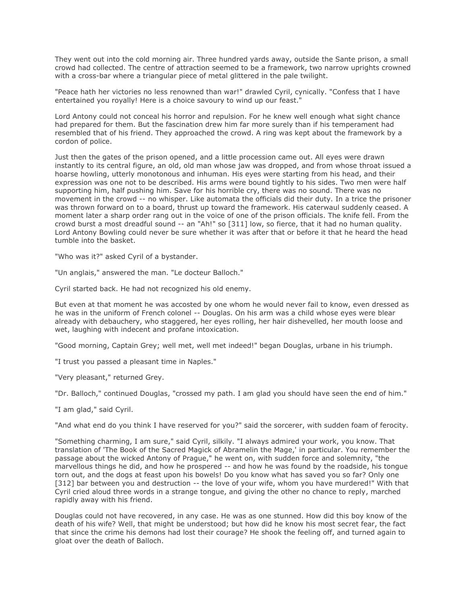They went out into the cold morning air. Three hundred yards away, outside the Sante prison, a small crowd had collected. The centre of attraction seemed to be a framework, two narrow uprights crowned with a cross-bar where a triangular piece of metal glittered in the pale twilight.

"Peace hath her victories no less renowned than war!" drawled Cyril, cynically. "Confess that I have entertained you royally! Here is a choice savoury to wind up our feast."

Lord Antony could not conceal his horror and repulsion. For he knew well enough what sight chance had prepared for them. But the fascination drew him far more surely than if his temperament had resembled that of his friend. They approached the crowd. A ring was kept about the framework by a cordon of police.

Just then the gates of the prison opened, and a little procession came out. All eyes were drawn instantly to its central figure, an old, old man whose jaw was dropped, and from whose throat issued a hoarse howling, utterly monotonous and inhuman. His eyes were starting from his head, and their expression was one not to be described. His arms were bound tightly to his sides. Two men were half supporting him, half pushing him. Save for his horrible cry, there was no sound. There was no movement in the crowd -- no whisper. Like automata the officials did their duty. In a trice the prisoner was thrown forward on to a board, thrust up toward the framework. His caterwaul suddenly ceased. A moment later a sharp order rang out in the voice of one of the prison officials. The knife fell. From the crowd burst a most dreadful sound -- an "Ah!" so [311] low, so fierce, that it had no human quality. Lord Antony Bowling could never be sure whether it was after that or before it that he heard the head tumble into the basket.

"Who was it?" asked Cyril of a bystander.

"Un anglais," answered the man. "Le docteur Balloch."

Cyril started back. He had not recognized his old enemy.

But even at that moment he was accosted by one whom he would never fail to know, even dressed as he was in the uniform of French colonel -- Douglas. On his arm was a child whose eyes were blear already with debauchery, who staggered, her eyes rolling, her hair dishevelled, her mouth loose and wet, laughing with indecent and profane intoxication.

"Good morning, Captain Grey; well met, well met indeed!" began Douglas, urbane in his triumph.

"I trust you passed a pleasant time in Naples."

"Very pleasant," returned Grey.

"Dr. Balloch," continued Douglas, "crossed my path. I am glad you should have seen the end of him."

"I am glad," said Cyril.

"And what end do you think I have reserved for you?" said the sorcerer, with sudden foam of ferocity.

"Something charming, I am sure," said Cyril, silkily. "I always admired your work, you know. That translation of 'The Book of the Sacred Magick of Abramelin the Mage,' in particular. You remember the passage about the wicked Antony of Prague," he went on, with sudden force and solemnity, "the marvellous things he did, and how he prospered -- and how he was found by the roadside, his tongue torn out, and the dogs at feast upon his bowels! Do you know what has saved you so far? Only one [312] bar between you and destruction -- the love of your wife, whom you have murdered!" With that Cyril cried aloud three words in a strange tongue, and giving the other no chance to reply, marched rapidly away with his friend.

Douglas could not have recovered, in any case. He was as one stunned. How did this boy know of the death of his wife? Well, that might be understood; but how did he know his most secret fear, the fact that since the crime his demons had lost their courage? He shook the feeling off, and turned again to gloat over the death of Balloch.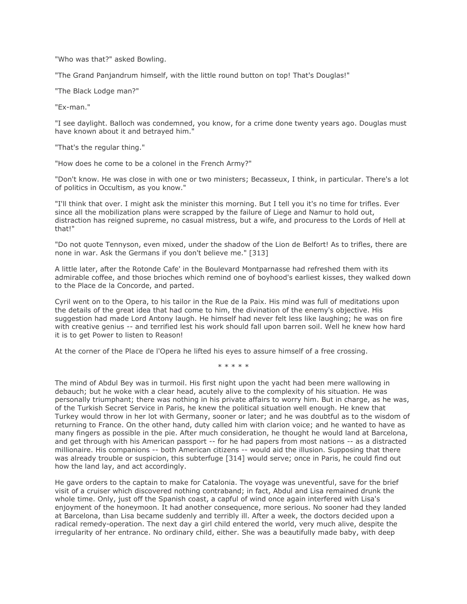"Who was that?" asked Bowling.

"The Grand Panjandrum himself, with the little round button on top! That's Douglas!"

"The Black Lodge man?"

"Ex-man."

"I see daylight. Balloch was condemned, you know, for a crime done twenty years ago. Douglas must have known about it and betrayed him."

"That's the regular thing."

"How does he come to be a colonel in the French Army?"

"Don't know. He was close in with one or two ministers; Becasseux, I think, in particular. There's a lot of politics in Occultism, as you know."

"I'll think that over. I might ask the minister this morning. But I tell you it's no time for trifles. Ever since all the mobilization plans were scrapped by the failure of Liege and Namur to hold out, distraction has reigned supreme, no casual mistress, but a wife, and procuress to the Lords of Hell at that!"

"Do not quote Tennyson, even mixed, under the shadow of the Lion de Belfort! As to trifles, there are none in war. Ask the Germans if you don't believe me." [313]

A little later, after the Rotonde Cafe' in the Boulevard Montparnasse had refreshed them with its admirable coffee, and those brioches which remind one of boyhood's earliest kisses, they walked down to the Place de la Concorde, and parted.

Cyril went on to the Opera, to his tailor in the Rue de la Paix. His mind was full of meditations upon the details of the great idea that had come to him, the divination of the enemy's objective. His suggestion had made Lord Antony laugh. He himself had never felt less like laughing; he was on fire with creative genius -- and terrified lest his work should fall upon barren soil. Well he knew how hard it is to get Power to listen to Reason!

At the corner of the Place de l'Opera he lifted his eyes to assure himself of a free crossing.

\* \* \* \* \*

The mind of Abdul Bey was in turmoil. His first night upon the yacht had been mere wallowing in debauch; but he woke with a clear head, acutely alive to the complexity of his situation. He was personally triumphant; there was nothing in his private affairs to worry him. But in charge, as he was, of the Turkish Secret Service in Paris, he knew the political situation well enough. He knew that Turkey would throw in her lot with Germany, sooner or later; and he was doubtful as to the wisdom of returning to France. On the other hand, duty called him with clarion voice; and he wanted to have as many fingers as possible in the pie. After much consideration, he thought he would land at Barcelona, and get through with his American passport -- for he had papers from most nations -- as a distracted millionaire. His companions -- both American citizens -- would aid the illusion. Supposing that there was already trouble or suspicion, this subterfuge [314] would serve; once in Paris, he could find out how the land lay, and act accordingly.

He gave orders to the captain to make for Catalonia. The voyage was uneventful, save for the brief visit of a cruiser which discovered nothing contraband; in fact, Abdul and Lisa remained drunk the whole time. Only, just off the Spanish coast, a capful of wind once again interfered with Lisa's enjoyment of the honeymoon. It had another consequence, more serious. No sooner had they landed at Barcelona, than Lisa became suddenly and terribly ill. After a week, the doctors decided upon a radical remedy-operation. The next day a girl child entered the world, very much alive, despite the irregularity of her entrance. No ordinary child, either. She was a beautifully made baby, with deep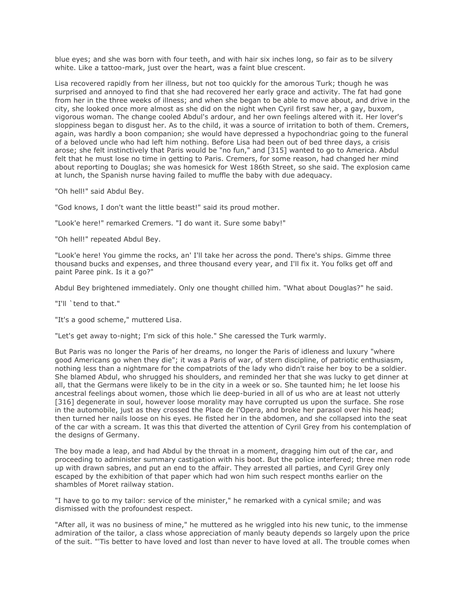blue eyes; and she was born with four teeth, and with hair six inches long, so fair as to be silvery white. Like a tattoo-mark, just over the heart, was a faint blue crescent.

Lisa recovered rapidly from her illness, but not too quickly for the amorous Turk; though he was surprised and annoyed to find that she had recovered her early grace and activity. The fat had gone from her in the three weeks of illness; and when she began to be able to move about, and drive in the city, she looked once more almost as she did on the night when Cyril first saw her, a gay, buxom, vigorous woman. The change cooled Abdul's ardour, and her own feelings altered with it. Her lover's sloppiness began to disgust her. As to the child, it was a source of irritation to both of them. Cremers, again, was hardly a boon companion; she would have depressed a hypochondriac going to the funeral of a beloved uncle who had left him nothing. Before Lisa had been out of bed three days, a crisis arose; she felt instinctively that Paris would be "no fun," and [315] wanted to go to America. Abdul felt that he must lose no time in getting to Paris. Cremers, for some reason, had changed her mind about reporting to Douglas; she was homesick for West 186th Street, so she said. The explosion came at lunch, the Spanish nurse having failed to muffle the baby with due adequacy.

"Oh hell!" said Abdul Bey.

"God knows, I don't want the little beast!" said its proud mother.

"Look'e here!" remarked Cremers. "I do want it. Sure some baby!"

"Oh hell!" repeated Abdul Bey.

"Look'e here! You gimme the rocks, an' I'll take her across the pond. There's ships. Gimme three thousand bucks and expenses, and three thousand every year, and I'll fix it. You folks get off and paint Paree pink. Is it a go?"

Abdul Bey brightened immediately. Only one thought chilled him. "What about Douglas?" he said.

"I'll `tend to that."

"It's a good scheme," muttered Lisa.

"Let's get away to-night; I'm sick of this hole." She caressed the Turk warmly.

But Paris was no longer the Paris of her dreams, no longer the Paris of idleness and luxury "where good Americans go when they die"; it was a Paris of war, of stern discipline, of patriotic enthusiasm, nothing less than a nightmare for the compatriots of the lady who didn't raise her boy to be a soldier. She blamed Abdul, who shrugged his shoulders, and reminded her that she was lucky to get dinner at all, that the Germans were likely to be in the city in a week or so. She taunted him; he let loose his ancestral feelings about women, those which lie deep-buried in all of us who are at least not utterly [316] degenerate in soul, however loose morality may have corrupted us upon the surface. She rose in the automobile, just as they crossed the Place de l'Opera, and broke her parasol over his head; then turned her nails loose on his eyes. He fisted her in the abdomen, and she collapsed into the seat of the car with a scream. It was this that diverted the attention of Cyril Grey from his contemplation of the designs of Germany.

The boy made a leap, and had Abdul by the throat in a moment, dragging him out of the car, and proceeding to administer summary castigation with his boot. But the police interfered; three men rode up with drawn sabres, and put an end to the affair. They arrested all parties, and Cyril Grey only escaped by the exhibition of that paper which had won him such respect months earlier on the shambles of Moret railway station.

"I have to go to my tailor: service of the minister," he remarked with a cynical smile; and was dismissed with the profoundest respect.

"After all, it was no business of mine," he muttered as he wriggled into his new tunic, to the immense admiration of the tailor, a class whose appreciation of manly beauty depends so largely upon the price of the suit. "'Tis better to have loved and lost than never to have loved at all. The trouble comes when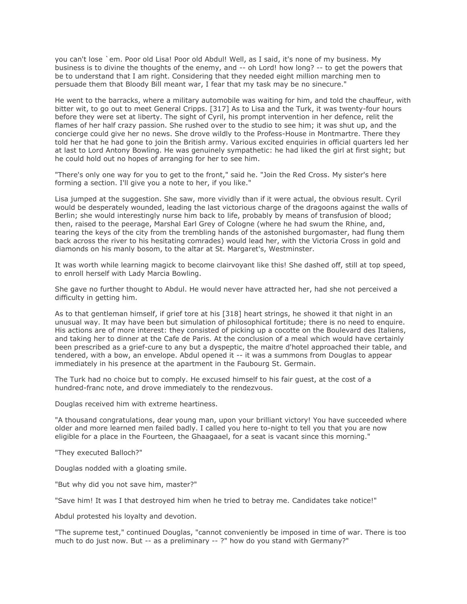you can't lose `em. Poor old Lisa! Poor old Abdul! Well, as I said, it's none of my business. My business is to divine the thoughts of the enemy, and -- oh Lord! how long? -- to get the powers that be to understand that I am right. Considering that they needed eight million marching men to persuade them that Bloody Bill meant war, I fear that my task may be no sinecure."

He went to the barracks, where a military automobile was waiting for him, and told the chauffeur, with bitter wit, to go out to meet General Cripps. [317] As to Lisa and the Turk, it was twenty-four hours before they were set at liberty. The sight of Cyril, his prompt intervention in her defence, relit the flames of her half crazy passion. She rushed over to the studio to see him; it was shut up, and the concierge could give her no news. She drove wildly to the Profess-House in Montmartre. There they told her that he had gone to join the British army. Various excited enquiries in official quarters led her at last to Lord Antony Bowling. He was genuinely sympathetic: he had liked the girl at first sight; but he could hold out no hopes of arranging for her to see him.

"There's only one way for you to get to the front," said he. "Join the Red Cross. My sister's here forming a section. I'll give you a note to her, if you like."

Lisa jumped at the suggestion. She saw, more vividly than if it were actual, the obvious result. Cyril would be desperately wounded, leading the last victorious charge of the dragoons against the walls of Berlin; she would interestingly nurse him back to life, probably by means of transfusion of blood; then, raised to the peerage, Marshal Earl Grey of Cologne (where he had swum the Rhine, and, tearing the keys of the city from the trembling hands of the astonished burgomaster, had flung them back across the river to his hesitating comrades) would lead her, with the Victoria Cross in gold and diamonds on his manly bosom, to the altar at St. Margaret's, Westminster.

It was worth while learning magick to become clairvoyant like this! She dashed off, still at top speed, to enroll herself with Lady Marcia Bowling.

She gave no further thought to Abdul. He would never have attracted her, had she not perceived a difficulty in getting him.

As to that gentleman himself, if grief tore at his [318] heart strings, he showed it that night in an unusual way. It may have been but simulation of philosophical fortitude; there is no need to enquire. His actions are of more interest: they consisted of picking up a cocotte on the Boulevard des Italiens, and taking her to dinner at the Cafe de Paris. At the conclusion of a meal which would have certainly been prescribed as a grief-cure to any but a dyspeptic, the maitre d'hotel approached their table, and tendered, with a bow, an envelope. Abdul opened it -- it was a summons from Douglas to appear immediately in his presence at the apartment in the Faubourg St. Germain.

The Turk had no choice but to comply. He excused himself to his fair guest, at the cost of a hundred-franc note, and drove immediately to the rendezvous.

Douglas received him with extreme heartiness.

"A thousand congratulations, dear young man, upon your brilliant victory! You have succeeded where older and more learned men failed badly. I called you here to-night to tell you that you are now eligible for a place in the Fourteen, the Ghaagaael, for a seat is vacant since this morning."

"They executed Balloch?"

Douglas nodded with a gloating smile.

"But why did you not save him, master?"

"Save him! It was I that destroyed him when he tried to betray me. Candidates take notice!"

Abdul protested his loyalty and devotion.

"The supreme test," continued Douglas, "cannot conveniently be imposed in time of war. There is too much to do just now. But -- as a preliminary -- ?" how do you stand with Germany?"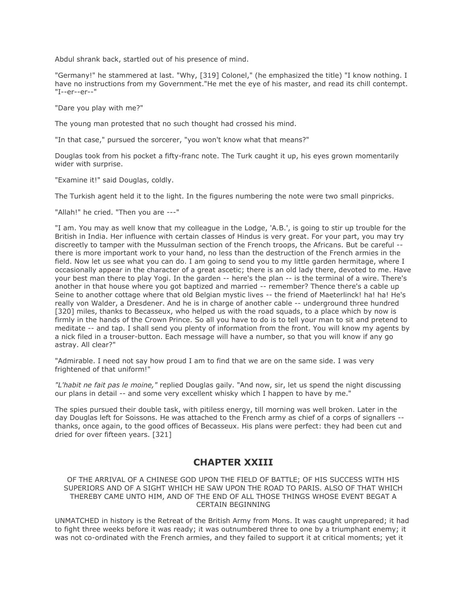Abdul shrank back, startled out of his presence of mind.

"Germany!" he stammered at last. "Why, [319] Colonel," (he emphasized the title) "I know nothing. I have no instructions from my Government."He met the eye of his master, and read its chill contempt. "I--er--er--"

"Dare you play with me?"

The young man protested that no such thought had crossed his mind.

"In that case," pursued the sorcerer, "you won't know what that means?"

Douglas took from his pocket a fifty-franc note. The Turk caught it up, his eyes grown momentarily wider with surprise.

"Examine it!" said Douglas, coldly.

The Turkish agent held it to the light. In the figures numbering the note were two small pinpricks.

"Allah!" he cried. "Then you are ---"

"I am. You may as well know that my colleague in the Lodge, 'A.B.', is going to stir up trouble for the British in India. Her influence with certain classes of Hindus is very great. For your part, you may try discreetly to tamper with the Mussulman section of the French troops, the Africans. But be careful - there is more important work to your hand, no less than the destruction of the French armies in the field. Now let us see what you can do. I am going to send you to my little garden hermitage, where I occasionally appear in the character of a great ascetic; there is an old lady there, devoted to me. Have your best man there to play Yogi. In the garden -- here's the plan -- is the terminal of a wire. There's another in that house where you got baptized and married -- remember? Thence there's a cable up Seine to another cottage where that old Belgian mystic lives -- the friend of Maeterlinck! ha! ha! He's really von Walder, a Dresdener. And he is in charge of another cable -- underground three hundred [320] miles, thanks to Becasseux, who helped us with the road squads, to a place which by now is firmly in the hands of the Crown Prince. So all you have to do is to tell your man to sit and pretend to meditate -- and tap. I shall send you plenty of information from the front. You will know my agents by a nick filed in a trouser-button. Each message will have a number, so that you will know if any go astray. All clear?"

"Admirable. I need not say how proud I am to find that we are on the same side. I was very frightened of that uniform!"

*"L'habit ne fait pas le moine,"* replied Douglas gaily. "And now, sir, let us spend the night discussing our plans in detail -- and some very excellent whisky which I happen to have by me."

The spies pursued their double task, with pitiless energy, till morning was well broken. Later in the day Douglas left for Soissons. He was attached to the French army as chief of a corps of signallers - thanks, once again, to the good offices of Becasseux. His plans were perfect: they had been cut and dried for over fifteen years. [321]

# **CHAPTER XXIII**

OF THE ARRIVAL OF A CHINESE GOD UPON THE FIELD OF BATTLE; OF HIS SUCCESS WITH HIS SUPERIORS AND OF A SIGHT WHICH HE SAW UPON THE ROAD TO PARIS. ALSO OF THAT WHICH THEREBY CAME UNTO HIM, AND OF THE END OF ALL THOSE THINGS WHOSE EVENT BEGAT A CERTAIN BEGINNING

UNMATCHED in history is the Retreat of the British Army from Mons. It was caught unprepared; it had to fight three weeks before it was ready; it was outnumbered three to one by a triumphant enemy; it was not co-ordinated with the French armies, and they failed to support it at critical moments; yet it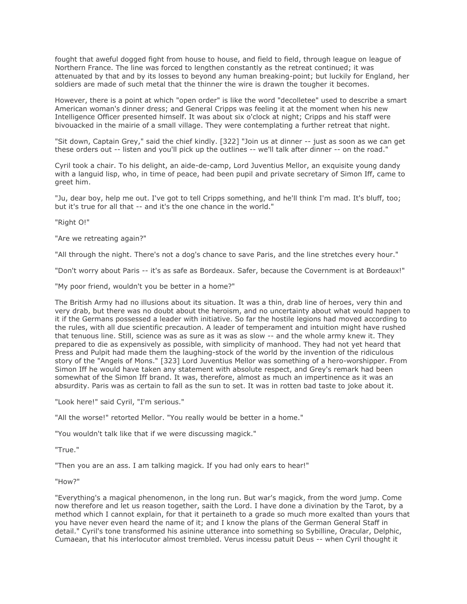fought that aweful dogged fight from house to house, and field to field, through league on league of Northern France. The line was forced to lengthen constantly as the retreat continued; it was attenuated by that and by its losses to beyond any human breaking-point; but luckily for England, her soldiers are made of such metal that the thinner the wire is drawn the tougher it becomes.

However, there is a point at which "open order" is like the word "decolletee" used to describe a smart American woman's dinner dress; and General Cripps was feeling it at the moment when his new Intelligence Officer presented himself. It was about six o'clock at night; Cripps and his staff were bivouacked in the mairie of a small village. They were contemplating a further retreat that night.

"Sit down, Captain Grey," said the chief kindly. [322] "Join us at dinner -- just as soon as we can get these orders out -- listen and you'll pick up the outlines -- we'll talk after dinner -- on the road."

Cyril took a chair. To his delight, an aide-de-camp, Lord Juventius Mellor, an exquisite young dandy with a languid lisp, who, in time of peace, had been pupil and private secretary of Simon Iff, came to greet him.

"Ju, dear boy, help me out. I've got to tell Cripps something, and he'll think I'm mad. It's bluff, too; but it's true for all that -- and it's the one chance in the world."

"Right O!"

"Are we retreating again?"

"All through the night. There's not a dog's chance to save Paris, and the line stretches every hour."

"Don't worry about Paris -- it's as safe as Bordeaux. Safer, because the Covernment is at Bordeaux!"

"My poor friend, wouldn't you be better in a home?"

The British Army had no illusions about its situation. It was a thin, drab line of heroes, very thin and very drab, but there was no doubt about the heroism, and no uncertainty about what would happen to it if the Germans possessed a leader with initiative. So far the hostile legions had moved according to the rules, with all due scientific precaution. A leader of temperament and intuition might have rushed that tenuous line. Still, science was as sure as it was as slow -- and the whole army knew it. They prepared to die as expensively as possible, with simplicity of manhood. They had not yet heard that Press and Pulpit had made them the laughing-stock of the world by the invention of the ridiculous story of the "Angels of Mons." [323] Lord Juventius Mellor was something of a hero-worshipper. From Simon Iff he would have taken any statement with absolute respect, and Grey's remark had been somewhat of the Simon Iff brand. It was, therefore, almost as much an impertinence as it was an absurdity. Paris was as certain to fall as the sun to set. It was in rotten bad taste to joke about it.

"Look here!" said Cyril, "I'm serious."

"All the worse!" retorted Mellor. "You really would be better in a home."

"You wouldn't talk like that if we were discussing magick."

"True."

"Then you are an ass. I am talking magick. If you had only ears to hear!"

"How?"

"Everything's a magical phenomenon, in the long run. But war's magick, from the word jump. Come now therefore and let us reason together, saith the Lord. I have done a divination by the Tarot, by a method which I cannot explain, for that it pertaineth to a grade so much more exalted than yours that you have never even heard the name of it; and I know the plans of the German General Staff in detail." Cyril's tone transformed his asinine utterance into something so Sybilline, Oracular, Delphic, Cumaean, that his interlocutor almost trembled. Verus incessu patuit Deus -- when Cyril thought it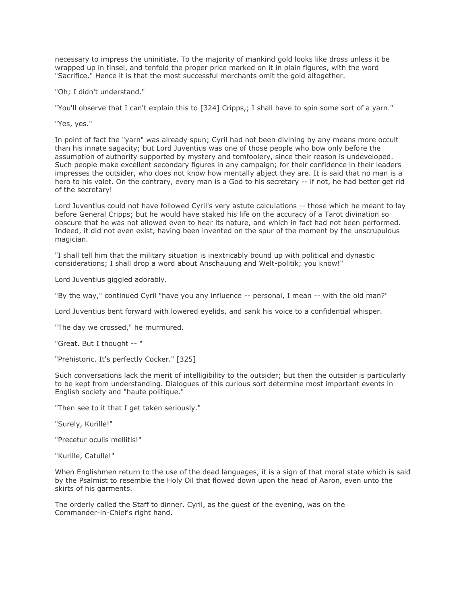necessary to impress the uninitiate. To the majority of mankind gold looks like dross unless it be wrapped up in tinsel, and tenfold the proper price marked on it in plain figures, with the word "Sacrifice." Hence it is that the most successful merchants omit the gold altogether.

"Oh; I didn't understand."

"You'll observe that I can't explain this to [324] Cripps,; I shall have to spin some sort of a yarn."

"Yes, yes."

In point of fact the "yarn" was already spun; Cyril had not been divining by any means more occult than his innate sagacity; but Lord Juventius was one of those people who bow only before the assumption of authority supported by mystery and tomfoolery, since their reason is undeveloped. Such people make excellent secondary figures in any campaign; for their confidence in their leaders impresses the outsider, who does not know how mentally abject they are. It is said that no man is a hero to his valet. On the contrary, every man is a God to his secretary -- if not, he had better get rid of the secretary!

Lord Juventius could not have followed Cyril's very astute calculations -- those which he meant to lay before General Cripps; but he would have staked his life on the accuracy of a Tarot divination so obscure that he was not allowed even to hear its nature, and which in fact had not been performed. Indeed, it did not even exist, having been invented on the spur of the moment by the unscrupulous magician.

"I shall tell him that the military situation is inextricably bound up with political and dynastic considerations; I shall drop a word about Anschauung and Welt-politik; you know!"

Lord Juventius giggled adorably.

"By the way," continued Cyril "have you any influence -- personal, I mean -- with the old man?"

Lord Juventius bent forward with lowered eyelids, and sank his voice to a confidential whisper.

"The day we crossed," he murmured.

"Great. But I thought -- "

"Prehistoric. It's perfectly Cocker." [325]

Such conversations lack the merit of intelligibility to the outsider; but then the outsider is particularly to be kept from understanding. Dialogues of this curious sort determine most important events in English society and "haute politique."

"Then see to it that I get taken seriously."

"Surely, Kurille!"

"Precetur oculis mellitis!"

"Kurille, Catulle!"

When Englishmen return to the use of the dead languages, it is a sign of that moral state which is said by the Psalmist to resemble the Holy Oil that flowed down upon the head of Aaron, even unto the skirts of his garments.

The orderly called the Staff to dinner. Cyril, as the guest of the evening, was on the Commander-in-Chief's right hand.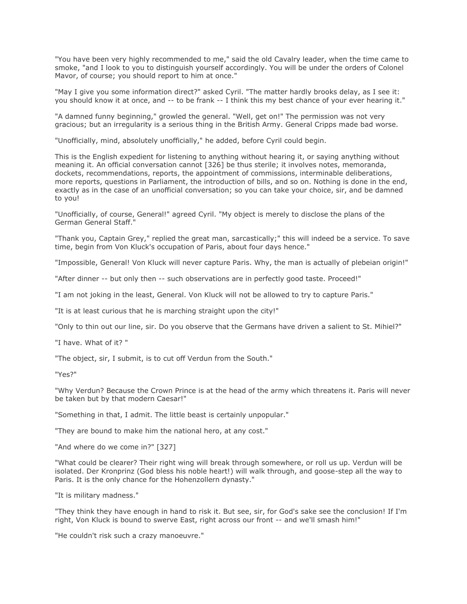"You have been very highly recommended to me," said the old Cavalry leader, when the time came to smoke, "and I look to you to distinguish yourself accordingly. You will be under the orders of Colonel Mavor, of course; you should report to him at once."

"May I give you some information direct?" asked Cyril. "The matter hardly brooks delay, as I see it: you should know it at once, and -- to be frank -- I think this my best chance of your ever hearing it."

"A damned funny beginning," growled the general. "Well, get on!" The permission was not very gracious; but an irregularity is a serious thing in the British Army. General Cripps made bad worse.

"Unofficially, mind, absolutely unofficially," he added, before Cyril could begin.

This is the English expedient for listening to anything without hearing it, or saying anything without meaning it. An official conversation cannot [326] be thus sterile; it involves notes, memoranda, dockets, recommendations, reports, the appointment of commissions, interminable deliberations, more reports, questions in Parliament, the introduction of bills, and so on. Nothing is done in the end, exactly as in the case of an unofficial conversation; so you can take your choice, sir, and be damned to you!

"Unofficially, of course, General!" agreed Cyril. "My object is merely to disclose the plans of the German General Staff."

"Thank you, Captain Grey," replied the great man, sarcastically;" this will indeed be a service. To save time, begin from Von Kluck's occupation of Paris, about four days hence."

"Impossible, General! Von Kluck will never capture Paris. Why, the man is actually of plebeian origin!"

"After dinner -- but only then -- such observations are in perfectly good taste. Proceed!"

"I am not joking in the least, General. Von Kluck will not be allowed to try to capture Paris."

"It is at least curious that he is marching straight upon the city!"

"Only to thin out our line, sir. Do you observe that the Germans have driven a salient to St. Mihiel?"

"I have. What of it? "

"The object, sir, I submit, is to cut off Verdun from the South."

"Yes?"

"Why Verdun? Because the Crown Prince is at the head of the army which threatens it. Paris will never be taken but by that modern Caesar!"

"Something in that, I admit. The little beast is certainly unpopular."

"They are bound to make him the national hero, at any cost."

"And where do we come in?" [327]

"What could be clearer? Their right wing will break through somewhere, or roll us up. Verdun will be isolated. Der Kronprinz (God bless his noble heart!) will walk through, and goose-step all the way to Paris. It is the only chance for the Hohenzollern dynasty."

"It is military madness."

"They think they have enough in hand to risk it. But see, sir, for God's sake see the conclusion! If I'm right, Von Kluck is bound to swerve East, right across our front -- and we'll smash him!"

"He couldn't risk such a crazy manoeuvre."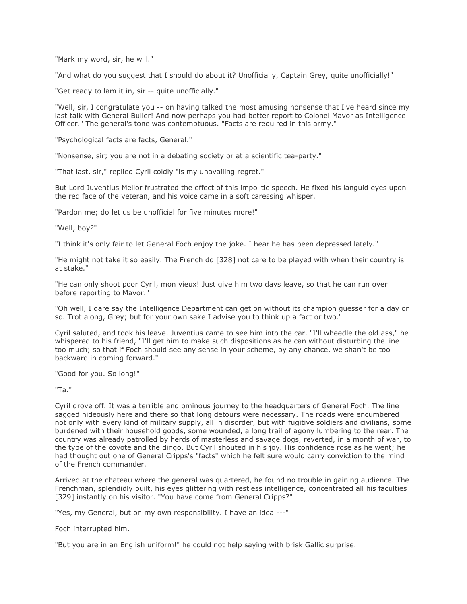"Mark my word, sir, he will."

"And what do you suggest that I should do about it? Unofficially, Captain Grey, quite unofficially!"

"Get ready to lam it in, sir -- quite unofficially."

"Well, sir, I congratulate you -- on having talked the most amusing nonsense that I've heard since my last talk with General Buller! And now perhaps you had better report to Colonel Mavor as Intelligence Officer." The general's tone was contemptuous. "Facts are required in this army."

"Psychological facts are facts, General."

"Nonsense, sir; you are not in a debating society or at a scientific tea-party."

"That last, sir," replied Cyril coldly "is my unavailing regret."

But Lord Juventius Mellor frustrated the effect of this impolitic speech. He fixed his languid eyes upon the red face of the veteran, and his voice came in a soft caressing whisper.

"Pardon me; do let us be unofficial for five minutes more!"

"Well, boy?"

"I think it's only fair to let General Foch enjoy the joke. I hear he has been depressed lately."

"He might not take it so easily. The French do [328] not care to be played with when their country is at stake."

"He can only shoot poor Cyril, mon vieux! Just give him two days leave, so that he can run over before reporting to Mavor."

"Oh well, I dare say the Intelligence Department can get on without its champion guesser for a day or so. Trot along, Grey; but for your own sake I advise you to think up a fact or two."

Cyril saluted, and took his leave. Juventius came to see him into the car. "I'll wheedle the old ass," he whispered to his friend, "I'll get him to make such dispositions as he can without disturbing the line too much; so that if Foch should see any sense in your scheme, by any chance, we shan't be too backward in coming forward."

"Good for you. So long!"

"Ta."

Cyril drove off. It was a terrible and ominous journey to the headquarters of General Foch. The line sagged hideously here and there so that long detours were necessary. The roads were encumbered not only with every kind of military supply, all in disorder, but with fugitive soldiers and civilians, some burdened with their household goods, some wounded, a long trail of agony lumbering to the rear. The country was already patrolled by herds of masterless and savage dogs, reverted, in a month of war, to the type of the coyote and the dingo. But Cyril shouted in his joy. His confidence rose as he went; he had thought out one of General Cripps's "facts" which he felt sure would carry conviction to the mind of the French commander.

Arrived at the chateau where the general was quartered, he found no trouble in gaining audience. The Frenchman, splendidly built, his eyes glittering with restless intelligence, concentrated all his faculties [329] instantly on his visitor. "You have come from General Cripps?"

"Yes, my General, but on my own responsibility. I have an idea ---"

Foch interrupted him.

"But you are in an English uniform!" he could not help saying with brisk Gallic surprise.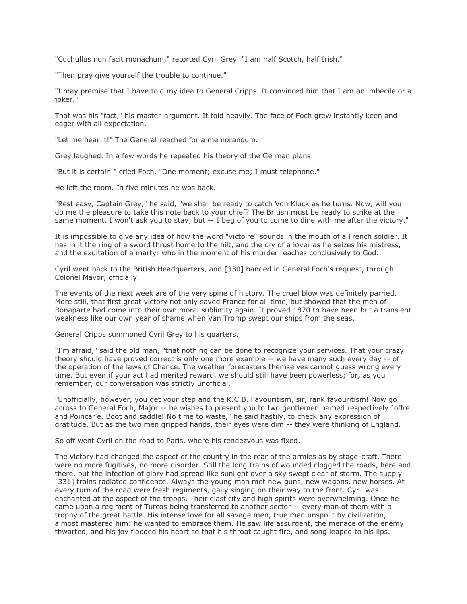"Cuchullus non facit monachum," retorted Cyril Grey. "I am half Scotch, half Irish."

"Then pray give yourself the trouble to continue."

"I may premise that I have told my idea to General Cripps. It convinced him that I am an imbecile or a joker."

That was his "fact," his master-argument. It told heavily. The face of Foch grew instantly keen and eager with all expectation.

"Let me hear it!" The General reached for a memorandum.

Grey laughed. In a few words he repeated his theory of the German plans.

"But it is certain!" cried Foch. "One moment; excuse me; I must telephone."

He left the room. In five minutes he was back.

"Rest easy, Captain Grey," he said, "we shall be ready to catch Von Kluck as he turns. Now, will you do me the pleasure to take this note back to your chief? The British must be ready to strike at the same moment. I won't ask you to stay; but -- I beg of you to come to dine with me after the victory."

It is impossible to give any idea of how the word "victoire" sounds in the mouth of a French soldier. It has in it the ring of a sword thrust home to the hilt, and the cry of a lover as he seizes his mistress, and the exultation of a martyr who in the moment of his murder reaches conclusively to God.

Cyril went back to the British Headquarters, and [330] handed in General Foch's request, through Colonel Mavor, officially.

The events of the next week are of the very spine of history. The cruel blow was definitely parried. More still, that first great victory not only saved France for all time, but showed that the men of Bonaparte had come into their own moral sublimity again. It proved 1870 to have been but a transient weakness like our own year of shame when Van Tromp swept our ships from the seas.

General Cripps summoned Cyril Grey to his quarters.

"I'm afraid," said the old man, "that nothing can be done to recognize your services. That your crazy theory should have proved correct is only one more example -- we have many such every day -- of the operation of the laws of Chance. The weather forecasters themselves cannot guess wrong every time. But even if your act had merited reward, we should still have been powerless; for, as you remember, our conversation was strictly unofficial.

"Unofficially, however, you get your step and the K.C.B. Favouritism, sir, rank favouritism! Now go across to General Foch, Major -- he wishes to present you to two gentlemen named respectively Joffre and Poincar'e. Boot and saddle! No time to waste," he said hastily, to check any expression of gratitude. But as the two men gripped hands, their eyes were dim -- they were thinking of England.

So off went Cyril on the road to Paris, where his rendezvous was fixed.

The victory had changed the aspect of the country in the rear of the armies as by stage-craft. There were no more fugitives, no more disorder. Still the long trains of wounded clogged the roads, here and there, but the infection of glory had spread like sunlight over a sky swept clear of storm. The supply [331] trains radiated confidence. Always the young man met new guns, new wagons, new horses. At every turn of the road were fresh regiments, gaily singing on their way to the front. Cyril was enchanted at the aspect of the troops. Their elasticity and high spirits were overwhelming. Once he came upon a regiment of Turcos being transferred to another sector -- every man of them with a trophy of the great battle. His intense love for all savage men, true men unspoilt by civilization, almost mastered him: he wanted to embrace them. He saw life assurgent, the menace of the enemy thwarted, and his joy flooded his heart so that his throat caught fire, and song leaped to his lips.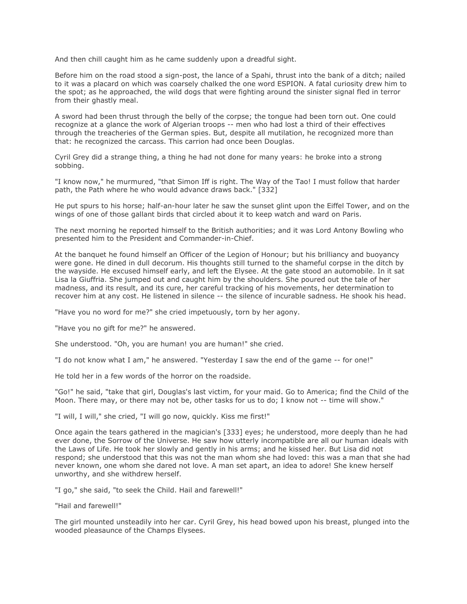And then chill caught him as he came suddenly upon a dreadful sight.

Before him on the road stood a sign-post, the lance of a Spahi, thrust into the bank of a ditch; nailed to it was a placard on which was coarsely chalked the one word ESPION. A fatal curiosity drew him to the spot; as he approached, the wild dogs that were fighting around the sinister signal fled in terror from their ghastly meal.

A sword had been thrust through the belly of the corpse; the tongue had been torn out. One could recognize at a glance the work of Algerian troops -- men who had lost a third of their effectives through the treacheries of the German spies. But, despite all mutilation, he recognized more than that: he recognized the carcass. This carrion had once been Douglas.

Cyril Grey did a strange thing, a thing he had not done for many years: he broke into a strong sobbing.

"I know now," he murmured, "that Simon Iff is right. The Way of the Tao! I must follow that harder path, the Path where he who would advance draws back." [332]

He put spurs to his horse; half-an-hour later he saw the sunset glint upon the Eiffel Tower, and on the wings of one of those gallant birds that circled about it to keep watch and ward on Paris.

The next morning he reported himself to the British authorities; and it was Lord Antony Bowling who presented him to the President and Commander-in-Chief.

At the banquet he found himself an Officer of the Legion of Honour; but his brilliancy and buoyancy were gone. He dined in dull decorum. His thoughts still turned to the shameful corpse in the ditch by the wayside. He excused himself early, and left the Elysee. At the gate stood an automobile. In it sat Lisa la Giuffria. She jumped out and caught him by the shoulders. She poured out the tale of her madness, and its result, and its cure, her careful tracking of his movements, her determination to recover him at any cost. He listened in silence -- the silence of incurable sadness. He shook his head.

"Have you no word for me?" she cried impetuously, torn by her agony.

"Have you no gift for me?" he answered.

She understood. "Oh, you are human! you are human!" she cried.

"I do not know what I am," he answered. "Yesterday I saw the end of the game -- for one!"

He told her in a few words of the horror on the roadside.

"Go!" he said, "take that girl, Douglas's last victim, for your maid. Go to America; find the Child of the Moon. There may, or there may not be, other tasks for us to do; I know not -- time will show."

"I will, I will," she cried, "I will go now, quickly. Kiss me first!"

Once again the tears gathered in the magician's [333] eyes; he understood, more deeply than he had ever done, the Sorrow of the Universe. He saw how utterly incompatible are all our human ideals with the Laws of Life. He took her slowly and gently in his arms; and he kissed her. But Lisa did not respond; she understood that this was not the man whom she had loved: this was a man that she had never known, one whom she dared not love. A man set apart, an idea to adore! She knew herself unworthy, and she withdrew herself.

"I go," she said, "to seek the Child. Hail and farewell!"

"Hail and farewell!"

The girl mounted unsteadily into her car. Cyril Grey, his head bowed upon his breast, plunged into the wooded pleasaunce of the Champs Elysees.